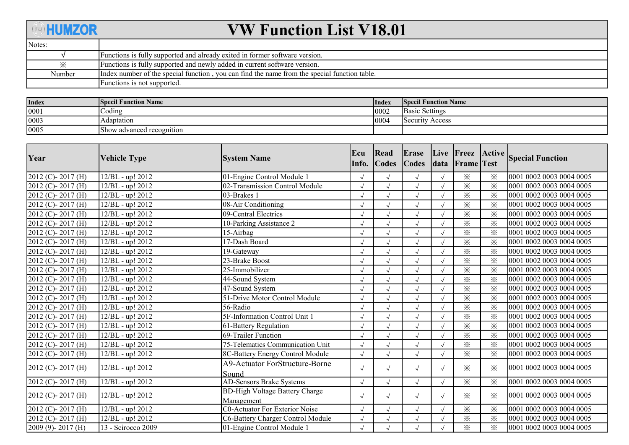## **OHUMZOR**

## VW Function List V18.01

| Notes: |                                                                                              |
|--------|----------------------------------------------------------------------------------------------|
|        | Functions is fully supported and already exited in former software version.                  |
| ⋇      | Functions is fully supported and newly added in current software version.                    |
| Number | Index number of the special function, you can find the name from the special function table. |
|        | Functions is not supported.                                                                  |

| Index | <b>Specil Function Name</b> | Index | <b>Specil Function Name</b>  |
|-------|-----------------------------|-------|------------------------------|
| 0001  | $\sim$ oding                | 0002  | <b>Basic Settings</b>        |
| 0003  | Adaptation                  | 0004  | Security $\lambda$<br>Access |
| 0005  | Show advanced recognition   |       |                              |

| Year                    | <b>Vehicle Type</b>  | <b>System Name</b>                                  | Ecu<br>Info. | Read<br><b>Codes</b> | Erase<br>$\big  Codes$ |            | Live Freez Active<br>data Frame Test |                   | <b>Special Function</b>  |
|-------------------------|----------------------|-----------------------------------------------------|--------------|----------------------|------------------------|------------|--------------------------------------|-------------------|--------------------------|
| $[2012 (C)-2017 (H)]$   | $12/BL$ - up! $2012$ | 01-Engine Control Module 1                          | $\sqrt{}$    |                      |                        |            | $\times$                             | ⋇                 | 0001 0002 0003 0004 0005 |
| $2012$ (C)-2017 (H)     | 12/BL - up! 2012     | 02-Transmission Control Module                      | $\sqrt{ }$   | $\sqrt{ }$           | $\sqrt{ }$             |            | $\times$                             | $\times$          | 0001 0002 0003 0004 0005 |
| $2012$ (C) - 2017 (H)   | 12/BL - up! 2012     | 03-Brakes 1                                         | $\sqrt{ }$   | $\sqrt{ }$           | $\sqrt{ }$             |            | $\times$                             | $\times$          | 0001 0002 0003 0004 0005 |
| $2012$ (C) - 2017 (H)   | 12/BL - up! 2012     | 08-Air Conditioning                                 | $\sqrt{ }$   | $\sqrt{ }$           | $\sqrt{}$              |            | $\times$                             | $\times$          | 0001 0002 0003 0004 0005 |
| $2012$ (C) - 2017 (H)   | 12/BL - up! 2012     | 09-Central Electrics                                | $\sqrt{ }$   | $\sqrt{ }$           | $\sqrt{ }$             |            | $\times$                             | $\mathbb{X}$      | 0001 0002 0003 0004 0005 |
| $2012$ (C) - 2017 (H)   | 12/BL - up! 2012     | 10-Parking Assistance 2                             |              |                      | $\sqrt{}$              |            | $\times$                             | $\times$          | 0001 0002 0003 0004 0005 |
| $2012$ (C)-2017 (H)     | 12/BL - up! 2012     | 15-Airbag                                           | $\sqrt{2}$   | $\sqrt{ }$           |                        |            | $\times$                             | $\times$          | 0001 0002 0003 0004 0005 |
| $2012$ (C)-2017 (H)     | 12/BL - up! 2012     | 17-Dash Board                                       |              |                      |                        |            | $\times$                             | $\times$          | 0001 0002 0003 0004 0005 |
| $2012$ (C) - 2017 (H)   | 12/BL - up! 2012     | 19-Gateway                                          | $\sqrt{ }$   | $\sqrt{ }$           | $\sqrt{}$              |            | $\times$                             | $\times$          | 0001 0002 0003 0004 0005 |
| $2012$ (C) - 2017 (H)   | 12/BL - up! 2012     | 23-Brake Boost                                      | $\sqrt{ }$   | $\sqrt{ }$           | $\sqrt{ }$             |            | $\times$                             | $\times$          | 0001 0002 0003 0004 0005 |
| $[2012 (C)-2017 (H)]$   | 12/BL - up! 2012     | 25-Immobilizer                                      |              |                      |                        |            | $\times$                             | $\times$          | 0001 0002 0003 0004 0005 |
| $2012$ (C)-2017 (H)     | 12/BL - up! 2012     | 44-Sound System                                     | $\sqrt{ }$   | $\sqrt{ }$           | $\sqrt{}$              |            | $\times$                             | $\times$          | 0001 0002 0003 0004 0005 |
| $2012$ (C)-2017 (H)     | 12/BL - up! 2012     | 47-Sound System                                     | $\sqrt{ }$   | $\sqrt{ }$           | $\sqrt{ }$             |            | $\times$                             | $\times$          | 0001 0002 0003 0004 0005 |
| $2012$ (C) - 2017 (H)   | 12/BL - up! 2012     | 51-Drive Motor Control Module                       | $\sqrt{ }$   | $\sqrt{ }$           | $\sqrt{}$              |            | $\times$                             | $\times$          | 0001 0002 0003 0004 0005 |
| $2012$ (C) - 2017 (H)   | 12/BL - up! 2012     | 56-Radio                                            | $\sqrt{ }$   | $\sqrt{ }$           | $\sqrt{ }$             |            | $\times$                             | $\times$          | 0001 0002 0003 0004 0005 |
| $[2012 (C)-2017 (H)]$   | 12/BL - up! 2012     | 5F-Information Control Unit 1                       |              |                      | $\sqrt{ }$             |            | $\times$                             | $\times$          | 0001 0002 0003 0004 0005 |
| $2012$ (C) - 2017 (H)   | 12/BL - up! 2012     | 61-Battery Regulation                               | $\sqrt{ }$   | $\sqrt{ }$           |                        |            | $\times$                             | $\times$          | 0001 0002 0003 0004 0005 |
| $2012$ (C) - 2017 (H)   | 12/BL - up! 2012     | 69-Trailer Function                                 | $\sqrt{ }$   | $\sqrt{ }$           | $\sqrt{ }$             |            | $\times$                             | $\times$          | 0001 0002 0003 0004 0005 |
| $2012$ (C) - 2017 (H)   | 12/BL - up! 2012     | 75-Telematics Communication Unit                    | $\sqrt{ }$   | $\sqrt{ }$           | $\sqrt{ }$             |            | $\times$                             | $\times$          | 0001 0002 0003 0004 0005 |
| $2012$ (C) - 2017 (H)   | 12/BL - up! 2012     | 8C-Battery Energy Control Module                    | $\sqrt{ }$   | $\sqrt{ }$           | $\sqrt{ }$             |            | $\times$                             | $\times$          | 0001 0002 0003 0004 0005 |
| $2012$ (C) - 2017 (H)   | 12/BL - up! 2012     | <b>A9-Actuator ForStructure-Borne</b><br>Sound      | $\sqrt{ }$   | $\sqrt{ }$           | $\sqrt{ }$             | $\sqrt{ }$ | $\times$                             | $\mathbb{\times}$ | 0001 0002 0003 0004 0005 |
| $2012$ (C) - 2017 (H)   | 12/BL - up! 2012     | AD-Sensors Brake Systems                            | $\sqrt{ }$   | $\sqrt{ }$           | $\sqrt{ }$             | $\sqrt{ }$ | $\times$                             | $\times$          | 0001 0002 0003 0004 0005 |
| $[2012 (C)-2017 (H)]$   | 12/BL - up! 2012     | <b>BD-High Voltage Battery Charge</b><br>Management | $\sqrt{ }$   | $\sqrt{ }$           | $\sqrt{ }$             | $\sqrt{ }$ | ⋇                                    | ⋇                 | 0001 0002 0003 0004 0005 |
| $2012$ (C) - 2017 (H)   | 12/BL - up! 2012     | <b>C0-Actuator For Exterior Noise</b>               |              |                      |                        |            | $\times$                             | $\times$          | 0001 0002 0003 0004 0005 |
| $2012$ (C)-2017 (H)     | 12/BL - up! 2012     | C6-Battery Charger Control Module                   | $\sqrt{ }$   | $\sqrt{ }$           | $\sqrt{ }$             |            | $\times$                             | $\times$          | 0001 0002 0003 0004 0005 |
| $[2009 (9) - 2017 (H)]$ | 13 - Scirocco 2009   | 01-Engine Control Module 1                          | $\sqrt{ }$   |                      | $\sqrt{ }$             |            | $\times$                             | $\times$          | 0001 0002 0003 0004 0005 |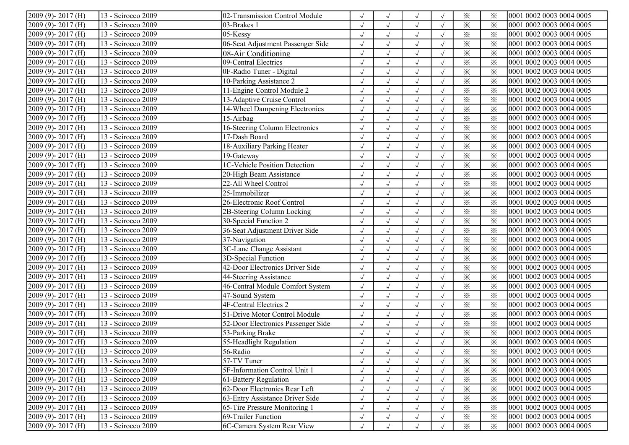| $2009(9) - 2017(H)$     | 13 - Scirocco 2009              | 02-Transmission Control Module     |              | $\sqrt{ }$   | $\sqrt{ }$ |            | $\times$                | ⋇        | 0001 0002 0003 0004 0005 |
|-------------------------|---------------------------------|------------------------------------|--------------|--------------|------------|------------|-------------------------|----------|--------------------------|
| $2009(9) - 2017(H)$     | 13 - Scirocco 2009              | 03-Brakes 1                        |              | $\sqrt{ }$   | $\sqrt{ }$ | $\sqrt{ }$ | $\times$                | $\times$ | 0001 0002 0003 0004 0005 |
| 2009 (9)-2017 (H)       | 13 - Scirocco 2009              | $05$ -Kessy                        | $\sqrt{ }$   | $\sqrt{ }$   | $\sqrt{ }$ | $\sqrt{ }$ | $\times$                | $\times$ | 0001 0002 0003 0004 0005 |
| 2009 (9)-2017 (H)       | 13 - Scirocco 2009              | 06-Seat Adjustment Passenger Side  | $\sqrt{ }$   | $\sqrt{ }$   | $\sqrt{ }$ |            | $\times$                | $\times$ | 0001 0002 0003 0004 0005 |
| $2009(9) - 2017(H)$     | 13 - Scirocco 2009              | 08-Air Conditioning                | $\sqrt{}$    | $\sqrt{ }$   | $\sqrt{ }$ | $\sqrt{ }$ | $\times$                | $\times$ | 0001 0002 0003 0004 0005 |
| 2009 (9)-2017 (H)       | 13 - Scirocco 2009              | 09-Central Electrics               | $\sqrt{2}$   | $\sqrt{ }$   | $\sqrt{ }$ | $\sqrt{ }$ | $\times$                | $\times$ | 0001 0002 0003 0004 0005 |
| 2009 (9)-2017 (H)       | 13 - Scirocco 2009              | 0F-Radio Tuner - Digital           |              | $\sqrt{ }$   | $\sqrt{ }$ |            | $\times$                | $\times$ | 0001 0002 0003 0004 0005 |
| $2009(9) - 2017(H)$     | 13 - Scirocco 2009              | 10-Parking Assistance 2            |              | $\sqrt{ }$   | $\sqrt{ }$ |            | $\times$                | $\times$ | 0001 0002 0003 0004 0005 |
| $2009(9) - 2017(H)$     | 13 - Scirocco 2009              | 11-Engine Control Module 2         | $\sqrt{ }$   | $\sqrt{ }$   | $\sqrt{ }$ | $\sqrt{ }$ | $\times$                | $\times$ | 0001 0002 0003 0004 0005 |
| 2009 (9)-2017 (H)       | 13 - Scirocco 2009              | 13-Adaptive Cruise Control         | $\sqrt{ }$   | $\sqrt{ }$   | $\sqrt{ }$ | $\sqrt{ }$ | $\times$                | $\times$ | 0001 0002 0003 0004 0005 |
| 2009 (9)-2017 (H)       | 13 - Scirocco 2009              | 14-Wheel Dampening Electronics     | $\sqrt{ }$   | $\sqrt{ }$   | $\sqrt{ }$ | $\sqrt{ }$ | $\times$                | $\times$ | 0001 0002 0003 0004 0005 |
| 2009 (9)-2017 (H)       | 13 - Scirocco 2009              | $15$ -Airbag                       | $\sqrt{2}$   | $\checkmark$ | $\sqrt{2}$ | $\sqrt{ }$ | $\overline{\mathbf{x}}$ | $\times$ | 0001 0002 0003 0004 0005 |
| $2009(9) - 2017(H)$     | 13 - Scirocco 2009              | 16-Steering Column Electronics     | $\sqrt{}$    | $\sqrt{ }$   | $\sqrt{ }$ |            | $\times$                | $\times$ | 0001 0002 0003 0004 0005 |
| $2009(9) - 2017(H)$     | 13 - Scirocco 2009              | 17-Dash Board                      |              | $\sqrt{}$    | $\sqrt{}$  |            | $\times$                | $\times$ | 0001 0002 0003 0004 0005 |
| 2009 (9)-2017 (H)       | 13 - Scirocco 2009              | 18-Auxiliary Parking Heater        | $\sqrt{ }$   | $\sqrt{ }$   | $\sqrt{ }$ | $\sqrt{ }$ | $\times$                | $\times$ | 0001 0002 0003 0004 0005 |
| 2009 (9)-2017 (H)       | 13 - Scirocco 2009              | 19-Gateway                         | $\sqrt{ }$   | $\sqrt{ }$   | $\sqrt{ }$ | $\sqrt{ }$ | $\times$                | $\times$ | 0001 0002 0003 0004 0005 |
| 2009 (9)-2017 (H)       | 13 - Scirocco 2009              | 1C-Vehicle Position Detection      | $\sqrt{}$    | $\sqrt{ }$   | $\sqrt{ }$ |            | $\times$                | $\times$ | 0001 0002 0003 0004 0005 |
| 2009 (9)-2017 (H)       | 13 - Scirocco 2009              | 20-High Beam Assistance            | $\sqrt{2}$   | $\sqrt{ }$   | $\sqrt{ }$ |            | $\times$                | $\times$ | 0001 0002 0003 0004 0005 |
| 2009 (9)-2017 (H)       | 13 - Scirocco 2009              | 22-All Wheel Control               | $\sqrt{}$    | $\sqrt{ }$   | $\sqrt{ }$ |            | $\times$                | $\times$ | 0001 0002 0003 0004 0005 |
| $2009(9) - 2017(H)$     | 13 - Scirocco 2009              | 25-Immobilizer                     |              | $\sqrt{}$    | $\sqrt{ }$ |            | $\times$                | $\times$ | 0001 0002 0003 0004 0005 |
| $2009(9) - 2017(H)$     | 13 - Scirocco 2009              | 26-Electronic Roof Control         | $\sqrt{ }$   | $\sqrt{ }$   | $\sqrt{ }$ | $\sqrt{ }$ | $\times$                | $\times$ | 0001 0002 0003 0004 0005 |
| 2009 (9)-2017 (H)       | 13 - Scirocco 2009              | 2B-Steering Column Locking         | $\sqrt{ }$   | $\sqrt{ }$   | $\sqrt{ }$ | $\sqrt{ }$ | $\times$                | $\times$ | 0001 0002 0003 0004 0005 |
| 2009 (9)-2017 (H)       | 13 - Scirocco 2009              | 30-Special Function 2              | $\sqrt{ }$   | $\sqrt{ }$   | $\sqrt{}$  | $\sqrt{ }$ | $\times$                | $\times$ | 0001 0002 0003 0004 0005 |
| 2009 (9)-2017 (H)       | $\overline{13}$ - Scirocco 2009 | 36-Seat Adjustment Driver Side     | $\sqrt{ }$   | $\sqrt{ }$   | $\sqrt{2}$ | $\sqrt{ }$ | $\times$                | $\times$ | 0001 0002 0003 0004 0005 |
| 2009 (9)-2017 (H)       | 13 - Scirocco 2009              | 37-Navigation                      | $\sqrt{}$    | $\sqrt{ }$   | $\sqrt{}$  | $\sqrt{ }$ | $\times$                | $\times$ | 0001 0002 0003 0004 0005 |
| $2009(9) - 2017(H)$     | 13 - Scirocco 2009              | 3C-Lane Change Assistant           |              | $\sqrt{ }$   | $\sqrt{ }$ |            | $\times$                | $\times$ | 0001 0002 0003 0004 0005 |
| $2009(9) - 2017(H)$     | 13 - Scirocco 2009              | 3D-Special Function                |              | $\sqrt{ }$   | $\sqrt{ }$ | $\sqrt{ }$ | $\times$                | $\times$ | 0001 0002 0003 0004 0005 |
| 2009 (9)-2017 (H)       | 13 - Scirocco 2009              | 42-Door Electronics Driver Side    | $\sqrt{}$    | $\sqrt{ }$   | $\sqrt{ }$ |            | $\times$                | $\times$ | 0001 0002 0003 0004 0005 |
| 2009 (9)-2017 (H)       | 13 - Scirocco 2009              | 44-Steering Assistance             | $\sqrt{}$    | $\sqrt{ }$   | $\sqrt{}$  | $\sqrt{ }$ | $\times$                | $\times$ | 0001 0002 0003 0004 0005 |
| 2009 (9)-2017 (H)       | 13 - Scirocco 2009              | 46-Central Module Comfort System   | $\sqrt{ }$   | $\sqrt{ }$   | $\sqrt{ }$ | $\sqrt{ }$ | $\times$                | $\times$ | 0001 0002 0003 0004 0005 |
| 2009 (9)-2017 (H)       | 13 - Scirocco 2009              | 47-Sound System                    | $\sqrt{2}$   | $\sqrt{ }$   | $\sqrt{ }$ |            | $\times$                | $\times$ | 0001 0002 0003 0004 0005 |
| 2009 (9)-2017 (H)       | 13 - Scirocco 2009              | 4F-Central Electrics 2             |              | $\sqrt{}$    | $\sqrt{ }$ |            | $\times$                | $\times$ | 0001 0002 0003 0004 0005 |
| $2009(9) - 2017(H)$     | 13 - Scirocco 2009              | 51-Drive Motor Control Module      |              | $\sqrt{}$    | $\sqrt{ }$ | $\sqrt{ }$ | $\times$                | $\times$ | 0001 0002 0003 0004 0005 |
| $2009(9) - 2017(H)$     | 13 - Scirocco 2009              | 52-Door Electronics Passenger Side | $\sqrt{ }$   | $\sqrt{ }$   | $\sqrt{ }$ | $\sqrt{ }$ | $\times$                | $\times$ | 0001 0002 0003 0004 0005 |
| 2009 (9)-2017 (H)       | 13 - Scirocco 2009              | 53-Parking Brake                   | $\sqrt{ }$   | $\sqrt{ }$   | $\sqrt{ }$ |            | $\times$                | $\times$ | 0001 0002 0003 0004 0005 |
| $2009(9) - 2017(H)$     | 13 - Scirocco 2009              | 55-Headlight Regulation            | $\sqrt{2}$   | $\sqrt{ }$   | $\sqrt{ }$ | $\sqrt{ }$ | $\times$                | $\times$ | 0001 0002 0003 0004 0005 |
| $2009(9) - 2017(H)$     | 13 - Scirocco 2009              | 56-Radio                           | $\sqrt{ }$   | $\sqrt{ }$   | $\sqrt{ }$ | $\sqrt{ }$ | $\times$                | $\times$ | 0001 0002 0003 0004 0005 |
| $2009(9) - 2017(H)$     | 13 - Scirocco 2009              | 57-TV Tuner                        |              |              |            | $\sqrt{ }$ | $\times$                | $\times$ | 0001 0002 0003 0004 0005 |
| $2009(9) - 2017(H)$     | 13 - Scirocco 2009              | 5F-Information Control Unit 1      |              | $\sqrt{ }$   |            | $\sqrt{ }$ | $\times$                | $\times$ | 0001 0002 0003 0004 0005 |
| $[2009 (9) - 2017 (H)]$ | 13 - Scirocco 2009              | 61-Battery Regulation              |              | $\sqrt{ }$   | $\sqrt{ }$ | $\sqrt{ }$ | $\times$                | $\times$ | 0001 0002 0003 0004 0005 |
| $2009(9) - 2017(H)$     | 13 - Scirocco 2009              | 62-Door Electronics Rear Left      | $\sqrt{ }$   | $\sqrt{ }$   | $\sqrt{ }$ | $\sqrt{ }$ | $\times$                | ፠        | 0001 0002 0003 0004 0005 |
| $2009(9) - 2017(H)$     | 13 - Scirocco 2009              | 63-Entry Assistance Driver Side    |              | $\sqrt{ }$   | $\sqrt{}$  |            | $\times$                | $\times$ | 0001 0002 0003 0004 0005 |
| $2009(9) - 2017(H)$     | 13 - Scirocco 2009              | 65-Tire Pressure Monitoring 1      | $\checkmark$ | $\sqrt{ }$   | $\sqrt{ }$ |            | $\times$                | $\times$ | 0001 0002 0003 0004 0005 |
| $2009(9) - 2017(H)$     | 13 - Scirocco 2009              | 69-Trailer Function                | $\sqrt{ }$   | $\sqrt{ }$   | $\sqrt{ }$ | $\sqrt{ }$ | $\times$                | $\times$ | 0001 0002 0003 0004 0005 |
| $2009(9) - 2017(H)$     | 13 - Scirocco 2009              | 6C-Camera System Rear View         | $\sqrt{ }$   | $\sqrt{ }$   | $\sqrt{ }$ | $\sqrt{ }$ | $\times$                | $\times$ | 0001 0002 0003 0004 0005 |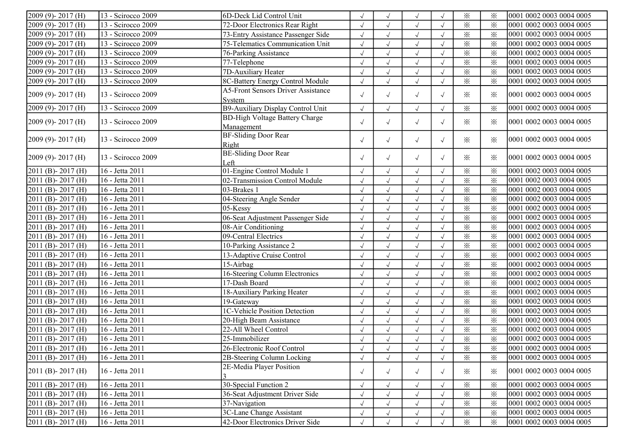| $2009(9) - 2017(H)$              | 13 - Scirocco 2009 | 6D-Deck Lid Control Unit                  | $\sqrt{2}$ |              | $\sqrt{ }$   |            | $\times$                | $\times$                | 0001 0002 0003 0004 0005 |
|----------------------------------|--------------------|-------------------------------------------|------------|--------------|--------------|------------|-------------------------|-------------------------|--------------------------|
| 2009 (9)-2017 (H)                | 13 - Scirocco 2009 | 72-Door Electronics Rear Right            | $\sqrt{}$  |              | $\sqrt{ }$   |            | $\times$                | $\times$                | 0001 0002 0003 0004 0005 |
| 2009 (9)-2017 (H)                | 13 - Scirocco 2009 | 73-Entry Assistance Passenger Side        | $\sqrt{}$  |              | $\sqrt{}$    | $\sqrt{ }$ | $\times$                | $\times$                | 0001 0002 0003 0004 0005 |
| $2009(9) - 2017(H)$              | 13 - Scirocco 2009 | 75-Telematics Communication Unit          | $\sqrt{}$  |              | $\sqrt{ }$   |            | $\times$                | $\times$                | 0001 0002 0003 0004 0005 |
| $2009(9) - 2017(H)$              | 13 - Scirocco 2009 | 76-Parking Assistance                     | $\sqrt{}$  | $\sqrt{ }$   | $\sqrt{ }$   | $\sqrt{ }$ | $\times$                | $\times$                | 0001 0002 0003 0004 0005 |
| 2009 (9)-2017 (H)                | 13 - Scirocco 2009 | 77-Telephone                              | $\sqrt{ }$ | $\sqrt{ }$   | $\sqrt{}$    | $\sqrt{ }$ | $\times$                | $\times$                | 0001 0002 0003 0004 0005 |
| $2009(9) - 2017(H)$              | 13 - Scirocco 2009 | 7D-Auxiliary Heater                       | $\sqrt{ }$ | $\sqrt{ }$   | $\sqrt{ }$   |            | $\times$                | $\times$                | 0001 0002 0003 0004 0005 |
| 2009 (9)-2017 (H)                | 13 - Scirocco 2009 | 8C-Battery Energy Control Module          | $\sqrt{2}$ |              | $\sqrt{ }$   |            | $\times$                | $\times$                | 0001 0002 0003 0004 0005 |
| $2009(9) - 2017(H)$              | 13 - Scirocco 2009 | <b>A5-Front Sensors Driver Assistance</b> |            |              |              |            |                         |                         | 0001 0002 0003 0004 0005 |
|                                  |                    | System                                    | $\sqrt{ }$ | $\sqrt{ }$   | $\sqrt{ }$   | $\sqrt{ }$ | ✕                       | $\times$                |                          |
| $2009(9) - 2017(H)$              | 13 - Scirocco 2009 | B9-Auxiliary Display Control Unit         | $\sqrt{ }$ |              | $\sqrt{ }$   |            | $\times$                | $\times$                | 0001 0002 0003 0004 0005 |
| $2009(9) - 2017(H)$              | 13 - Scirocco 2009 | <b>BD-High Voltage Battery Charge</b>     | $\sqrt{ }$ | $\sqrt{ }$   | $\sqrt{ }$   | $\sqrt{ }$ | ✕                       | $\times$                | 0001 0002 0003 0004 0005 |
|                                  |                    | Management                                |            |              |              |            |                         |                         |                          |
| $[2009 (9) - 2017 (H)]$          | 13 - Scirocco 2009 | <b>BF-Sliding Door Rear</b>               | $\sqrt{ }$ | $\sqrt{ }$   | $\sqrt{ }$   | $\sqrt{ }$ | $\ddot{\times}$         | $\times$                | 0001 0002 0003 0004 0005 |
|                                  |                    | Right                                     |            |              |              |            |                         |                         |                          |
| $2009(9) - 2017(H)$              | 13 - Scirocco 2009 | <b>BE-Sliding Door Rear</b>               | $\sqrt{ }$ | $\sqrt{ }$   | $\sqrt{ }$   | $\sqrt{ }$ | ✕                       | $\times$                | 0001 0002 0003 0004 0005 |
|                                  |                    | Left                                      |            |              |              |            |                         |                         |                          |
| $2011$ (B) - 2017 (H)            | 16 - Jetta 2011    | 01-Engine Control Module 1                | $\sqrt{2}$ |              | $\sqrt{}$    | $\sqrt{ }$ | $\times$                | $\times$                | 0001 0002 0003 0004 0005 |
| 2011 (B)-2017 (H)                | 16 - Jetta 2011    | 02-Transmission Control Module            | $\sqrt{}$  | $\sqrt{ }$   | $\sqrt{}$    | $\sqrt{ }$ | $\times$                | $\times$                | 0001 0002 0003 0004 0005 |
| 2011 (B)-2017 (H)                | 16 - Jetta 2011    | 03-Brakes 1                               | $\sqrt{2}$ | $\sqrt{ }$   | $\sqrt{}$    | $\sqrt{ }$ | $\times$                | $\times$                | 0001 0002 0003 0004 0005 |
| 2011 (B) - 2017 (H)              | 16 - Jetta 2011    | 04-Steering Angle Sender                  | $\sqrt{ }$ | $\sqrt{ }$   | $\sqrt{}$    | $\sqrt{ }$ | $\times$                | $\times$                | 0001 0002 0003 0004 0005 |
| 2011 (B)-2017 (H)                | 16 - Jetta 2011    | 05-Kessy                                  | $\sqrt{2}$ | $\checkmark$ | $\sqrt{ }$   | $\sqrt{ }$ | $\times$                | $\times$                | 0001 0002 0003 0004 0005 |
| 2011 (B)-2017 (H)                | 16 - Jetta 2011    | 06-Seat Adjustment Passenger Side         |            |              | $\sqrt{}$    |            | $\times$                | $\times$                | 0001 0002 0003 0004 0005 |
| 2011 (B) - 2017 (H)              | 16 - Jetta 2011    | 08-Air Conditioning                       | $\sqrt{}$  |              | $\sqrt{ }$   |            | $\times$                | $\times$                | 0001 0002 0003 0004 0005 |
| 2011 (B)-2017 (H)                | 16 - Jetta 2011    | 09-Central Electrics                      | $\sqrt{2}$ | $\sqrt{ }$   | $\sqrt{ }$   |            | $\overline{\mathbf{x}}$ | $\times$                | 0001 0002 0003 0004 0005 |
| 2011 (B)-2017 (H)                | 16 - Jetta 2011    | 10-Parking Assistance 2                   | $\sqrt{ }$ | $\sqrt{ }$   | $\sqrt{}$    |            | $\times$                | $\times$                | 0001 0002 0003 0004 0005 |
| $2011$ (B) - 2017 (H)            | 16 - Jetta 2011    | 13-Adaptive Cruise Control                | $\sqrt{}$  | $\sqrt{ }$   | $\sqrt{}$    |            | $\times$                | $\times$                | 0001 0002 0003 0004 0005 |
| $\overline{2011}$ (B) - 2017 (H) | 16 - Jetta 2011    | 15-Airbag                                 | $\sqrt{ }$ | $\sqrt{ }$   | $\sqrt{ }$   | $\sqrt{ }$ | $\overline{\mathbf{x}}$ | $\overline{\mathbf{x}}$ | 0001 0002 0003 0004 0005 |
| 2011 (B)-2017 (H)                | 16 - Jetta 2011    | 16-Steering Column Electronics            |            | $\sqrt{}$    | $\sqrt{}$    |            | $\times$                | $\times$                | 0001 0002 0003 0004 0005 |
| $2011$ (B) - 2017 (H)            | 16 - Jetta 2011    | 17-Dash Board                             | $\sqrt{}$  |              | $\sqrt{ }$   |            | $\times$                | $\times$                | 0001 0002 0003 0004 0005 |
| $\overline{2011}$ (B) - 2017 (H) | 16 - Jetta 2011    | 18-Auxiliary Parking Heater               | $\sqrt{}$  | $\sqrt{ }$   | $\sqrt{}$    | $\sqrt{ }$ | $\overline{\mathbf{x}}$ | $\overline{\mathbf{x}}$ | 0001 0002 0003 0004 0005 |
| $2011$ (B) - 2017 (H)            | 16 - Jetta 2011    | 19-Gateway                                | $\sqrt{}$  | $\sqrt{}$    | $\sqrt{}$    | $\sqrt{ }$ | $\times$                | $\times$                | 0001 0002 0003 0004 0005 |
| $2011$ (B) - 2017 (H)            | 16 - Jetta 2011    | 1C-Vehicle Position Detection             | $\sqrt{ }$ | $\sqrt{ }$   | $\sqrt{}$    | $\sqrt{ }$ | $\times$                | $\times$                | 0001 0002 0003 0004 0005 |
| 2011 (B)-2017 (H)                | 16 - Jetta 2011    | 20-High Beam Assistance                   | $\sqrt{ }$ | $\sqrt{ }$   | $\checkmark$ | $\sqrt{ }$ | $\overline{\mathbf{x}}$ | $\times$                | 0001 0002 0003 0004 0005 |
| 2011 (B)-2017 (H)                | 16 - Jetta 2011    | 22-All Wheel Control                      | $\sqrt{ }$ | $\sqrt{}$    | $\sqrt{}$    |            | $\times$                | $\times$                | 0001 0002 0003 0004 0005 |
| 2011 (B)-2017 (H)                | 16 - Jetta 2011    | 25-Immobilizer                            |            |              | $\sqrt{}$    |            | $\times$                | $\times$                | 0001 0002 0003 0004 0005 |
| $2011$ (B) - 2017 (H)            | 16 - Jetta 2011    | 26-Electronic Roof Control                | $\sqrt{}$  | $\sqrt{ }$   | $\sqrt{ }$   | $\sqrt{ }$ | ⋇                       | ⋇                       | 0001 0002 0003 0004 0005 |
| $2011$ (B) - 2017 (H)            | 16 - Jetta 2011    | 2B-Steering Column Locking                | $\sqrt{ }$ | $\sqrt{ }$   | $\sqrt{}$    |            | $\times$                | $\times$                | 0001 0002 0003 0004 0005 |
|                                  |                    | 2E-Media Player Position                  |            |              |              |            |                         |                         |                          |
| $[2011 (B) - 2017 (H)]$          | 16 - Jetta 2011    |                                           | $\sqrt{ }$ | $\sqrt{}$    | $\sqrt{ }$   | $\sqrt{ }$ | $\times$                | $\times$                | 0001 0002 0003 0004 0005 |
| $[2011 (B) - 2017 (H)]$          | 16 - Jetta 2011    | 30-Special Function 2                     | $\sqrt{ }$ | $\sqrt{ }$   | $\sqrt{}$    | $\sqrt{ }$ | $\times$                | $\times$                | 0001 0002 0003 0004 0005 |
| $2011$ (B) - 2017 (H)            | 16 - Jetta 2011    | 36-Seat Adjustment Driver Side            | $\sqrt{}$  | J            | $\sqrt{}$    |            | $\times$                | $\times$                | 0001 0002 0003 0004 0005 |
| $2011$ (B) - 2017 (H)            | 16 - Jetta 2011    | 37-Navigation                             |            |              | $\sqrt{}$    |            | $\times$                | $\times$                | 0001 0002 0003 0004 0005 |
| $2011$ (B) - 2017 (H)            | 16 - Jetta 2011    | 3C-Lane Change Assistant                  |            |              | $\sqrt{}$    |            | $\times$                | $\times$                | 0001 0002 0003 0004 0005 |
| $2011$ (B) - 2017 (H)            | 16 - Jetta 2011    | 42-Door Electronics Driver Side           |            |              | $\sqrt{ }$   |            | $\times$                | $\times$                | 0001 0002 0003 0004 0005 |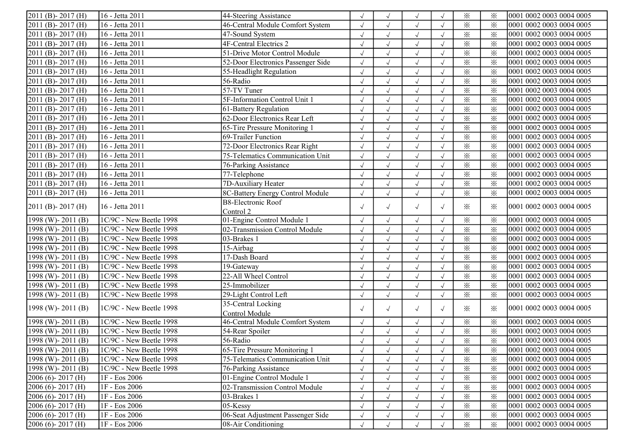| $\overline{2011}$ (B) - 2017 (H) | 16 - Jetta 2011           | 44-Steering Assistance             |            | $\sqrt{ }$           | $\sqrt{ }$   | $\sqrt{ }$ | $\times$                | $\times$ | 0001 0002 0003 0004 0005 |
|----------------------------------|---------------------------|------------------------------------|------------|----------------------|--------------|------------|-------------------------|----------|--------------------------|
| 2011 (B)-2017 (H)                | 16 - Jetta 2011           | 46-Central Module Comfort System   | $\sqrt{}$  | $\sqrt{}$            | $\sqrt{ }$   | $\sqrt{ }$ | $\times$                | $\times$ | 0001 0002 0003 0004 0005 |
| 2011 (B)-2017 (H)                | 16 - Jetta 2011           | 47-Sound System                    | $\sqrt{ }$ | $\sqrt{ }$           | $\sqrt{ }$   | $\sqrt{ }$ | $\times$                | $\times$ | 0001 0002 0003 0004 0005 |
| 2011 (B)-2017 (H)                | 16 - Jetta 2011           | 4F-Central Electrics 2             | $\sqrt{ }$ | $\sqrt{ }$           | $\sqrt{ }$   | $\sqrt{ }$ | $\times$                | $\times$ | 0001 0002 0003 0004 0005 |
| $\overline{2011}$ (B) - 2017 (H) | 16 - Jetta 2011           | 51-Drive Motor Control Module      | $\sqrt{}$  | $\sqrt{ }$           | $\sqrt{ }$   | $\sqrt{ }$ | $\times$                | $\times$ | 0001 0002 0003 0004 0005 |
| $\overline{2011}$ (B) - 2017 (H) | 16 - Jetta 2011           | 52-Door Electronics Passenger Side | $\sqrt{}$  | $\sqrt{ }$           | $\sqrt{ }$   | $\sqrt{ }$ | $\times$                | $\times$ | 0001 0002 0003 0004 0005 |
| $2011$ (B) - 2017 (H)            | 16 - Jetta 2011           | 55-Headlight Regulation            |            | $\sqrt{ }$           | $\sqrt{ }$   |            | $\times$                | $\times$ | 0001 0002 0003 0004 0005 |
| $\overline{2011}$ (B) - 2017 (H) | 16 - Jetta 2011           | 56-Radio                           |            | $\sqrt{ }$           | $\sqrt{ }$   | $\sqrt{ }$ | $\times$                | $\times$ | 0001 0002 0003 0004 0005 |
| $\overline{2011}$ (B) - 2017 (H) | 16 - Jetta 2011           | $57-TV$ Tuner                      |            | $\sqrt{ }$           | $\sqrt{ }$   | $\sqrt{ }$ | $\times$                | $\times$ | 0001 0002 0003 0004 0005 |
| $2011$ (B) - 2017 (H)            | 16 - Jetta 2011           | 5F-Information Control Unit 1      | $\sqrt{2}$ | $\sqrt{ }$           | $\sqrt{ }$   | $\sqrt{ }$ | $\times$                | $\times$ | 0001 0002 0003 0004 0005 |
| 2011 (B)-2017 (H)                | 16 - Jetta 2011           | 61-Battery Regulation              | $\sqrt{ }$ | $\sqrt{ }$           | $\sqrt{ }$   | $\sqrt{ }$ | $\times$                | $\times$ | 0001 0002 0003 0004 0005 |
| $2011$ (B) - 2017 (H)            | 16 - Jetta 2011           | 62-Door Electronics Rear Left      | $\sqrt{}$  | $\sqrt{ }$           | $\sqrt{ }$   | $\sqrt{ }$ | $\overline{\varkappa}$  | $\times$ | 0001 0002 0003 0004 0005 |
| 2011 (B)-2017 (H)                | 16 - Jetta 2011           | 65-Tire Pressure Monitoring 1      | $\sqrt{}$  | $\sqrt{ }$           | $\sqrt{ }$   | $\sqrt{ }$ | $\times$                | $\times$ | 0001 0002 0003 0004 0005 |
| 2011 (B)-2017 (H)                | 16 - Jetta 2011           | 69-Trailer Function                |            | $\sqrt{}$            | $\sqrt{ }$   |            | $\times$                | $\times$ | 0001 0002 0003 0004 0005 |
| 2011 (B)-2017 (H)                | 16 - Jetta 2011           | 72-Door Electronics Rear Right     |            | $\sqrt{ }$           | $\sqrt{ }$   | $\sqrt{ }$ | $\times$                | $\times$ | 0001 0002 0003 0004 0005 |
| 2011 (B)-2017 (H)                | 16 - Jetta 2011           | 75-Telematics Communication Unit   | $\sqrt{}$  | $\sqrt{}$            | $\sqrt{ }$   | $\sqrt{ }$ | $\times$                | $\times$ | 0001 0002 0003 0004 0005 |
| $2011$ (B) - 2017 (H)            | 16 - Jetta 2011           | 76-Parking Assistance              | $\sqrt{}$  | $\sqrt{ }$           | $\sqrt{ }$   | $\sqrt{ }$ | $\times$                | $\times$ | 0001 0002 0003 0004 0005 |
| $\overline{2011}$ (B) - 2017 (H) | 16 - Jetta 2011           | 77-Telephone                       | $\sqrt{2}$ | $\sqrt{ }$           | $\sqrt{ }$   | $\sqrt{ }$ | $\times$                | $\times$ | 0001 0002 0003 0004 0005 |
| $2011$ (B) - 2017 (H)            | 16 - Jetta 2011           | 7D-Auxiliary Heater                | $\sqrt{}$  | $\sqrt{ }$           | $\sqrt{ }$   | $\sqrt{ }$ | $\times$                | $\times$ | 0001 0002 0003 0004 0005 |
| $2011$ (B) - 2017 (H)            | 16 - Jetta 2011           | 8C-Battery Energy Control Module   | $\sqrt{ }$ | $\sqrt{ }$           | $\sqrt{ }$   | $\sqrt{ }$ | $\times$                | $\times$ | 0001 0002 0003 0004 0005 |
|                                  |                           | <b>B8-Electronic Roof</b>          |            |                      |              |            |                         |          |                          |
| $2011$ (B) - 2017 (H)            | 16 - Jetta 2011           | Control 2                          | $\sqrt{ }$ | $\sqrt{ }$           | $\sqrt{ }$   | $\sqrt{ }$ | $\times$                | $\times$ | 0001 0002 0003 0004 0005 |
| $1998$ (W) - 2011 (B)            | 1C/9C - New Beetle 1998   | 01-Engine Control Module 1         | $\sqrt{ }$ | $\sqrt{ }$           | $\sqrt{ }$   | $\sqrt{ }$ | $\times$                | $\times$ | 0001 0002 0003 0004 0005 |
| 1998 (W)-2011 (B)                | $1C/9C$ - New Beetle 1998 | 02-Transmission Control Module     | $\sqrt{}$  | $\sqrt{ }$           | $\sqrt{ }$   | $\sqrt{ }$ | $\times$                | $\times$ | 0001 0002 0003 0004 0005 |
| 1998 (W)-2011 (B)                | 1C/9C - New Beetle 1998   | 03-Brakes 1                        | $\sqrt{ }$ | $\sqrt{ }$           | $\sqrt{ }$   | $\sqrt{ }$ | $\times$                | $\times$ | 0001 0002 0003 0004 0005 |
| 1998 (W)-2011 (B)                | 1C/9C - New Beetle 1998   | 15-Airbag                          | $\sqrt{}$  | $\sqrt{\phantom{a}}$ | $\sqrt{ }$   | $\sqrt{ }$ | $\times$                | $\times$ | 0001 0002 0003 0004 0005 |
| 1998 (W)-2011 (B)                | $1C/9C$ - New Beetle 1998 | 17-Dash Board                      | $\sqrt{2}$ | $\sqrt{ }$           | $\sqrt{ }$   | $\sqrt{ }$ | $\times$                | $\times$ | 0001 0002 0003 0004 0005 |
| 1998 (W)-2011 (B)                | 1C/9C - New Beetle 1998   | 19-Gateway                         |            | $\sqrt{\phantom{a}}$ | $\sqrt{ }$   | $\sqrt{ }$ | $\times$                | $\times$ | 0001 0002 0003 0004 0005 |
| 1998 (W)-2011 (B)                | 1C/9C - New Beetle 1998   | 22-All Wheel Control               |            | $\sqrt{ }$           | $\sqrt{ }$   | $\sqrt{ }$ | $\times$                | $\times$ | 0001 0002 0003 0004 0005 |
| 1998 (W)-2011 (B)                | 1C/9C - New Beetle 1998   | 25-Immobilizer                     |            | $\sqrt{ }$           | $\sqrt{ }$   | $\sqrt{ }$ | $\overline{\mathbf{x}}$ | $\times$ | 0001 0002 0003 0004 0005 |
| 1998 (W)-2011 (B)                | 1C/9C - New Beetle 1998   | 29-Light Control Left              | $\sqrt{}$  | $\sqrt{\phantom{a}}$ | $\sqrt{}$    | $\sqrt{ }$ | $\times$                | $\times$ | 0001 0002 0003 0004 0005 |
| $1998$ (W) - 2011 (B)            | 1C/9C - New Beetle 1998   | 35-Central Locking                 |            | $\sqrt{ }$           | $\sqrt{ }$   | $\sqrt{ }$ | $\times$                | $\times$ | 0001 0002 0003 0004 0005 |
|                                  |                           | Control Module                     | $\sqrt{ }$ |                      |              |            |                         |          |                          |
| $1998$ (W) - 2011 (B)            | 1C/9C - New Beetle 1998   | 46-Central Module Comfort System   | $\sqrt{ }$ | $\sqrt{ }$           | $\sqrt{ }$   | $\sqrt{ }$ | $\times$                | $\times$ | 0001 0002 0003 0004 0005 |
| 1998 (W)-2011 (B)                | 1C/9C - New Beetle 1998   | 54-Rear Spoiler                    | $\sqrt{}$  | $\sqrt{}$            | $\checkmark$ | $\sqrt{ }$ | $\times$                | $\times$ | 0001 0002 0003 0004 0005 |
| $1998$ (W) - 2011 (B)            | 1C/9C - New Beetle 1998   | 56-Radio                           |            | $\sqrt{ }$           | $\sqrt{ }$   |            | $\times$                | $\times$ | 0001 0002 0003 0004 0005 |
| 1998 (W) - 2011 (B)              | $IC/9C$ - New Beetle 1998 | 65-Tire Pressure Monitoring 1      |            |                      | $\sqrt{ }$   |            | $\times$                | ⋇        | 0001 0002 0003 0004 0005 |
| $1998$ (W) - 2011 (B)            | 1C/9C - New Beetle 1998   | 75-Telematics Communication Unit   | $\sqrt{}$  |                      | $\sqrt{ }$   | $\sqrt{ }$ | $\times$                | $\times$ | 0001 0002 0003 0004 0005 |
| $1998$ (W) - 2011 (B)            | 1C/9C - New Beetle 1998   | 76-Parking Assistance              | $\sqrt{ }$ |                      | $\sqrt{ }$   | $\sqrt{ }$ | $\times$                | $\times$ | 0001 0002 0003 0004 0005 |
| $2006(6) - 2017(H)$              | 1F - Eos 2006             | 01-Engine Control Module 1         | $\sqrt{ }$ |                      | $\sqrt{ }$   | $\sqrt{ }$ | $\times$                | $\times$ | 0001 0002 0003 0004 0005 |
| $2006(6) - 2017(H)$              | 1F - Eos 2006             | 02-Transmission Control Module     |            |                      |              |            | $\times$                | $\times$ | 0001 0002 0003 0004 0005 |
| $2006(6)$ - 2017 (H)             | 1F - Eos 2006             | 03-Brakes 1                        |            |                      | $\sqrt{ }$   | $\sqrt{ }$ | $\times$                | $\times$ | 0001 0002 0003 0004 0005 |
| $2006(6) - 2017(H)$              | 1F - Eos 2006             | 05-Kessy                           |            |                      | $\sqrt{ }$   | $\sqrt{ }$ | $\times$                | $\times$ | 0001 0002 0003 0004 0005 |
| $2006(6) - 2017(H)$              | 1F - Eos 2006             | 06-Seat Adjustment Passenger Side  |            | $\sqrt{ }$           | $\sqrt{ }$   | $\sqrt{ }$ | $\times$                | $\times$ | 0001 0002 0003 0004 0005 |
| $2006(6) - 2017(H)$              | 1F - Eos 2006             | 08-Air Conditioning                |            |                      | $\sqrt{}$    |            | $\times$                | $\times$ | 0001 0002 0003 0004 0005 |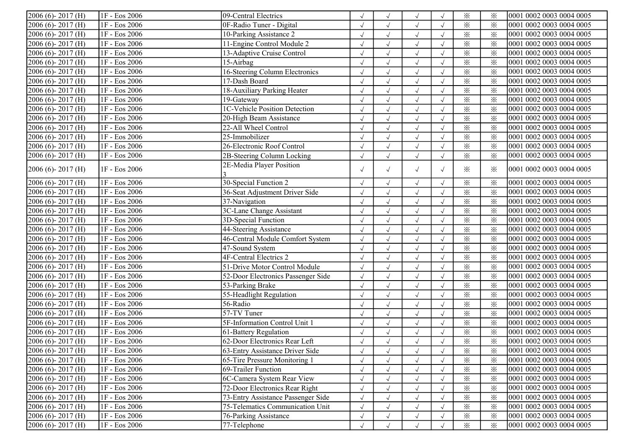| $2006(6) - 2017(H)$     | 1F - Eos 2006   | 09-Central Electrics               |            | $\sqrt{ }$ | $\sqrt{ }$ |            | $\times$                | $\times$ | 0001 0002 0003 0004 0005 |
|-------------------------|-----------------|------------------------------------|------------|------------|------------|------------|-------------------------|----------|--------------------------|
| $2006(6) - 2017(H)$     | 1F - Eos 2006   | OF-Radio Tuner - Digital           |            | $\sqrt{ }$ | $\sqrt{}$  |            | $\times$                | $\times$ | 0001 0002 0003 0004 0005 |
| $2006(6)$ - 2017 (H)    | 1F - Eos 2006   | 10-Parking Assistance 2            |            | $\sqrt{}$  | $\sqrt{ }$ | $\sqrt{ }$ | $\times$                | $\times$ | 0001 0002 0003 0004 0005 |
| $2006(6)$ - 2017 (H)    | 1F - Eos 2006   | 11-Engine Control Module 2         | $\sqrt{}$  | $\sqrt{ }$ | $\sqrt{ }$ | $\sqrt{ }$ | $\times$                | $\times$ | 0001 0002 0003 0004 0005 |
| $2006(6) - 2017(H)$     | 1F - Eos 2006   | 13-Adaptive Cruise Control         | $\sqrt{}$  | $\sqrt{ }$ | $\sqrt{}$  | $\sqrt{ }$ | $\times$                | $\times$ | 0001 0002 0003 0004 0005 |
| 2006 (6)-2017 (H)       | 1F - Eos 2006   | 15-Airbag                          | $\sqrt{}$  | $\sqrt{ }$ | $\sqrt{ }$ | $\sqrt{ }$ | $\times$                | $\times$ | 0001 0002 0003 0004 0005 |
| 2006 (6)-2017 (H)       | IF - Eos 2006   | 16-Steering Column Electronics     | $\sqrt{}$  | $\sqrt{ }$ | $\sqrt{}$  |            | $\times$                | $\times$ | 0001 0002 0003 0004 0005 |
| 2006 (6)-2017 (H)       | 1F - Eos 2006   | 17-Dash Board                      |            | $\sqrt{ }$ | $\sqrt{ }$ |            | $\times$                | $\times$ | 0001 0002 0003 0004 0005 |
| $2006(6) - 2017(H)$     | 1F - Eos 2006   | 18-Auxiliary Parking Heater        |            | $\sqrt{ }$ | $\sqrt{ }$ | $\sqrt{ }$ | $\times$                | $\times$ | 0001 0002 0003 0004 0005 |
| $2006(6)$ -2017(H)      | 1F - Eos 2006   | 19-Gateway                         |            | $\sqrt{ }$ | $\sqrt{ }$ | $\sqrt{ }$ | $\times$                | $\times$ | 0001 0002 0003 0004 0005 |
| 2006 (6)-2017 (H)       | 1F - Eos 2006   | 1C-Vehicle Position Detection      | $\sqrt{ }$ | $\sqrt{ }$ | $\sqrt{}$  | $\sqrt{ }$ | $\times$                | $\times$ | 0001 0002 0003 0004 0005 |
| 2006 (6)-2017 (H)       | 1F - Eos 2006   | 20-High Beam Assistance            | $\sqrt{}$  | $\sqrt{ }$ | $\sqrt{ }$ | $\sqrt{ }$ | $\times$                | $\times$ | 0001 0002 0003 0004 0005 |
| 2006 (6)-2017 (H)       | 1F - Eos 2006   | 22-All Wheel Control               | $\sqrt{2}$ | $\sqrt{ }$ | $\sqrt{ }$ | $\sqrt{ }$ | $\times$                | $\times$ | 0001 0002 0003 0004 0005 |
| $2006(6) - 2017(H)$     | 1F - Eos 2006   | 25-Immobilizer                     |            | $\sqrt{ }$ | $\sqrt{ }$ |            | $\times$                | $\times$ | 0001 0002 0003 0004 0005 |
| $2006(6)$ -2017(H)      | 1F - Eos 2006   | 26-Electronic Roof Control         |            | $\sqrt{ }$ | $\sqrt{ }$ |            | $\times$                | $\times$ | 0001 0002 0003 0004 0005 |
| 2006 (6)-2017 (H)       | 1F - Eos 2006   | 2B-Steering Column Locking         |            | $\sqrt{}$  | $\sqrt{ }$ | $\sqrt{ }$ | $\overline{\mathbf{x}}$ | $\times$ | 0001 0002 0003 0004 0005 |
| $2006(6)$ - 2017 (H)    | 1F - Eos 2006   | 2E-Media Player Position           | $\sqrt{ }$ | $\sqrt{ }$ | $\sqrt{ }$ | $\sqrt{ }$ | $\times$                | ፠        | 0001 0002 0003 0004 0005 |
| $2006(6) - 2017(H)$     | 1F - Eos 2006   | 30-Special Function 2              | $\sqrt{ }$ | $\sqrt{ }$ | $\sqrt{}$  | $\sqrt{ }$ | $\times$                | $\times$ | 0001 0002 0003 0004 0005 |
| $2006(6) - 2017(H)$     | 1F - Eos 2006   | 36-Seat Adjustment Driver Side     | $\sqrt{ }$ | $\sqrt{ }$ | $\sqrt{ }$ |            | $\times$                | $\times$ | 0001 0002 0003 0004 0005 |
| 2006 (6)-2017 (H)       | 1F - Eos 2006   | 37-Navigation                      | $\sqrt{2}$ | $\sqrt{ }$ | $\sqrt{ }$ |            | $\times$                | $\times$ | 0001 0002 0003 0004 0005 |
| 2006 (6)-2017 (H)       | 1F - Eos 2006   | 3C-Lane Change Assistant           | $\sqrt{}$  | $\sqrt{ }$ | $\sqrt{ }$ |            | $\times$                | $\times$ | 0001 0002 0003 0004 0005 |
| $2006(6)$ -2017(H)      | 1F - Eos 2006   | 3D-Special Function                |            | $\sqrt{ }$ | $\sqrt{ }$ |            | $\times$                | $\times$ | 0001 0002 0003 0004 0005 |
| $2006(6) - 2017(H)$     | 1F - Eos 2006   | 44-Steering Assistance             | $\sqrt{}$  | $\sqrt{ }$ | $\sqrt{ }$ | $\sqrt{ }$ | $\times$                | $\times$ | 0001 0002 0003 0004 0005 |
| $2006(6) - 2017(H)$     | $1F - Eos 2006$ | 46-Central Module Comfort System   | $\sqrt{}$  | $\sqrt{ }$ | $\sqrt{ }$ | $\sqrt{ }$ | $\times$                | $\times$ | 0001 0002 0003 0004 0005 |
| $2006(6)$ -2017(H)      | 1F - Eos 2006   | 47-Sound System                    | $\sqrt{}$  | $\sqrt{ }$ | $\sqrt{ }$ | $\sqrt{ }$ | $\times$                | $\times$ | 0001 0002 0003 0004 0005 |
| 2006 (6)-2017 (H)       | 1F - Eos 2006   | 4F-Central Electrics 2             | $\sqrt{ }$ | $\sqrt{ }$ | $\sqrt{ }$ | $\sqrt{ }$ | $\times$                | $\times$ | 0001 0002 0003 0004 0005 |
| $2006(6)$ -2017(H)      | 1F - Eos 2006   | 51-Drive Motor Control Module      | $\sqrt{}$  | $\sqrt{ }$ | $\sqrt{ }$ | $\sqrt{ }$ | $\times$                | $\times$ | 0001 0002 0003 0004 0005 |
| $2006(6)$ -2017(H)      | 1F - Eos 2006   | 52-Door Electronics Passenger Side |            | $\sqrt{ }$ | $\sqrt{ }$ | $\sqrt{ }$ | $\times$                | $\times$ | 0001 0002 0003 0004 0005 |
| $2006(6)$ -2017(H)      | 1F - Eos 2006   | 53-Parking Brake                   |            | $\sqrt{}$  | $\sqrt{ }$ | $\sqrt{ }$ | $\times$                | $\times$ | 0001 0002 0003 0004 0005 |
| $2006(6)$ - 2017 (H)    | 1F - Eos 2006   | 55-Headlight Regulation            | $\sqrt{ }$ | $\sqrt{ }$ | $\sqrt{ }$ | $\sqrt{ }$ | $\times$                | $\times$ | 0001 0002 0003 0004 0005 |
| $2006(6)$ - 2017 (H)    | 1F - Eos 2006   | 56-Radio                           | $\sqrt{ }$ | $\sqrt{ }$ | $\sqrt{}$  | $\sqrt{ }$ | $\times$                | $\times$ | 0001 0002 0003 0004 0005 |
| 2006 (6)-2017 (H)       | 1F - Eos 2006   | 57-TV Tuner                        | $\sqrt{}$  | $\sqrt{ }$ | $\sqrt{ }$ | $\sqrt{ }$ | $\times$                | $\times$ | 0001 0002 0003 0004 0005 |
| 2006 (6)-2017 (H)       | 1F - Eos 2006   | 5F-Information Control Unit 1      | $\sqrt{}$  | $\sqrt{ }$ | $\sqrt{ }$ |            | $\times$                | $\times$ | 0001 0002 0003 0004 0005 |
| 2006 (6)-2017 (H)       | 1F - Eos 2006   | 61-Battery Regulation              |            | $\sqrt{ }$ | $\sqrt{ }$ |            | $\times$                | $\times$ | 0001 0002 0003 0004 0005 |
| $2006(6) - 2017(H)$     | 1F - Eos 2006   | 62-Door Electronics Rear Left      |            |            | $\sqrt{ }$ |            | $\times$                | $\times$ | 0001 0002 0003 0004 0005 |
| $[2006 (6) - 2017 (H)]$ | 1F - Eos 2006   | 63-Entry Assistance Driver Side    | $\sqrt{ }$ | $\sqrt{ }$ | $\sqrt{ }$ | $\sqrt{ }$ | $\times$                | ⋇        | 0001 0002 0003 0004 0005 |
| $2006(6) - 2017(H)$     | 1F - Eos 2006   | 65-Tire Pressure Monitoring 1      | $\sqrt{}$  | $\sqrt{ }$ | $\sqrt{ }$ | $\sqrt{ }$ | $\times$                | $\times$ | 0001 0002 0003 0004 0005 |
| $2006(6) - 2017(H)$     | 1F - Eos 2006   | 69-Trailer Function                | $\sqrt{ }$ |            |            | $\sqrt{ }$ | $\times$                | $\times$ | 0001 0002 0003 0004 0005 |
| $2006(6) - 2017(H)$     | 1F - Eos 2006   | 6C-Camera System Rear View         | $\sqrt{2}$ |            |            | $\sqrt{ }$ | $\times$                | $\times$ | 0001 0002 0003 0004 0005 |
| $2006(6) - 2017(H)$     | 1F - Eos 2006   | 72-Door Electronics Rear Right     |            |            |            | $\sqrt{ }$ | $\times$                | $\times$ | 0001 0002 0003 0004 0005 |
| $2006(6)$ -2017(H)      | 1F - Eos 2006   | 73-Entry Assistance Passenger Side |            | $\sqrt{ }$ |            | $\sqrt{ }$ | $\times$                | $\times$ | 0001 0002 0003 0004 0005 |
| $2006(6) - 2017(H)$     | 1F - Eos 2006   | 75-Telematics Communication Unit   | $\sqrt{ }$ | $\sqrt{ }$ | $\sqrt{}$  | $\sqrt{ }$ | $\times$                | $\times$ | 0001 0002 0003 0004 0005 |
| $2006(6) - 2017(H)$     | 1F - Eos 2006   | 76-Parking Assistance              | $\sqrt{ }$ | $\sqrt{ }$ | $\sqrt{ }$ | $\sqrt{ }$ | $\times$                | ፠        | 0001 0002 0003 0004 0005 |
| $[2006 (6) - 2017 (H)]$ | 1F - Eos 2006   | 77-Telephone                       | $\sqrt{}$  | $\sqrt{ }$ | $\sqrt{ }$ |            | $\times$                | $\times$ | 0001 0002 0003 0004 0005 |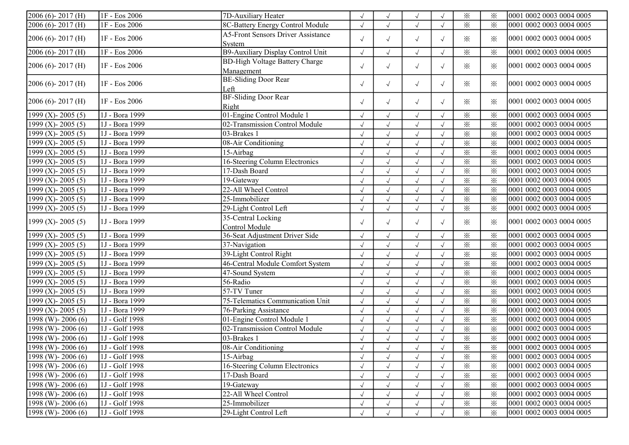| $2006(6) - 2017(H)$          | 1F - Eos 2006  | 7D-Auxiliary Heater                       | $\sqrt{ }$   | $\sqrt{}$    | $\sqrt{\phantom{a}}$ |            | ⋇                       | $\times$                | 0001 0002 0003 0004 0005 |
|------------------------------|----------------|-------------------------------------------|--------------|--------------|----------------------|------------|-------------------------|-------------------------|--------------------------|
| $2006(6) - 2017(H)$          | 1F - Eos 2006  | 8C-Battery Energy Control Module          | $\sqrt{ }$   | $\sqrt{ }$   | $\sqrt{ }$           |            | ⋇                       | $\times$                | 0001 0002 0003 0004 0005 |
| $2006(6) - 2017(H)$          | 1F - Eos 2006  | <b>A5-Front Sensors Driver Assistance</b> | $\sqrt{ }$   | $\sqrt{ }$   | $\sqrt{ }$           | $\sqrt{ }$ | ✕                       | $\times$                | 0001 0002 0003 0004 0005 |
|                              |                | System                                    |              |              |                      |            |                         |                         |                          |
| $2006(6) - 2017(H)$          | 1F - Eos 2006  | B9-Auxiliary Display Control Unit         | $\sqrt{ }$   | $\sqrt{ }$   | $\sqrt{ }$           |            | ⋇                       | $\times$                | 0001 0002 0003 0004 0005 |
| $2006(6) - 2017(H)$          | 1F - Eos 2006  | <b>BD-High Voltage Battery Charge</b>     | $\sqrt{ }$   | $\sqrt{ }$   | $\sqrt{ }$           | $\sqrt{ }$ | $\times$                | $\times$                | 0001 0002 0003 0004 0005 |
|                              |                | Management                                |              |              |                      |            |                         |                         |                          |
| $[2006 (6) - 2017 (H)]$      | 1F - Eos 2006  | <b>BE-Sliding Door Rear</b>               | $\sqrt{ }$   | $\sqrt{ }$   | $\sqrt{}$            | $\sqrt{ }$ | $\times$                | $\times$                | 0001 0002 0003 0004 0005 |
|                              |                | Left<br><b>BF-Sliding Door Rear</b>       |              |              |                      |            |                         |                         |                          |
| $2006(6) - 2017(H)$          | 1F - Eos 2006  | Right                                     | $\sqrt{ }$   | $\sqrt{}$    | $\sqrt{ }$           | $\sqrt{ }$ | ✕                       | $\times$                | 0001 0002 0003 0004 0005 |
| 1999 (X) - 2005 (5)          | 1J - Bora 1999 | 01-Engine Control Module 1                |              |              | $\sqrt{ }$           |            | ⋇                       | $\times$                | 0001 0002 0003 0004 0005 |
| 1999 (X) - 2005 (5)          | 1J - Bora 1999 | 02-Transmission Control Module            | $\sqrt{ }$   | $\sqrt{}$    | $\sqrt{ }$           |            | $\times$                | $\times$                | 0001 0002 0003 0004 0005 |
| 1999 (X) - 2005 (5)          | 1J - Bora 1999 | 03-Brakes 1                               | $\sqrt{ }$   | $\sqrt{}$    | $\sqrt{ }$           |            | $\times$                | $\times$                | 0001 0002 0003 0004 0005 |
| 1999 (X) - 2005 (5)          | 1J - Bora 1999 | 08-Air Conditioning                       | $\sqrt{ }$   | $\sqrt{ }$   | $\sqrt{ }$           |            | ⋇                       | $\times$                | 0001 0002 0003 0004 0005 |
| 1999 (X) - 2005 (5)          | 1J - Bora 1999 | 15-Airbag                                 |              | $\sqrt{ }$   | $\sqrt{ }$           |            | $\times$                | $\times$                | 0001 0002 0003 0004 0005 |
| $1999$ (X) - 2005 (5)        | 1J - Bora 1999 | 16-Steering Column Electronics            |              |              | $\sqrt{ }$           |            | $\times$                | $\times$                | 0001 0002 0003 0004 0005 |
| $\sqrt{1999}$ (X) - 2005 (5) | 1J - Bora 1999 | 17-Dash Board                             |              |              | $\sqrt{ }$           |            | $\times$                | $\times$                | 0001 0002 0003 0004 0005 |
| $1999$ (X) - 2005 (5)        | 1J - Bora 1999 | 19-Gateway                                | $\sqrt{ }$   | $\sqrt{ }$   | $\sqrt{ }$           | $\sqrt{ }$ | ⋇                       | $\times$                | 0001 0002 0003 0004 0005 |
| 1999 (X) - 2005 (5)          | 1J - Bora 1999 | 22-All Wheel Control                      | $\sqrt{}$    | $\sqrt{ }$   | $\sqrt{ }$           |            | ⋇                       | $\times$                | 0001 0002 0003 0004 0005 |
| 1999 (X) - 2005 (5)          | 1J - Bora 1999 | 25-Immobilizer                            | $\sqrt{ }$   | $\sqrt{ }$   | $\sqrt{}$            | $\sqrt{ }$ | $\times$                | $\times$                | 0001 0002 0003 0004 0005 |
| 1999 (X) - 2005 (5)          | 1J - Bora 1999 | 29-Light Control Left                     | $\sqrt{}$    | $\sqrt{ }$   | $\sqrt{}$            | $\sqrt{}$  | $\times$                | $\times$                | 0001 0002 0003 0004 0005 |
|                              |                | 35-Central Locking                        |              |              |                      |            |                         |                         |                          |
| $1999$ (X) - 2005 (5)        | 1J - Bora 1999 | Control Module                            | $\sqrt{ }$   | $\sqrt{}$    | $\sqrt{ }$           | $\sqrt{ }$ | ✕                       | $\times$                | 0001 0002 0003 0004 0005 |
| 1999 (X)-2005 (5)            | 1J - Bora 1999 | 36-Seat Adjustment Driver Side            | $\sqrt{}$    | $\sqrt{ }$   | $\sqrt{\phantom{a}}$ |            | ⋇                       | $\times$                | 0001 0002 0003 0004 0005 |
| 1999 (X) - 2005 (5)          | 1J - Bora 1999 | 37-Navigation                             | $\sqrt{}$    | $\sqrt{ }$   | $\sqrt{ }$           |            | $\times$                | $\times$                | 0001 0002 0003 0004 0005 |
| 1999 (X) - 2005 (5)          | 1J - Bora 1999 | 39-Light Control Right                    | $\sqrt{}$    |              | $\sqrt{ }$           |            | ⋇                       | $\times$                | 0001 0002 0003 0004 0005 |
| 1999 (X) - 2005 (5)          | 1J - Bora 1999 | 46-Central Module Comfort System          |              | $\sqrt{}$    | $\sqrt{ }$           |            | $\times$                | $\times$                | 0001 0002 0003 0004 0005 |
| 1999 (X) - 2005 (5)          | 1J - Bora 1999 | 47-Sound System                           | $\sqrt{ }$   | $\sqrt{}$    | $\sqrt{ }$           |            | $\times$                | $\times$                | 0001 0002 0003 0004 0005 |
| $1999$ (X) - 2005 (5)        | 1J - Bora 1999 | 56-Radio                                  | $\sqrt{}$    | $\sqrt{ }$   | $\sqrt{ }$           |            | $\times$                | $\times$                | 0001 0002 0003 0004 0005 |
| $1999$ (X) - 2005 (5)        | 1J - Bora 1999 | 57-TV Tuner                               |              | $\sqrt{ }$   | $\sqrt{ }$           |            | $\times$                | $\overline{\mathbf{x}}$ | 0001 0002 0003 0004 0005 |
| $1999$ (X) - 2005 (5)        | 1J - Bora 1999 | 75-Telematics Communication Unit          | $\sqrt{}$    | $\sqrt{}$    | $\sqrt{ }$           |            | $\times$                | $\times$                | 0001 0002 0003 0004 0005 |
| 1999 (X) - 2005 (5)          | 1J - Bora 1999 | 76-Parking Assistance                     | $\sqrt{}$    |              | $\sqrt{ }$           |            | $\times$                | $\times$                | 0001 0002 0003 0004 0005 |
| 1998 (W) - 2006 (6)          | 1J - Golf 1998 | 01-Engine Control Module 1                | $\sqrt{}$    | $\sqrt{ }$   | $\sqrt{ }$           | $\sqrt{ }$ | $\overline{\mathbf{x}}$ | $\overline{\mathbf{x}}$ | 0001 0002 0003 0004 0005 |
| $1998$ (W) - 2006 (6)        | 1J - Golf 1998 | 02-Transmission Control Module            | $\sqrt{ }$   | $\checkmark$ | $\sqrt{ }$           | $\sqrt{ }$ | $\times$                | $\times$                | 0001 0002 0003 0004 0005 |
| $1998$ (W) - 2006 (6)        | 1J - Golf 1998 | 03-Brakes 1                               | $\sqrt{ }$   |              | $\sqrt{ }$           |            | $\times$                | $\times$                | 0001 0002 0003 0004 0005 |
| $1998$ (W) - 2006 (6)        | 1J - Golf 1998 | 08-Air Conditioning                       | $\checkmark$ | $\sqrt{ }$   | $\checkmark$         | $\sqrt{}$  | $\overline{\mathbf{x}}$ | $\overline{\mathbb{X}}$ | 0001 0002 0003 0004 0005 |
| $1998$ (W) - 2006 (6)        | 1J - Golf 1998 | 15-Airbag                                 | $\sqrt{ }$   |              |                      |            | ⋇                       | $\times$                | 0001 0002 0003 0004 0005 |
| $1998$ (W) - 2006 (6)        | 1J - Golf 1998 | 16-Steering Column Electronics            |              |              | $\sqrt{ }$           |            | $\times$                | $\times$                | 0001 0002 0003 0004 0005 |
| $1998$ (W) - 2006 (6)        | 1J - Golf 1998 | 17-Dash Board                             | $\sqrt{ }$   |              | $\sqrt{ }$           | $\sqrt{ }$ | $\times$                | $\times$                | 0001 0002 0003 0004 0005 |
| $1998$ (W) - 2006 (6)        | 1J - Golf 1998 | 19-Gateway                                | $\sqrt{ }$   |              | $\sqrt{ }$           |            | $\times$                | $\times$                | 0001 0002 0003 0004 0005 |
| $1998$ (W) - 2006 (6)        | 1J - Golf 1998 | 22-All Wheel Control                      | $\sqrt{ }$   |              | $\sqrt{ }$           |            | ⋇                       | $\times$                | 0001 0002 0003 0004 0005 |
| $1998$ (W) - 2006 (6)        | 1J - Golf 1998 | 25-Immobilizer                            |              |              | $\sqrt{}$            |            | $\times$                | $\times$                | 0001 0002 0003 0004 0005 |
| $1998$ (W) - 2006 (6)        | 1J - Golf 1998 | 29-Light Control Left                     |              |              | $\sqrt{ }$           |            | $\times$                | $\times$                | 0001 0002 0003 0004 0005 |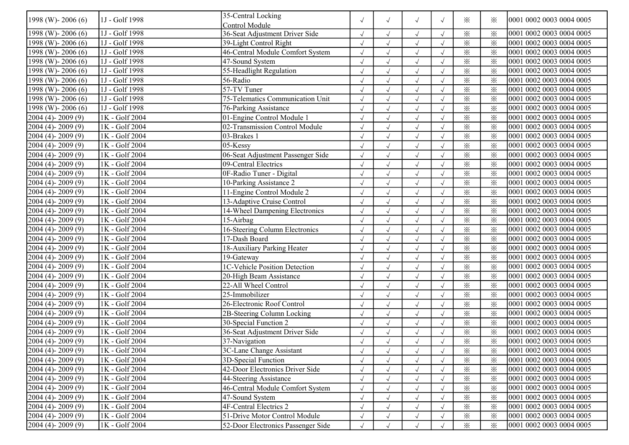| 1998 (W)-2006 (6)       | 1J - Golf 1998 | 35-Central Locking                 | $\sqrt{2}$ | $\sqrt{ }$ | $\sqrt{ }$           | $\sqrt{ }$ | $\times$                | $\times$ | 0001 0002 0003 0004 0005 |
|-------------------------|----------------|------------------------------------|------------|------------|----------------------|------------|-------------------------|----------|--------------------------|
|                         |                | Control Module                     |            |            |                      |            |                         |          |                          |
| 1998 (W) - 2006 (6)     | 1J - Golf 1998 | 36-Seat Adjustment Driver Side     | $\sqrt{}$  | $\sqrt{ }$ | $\sqrt{ }$           | $\sqrt{ }$ | $\times$                | $\times$ | 0001 0002 0003 0004 0005 |
| 1998 (W)-2006 (6)       | 1J - Golf 1998 | 39-Light Control Right             |            | $\sqrt{ }$ | $\sqrt{}$            | $\sqrt{ }$ | $\times$                | $\times$ | 0001 0002 0003 0004 0005 |
| 1998 (W) - 2006 (6)     | 1J - Golf 1998 | 46-Central Module Comfort System   |            | $\sqrt{ }$ | $\sqrt{ }$           | $\sqrt{ }$ | $\times$                | $\times$ | 0001 0002 0003 0004 0005 |
| 1998 (W)-2006 (6)       | 1J - Golf 1998 | 47-Sound System                    |            | $\sqrt{ }$ | $\sqrt{ }$           | $\sqrt{ }$ | $\overline{\mathbf{x}}$ | $\times$ | 0001 0002 0003 0004 0005 |
| $1998$ (W)-2006 (6)     | 1J - Golf 1998 | 55-Headlight Regulation            | $\sqrt{}$  | $\sqrt{ }$ | $\sqrt{ }$           |            | $\times$                | $\times$ | 0001 0002 0003 0004 0005 |
| 1998 (W)-2006 (6)       | 1J - Golf 1998 | 56-Radio                           | $\sqrt{}$  | $\sqrt{ }$ | $\sqrt{ }$           | $\sqrt{ }$ | $\times$                | $\times$ | 0001 0002 0003 0004 0005 |
| 1998 (W)-2006 (6)       | 1J - Golf 1998 | 57-TV Tuner                        | $\sqrt{}$  | $\sqrt{ }$ | $\sqrt{2}$           | $\sqrt{ }$ | $\times$                | $\times$ | 0001 0002 0003 0004 0005 |
| 1998 (W)-2006 (6)       | 1J - Golf 1998 | 75-Telematics Communication Unit   | $\sqrt{}$  | $\sqrt{ }$ | $\sqrt{ }$           |            | $\times$                | $\times$ | 0001 0002 0003 0004 0005 |
| 1998 (W) - 2006 (6)     | 1J - Golf 1998 | 76-Parking Assistance              |            | $\sqrt{ }$ | $\sqrt{ }$           |            | $\times$                | $\times$ | 0001 0002 0003 0004 0005 |
| $2004(4) - 2009(9)$     | 1K - Golf 2004 | 01-Engine Control Module 1         | $\sqrt{}$  | $\sqrt{ }$ | $\sqrt{2}$           | $\sqrt{ }$ | $\times$                | $\times$ | 0001 0002 0003 0004 0005 |
| $2004(4) - 2009(9)$     | 1K - Golf 2004 | 02-Transmission Control Module     | $\sqrt{}$  | $\sqrt{ }$ | $\sqrt{ }$           | $\sqrt{ }$ | $\times$                | $\times$ | 0001 0002 0003 0004 0005 |
| 2004 (4)-2009 (9)       | 1K - Golf 2004 | 03-Brakes 1                        | $\sqrt{}$  | $\sqrt{}$  | $\sqrt{ }$           | $\sqrt{ }$ | $\times$                | $\times$ | 0001 0002 0003 0004 0005 |
| 2004 (4)-2009 (9)       | 1K - Golf 2004 | $05$ -Kessy                        | $\sqrt{}$  | $\sqrt{ }$ | $\sqrt{2}$           | $\sqrt{ }$ | $\times$                | $\times$ | 0001 0002 0003 0004 0005 |
| 2004 (4)-2009 (9)       | 1K - Golf 2004 | 06-Seat Adjustment Passenger Side  | $\sqrt{2}$ | $\sqrt{}$  | $\sqrt{}$            | $\sqrt{ }$ | $\times$                | $\times$ | 0001 0002 0003 0004 0005 |
| $2004(4) - 2009(9)$     | 1K - Golf 2004 | 09-Central Electrics               |            | $\sqrt{ }$ | J                    |            | $\times$                | $\times$ | 0001 0002 0003 0004 0005 |
| $2004(4) - 2009(9)$     | 1K - Golf 2004 | 0F-Radio Tuner - Digital           | $\sqrt{}$  | $\sqrt{ }$ | $\sqrt{ }$           | $\sqrt{ }$ | $\times$                | $\times$ | 0001 0002 0003 0004 0005 |
| $2004(4) - 2009(9)$     | 1K - Golf 2004 | 10-Parking Assistance 2            | $\sqrt{ }$ | $\sqrt{ }$ | $\sqrt{ }$           | $\sqrt{ }$ | $\times$                | $\times$ | 0001 0002 0003 0004 0005 |
| 2004 (4)-2009 (9)       | 1K - Golf 2004 | 11-Engine Control Module 2         | $\sqrt{}$  | $\sqrt{ }$ | $\sqrt{\phantom{a}}$ |            | $\times$                | $\times$ | 0001 0002 0003 0004 0005 |
| $2004(4) - 2009(9)$     | 1K - Golf 2004 | 13-Adaptive Cruise Control         | $\sqrt{}$  | $\sqrt{ }$ | $\sqrt{}$            | $\sqrt{ }$ | $\times$                | $\times$ | 0001 0002 0003 0004 0005 |
| 2004 (4)-2009 (9)       | 1K - Golf 2004 | 14-Wheel Dampening Electronics     | $\sqrt{}$  | $\sqrt{}$  | $\sqrt{2}$           |            | $\times$                | $\times$ | 0001 0002 0003 0004 0005 |
| $2004(4) - 2009(9)$     | 1K - Golf 2004 | $15$ -Airbag                       |            | $\sqrt{ }$ | $\sqrt{}$            |            | $\times$                | $\times$ | 0001 0002 0003 0004 0005 |
| $2004(4) - 2009(9)$     | 1K - Golf 2004 | 16-Steering Column Electronics     | $\sqrt{}$  | $\sqrt{ }$ | $\sqrt{ }$           | $\sqrt{ }$ | $\times$                | $\times$ | 0001 0002 0003 0004 0005 |
| $2004(4) - 2009(9)$     | 1K - Golf 2004 | 17-Dash Board                      | $\sqrt{}$  | $\sqrt{ }$ | $\sqrt{ }$           | $\sqrt{ }$ | $\times$                | $\times$ | 0001 0002 0003 0004 0005 |
| $2004(4) - 2009(9)$     | 1K - Golf 2004 | 18-Auxiliary Parking Heater        | $\sqrt{ }$ | $\sqrt{ }$ | $\sqrt{ }$           | $\sqrt{ }$ | $\times$                | $\times$ | 0001 0002 0003 0004 0005 |
| 2004 (4)-2009 (9)       | 1K - Golf 2004 | 19-Gateway                         | $\sqrt{ }$ | $\sqrt{}$  | $\sqrt{2}$           | $\sqrt{ }$ | $\times$                | $\times$ | 0001 0002 0003 0004 0005 |
| 2004 (4)-2009 (9)       | 1K - Golf 2004 | 1C-Vehicle Position Detection      | $\sqrt{}$  | $\sqrt{ }$ | $\sqrt{2}$           | $\sqrt{ }$ | $\times$                | $\times$ | 0001 0002 0003 0004 0005 |
| 2004 (4)-2009 (9)       | 1K - Golf 2004 | 20-High Beam Assistance            |            | $\sqrt{ }$ | $\sqrt{}$            | $\sqrt{ }$ | $\times$                | $\times$ | 0001 0002 0003 0004 0005 |
| $2004(4) - 2009(9)$     | 1K - Golf 2004 | 22-All Wheel Control               |            | $\sqrt{}$  | $\sqrt{ }$           | $\sqrt{ }$ | $\times$                | $\times$ | 0001 0002 0003 0004 0005 |
| $2004(4) - 2009(9)$     | 1K - Golf 2004 | 25-Immobilizer                     | $\sqrt{ }$ | $\sqrt{ }$ | $\sqrt{ }$           | $\sqrt{ }$ | $\times$                | $\times$ | 0001 0002 0003 0004 0005 |
| $2004(4) - 2009(9)$     | 1K - Golf 2004 | 26-Electronic Roof Control         | $\sqrt{2}$ | $\sqrt{ }$ | $\sqrt{ }$           | $\sqrt{ }$ | $\times$                | $\times$ | 0001 0002 0003 0004 0005 |
| $2004(4) - 2009(9)$     | 1K - Golf 2004 | 2B-Steering Column Locking         | $\sqrt{}$  | $\sqrt{ }$ | $\sqrt{ }$           | $\sqrt{ }$ | $\times$                | $\times$ | 0001 0002 0003 0004 0005 |
| 2004 (4)-2009 (9)       | 1K - Golf 2004 | 30-Special Function 2              | $\sqrt{}$  | $\sqrt{ }$ | $\sqrt{ }$           | $\sqrt{ }$ | $\times$                | $\times$ | 0001 0002 0003 0004 0005 |
| $2004(4) - 2009(9)$     | 1K - Golf 2004 | 36-Seat Adjustment Driver Side     |            | $\sqrt{ }$ | $\sqrt{ }$           |            | $\times$                | $\times$ | 0001 0002 0003 0004 0005 |
| $2004(4) - 2009(9)$     | 1K - Golf 2004 | 37-Navigation                      |            |            | $\sqrt{ }$           |            | $\times$                | $\times$ | 0001 0002 0003 0004 0005 |
| $[2004 (4)-2009 (9)]$   | 1K - Golf 2004 | 3C-Lane Change Assistant           | $\sqrt{ }$ | $\sqrt{ }$ | $\sqrt{}$            | $\sqrt{ }$ | $\times$                | ⋇        | 0001 0002 0003 0004 0005 |
| $2004(4) - 2009(9)$     | 1K - Golf 2004 | 3D-Special Function                | $\sqrt{ }$ | $\sqrt{ }$ | $\sqrt{ }$           | $\sqrt{ }$ | $\times$                | $\times$ | 0001 0002 0003 0004 0005 |
| $2004(4) - 2009(9)$     | 1K - Golf 2004 | 42-Door Electronics Driver Side    | $\sqrt{ }$ |            |                      | $\sqrt{ }$ | $\times$                | $\times$ | 0001 0002 0003 0004 0005 |
| $2004(4) - 2009(9)$     | 1K - Golf 2004 | 44-Steering Assistance             | $\sqrt{2}$ |            |                      | $\sqrt{ }$ | $\times$                | $\times$ | 0001 0002 0003 0004 0005 |
| $2004(4) - 2009(9)$     | 1K - Golf 2004 | 46-Central Module Comfort System   |            |            |                      | $\sqrt{ }$ | $\times$                | $\times$ | 0001 0002 0003 0004 0005 |
| $[2004 (4) - 2009 (9)]$ | 1K - Golf 2004 | 47-Sound System                    |            | $\sqrt{ }$ | $\sqrt{}$            | $\sqrt{ }$ | $\times$                | $\times$ | 0001 0002 0003 0004 0005 |
| $2004(4) - 2009(9)$     | 1K - Golf 2004 | 4F-Central Electrics 2             | $\sqrt{ }$ | $\sqrt{ }$ | $\sqrt{}$            | $\sqrt{ }$ | $\times$                | $\times$ | 0001 0002 0003 0004 0005 |
| $2004(4) - 2009(9)$     | 1K - Golf 2004 | 51-Drive Motor Control Module      | $\sqrt{ }$ | $\sqrt{ }$ | $\sqrt{ }$           | $\sqrt{ }$ | $\times$                | ፠        | 0001 0002 0003 0004 0005 |
| $[2004 (4)-2009 (9)]$   | 1K - Golf 2004 | 52-Door Electronics Passenger Side | $\sqrt{}$  | $\sqrt{ }$ | $\sqrt{ }$           |            | $\times$                | $\times$ | 0001 0002 0003 0004 0005 |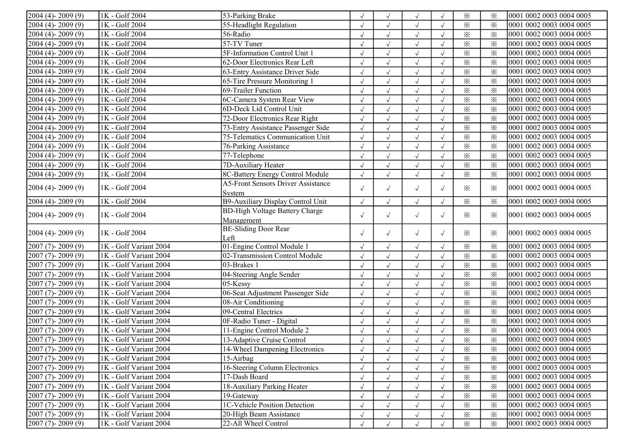| $2004(4) - 2009(9)$     | 1K - Golf 2004         | 53-Parking Brake                          |            | $\sqrt{ }$ | $\sqrt{ }$ |            | $\times$                | $\times$ | 0001 0002 0003 0004 0005 |
|-------------------------|------------------------|-------------------------------------------|------------|------------|------------|------------|-------------------------|----------|--------------------------|
| $2004(4) - 2009(9)$     | 1K - Golf 2004         | 55-Headlight Regulation                   |            | $\sqrt{ }$ | $\sqrt{}$  |            | $\times$                | $\times$ | 0001 0002 0003 0004 0005 |
| $2004(4) - 2009(9)$     | 1K - Golf 2004         | 56-Radio                                  |            | $\sqrt{ }$ | $\sqrt{ }$ | $\sqrt{ }$ | $\times$                | $\times$ | 0001 0002 0003 0004 0005 |
| $2004(4) - 2009(9)$     | 1K - Golf 2004         | 57-TV Tuner                               | $\sqrt{}$  | $\sqrt{ }$ | $\sqrt{ }$ | $\sqrt{ }$ | $\times$                | $\times$ | 0001 0002 0003 0004 0005 |
| $2004(4) - 2009(9)$     | 1K - Golf 2004         | 5F-Information Control Unit 1             | $\sqrt{ }$ | $\sqrt{ }$ | $\sqrt{}$  | $\sqrt{ }$ | $\times$                | $\times$ | 0001 0002 0003 0004 0005 |
| $2004(4) - 2009(9)$     | 1K - Golf 2004         | 62-Door Electronics Rear Left             | $\sqrt{}$  | $\sqrt{ }$ | $\sqrt{ }$ | $\sqrt{ }$ | $\times$                | $\times$ | 0001 0002 0003 0004 0005 |
| 2004 (4)-2009 (9)       | 1K - Golf 2004         | 63-Entry Assistance Driver Side           | $\sqrt{2}$ | $\sqrt{ }$ | $\sqrt{}$  |            | $\times$                | $\times$ | 0001 0002 0003 0004 0005 |
| $2004(4) - 2009(9)$     | 1K - Golf 2004         | 65-Tire Pressure Monitoring 1             |            | $\sqrt{ }$ | $\sqrt{ }$ |            | $\times$                | $\times$ | 0001 0002 0003 0004 0005 |
| $2004(4) - 2009(9)$     | 1K - Golf 2004         | 69-Trailer Function                       |            | $\sqrt{ }$ | $\sqrt{ }$ | $\sqrt{ }$ | $\times$                | $\times$ | 0001 0002 0003 0004 0005 |
| $2004(4) - 2009(9)$     | 1K - Golf 2004         | 6C-Camera System Rear View                | $\sqrt{}$  | $\sqrt{ }$ | $\sqrt{2}$ | $\sqrt{ }$ | $\times$                | $\times$ | 0001 0002 0003 0004 0005 |
| $2004(4) - 2009(9)$     | $1K - Golf 2004$       | 6D-Deck Lid Control Unit                  | $\sqrt{ }$ | $\sqrt{ }$ | $\sqrt{}$  | $\sqrt{ }$ | $\times$                | $\times$ | 0001 0002 0003 0004 0005 |
| 2004 (4)-2009 (9)       | 1K - Golf 2004         | 72-Door Electronics Rear Right            | $\sqrt{}$  | $\sqrt{ }$ | $\sqrt{ }$ | $\sqrt{ }$ | $\times$                | $\times$ | 0001 0002 0003 0004 0005 |
| 2004 (4)-2009 (9)       | 1K - Golf 2004         | 73-Entry Assistance Passenger Side        | $\sqrt{ }$ | $\sqrt{ }$ | $\sqrt{ }$ | $\sqrt{ }$ | $\times$                | $\times$ | 0001 0002 0003 0004 0005 |
| $2004(4) - 2009(9)$     | 1K - Golf 2004         | 75-Telematics Communication Unit          | $\sqrt{2}$ | $\sqrt{ }$ | $\sqrt{ }$ | $\sqrt{ }$ | $\times$                | $\times$ | 0001 0002 0003 0004 0005 |
| $2004(4) - 2009(9)$     | 1K - Golf 2004         | 76-Parking Assistance                     |            | $\sqrt{ }$ | $\sqrt{ }$ |            | $\times$                | $\times$ | 0001 0002 0003 0004 0005 |
| $2004(4) - 2009(9)$     | 1K - Golf 2004         | 77-Telephone                              | $\sqrt{ }$ | $\sqrt{ }$ | $\sqrt{ }$ | $\sqrt{ }$ | $\times$                | $\times$ | 0001 0002 0003 0004 0005 |
| $2004(4) - 2009(9)$     | 1K - Golf 2004         | 7D-Auxiliary Heater                       | $\sqrt{}$  | $\sqrt{ }$ | $\sqrt{}$  |            | $\times$                | $\times$ | 0001 0002 0003 0004 0005 |
| $2004(4) - 2009(9)$     | 1K - Golf 2004         | 8C-Battery Energy Control Module          | $\sqrt{ }$ | $\sqrt{ }$ | $\sqrt{ }$ | $\sqrt{ }$ | $\times$                | $\times$ | 0001 0002 0003 0004 0005 |
|                         |                        | <b>A5-Front Sensors Driver Assistance</b> |            |            |            |            |                         |          |                          |
| 2004 (4)-2009 (9)       | 1K - Golf 2004         | System                                    | $\sqrt{}$  | $\sqrt{ }$ | $\sqrt{ }$ | $\sqrt{ }$ | $\times$                | $\times$ | 0001 0002 0003 0004 0005 |
| $2004(4) - 2009(9)$     | 1K - Golf 2004         | B9-Auxiliary Display Control Unit         | $\sqrt{}$  | $\sqrt{}$  | $\sqrt{ }$ | $\sqrt{ }$ | $\times$                | $\times$ | 0001 0002 0003 0004 0005 |
|                         |                        | <b>BD-High Voltage Battery Charge</b>     |            |            |            |            |                         |          | 0001 0002 0003 0004 0005 |
| $[2004 (4)-2009 (9)]$   | 1K - Golf 2004         | Management                                | $\sqrt{ }$ | $\sqrt{ }$ | $\sqrt{ }$ | $\sqrt{ }$ | $\times$                | $\times$ |                          |
| $[2004 (4)-2009 (9)]$   | 1K - Golf 2004         | <b>BE-Sliding Door Rear</b>               | $\sqrt{ }$ | $\sqrt{ }$ | $\sqrt{ }$ | $\sqrt{ }$ | $\times$                | $\times$ | 0001 0002 0003 0004 0005 |
|                         |                        | Left                                      |            |            |            |            |                         |          |                          |
| $2007(7) - 2009(9)$     | 1K - Golf Variant 2004 | 01-Engine Control Module 1                | $\sqrt{}$  | $\sqrt{ }$ | $\sqrt{ }$ |            | $\times$                | $\times$ | 0001 0002 0003 0004 0005 |
| $2007(7) - 2009(9)$     | 1K - Golf Variant 2004 | 02-Transmission Control Module            | $\sqrt{ }$ | $\sqrt{ }$ | $\sqrt{ }$ | $\sqrt{ }$ | $\times$                | $\times$ | 0001 0002 0003 0004 0005 |
| $2007(7) - 2009(9)$     | 1K - Golf Variant 2004 | 03-Brakes 1                               |            | $\sqrt{ }$ | $\sqrt{ }$ | $\sqrt{ }$ | $\times$                | $\times$ | 0001 0002 0003 0004 0005 |
| $2007(7) - 2009(9)$     | 1K - Golf Variant 2004 | 04-Steering Angle Sender                  | $\sqrt{}$  | $\sqrt{ }$ | $\sqrt{ }$ | $\sqrt{ }$ | $\times$                | $\times$ | 0001 0002 0003 0004 0005 |
| $2007(7) - 2009(9)$     | 1K - Golf Variant 2004 | $05$ -Kessy                               | $\sqrt{ }$ | $\sqrt{ }$ | $\sqrt{ }$ | $\sqrt{ }$ | $\times$                | $\times$ | 0001 0002 0003 0004 0005 |
| $2007(7) - 2009(9)$     | 1K - Golf Variant 2004 | 06-Seat Adjustment Passenger Side         | $\sqrt{}$  | $\sqrt{ }$ | $\sqrt{ }$ | $\sqrt{ }$ | $\times$                | $\times$ | 0001 0002 0003 0004 0005 |
| 2007 (7)-2009 (9)       | 1K - Golf Variant 2004 | 08-Air Conditioning                       | $\sqrt{ }$ | $\sqrt{ }$ | $\sqrt{2}$ | $\sqrt{ }$ | $\overline{\mathbf{x}}$ | $\times$ | 0001 0002 0003 0004 0005 |
| $2007(7) - 2009(9)$     | 1K - Golf Variant 2004 | 09-Central Electrics                      | $\sqrt{2}$ | $\sqrt{ }$ | $\sqrt{ }$ | $\sqrt{ }$ | $\times$                | $\times$ | 0001 0002 0003 0004 0005 |
| $2007(7) - 2009(9)$     | 1K - Golf Variant 2004 | 0F-Radio Tuner - Digital                  |            | $\sqrt{}$  | $\sqrt{ }$ | $\sqrt{ }$ | $\times$                | $\times$ | 0001 0002 0003 0004 0005 |
| $2007(7) - 2009(9)$     | 1K - Golf Variant 2004 | 11-Engine Control Module 2                | $\sqrt{ }$ | $\sqrt{ }$ | $\sqrt{}$  | $\sqrt{ }$ | $\times$                | $\times$ | 0001 0002 0003 0004 0005 |
| $2007(7) - 2009(9)$     | 1K - Golf Variant 2004 | 13-Adaptive Cruise Control                | $\sqrt{}$  | $\sqrt{ }$ | $\sqrt{}$  | $\sqrt{ }$ | $\times$                | $\times$ | 0001 0002 0003 0004 0005 |
| $[2007 (7) - 2009 (9)]$ | 1K - Golf Variant 2004 | 14-Wheel Dampening Electronics            |            |            |            |            | $\times$                | ⋇        | 0001 0002 0003 0004 0005 |
| $[2007 (7) - 2009 (9)]$ | 1K - Golf Variant 2004 | 15-Airbag                                 | $\sqrt{2}$ | $\sqrt{ }$ |            |            | $\times$                | $\times$ | 0001 0002 0003 0004 0005 |
| $2007(7) - 2009(9)$     | 1K - Golf Variant 2004 | 16-Steering Column Electronics            | $\sqrt{ }$ |            | J          | $\sqrt{ }$ | $\times$                | $\times$ | 0001 0002 0003 0004 0005 |
| $[2007 (7) - 2009 (9)]$ | 1K - Golf Variant 2004 | 17-Dash Board                             |            |            |            | $\sqrt{ }$ | $\times$                | $\times$ | 0001 0002 0003 0004 0005 |
| $2007(7) - 2009(9)$     | 1K - Golf Variant 2004 | 18-Auxiliary Parking Heater               | $\sqrt{}$  | $\sqrt{ }$ | $\sqrt{ }$ | $\sqrt{ }$ | $\times$                | $\times$ | 0001 0002 0003 0004 0005 |
| $2007(7) - 2009(9)$     | 1K - Golf Variant 2004 | 19-Gateway                                | $\sqrt{ }$ | $\sqrt{ }$ | $\sqrt{ }$ | $\sqrt{ }$ | $\times$                | $\times$ | 0001 0002 0003 0004 0005 |
| $2007(7) - 2009(9)$     | 1K - Golf Variant 2004 | 1C-Vehicle Position Detection             | $\sqrt{ }$ | $\sqrt{ }$ | $\sqrt{ }$ | $\sqrt{ }$ | $\times$                | $\times$ | 0001 0002 0003 0004 0005 |
| $2007(7) - 2009(9)$     | 1K - Golf Variant 2004 | 20-High Beam Assistance                   |            |            |            |            | $\times$                | $\times$ | 0001 0002 0003 0004 0005 |
| $2007(7) - 2009(9)$     | 1K - Golf Variant 2004 | 22-All Wheel Control                      |            |            |            |            | $\times$                | $\times$ | 0001 0002 0003 0004 0005 |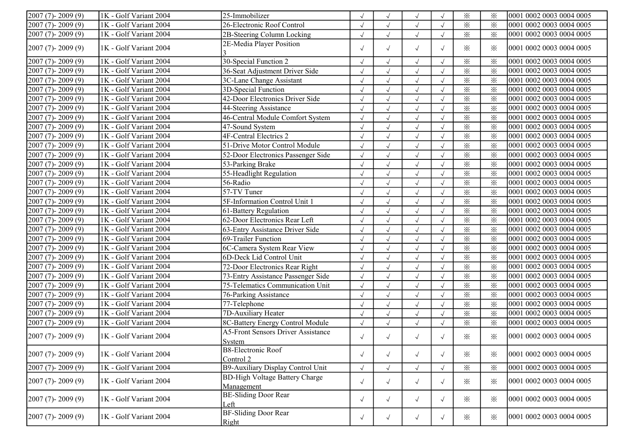| $2007(7) - 2009(9)$ | 1K - Golf Variant 2004   | 25-Immobilizer                                             |            |              | $\sqrt{ }$ |            | $\times$                | $\times$ | 0001 0002 0003 0004 0005 |
|---------------------|--------------------------|------------------------------------------------------------|------------|--------------|------------|------------|-------------------------|----------|--------------------------|
| $2007(7) - 2009(9)$ | 1K - Golf Variant 2004   | 26-Electronic Roof Control                                 | $\sqrt{}$  |              | $\sqrt{ }$ | $\sqrt{ }$ | $\times$                | $\times$ | 0001 0002 0003 0004 0005 |
| $2007(7) - 2009(9)$ | 1K - Golf Variant 2004   | 2B-Steering Column Locking                                 | $\sqrt{}$  | $\sqrt{ }$   | $\sqrt{ }$ | $\sqrt{ }$ | $\times$                | $\times$ | 0001 0002 0003 0004 0005 |
| $2007(7) - 2009(9)$ | 1K - Golf Variant 2004   | 2E-Media Player Position                                   | $\sqrt{ }$ | $\sqrt{ }$   | $\sqrt{ }$ | $\sqrt{ }$ | $\times$                | $\times$ | 0001 0002 0003 0004 0005 |
| $2007(7) - 2009(9)$ | 1K - Golf Variant 2004   | 30-Special Function 2                                      | $\sqrt{ }$ | $\sqrt{ }$   | $\sqrt{ }$ | $\sqrt{ }$ | $\times$                | $\times$ | 0001 0002 0003 0004 0005 |
| 2007 (7)-2009 (9)   | 1K - Golf Variant 2004   | 36-Seat Adjustment Driver Side                             | $\sqrt{}$  | $\sqrt{ }$   | $\sqrt{ }$ | $\sqrt{ }$ | $\times$                | $\times$ | 0001 0002 0003 0004 0005 |
| $2007(7) - 2009(9)$ | 1K - Golf Variant 2004   | 3C-Lane Change Assistant                                   | $\sqrt{2}$ | $\sqrt{}$    | $\sqrt{ }$ | $\sqrt{ }$ | $\times$                | $\times$ | 0001 0002 0003 0004 0005 |
| $2007(7) - 2009(9)$ | 1K - Golf Variant 2004   | 3D-Special Function                                        | $\sqrt{}$  | $\sqrt{ }$   | $\sqrt{}$  |            | $\times$                | $\times$ | 0001 0002 0003 0004 0005 |
| $2007(7) - 2009(9)$ | 1K - Golf Variant 2004   | 42-Door Electronics Driver Side                            | $\sqrt{ }$ |              | $\sqrt{ }$ |            | $\times$                | $\times$ | 0001 0002 0003 0004 0005 |
| 2007 (7)-2009 (9)   | 1K - Golf Variant 2004   | 44-Steering Assistance                                     | $\sqrt{}$  | $\sqrt{ }$   | $\sqrt{ }$ | $\sqrt{ }$ | $\times$                | $\times$ | 0001 0002 0003 0004 0005 |
| $2007(7) - 2009(9)$ | 1K - Golf Variant 2004   | 46-Central Module Comfort System                           | $\sqrt{}$  | $\sqrt{ }$   | $\sqrt{ }$ | $\sqrt{ }$ | $\times$                | $\times$ | 0001 0002 0003 0004 0005 |
| $2007(7) - 2009(9)$ | 1K - Golf Variant 2004   | 47-Sound System                                            | $\sqrt{2}$ | $\sqrt{ }$   | $\sqrt{}$  | $\sqrt{ }$ | $\times$                | $\times$ | 0001 0002 0003 0004 0005 |
| 2007 (7)-2009 (9)   | 1K - Golf Variant 2004   | <b>4F-Central Electrics 2</b>                              | $\sqrt{2}$ | $\sqrt{ }$   | $\sqrt{ }$ | $\sqrt{ }$ | $\times$                | $\times$ | 0001 0002 0003 0004 0005 |
| 2007 (7)-2009 (9)   | 1K - Golf Variant 2004   | 51-Drive Motor Control Module                              | $\sqrt{}$  | $\sqrt{ }$   | $\sqrt{}$  | $\sqrt{ }$ | $\times$                | $\times$ | 0001 0002 0003 0004 0005 |
| $2007(7) - 2009(9)$ | $1K - Golf Variant 2004$ | 52-Door Electronics Passenger Side                         | $\sqrt{}$  |              | $\sqrt{ }$ | $\sqrt{ }$ | $\times$                | $\times$ | 0001 0002 0003 0004 0005 |
| 2007 (7)-2009 (9)   | 1K - Golf Variant 2004   | 53-Parking Brake                                           | $\sqrt{ }$ | $\sqrt{ }$   | $\sqrt{ }$ | $\sqrt{ }$ | $\times$                | $\times$ | 0001 0002 0003 0004 0005 |
| $2007(7) - 2009(9)$ | 1K - Golf Variant 2004   | 55-Headlight Regulation                                    | $\sqrt{}$  | $\sqrt{ }$   | $\sqrt{ }$ | $\sqrt{ }$ | $\times$                | $\times$ | 0001 0002 0003 0004 0005 |
| $2007(7) - 2009(9)$ | 1K - Golf Variant 2004   | 56-Radio                                                   | $\sqrt{}$  | $\sqrt{ }$   | $\sqrt{ }$ | $\sqrt{ }$ | $\times$                | $\times$ | 0001 0002 0003 0004 0005 |
| $2007(7) - 2009(9)$ | 1K - Golf Variant 2004   | 57-TV Tuner                                                | $\sqrt{2}$ | $\sqrt{ }$   | $\sqrt{ }$ | $\sqrt{ }$ | $\times$                | $\times$ | 0001 0002 0003 0004 0005 |
| $2007(7) - 2009(9)$ | 1K - Golf Variant 2004   | 5F-Information Control Unit 1                              | $\sqrt{2}$ | $\sqrt{ }$   | $\sqrt{}$  |            | $\times$                | $\times$ | 0001 0002 0003 0004 0005 |
| $2007(7) - 2009(9)$ | 1K - Golf Variant 2004   | 61-Battery Regulation                                      |            | $\sqrt{ }$   | $\sqrt{ }$ | $\sqrt{ }$ | $\times$                | $\times$ | 0001 0002 0003 0004 0005 |
| $2007(7) - 2009(9)$ | 1K - Golf Variant 2004   | 62-Door Electronics Rear Left                              | $\sqrt{}$  | $\sqrt{ }$   | $\sqrt{ }$ | $\sqrt{ }$ | $\times$                | $\times$ | 0001 0002 0003 0004 0005 |
| $2007(7) - 2009(9)$ | 1K - Golf Variant 2004   | 63-Entry Assistance Driver Side                            | $\sqrt{}$  | $\sqrt{}$    | $\sqrt{ }$ | $\sqrt{ }$ | $\times$                | $\times$ | 0001 0002 0003 0004 0005 |
| $2007(7) - 2009(9)$ | 1K - Golf Variant 2004   | 69-Trailer Function                                        | $\sqrt{ }$ | $\sqrt{ }$   | $\sqrt{}$  | $\sqrt{ }$ | $\times$                | $\times$ | 0001 0002 0003 0004 0005 |
| 2007 (7)-2009 (9)   | 1K - Golf Variant 2004   | 6C-Camera System Rear View                                 | $\sqrt{}$  | $\sqrt{ }$   | $\sqrt{}$  | $\sqrt{ }$ | $\times$                | $\times$ | 0001 0002 0003 0004 0005 |
| 2007 (7)-2009 (9)   | 1K - Golf Variant 2004   | 6D-Deck Lid Control Unit                                   | $\sqrt{2}$ | $\checkmark$ | $\sqrt{ }$ | $\sqrt{ }$ | $\times$                | $\times$ | 0001 0002 0003 0004 0005 |
| 2007 (7)-2009 (9)   | 1K - Golf Variant 2004   | 72-Door Electronics Rear Right                             | $\sqrt{}$  |              | $\sqrt{ }$ | $\sqrt{ }$ | $\times$                | $\times$ | 0001 0002 0003 0004 0005 |
| 2007 (7)-2009 (9)   | 1K - Golf Variant 2004   | 73-Entry Assistance Passenger Side                         | $\sqrt{ }$ |              | $\sqrt{ }$ | $\sqrt{ }$ | $\times$                | $\times$ | 0001 0002 0003 0004 0005 |
| 2007 (7)-2009 (9)   | 1K - Golf Variant 2004   | 75-Telematics Communication Unit                           | $\sqrt{ }$ | $\sqrt{ }$   | $\sqrt{ }$ | $\sqrt{ }$ | $\overline{\mathbf{x}}$ | $\times$ | 0001 0002 0003 0004 0005 |
| $2007(7) - 2009(9)$ | 1K - Golf Variant 2004   | 76-Parking Assistance                                      | $\sqrt{}$  | $\checkmark$ | $\sqrt{ }$ | $\sqrt{ }$ | $\times$                | $\times$ | 0001 0002 0003 0004 0005 |
| 2007 (7)-2009 (9)   | 1K - Golf Variant 2004   | 77-Telephone                                               | $\sqrt{}$  | $\sqrt{}$    | $\sqrt{ }$ | $\sqrt{ }$ | $\times$                | $\times$ | 0001 0002 0003 0004 0005 |
| $2007(7) - 2009(9)$ | 1K - Golf Variant 2004   | 7D-Auxiliary Heater                                        | $\sqrt{}$  | $\sqrt{ }$   | $\sqrt{ }$ | $\sqrt{ }$ | $\overline{\mathbf{x}}$ | $\times$ | 0001 0002 0003 0004 0005 |
| $2007(7) - 2009(9)$ | 1K - Golf Variant 2004   | 8C-Battery Energy Control Module                           | $\sqrt{}$  | $\sqrt{ }$   | $\sqrt{}$  | $\sqrt{ }$ | $\times$                | $\times$ | 0001 0002 0003 0004 0005 |
| $2007(7) - 2009(9)$ | 1K - Golf Variant 2004   | <b>A5-Front Sensors Driver Assistance</b><br><b>System</b> | $\sqrt{ }$ | $\sqrt{ }$   | $\sqrt{ }$ | $\sqrt{ }$ | $\times$                | $\times$ | 0001 0002 0003 0004 0005 |
| $2007(7) - 2009(9)$ | 1K - Golf Variant 2004   | <b>B8-Electronic Roof</b><br>Control 2                     | $\sqrt{ }$ | $\sqrt{ }$   | $\sqrt{ }$ | $\sqrt{ }$ | $\times$                | ⋇        | 0001 0002 0003 0004 0005 |
| $2007(7) - 2009(9)$ | 1K - Golf Variant 2004   | B9-Auxiliary Display Control Unit                          | $\sqrt{ }$ | $\sqrt{ }$   | $\sqrt{}$  | $\sqrt{ }$ | $\times$                | $\times$ | 0001 0002 0003 0004 0005 |
| $2007(7) - 2009(9)$ | 1K - Golf Variant 2004   | <b>BD-High Voltage Battery Charge</b><br>Management        | $\sqrt{ }$ | $\sqrt{ }$   | $\sqrt{ }$ | $\sqrt{ }$ | $\times$                | $\times$ | 0001 0002 0003 0004 0005 |
| $2007(7) - 2009(9)$ | 1K - Golf Variant 2004   | <b>BE-Sliding Door Rear</b><br>Left                        | $\sqrt{ }$ | $\sqrt{ }$   | $\sqrt{ }$ | $\sqrt{ }$ | $\times$                | $\times$ | 0001 0002 0003 0004 0005 |
| $2007(7) - 2009(9)$ | 1K - Golf Variant 2004   | <b>BF-Sliding Door Rear</b><br>Right                       | $\sqrt{ }$ | $\sqrt{ }$   | $\sqrt{ }$ | $\sqrt{ }$ | $\times$                | $\times$ | 0001 0002 0003 0004 0005 |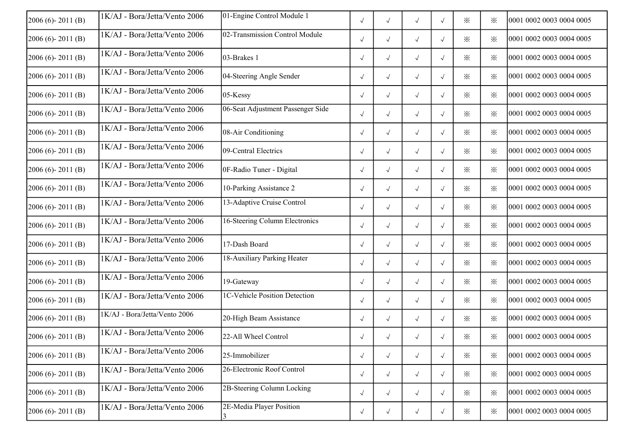| $2006(6) - 2011(B)$ | 1K/AJ - Bora/Jetta/Vento 2006 | 01-Engine Control Module 1        | $\sqrt{ }$ | $\sqrt{}$  | $\sqrt{ }$ | $\sqrt{ }$ | $\times$ | $\times$ | 0001 0002 0003 0004 0005 |
|---------------------|-------------------------------|-----------------------------------|------------|------------|------------|------------|----------|----------|--------------------------|
| $2006(6) - 2011(B)$ | 1K/AJ - Bora/Jetta/Vento 2006 | 02-Transmission Control Module    | $\sqrt{ }$ | $\sqrt{}$  | $\sqrt{ }$ | $\sqrt{ }$ | $\times$ | $\times$ | 0001 0002 0003 0004 0005 |
| $2006(6) - 2011(B)$ | 1K/AJ - Bora/Jetta/Vento 2006 | 03-Brakes 1                       | $\sqrt{ }$ | $\sqrt{}$  | $\sqrt{ }$ | $\sqrt{ }$ | $\times$ | ⋇        | 0001 0002 0003 0004 0005 |
| $2006(6) - 2011(B)$ | 1K/AJ - Bora/Jetta/Vento 2006 | 04-Steering Angle Sender          | $\sqrt{ }$ | $\sqrt{ }$ | $\sqrt{}$  | $\sqrt{ }$ | $\times$ | ⋇        | 0001 0002 0003 0004 0005 |
| $2006(6) - 2011(B)$ | 1K/AJ - Bora/Jetta/Vento 2006 | 05-Kessy                          | $\sqrt{ }$ | $\sqrt{}$  | $\sqrt{}$  | $\sqrt{ }$ | ⋇        | ⋇        | 0001 0002 0003 0004 0005 |
| $2006(6) - 2011(B)$ | 1K/AJ - Bora/Jetta/Vento 2006 | 06-Seat Adjustment Passenger Side | $\sqrt{ }$ | $\sqrt{}$  | $\sqrt{}$  | $\sqrt{ }$ | $\times$ | $\times$ | 0001 0002 0003 0004 0005 |
| $2006(6) - 2011(B)$ | 1K/AJ - Bora/Jetta/Vento 2006 | 08-Air Conditioning               | $\sqrt{ }$ | $\sqrt{ }$ | $\sqrt{ }$ | $\sqrt{ }$ | $\times$ | $\times$ | 0001 0002 0003 0004 0005 |
| $2006(6) - 2011(B)$ | 1K/AJ - Bora/Jetta/Vento 2006 | 09-Central Electrics              | $\sqrt{ }$ | $\sqrt{ }$ | $\sqrt{ }$ | $\sqrt{ }$ | $\times$ | $\times$ | 0001 0002 0003 0004 0005 |
| $2006(6) - 2011(B)$ | 1K/AJ - Bora/Jetta/Vento 2006 | 0F-Radio Tuner - Digital          | $\sqrt{ }$ | $\sqrt{}$  | $\sqrt{}$  | $\sqrt{ }$ | $\times$ | $\times$ | 0001 0002 0003 0004 0005 |
| $2006(6) - 2011(B)$ | 1K/AJ - Bora/Jetta/Vento 2006 | 10-Parking Assistance 2           | $\sqrt{ }$ | $\sqrt{ }$ | $\sqrt{ }$ | $\sqrt{ }$ | $\times$ | $\times$ | 0001 0002 0003 0004 0005 |
| $2006(6) - 2011(B)$ | 1K/AJ - Bora/Jetta/Vento 2006 | 13-Adaptive Cruise Control        | $\sqrt{ }$ | $\sqrt{ }$ | $\sqrt{ }$ | $\sqrt{ }$ | $\times$ | $\cdot$  | 0001 0002 0003 0004 0005 |
| 2006 (6)-2011 (B)   | 1K/AJ - Bora/Jetta/Vento 2006 | 16-Steering Column Electronics    | $\sqrt{ }$ | $\sqrt{ }$ | $\sqrt{}$  | $\sqrt{ }$ | $\times$ | $\times$ | 0001 0002 0003 0004 0005 |
| 2006 (6)-2011 (B)   | 1K/AJ - Bora/Jetta/Vento 2006 | 17-Dash Board                     | $\sqrt{ }$ | $\sqrt{ }$ | $\sqrt{ }$ | $\sqrt{ }$ | $\times$ | $\times$ | 0001 0002 0003 0004 0005 |
| $2006(6) - 2011(B)$ | 1K/AJ - Bora/Jetta/Vento 2006 | 18-Auxiliary Parking Heater       | $\sqrt{ }$ | $\sqrt{}$  | $\sqrt{ }$ | $\sqrt{ }$ | $\times$ | ⋇        | 0001 0002 0003 0004 0005 |
| $2006(6) - 2011(B)$ | 1K/AJ - Bora/Jetta/Vento 2006 | 19-Gateway                        | $\sqrt{ }$ | $\sqrt{ }$ | $\sqrt{ }$ | $\sqrt{ }$ | $\times$ | $\times$ | 0001 0002 0003 0004 0005 |
| $2006(6) - 2011(B)$ | 1K/AJ - Bora/Jetta/Vento 2006 | 1C-Vehicle Position Detection     | $\sqrt{ }$ | $\sqrt{}$  | $\sqrt{ }$ | $\sqrt{ }$ | $\times$ | ⋇        | 0001 0002 0003 0004 0005 |
| $2006(6) - 2011(B)$ | 1K/AJ - Bora/Jetta/Vento 2006 | 20-High Beam Assistance           | $\sqrt{ }$ | $\sqrt{}$  | $\sqrt{}$  | $\sqrt{ }$ | $\times$ | $\times$ | 0001 0002 0003 0004 0005 |
| $2006(6) - 2011(B)$ | 1K/AJ - Bora/Jetta/Vento 2006 | 22-All Wheel Control              | $\sqrt{ }$ | $\sqrt{}$  | $\sqrt{ }$ | $\sqrt{ }$ | $\times$ | $\times$ | 0001 0002 0003 0004 0005 |
| $2006(6) - 2011(B)$ | 1K/AJ - Bora/Jetta/Vento 2006 | 25-Immobilizer                    | $\sqrt{ }$ | $\sqrt{ }$ | $\sqrt{ }$ | $\sqrt{ }$ | $\times$ | ፠        | 0001 0002 0003 0004 0005 |
| $2006(6) - 2011(B)$ | 1K/AJ - Bora/Jetta/Vento 2006 | 26-Electronic Roof Control        | $\sqrt{ }$ | $\sqrt{ }$ | $\sqrt{ }$ | $\sqrt{ }$ | $\times$ | $\times$ | 0001 0002 0003 0004 0005 |
| $2006(6) - 2011(B)$ | 1K/AJ - Bora/Jetta/Vento 2006 | 2B-Steering Column Locking        | $\sqrt{ }$ | $\sqrt{ }$ | $\sqrt{ }$ | $\sqrt{ }$ | $\times$ | $\times$ | 0001 0002 0003 0004 0005 |
| $2006(6) - 2011(B)$ | 1K/AJ - Bora/Jetta/Vento 2006 | 2E-Media Player Position          | $\sqrt{ }$ | $\sqrt{}$  | $\sqrt{}$  | $\sqrt{ }$ | $\times$ | $\times$ | 0001 0002 0003 0004 0005 |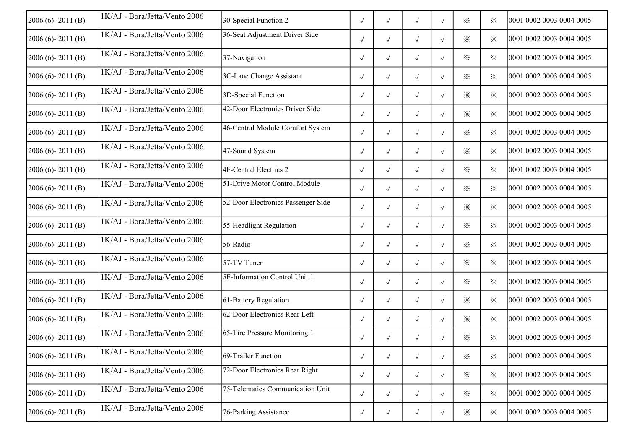| $2006(6) - 2011(B)$ | 1K/AJ - Bora/Jetta/Vento 2006 | 30-Special Function 2              | $\sqrt{ }$ | $\sqrt{ }$           | $\sqrt{ }$           | $\sqrt{ }$ | $\times$ | ⋇        | 0001 0002 0003 0004 0005 |
|---------------------|-------------------------------|------------------------------------|------------|----------------------|----------------------|------------|----------|----------|--------------------------|
| $2006(6) - 2011(B)$ | 1K/AJ - Bora/Jetta/Vento 2006 | 36-Seat Adjustment Driver Side     | $\sqrt{ }$ | $\sqrt{ }$           | $\sqrt{ }$           | $\sqrt{ }$ | $\times$ | ⋇        | 0001 0002 0003 0004 0005 |
| $2006(6) - 2011(B)$ | 1K/AJ - Bora/Jetta/Vento 2006 | 37-Navigation                      | $\sqrt{ }$ | $\sqrt{ }$           | $\sqrt{ }$           | $\sqrt{ }$ | ⋇        | ⋇        | 0001 0002 0003 0004 0005 |
| $2006(6) - 2011(B)$ | 1K/AJ - Bora/Jetta/Vento 2006 | 3C-Lane Change Assistant           | $\sqrt{}$  | $\sqrt{ }$           | $\sqrt{}$            | $\sqrt{ }$ | $\times$ | ፠        | 0001 0002 0003 0004 0005 |
| $2006(6) - 2011(B)$ | 1K/AJ - Bora/Jetta/Vento 2006 | 3D-Special Function                | $\sqrt{ }$ | $\sqrt{ }$           | $\sqrt{ }$           | $\sqrt{ }$ | $\times$ | $\times$ | 0001 0002 0003 0004 0005 |
| $2006(6) - 2011(B)$ | 1K/AJ - Bora/Jetta/Vento 2006 | 42-Door Electronics Driver Side    | $\sqrt{}$  | $\sqrt{ }$           | $\sqrt{ }$           | $\sqrt{ }$ | $\times$ | ፠        | 0001 0002 0003 0004 0005 |
| $2006(6) - 2011(B)$ | 1K/AJ - Bora/Jetta/Vento 2006 | 46-Central Module Comfort System   | $\sqrt{}$  | $\sqrt{ }$           | $\sqrt{}$            | $\sqrt{ }$ | ፠        | ⋇        | 0001 0002 0003 0004 0005 |
| 2006 (6)-2011 (B)   | 1K/AJ - Bora/Jetta/Vento 2006 | 47-Sound System                    | $\sqrt{}$  | $\sqrt{ }$           | $\sqrt{ }$           | $\sqrt{ }$ | ፠        | ⋇        | 0001 0002 0003 0004 0005 |
| $2006(6) - 2011(B)$ | 1K/AJ - Bora/Jetta/Vento 2006 | 4F-Central Electrics 2             | $\sqrt{}$  | $\sqrt{ }$           | $\sqrt{ }$           | $\sqrt{ }$ | $\times$ | ⋇        | 0001 0002 0003 0004 0005 |
| $2006(6) - 2011(B)$ | 1K/AJ - Bora/Jetta/Vento 2006 | 51-Drive Motor Control Module      | $\sqrt{ }$ | $\sqrt{ }$           | $\sqrt{}$            | $\sqrt{ }$ | $\times$ | ፠        | 0001 0002 0003 0004 0005 |
| $2006(6) - 2011(B)$ | 1K/AJ - Bora/Jetta/Vento 2006 | 52-Door Electronics Passenger Side | $\sqrt{ }$ | $\sqrt{ }$           | $\sqrt{ }$           | $\sqrt{ }$ | $\times$ | ፠        | 0001 0002 0003 0004 0005 |
| $2006(6) - 2011(B)$ | 1K/AJ - Bora/Jetta/Vento 2006 | 55-Headlight Regulation            | $\sqrt{ }$ | $\sqrt{ }$           | $\sqrt{ }$           | $\sqrt{ }$ | $\times$ | ፠        | 0001 0002 0003 0004 0005 |
| 2006 (6)-2011 (B)   | 1K/AJ - Bora/Jetta/Vento 2006 | 56-Radio                           | $\sqrt{ }$ | $\sqrt{ }$           | $\sqrt{ }$           | $\sqrt{ }$ | ፠        | ፠        | 0001 0002 0003 0004 0005 |
| $2006(6) - 2011(B)$ | 1K/AJ - Bora/Jetta/Vento 2006 | 57-TV Tuner                        | $\sqrt{ }$ | $\sqrt{ }$           | $\sqrt{ }$           | $\sqrt{ }$ | ፠        | $\times$ | 0001 0002 0003 0004 0005 |
| $2006(6) - 2011(B)$ | 1K/AJ - Bora/Jetta/Vento 2006 | 5F-Information Control Unit 1      | $\sqrt{}$  | $\sqrt{ }$           | $\sqrt{}$            | $\sqrt{ }$ | $\times$ | ⋇        | 0001 0002 0003 0004 0005 |
| $2006(6) - 2011(B)$ | 1K/AJ - Bora/Jetta/Vento 2006 | 61-Battery Regulation              | $\sqrt{ }$ | $\sqrt{ }$           | $\sqrt{}$            | $\sqrt{ }$ | ⋇        | ⋇        | 0001 0002 0003 0004 0005 |
| $2006(6) - 2011(B)$ | 1K/AJ - Bora/Jetta/Vento 2006 | 62-Door Electronics Rear Left      | $\sqrt{ }$ | $\sqrt{ }$           | $\sqrt{ }$           | $\sqrt{ }$ | $\times$ | ⋇        | 0001 0002 0003 0004 0005 |
| $2006(6) - 2011(B)$ | 1K/AJ - Bora/Jetta/Vento 2006 | 65-Tire Pressure Monitoring 1      | $\sqrt{ }$ | $\sqrt{ }$           | $\sqrt{ }$           | $\sqrt{ }$ | $\times$ | $\times$ | 0001 0002 0003 0004 0005 |
| $2006(6) - 2011(B)$ | 1K/AJ - Bora/Jetta/Vento 2006 | 69-Trailer Function                | $\sqrt{ }$ | $\sqrt{\phantom{a}}$ | $\sqrt{\phantom{a}}$ | $\sqrt{ }$ | $\times$ | ፠        | 0001 0002 0003 0004 0005 |
| $2006(6) - 2011(B)$ | 1K/AJ - Bora/Jetta/Vento 2006 | 72-Door Electronics Rear Right     | $\sqrt{ }$ | $\sqrt{ }$           | $\sqrt{ }$           | $\sqrt{ }$ | $\times$ | ⋇        | 0001 0002 0003 0004 0005 |
| $2006(6) - 2011(B)$ | 1K/AJ - Bora/Jetta/Vento 2006 | 75-Telematics Communication Unit   | $\sqrt{ }$ | $\sqrt{ }$           | $\sqrt{ }$           | $\sqrt{ }$ | $\times$ | $\times$ | 0001 0002 0003 0004 0005 |
| $2006(6) - 2011(B)$ | 1K/AJ - Bora/Jetta/Vento 2006 | 76-Parking Assistance              | $\sqrt{ }$ | $\sqrt{ }$           | $\sqrt{ }$           | $\sqrt{ }$ | $\times$ | ⋇        | 0001 0002 0003 0004 0005 |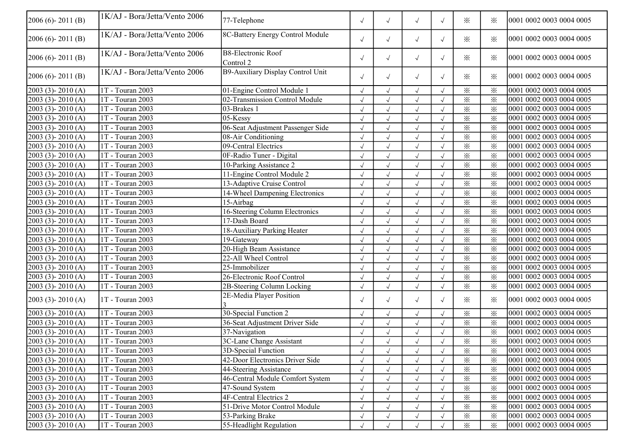| $2006(6) - 2011(B)$     | 1K/AJ - Bora/Jetta/Vento 2006 | 77-Telephone                           | $\sqrt{ }$ | $\sqrt{ }$   | $\sqrt{ }$           | $\sqrt{ }$ | $\times$ | ፠                       | 10001 0002 0003 0004 0005 |
|-------------------------|-------------------------------|----------------------------------------|------------|--------------|----------------------|------------|----------|-------------------------|---------------------------|
| $2006(6) - 2011(B)$     | 1K/AJ - Bora/Jetta/Vento 2006 | 8C-Battery Energy Control Module       | $\sqrt{ }$ | $\sqrt{}$    | $\sqrt{ }$           | $\sqrt{ }$ | $\times$ | $\times$                | 0001 0002 0003 0004 0005  |
| $2006(6) - 2011(B)$     | 1K/AJ - Bora/Jetta/Vento 2006 | <b>B8-Electronic Roof</b><br>Control 2 | $\sqrt{ }$ | $\sqrt{}$    | $\sqrt{ }$           | $\sqrt{ }$ | $\times$ | $\times$                | 0001 0002 0003 0004 0005  |
| 2006 (6)-2011 (B)       | 1K/AJ - Bora/Jetta/Vento 2006 | B9-Auxiliary Display Control Unit      | $\sqrt{ }$ | $\sqrt{ }$   | $\sqrt{ }$           | $\sqrt{ }$ | $\times$ | $\times$                | 0001 0002 0003 0004 0005  |
| 2003 (3)-2010 (A)       | 1T - Touran 2003              | 01-Engine Control Module 1             | $\sqrt{ }$ | $\sqrt{}$    | $\sqrt{ }$           | $\sqrt{ }$ | $\times$ | $\times$                | 0001 0002 0003 0004 0005  |
| 2003 (3)-2010 (A)       | 1T - Touran 2003              | 02-Transmission Control Module         | $\sqrt{ }$ | $\sqrt{}$    | $\sqrt{ }$           | $\sqrt{ }$ | $\times$ | $\times$                | 0001 0002 0003 0004 0005  |
| 2003 (3)-2010 (A)       | 1T - Touran 2003              | 03-Brakes 1                            | $\sqrt{ }$ | $\sqrt{}$    | $\sqrt{ }$           | $\sqrt{}$  | $\times$ | $\times$                | 0001 0002 0003 0004 0005  |
| $2003$ (3) - $2010$ (A) | 1T - Touran 2003              | 05-Kessy                               | $\sqrt{ }$ | $\sqrt{}$    | $\sqrt{ }$           |            | $\times$ | $\times$                | 0001 0002 0003 0004 0005  |
| $2003$ (3) - $2010$ (A) | 1T - Touran 2003              | 06-Seat Adjustment Passenger Side      | $\sqrt{}$  |              | $\sqrt{}$            |            | $\times$ | $\times$                | 0001 0002 0003 0004 0005  |
| 2003 (3)-2010 (A)       | 1T - Touran 2003              | 08-Air Conditioning                    | $\sqrt{ }$ | $\sqrt{}$    | $\sqrt{ }$           |            | $\times$ | $\times$                | 0001 0002 0003 0004 0005  |
| $2003$ (3) - $2010$ (A) | 1T - Touran 2003              | 09-Central Electrics                   | $\sqrt{ }$ | $\sqrt{}$    | $\sqrt{ }$           |            | $\times$ | $\times$                | 0001 0002 0003 0004 0005  |
| $2003$ (3) - $2010$ (A) | 1T - Touran 2003              | 0F-Radio Tuner - Digital               | $\sqrt{ }$ | $\sqrt{}$    | $\sqrt{\phantom{a}}$ |            | $\times$ | $\times$                | 0001 0002 0003 0004 0005  |
| $2003$ (3) - $2010$ (A) | 1T - Touran 2003              | 10-Parking Assistance 2                | $\sqrt{2}$ | $\sqrt{}$    | $\sqrt{ }$           |            | $\times$ | $\times$                | 0001 0002 0003 0004 0005  |
| 2003 (3)-2010 (A)       | 1T - Touran 2003              | 11-Engine Control Module 2             | $\sqrt{ }$ |              | $\sqrt{ }$           |            | $\times$ | $\times$                | 0001 0002 0003 0004 0005  |
| 2003 (3)-2010 (A)       | $1T - T$ ouran 2003           | 13-Adaptive Cruise Control             | $\sqrt{ }$ |              | $\sqrt{ }$           |            | $\times$ | $\times$                | 0001 0002 0003 0004 0005  |
| $2003$ (3) - $2010$ (A) | 1T - Touran 2003              | 14-Wheel Dampening Electronics         | $\sqrt{ }$ | $\sqrt{}$    | $\sqrt{ }$           | $\sqrt{ }$ | $\times$ | $\times$                | 0001 0002 0003 0004 0005  |
| 2003 (3)-2010 (A)       | 1T - Touran 2003              | $15-Airbag$                            | $\sqrt{ }$ | $\sqrt{}$    | $\sqrt{ }$           | $\sqrt{ }$ | $\times$ | $\times$                | 0001 0002 0003 0004 0005  |
| 2003 (3)-2010 (A)       | $1T - T$ ouran 2003           | 16-Steering Column Electronics         | $\sqrt{ }$ | $\sqrt{}$    | $\sqrt{ }$           | $\sqrt{ }$ | $\times$ | $\times$                | 0001 0002 0003 0004 0005  |
| $2003$ (3) - $2010$ (A) | $1T - Touran 2003$            | 17-Dash Board                          | $\sqrt{ }$ | $\sqrt{}$    | $\sqrt{ }$           | $\sqrt{ }$ | $\times$ | $\times$                | 0001 0002 0003 0004 0005  |
| 2003 (3)-2010 (A)       | 1T - Touran 2003              | 18-Auxiliary Parking Heater            | $\sqrt{2}$ | $\sqrt{}$    | $\checkmark$         |            | $\times$ | $\times$                | 0001 0002 0003 0004 0005  |
| $2003$ (3) - $2010$ (A) | 1T - Touran 2003              | 19-Gateway                             | $\sqrt{2}$ |              | $\sqrt{ }$           |            | $\times$ | $\times$                | 0001 0002 0003 0004 0005  |
| $2003$ (3) - $2010$ (A) | 1T - Touran 2003              | 20-High Beam Assistance                | $\sqrt{ }$ |              | $\sqrt{ }$           |            | $\times$ | $\times$                | 0001 0002 0003 0004 0005  |
| $2003$ (3) - $2010$ (A) | 1T - Touran 2003              | 22-All Wheel Control                   | $\sqrt{ }$ | $\sqrt{}$    | $\sqrt{ }$           | $\sqrt{ }$ | $\times$ | $\times$                | 0001 0002 0003 0004 0005  |
| $2003$ (3) - 2010 (A)   | 1T - Touran 2003              | 25-Immobilizer                         | $\sqrt{ }$ | $\sqrt{}$    | $\sqrt{ }$           |            | $\times$ | $\times$                | 0001 0002 0003 0004 0005  |
| $2003$ (3) - $2010$ (A) | $1T - Touran 2003$            | 26-Electronic Roof Control             | $\sqrt{ }$ | $\sqrt{}$    | $\sqrt{ }$           |            | $\times$ | $\times$                | 0001 0002 0003 0004 0005  |
| 2003 (3)-2010 (A)       | 1T - Touran 2003              | 2B-Steering Column Locking             | $\sqrt{2}$ | $\sqrt{}$    | $\sqrt{ }$           | $\sqrt{}$  | $\times$ | $\overline{\mathbf{x}}$ | 0001 0002 0003 0004 0005  |
| $2003$ (3) - $2010$ (A) | 1T - Touran 2003              | 2E-Media Player Position               | $\sqrt{ }$ | $\sqrt{}$    | $\sqrt{ }$           | $\sqrt{}$  | ፠        | $\times$                | 0001 0002 0003 0004 0005  |
| 2003 (3)-2010 (A)       | $1T - T$ ouran 2003           | 30-Special Function 2                  | $\sqrt{ }$ |              | $\sqrt{}$            |            | $\times$ | $\times$                | 0001 0002 0003 0004 0005  |
| 2003 (3)-2010 (A)       | 1T - Touran 2003              | 36-Seat Adjustment Driver Side         |            | J            | $\sqrt{ }$           |            | $\times$ | $\times$                | 0001 0002 0003 0004 0005  |
| 2003 (3)-2010 (A)       | 1T - Touran 2003              | 37-Navigation                          | $\sqrt{ }$ | $\sqrt{ }$   | $\sqrt{ }$           | $\sqrt{ }$ | $\times$ | $\times$                | 0001 0002 0003 0004 0005  |
| $2003$ (3) - $2010$ (A) | 1T - Touran 2003              | 3C-Lane Change Assistant               | $\sqrt{ }$ | $\sqrt{ }$   | $\sqrt{ }$           |            | $\times$ | $\times$                | 0001 0002 0003 0004 0005  |
| $2003$ (3) - 2010 (A)   | 1T - Touran 2003              | 3D-Special Function                    | $\sqrt{ }$ | $\sqrt{ }$   | $\sqrt{\phantom{a}}$ |            | $\times$ | $\times$                | 0001 0002 0003 0004 0005  |
| $2003$ (3) - $2010$ (A) | 1T - Touran 2003              | 42-Door Electronics Driver Side        |            |              |                      |            | $\times$ | $\times$                | 0001 0002 0003 0004 0005  |
| $2003$ (3) - $2010$ (A) | 1T - Touran 2003              | 44-Steering Assistance                 |            |              |                      |            | $\times$ | $\times$                | 0001 0002 0003 0004 0005  |
| $2003$ (3) - $2010$ (A) | 1T - Touran 2003              | 46-Central Module Comfort System       |            |              | $\sqrt{ }$           |            | $\times$ | $\times$                | 0001 0002 0003 0004 0005  |
| $2003$ (3) - $2010$ (A) | 1T - Touran 2003              | 47-Sound System                        | $\sqrt{ }$ | $\sqrt{}$    | $\sqrt{ }$           | $\sqrt{ }$ | $\times$ | $\times$                | 0001 0002 0003 0004 0005  |
| 2003 (3)-2010 (A)       | 1T - Touran 2003              | 4F-Central Electrics 2                 | $\sqrt{ }$ | $\sqrt{}$    | $\sqrt{ }$           |            | $\times$ | $\times$                | 0001 0002 0003 0004 0005  |
| 2003 (3)-2010 (A)       | 1T - Touran 2003              | 51-Drive Motor Control Module          | $\sqrt{ }$ | $\checkmark$ | $\sqrt{ }$           |            | $\times$ | $\times$                | 0001 0002 0003 0004 0005  |
| $2003$ (3) - $2010$ (A) | 1T - Touran 2003              | 53-Parking Brake                       |            | $\checkmark$ | $\sqrt{\phantom{a}}$ |            | $\times$ | $\times$                | 0001 0002 0003 0004 0005  |
| $2003$ (3) - $2010$ (A) | 1T - Touran 2003              | 55-Headlight Regulation                |            | $\sqrt{}$    | $\sqrt{}$            |            | $\times$ | $\times$                | 0001 0002 0003 0004 0005  |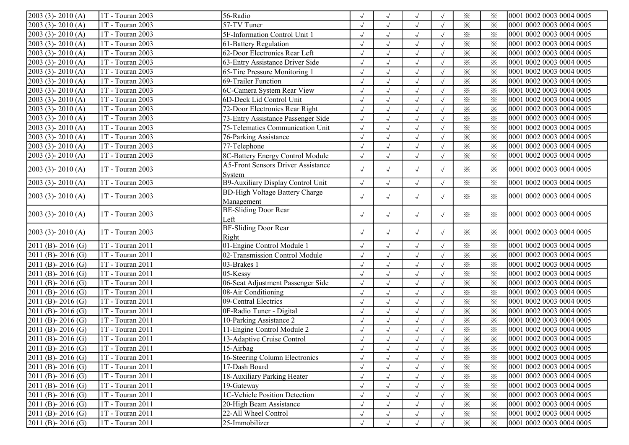| 2003 (3) - 2010 (A)     | 1T - Touran 2003 | 56-Radio                                  |            |            | $\sqrt{ }$   |            | $\times$                | $\times$                | 0001 0002 0003 0004 0005 |
|-------------------------|------------------|-------------------------------------------|------------|------------|--------------|------------|-------------------------|-------------------------|--------------------------|
| $2003$ (3) - $2010$ (A) | 1T - Touran 2003 | 57-TV Tuner                               |            |            | $\sqrt{}$    | $\sqrt{ }$ | $\times$                | $\times$                | 0001 0002 0003 0004 0005 |
| 2003 (3)-2010 (A)       | 1T - Touran 2003 | 5F-Information Control Unit 1             | $\sqrt{}$  |            | $\sqrt{}$    | $\sqrt{ }$ | $\overline{\mathbf{x}}$ | $\times$                | 0001 0002 0003 0004 0005 |
| $2003$ (3) - 2010 (A)   | 1T - Touran 2003 | 61-Battery Regulation                     | $\sqrt{ }$ |            | $\sqrt{}$    | $\sqrt{ }$ | $\times$                | $\times$                | 0001 0002 0003 0004 0005 |
| $2003$ (3) - $2010$ (A) | 1T - Touran 2003 | 62-Door Electronics Rear Left             | $\sqrt{}$  | $\sqrt{ }$ | $\sqrt{}$    | $\sqrt{ }$ | $\times$                | $\times$                | 0001 0002 0003 0004 0005 |
| 2003 (3)-2010 (A)       | 1T - Touran 2003 | 63-Entry Assistance Driver Side           | $\sqrt{ }$ | $\sqrt{ }$ | $\sqrt{}$    | $\sqrt{ }$ | $\times$                | $\times$                | 0001 0002 0003 0004 0005 |
| 2003 (3)-2010 (A)       | 1T - Touran 2003 | 65-Tire Pressure Monitoring 1             | $\sqrt{2}$ | $\sqrt{}$  | $\sqrt{}$    |            | $\times$                | $\times$                | 0001 0002 0003 0004 0005 |
| 2003 (3)-2010 (A)       | 1T - Touran 2003 | 69-Trailer Function                       | $\sqrt{}$  | $\sqrt{ }$ | $\sqrt{}$    |            | $\times$                | $\times$                | 0001 0002 0003 0004 0005 |
| $2003$ (3) - $2010$ (A) | 1T - Touran 2003 | 6C-Camera System Rear View                | $\sqrt{ }$ | $\sqrt{ }$ | $\sqrt{}$    | $\sqrt{ }$ | $\times$                | $\times$                | 0001 0002 0003 0004 0005 |
| 2003 (3) - 2010 (A)     | 1T - Touran 2003 | 6D-Deck Lid Control Unit                  | $\sqrt{ }$ | $\sqrt{ }$ | $\sqrt{}$    | $\sqrt{ }$ | $\times$                | $\times$                | 0001 0002 0003 0004 0005 |
| $2003$ (3) - 2010 (A)   | 1T - Touran 2003 | 72-Door Electronics Rear Right            | $\sqrt{ }$ | $\sqrt{ }$ | $\sqrt{}$    | $\sqrt{ }$ | $\times$                | $\times$                | 0001 0002 0003 0004 0005 |
| 2003 (3)-2010 (A)       | 1T - Touran 2003 | 73-Entry Assistance Passenger Side        | $\sqrt{}$  | $\sqrt{ }$ | $\sqrt{}$    | $\sqrt{ }$ | $\times$                | $\times$                | 0001 0002 0003 0004 0005 |
| 2003 (3)-2010 (A)       | 1T - Touran 2003 | 75-Telematics Communication Unit          | $\sqrt{2}$ | $\sqrt{ }$ | $\checkmark$ | $\sqrt{ }$ | $\times$                | $\overline{\mathbf{x}}$ | 0001 0002 0003 0004 0005 |
| $2003$ (3) - $2010$ (A) | 1T - Touran 2003 | 76-Parking Assistance                     | $\sqrt{ }$ | $\sqrt{ }$ | $\sqrt{ }$   | $\sqrt{ }$ | $\times$                | $\times$                | 0001 0002 0003 0004 0005 |
| 2003 (3)-2010 (A)       | 1T - Touran 2003 | 77-Telephone                              | $\sqrt{ }$ |            | $\sqrt{ }$   | $\sqrt{ }$ | $\times$                | $\times$                | 0001 0002 0003 0004 0005 |
| $2003$ (3) - $2010$ (A) | 1T - Touran 2003 | 8C-Battery Energy Control Module          | $\sqrt{}$  | $\sqrt{ }$ | $\sqrt{ }$   | $\sqrt{ }$ | $\overline{\mathbf{x}}$ | $\times$                | 0001 0002 0003 0004 0005 |
|                         |                  | <b>A5-Front Sensors Driver Assistance</b> |            |            |              |            |                         |                         |                          |
| $2003$ (3) - $2010$ (A) | 1T - Touran 2003 | System                                    | $\sqrt{ }$ | $\sqrt{ }$ | $\sqrt{ }$   | $\sqrt{ }$ | $\times$                | $\times$                | 0001 0002 0003 0004 0005 |
| $2003$ (3) - $2010$ (A) | 1T - Touran 2003 | B9-Auxiliary Display Control Unit         | $\sqrt{ }$ | $\sqrt{ }$ | $\sqrt{ }$   | $\sqrt{ }$ | $\times$                | $\times$                | 0001 0002 0003 0004 0005 |
|                         | 1T - Touran 2003 | <b>BD-High Voltage Battery Charge</b>     |            |            |              |            |                         |                         | 0001 0002 0003 0004 0005 |
| $2003$ (3) - $2010$ (A) |                  | Management                                | $\sqrt{ }$ | $\sqrt{ }$ | $\sqrt{ }$   | $\sqrt{ }$ | $\times$                | $\times$                |                          |
| $2003$ (3) - $2010$ (A) | 1T - Touran 2003 | <b>BE-Sliding Door Rear</b>               | $\sqrt{ }$ | $\sqrt{ }$ | $\sqrt{ }$   | $\sqrt{ }$ | $\times$                | $\times$                | 0001 0002 0003 0004 0005 |
|                         |                  | Left                                      |            |            |              |            |                         |                         |                          |
| $2003$ (3) - $2010$ (A) | 1T - Touran 2003 | <b>BF-Sliding Door Rear</b>               | $\sqrt{ }$ | $\sqrt{ }$ | $\sqrt{ }$   | $\sqrt{ }$ | $\times$                | $\times$                | 0001 0002 0003 0004 0005 |
|                         |                  | Right                                     |            |            |              |            |                         |                         |                          |
| 2011 (B) - 2016 (G)     | 1T - Touran 2011 | 01-Engine Control Module 1                | $\sqrt{}$  | $\sqrt{ }$ | $\sqrt{ }$   | $\sqrt{ }$ | $\times$                | $\times$                | 0001 0002 0003 0004 0005 |
| 2011 (B)-2016 (G)       | 1T - Touran 2011 | 02-Transmission Control Module            | $\sqrt{ }$ | $\sqrt{ }$ | $\sqrt{ }$   | $\sqrt{ }$ | $\times$                | $\times$                | 0001 0002 0003 0004 0005 |
| 2011 (B)-2016 (G)       | 1T - Touran 2011 | 03-Brakes 1                               | $\sqrt{2}$ | $\sqrt{ }$ | $\checkmark$ | $\sqrt{ }$ | $\times$                | $\overline{\varkappa}$  | 0001 0002 0003 0004 0005 |
| 2011 (B) - 2016 (G)     | 1T - Touran 2011 | 05-Kessy                                  | $\sqrt{}$  | $\sqrt{ }$ | $\sqrt{ }$   | $\sqrt{ }$ | $\times$                | $\times$                | 0001 0002 0003 0004 0005 |
| 2011 (B)-2016 (G)       | 1T - Touran 2011 | 06-Seat Adjustment Passenger Side         | $\sqrt{ }$ |            | $\sqrt{ }$   | $\sqrt{ }$ | $\times$                | $\times$                | 0001 0002 0003 0004 0005 |
| 2011 (B) - 2016 (G)     | 1T - Touran 2011 | 08-Air Conditioning                       | $\sqrt{}$  | $\sqrt{ }$ | $\sqrt{ }$   | $\sqrt{ }$ | $\times$                | $\times$                | 0001 0002 0003 0004 0005 |
| 2011 (B)-2016 (G)       | 1T - Touran 2011 | 09-Central Electrics                      | $\sqrt{}$  | $\sqrt{ }$ | $\sqrt{}$    | $\sqrt{ }$ | $\times$                | $\times$                | 0001 0002 0003 0004 0005 |
| 2011 (B) - 2016 (G)     | 1T - Touran 2011 | 0F-Radio Tuner - Digital                  | $\sqrt{ }$ | $\sqrt{ }$ | $\sqrt{}$    | $\sqrt{ }$ | $\times$                | $\times$                | 0001 0002 0003 0004 0005 |
| 2011 (B)-2016 (G)       | 1T - Touran 2011 | 10-Parking Assistance 2                   | $\sqrt{2}$ | $\sqrt{ }$ | $\sqrt{ }$   | $\sqrt{ }$ | $\overline{\varkappa}$  | $\times$                | 0001 0002 0003 0004 0005 |
| 2011 (B)-2016 (G)       | 1T - Touran 2011 | 11-Engine Control Module 2                | $\sqrt{ }$ | $\sqrt{ }$ | $\sqrt{}$    | $\sqrt{ }$ | $\times$                | $\times$                | 0001 0002 0003 0004 0005 |
| 2011 (B)-2016 (G)       | 1T - Touran 2011 | 13-Adaptive Cruise Control                |            |            | $\sqrt{2}$   |            | $\times$                | $\times$                | 0001 0002 0003 0004 0005 |
| $[2011 (B) - 2016 (G)]$ | 1T - Touran 2011 | 15-Airbag                                 | $\sqrt{}$  | $\sqrt{ }$ | $\sqrt{ }$   | $\sqrt{ }$ | ⋇                       | ✕                       | 0001 0002 0003 0004 0005 |
| $2011$ (B) - 2016 (G)   | 1T - Touran 2011 | 16-Steering Column Electronics            | $\sqrt{}$  |            | $\sqrt{ }$   |            | $\times$                | $\times$                | 0001 0002 0003 0004 0005 |
| $2011$ (B) - 2016 (G)   | 1T - Touran 2011 | 17-Dash Board                             | $\sqrt{}$  |            | $\sqrt{ }$   |            | $\times$                | $\times$                | 0001 0002 0003 0004 0005 |
| $2011$ (B) - 2016 (G)   | 1T - Touran 2011 | 18-Auxiliary Parking Heater               | $\sqrt{}$  |            | $\sqrt{}$    |            | $\times$                | $\times$                | 0001 0002 0003 0004 0005 |
| $2011$ (B) - 2016 (G)   | 1T - Touran 2011 | 19-Gateway                                |            |            | $\sqrt{ }$   |            | $\times$                | $\times$                | 0001 0002 0003 0004 0005 |
| $2011$ (B) - 2016 (G)   | 1T - Touran 2011 | 1C-Vehicle Position Detection             |            |            | $\sqrt{ }$   |            | $\times$                | $\times$                | 0001 0002 0003 0004 0005 |
| $2011$ (B) - 2016 (G)   | 1T - Touran 2011 | 20-High Beam Assistance                   |            |            | $\sqrt{ }$   | $\sqrt{ }$ | $\times$                | $\times$                | 0001 0002 0003 0004 0005 |
| $2011$ (B) - 2016 (G)   | 1T - Touran 2011 | 22-All Wheel Control                      |            |            | $\sqrt{ }$   | $\sqrt{ }$ | $\times$                | $\times$                | 0001 0002 0003 0004 0005 |
| $2011$ (B) - 2016 (G)   | 1T - Touran 2011 | 25-Immobilizer                            | $\sqrt{ }$ |            | $\sqrt{ }$   |            | $\times$                | $\times$                | 0001 0002 0003 0004 0005 |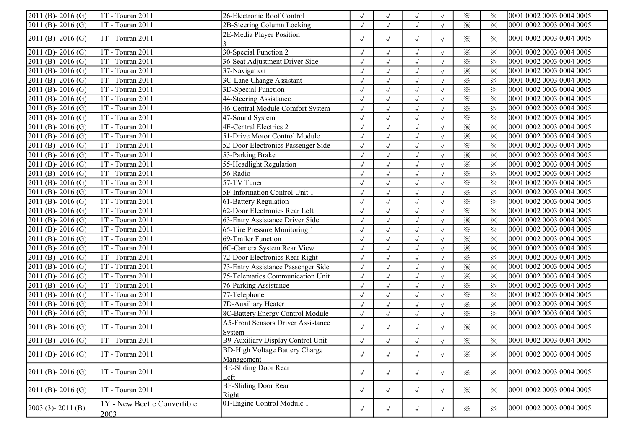| $2011$ (B) - 2016 (G)            | 1T - Touran 2011                    | 26-Electronic Roof Control                          |            |                      | $\sqrt{}$    |            | $\times$                | $\times$ | 0001 0002 0003 0004 0005 |
|----------------------------------|-------------------------------------|-----------------------------------------------------|------------|----------------------|--------------|------------|-------------------------|----------|--------------------------|
| 2011 (B) - 2016 (G)              | 1T - Touran 2011                    | 2B-Steering Column Locking                          | $\sqrt{ }$ |                      | $\sqrt{}$    |            | $\times$                | $\times$ | 0001 0002 0003 0004 0005 |
| 2011 (B) - 2016 (G)              | 1T - Touran 2011                    | 2E-Media Player Position                            | $\sqrt{ }$ | $\sqrt{ }$           | $\sqrt{}$    | $\sqrt{ }$ | $\times$                | $\times$ | 0001 0002 0003 0004 0005 |
| $2011$ (B) - 2016 (G)            | 1T - Touran 2011                    | 30-Special Function 2                               | $\sqrt{}$  |                      | $\sqrt{}$    | $\sqrt{ }$ | $\times$                | $\times$ | 0001 0002 0003 0004 0005 |
| 2011 (B)-2016 (G)                | 1T - Touran 2011                    | 36-Seat Adjustment Driver Side                      | $\sqrt{ }$ | $\sqrt{ }$           | $\sqrt{ }$   | $\sqrt{ }$ | $\overline{\mathbf{x}}$ | $\times$ | 0001 0002 0003 0004 0005 |
| $\overline{2011}$ (B) - 2016 (G) | $1T - Touran 2011$                  | 37-Navigation                                       | $\sqrt{ }$ | $\sqrt{\phantom{a}}$ | $\sqrt{}$    | $\sqrt{ }$ | $\times$                | $\times$ | 0001 0002 0003 0004 0005 |
| $\overline{2011}$ (B) - 2016 (G) | 1T - Touran 2011                    | 3C-Lane Change Assistant                            | $\sqrt{ }$ | $\sqrt{ }$           | $\sqrt{}$    | $\sqrt{ }$ | $\times$                | $\times$ | 0001 0002 0003 0004 0005 |
| $\overline{2011}$ (B) - 2016 (G) | 1T - Touran 2011                    | 3D-Special Function                                 | $\sqrt{}$  | $\sqrt{ }$           | $\sqrt{ }$   | $\sqrt{ }$ | $\overline{\mathbf{x}}$ | $\times$ | 0001 0002 0003 0004 0005 |
| $2011$ (B) - 2016 (G)            | 1T - Touran 2011                    | 44-Steering Assistance                              |            |                      | $\sqrt{}$    |            | $\times$                | $\times$ | 0001 0002 0003 0004 0005 |
| $\overline{2011}$ (B) - 2016 (G) | 1T - Touran 2011                    | 46-Central Module Comfort System                    | $\sqrt{ }$ |                      | $\sqrt{ }$   |            | $\times$                | $\times$ | 0001 0002 0003 0004 0005 |
| $\overline{2011(B)}$ - 2016 (G)  | 1T - Touran 2011                    | 47-Sound System                                     | $\sqrt{}$  | $\sqrt{ }$           | $\sqrt{}$    | $\sqrt{ }$ | $\overline{\mathbf{x}}$ | $\times$ | 0001 0002 0003 0004 0005 |
| 2011 (B) - 2016 (G)              | 1T - Touran 2011                    | 4F-Central Electrics 2                              | $\sqrt{ }$ | $\sqrt{\phantom{a}}$ | $\sqrt{}$    | $\sqrt{ }$ | $\times$                | $\times$ | 0001 0002 0003 0004 0005 |
| 2011 (B)-2016 (G)                | 1T - Touran 2011                    | 51-Drive Motor Control Module                       | $\sqrt{ }$ | $\sqrt{}$            | $\sqrt{}$    | $\sqrt{ }$ | $\times$                | $\times$ | 0001 0002 0003 0004 0005 |
| $2011$ (B) - 2016 (G)            | 1T - Touran 2011                    | 52-Door Electronics Passenger Side                  | $\sqrt{ }$ | $\checkmark$         | $\checkmark$ | $\sqrt{ }$ | $\overline{\mathbf{x}}$ | $\times$ | 0001 0002 0003 0004 0005 |
| 2011 (B)-2016 (G)                | 1T - Touran 2011                    | 53-Parking Brake                                    | $\sqrt{ }$ | $\sqrt{}$            | $\sqrt{ }$   | $\sqrt{ }$ | $\times$                | $\times$ | 0001 0002 0003 0004 0005 |
| 2011 (B)-2016 (G)                | 1T - Touran 2011                    | 55-Headlight Regulation                             | $\sqrt{ }$ |                      | $\sqrt{ }$   |            | $\times$                | $\times$ | 0001 0002 0003 0004 0005 |
| $\overline{2011}$ (B) - 2016 (G) | 1T - Touran 2011                    | 56-Radio                                            | $\sqrt{}$  | $\sqrt{ }$           | $\sqrt{ }$   |            | $\times$                | $\times$ | 0001 0002 0003 0004 0005 |
| 2011 (B)-2016 (G)                | 1T - Touran 2011                    | 57-TV Tuner                                         | $\sqrt{ }$ | $\sqrt{ }$           | $\sqrt{ }$   |            | $\times$                | $\times$ | 0001 0002 0003 0004 0005 |
| 2011 (B)-2016 (G)                | 1T - Touran 2011                    | 5F-Information Control Unit 1                       | $\sqrt{}$  | $\sqrt{ }$           | $\sqrt{}$    |            | $\times$                | $\times$ | 0001 0002 0003 0004 0005 |
| $\overline{2011}$ (B) - 2016 (G) | 1T - Touran 2011                    | 61-Battery Regulation                               | $\sqrt{ }$ | $\sqrt{ }$           | $\sqrt{ }$   | $\sqrt{ }$ | $\times$                | $\times$ | 0001 0002 0003 0004 0005 |
| $\overline{2011}$ (B) - 2016 (G) | 1T - Touran 2011                    | 62-Door Electronics Rear Left                       | $\sqrt{ }$ | $\sqrt{ }$           | $\sqrt{}$    |            | $\times$                | $\times$ | 0001 0002 0003 0004 0005 |
| $\overline{2011}$ (B) - 2016 (G) | 1T - Touran 2011                    | 63-Entry Assistance Driver Side                     |            |                      | $\sqrt{ }$   |            | $\times$                | $\times$ | 0001 0002 0003 0004 0005 |
| $2011$ (B) - 2016 (G)            | 1T - Touran 2011                    | 65-Tire Pressure Monitoring 1                       | $\sqrt{2}$ | $\sqrt{ }$           | $\sqrt{}$    | $\sqrt{ }$ | $\times$                | $\times$ | 0001 0002 0003 0004 0005 |
| $2011$ (B) - 2016 (G)            | 1T - Touran 2011                    | 69-Trailer Function                                 | $\sqrt{}$  | $\sqrt{ }$           | $\sqrt{}$    | $\sqrt{ }$ | $\times$                | $\times$ | 0001 0002 0003 0004 0005 |
| 2011 (B) - 2016 (G)              | $1T - T$ ouran 2011                 | 6C-Camera System Rear View                          | $\sqrt{}$  | $\sqrt{ }$           | $\sqrt{}$    | $\sqrt{ }$ | $\times$                | $\times$ | 0001 0002 0003 0004 0005 |
| 2011 (B)-2016 (G)                | $1T - Touran 2011$                  | 72-Door Electronics Rear Right                      | $\sqrt{2}$ | $\sqrt{ }$           | $\sqrt{ }$   | $\sqrt{ }$ | $\times$                | $\times$ | 0001 0002 0003 0004 0005 |
| 2011 (B)-2016 (G)                | 1T - Touran 2011                    | 73-Entry Assistance Passenger Side                  | $\sqrt{2}$ | $\sqrt{2}$           | $\sqrt{ }$   | $\sqrt{ }$ | $\times$                | $\times$ | 0001 0002 0003 0004 0005 |
| 2011 (B) - 2016 (G)              | 1T - Touran 2011                    | 75-Telematics Communication Unit                    | $\sqrt{ }$ |                      | $\sqrt{ }$   | $\sqrt{ }$ | $\overline{\mathbf{x}}$ | $\times$ | 0001 0002 0003 0004 0005 |
| 2011 (B) - 2016 (G)              | 1T - Touran 2011                    | 76-Parking Assistance                               | $\sqrt{}$  |                      | $\sqrt{}$    | $\sqrt{ }$ | $\overline{\mathbf{x}}$ | $\times$ | 0001 0002 0003 0004 0005 |
| 2011 (B)-2016 (G)                | 1T - Touran 2011                    | 77-Telephone                                        | $\sqrt{}$  | $\sqrt{}$            | $\sqrt{ }$   |            | $\times$                | $\times$ | 0001 0002 0003 0004 0005 |
| $\overline{2011}$ (B) - 2016 (G) | $1T - Touran 2011$                  | 7D-Auxiliary Heater                                 | $\sqrt{}$  | $\sqrt{\phantom{a}}$ | $\sqrt{}$    | $\sqrt{ }$ | $\times$                | $\times$ | 0001 0002 0003 0004 0005 |
| $2011$ (B) - 2016 (G)            | 1T - Touran 2011                    | 8C-Battery Energy Control Module                    | $\sqrt{}$  | $\sqrt{ }$           | $\sqrt{ }$   | $\sqrt{ }$ | $\times$                | $\times$ | 0001 0002 0003 0004 0005 |
| $2011$ (B) - 2016 (G)            | 1T - Touran 2011                    | <b>A5-Front Sensors Driver Assistance</b><br>System | $\sqrt{ }$ | $\sqrt{ }$           | $\sqrt{ }$   | $\sqrt{ }$ | $\times$                | $\times$ | 0001 0002 0003 0004 0005 |
| $2011$ (B) - 2016 (G)            | 1T - Touran 2011                    | B9-Auxiliary Display Control Unit                   | $\sqrt{2}$ | $\sqrt{ }$           | $\sqrt{}$    |            | $\times$                | $\times$ | 0001 0002 0003 0004 0005 |
|                                  |                                     | <b>BD-High Voltage Battery Charge</b>               |            |                      |              |            |                         |          |                          |
| $2011$ (B) - 2016 (G)            | 1T - Touran 2011                    | Management                                          | $\sqrt{ }$ | $\sqrt{ }$           | $\sqrt{ }$   | $\sqrt{ }$ | $\times$                | ⋇        | 0001 0002 0003 0004 0005 |
| $2011$ (B) - 2016 (G)            | 1T - Touran 2011                    | <b>BE-Sliding Door Rear</b><br>Left                 | $\sqrt{ }$ | $\sqrt{ }$           | $\sqrt{ }$   | $\sqrt{ }$ | $\times$                | $\times$ | 0001 0002 0003 0004 0005 |
| $2011$ (B) - 2016 (G)            | 1T - Touran 2011                    | <b>BF-Sliding Door Rear</b><br>Right                | $\sqrt{ }$ | $\sqrt{ }$           | $\sqrt{ }$   | $\sqrt{ }$ | $\times$                | $\times$ | 0001 0002 0003 0004 0005 |
| $[2003 (3) - 2011 (B)]$          | 1Y - New Beetle Convertible<br>2003 | 01-Engine Control Module 1                          | $\sqrt{ }$ | $\sqrt{ }$           | $\sqrt{ }$   | $\sqrt{ }$ | $\times$                | $\times$ | 0001 0002 0003 0004 0005 |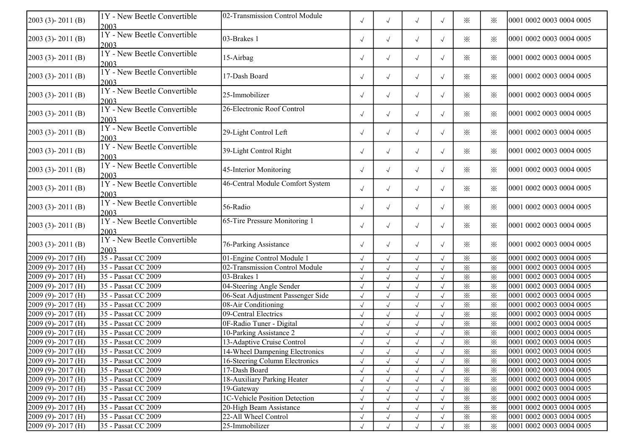| 2003 (3)-2011 (B)       | 1Y - New Beetle Convertible<br>2003 | 02-Transmission Control Module    | $\sqrt{ }$ | $\sqrt{ }$ | $\sqrt{ }$   | $\sqrt{ }$ | ※                       | $\times$                | 0001 0002 0003 0004 0005 |
|-------------------------|-------------------------------------|-----------------------------------|------------|------------|--------------|------------|-------------------------|-------------------------|--------------------------|
| $2003$ (3) - $2011$ (B) | 1Y - New Beetle Convertible<br>2003 | 03-Brakes 1                       | $\sqrt{ }$ | $\sqrt{}$  | $\sqrt{ }$   | $\sqrt{ }$ | ✕                       | $\times$                | 0001 0002 0003 0004 0005 |
| $2003$ (3) - $2011$ (B) | 1Y - New Beetle Convertible<br>2003 | 15-Airbag                         | $\sqrt{ }$ | $\sqrt{ }$ | $\sqrt{ }$   | $\sqrt{ }$ | ✕                       | $\times$                | 0001 0002 0003 0004 0005 |
| $2003$ (3) - $2011$ (B) | 1Y - New Beetle Convertible<br>2003 | 17-Dash Board                     | $\sqrt{ }$ | $\sqrt{ }$ | $\sqrt{ }$   | $\sqrt{ }$ | ⋇                       | $\times$                | 0001 0002 0003 0004 0005 |
| $2003$ (3) - $2011$ (B) | 1Y - New Beetle Convertible<br>2003 | 25-Immobilizer                    | $\sqrt{ }$ | $\sqrt{ }$ | $\sqrt{ }$   | $\sqrt{ }$ | ⋇                       | $\times$                | 0001 0002 0003 0004 0005 |
| $2003$ (3) - $2011$ (B) | 1Y - New Beetle Convertible<br>2003 | 26-Electronic Roof Control        | $\sqrt{ }$ | $\sqrt{ }$ | $\sqrt{ }$   | $\sqrt{ }$ | ⋇                       | $\times$                | 0001 0002 0003 0004 0005 |
| $2003$ (3) - $2011$ (B) | 1Y - New Beetle Convertible<br>2003 | 29-Light Control Left             | $\sqrt{ }$ | $\sqrt{ }$ | $\sqrt{ }$   | $\sqrt{ }$ | ⋇                       | $\times$                | 0001 0002 0003 0004 0005 |
| $2003$ (3) - $2011$ (B) | 1Y - New Beetle Convertible<br>2003 | 39-Light Control Right            | $\sqrt{ }$ | $\sqrt{}$  | $\sqrt{ }$   | $\sqrt{ }$ | $\times$                | $\times$                | 0001 0002 0003 0004 0005 |
| $2003$ (3) - $2011$ (B) | 1Y - New Beetle Convertible<br>2003 | 45-Interior Monitoring            | $\sqrt{ }$ | $\sqrt{ }$ | $\sqrt{ }$   | $\sqrt{ }$ | $\times$                | $\times$                | 0001 0002 0003 0004 0005 |
| $2003$ (3) - $2011$ (B) | 1Y - New Beetle Convertible<br>2003 | 46-Central Module Comfort System  | $\sqrt{ }$ | $\sqrt{ }$ | $\sqrt{ }$   | $\sqrt{ }$ | ⋇                       | $\times$                | 0001 0002 0003 0004 0005 |
| $2003$ (3) - $2011$ (B) | 1Y - New Beetle Convertible<br>2003 | 56-Radio                          | $\sqrt{ }$ | $\sqrt{ }$ | $\sqrt{ }$   | $\sqrt{ }$ | ⋇                       | $\times$                | 0001 0002 0003 0004 0005 |
| 2003 (3)-2011 (B)       | 1Y - New Beetle Convertible<br>2003 | 65-Tire Pressure Monitoring 1     | $\sqrt{ }$ | $\sqrt{ }$ | $\sqrt{ }$   | $\sqrt{ }$ | ⋇                       | $\times$                | 0001 0002 0003 0004 0005 |
| $2003$ (3) - $2011$ (B) | 1Y - New Beetle Convertible<br>2003 | 76-Parking Assistance             | $\sqrt{ }$ | $\sqrt{ }$ | $\sqrt{ }$   | $\sqrt{ }$ | $\times$                | $\times$                | 0001 0002 0003 0004 0005 |
| 2009 (9)-2017 (H)       | 35 - Passat CC 2009                 | 01-Engine Control Module 1        | $\sqrt{ }$ | $\sqrt{ }$ | $\sqrt{ }$   | $\sqrt{ }$ | $\times$                | $\times$                | 0001 0002 0003 0004 0005 |
| 2009 (9)-2017 (H)       | 35 - Passat CC 2009                 | 02-Transmission Control Module    | $\sqrt{ }$ | $\sqrt{}$  | $\sqrt{ }$   |            | $\times$                | $\times$                | 0001 0002 0003 0004 0005 |
| 2009 (9)-2017 (H)       | 35 - Passat CC 2009                 | 03-Brakes 1                       | $\sqrt{ }$ | $\sqrt{}$  | $\sqrt{ }$   |            | $\times$                | $\times$                | 0001 0002 0003 0004 0005 |
| 2009 (9)-2017 (H)       | 35 - Passat CC 2009                 | 04-Steering Angle Sender          | $\sqrt{}$  | $\sqrt{}$  | $\checkmark$ |            | $\times$                | $\times$                | 0001 0002 0003 0004 0005 |
| 2009 (9)-2017 (H)       | 35 - Passat CC 2009                 | 06-Seat Adjustment Passenger Side |            |            | $\sqrt{ }$   |            | $\times$                | $\times$                | 0001 0002 0003 0004 0005 |
| 2009 (9)-2017 (H)       | 35 - Passat CC 2009                 | 08-Air Conditioning               | $\sqrt{ }$ |            | $\sqrt{ }$   |            | $\times$                | $\times$                | 0001 0002 0003 0004 0005 |
| 2009 (9)-2017 (H)       | 35 - Passat CC 2009                 | 09-Central Electrics              | $\sqrt{ }$ | $\sqrt{}$  | $\sqrt{ }$   |            | $\overline{\mathbf{x}}$ | $\overline{\mathbf{x}}$ | 0001 0002 0003 0004 0005 |
| 2009 (9)-2017 (H)       | 35 - Passat CC 2009                 | 0F-Radio Tuner - Digital          | $\sqrt{ }$ | $\sqrt{ }$ | $\sqrt{ }$   |            | $\times$                | $\times$                | 0001 0002 0003 0004 0005 |
| 2009 (9)-2017 (H)       | 35 - Passat CC 2009                 | 10-Parking Assistance 2           |            |            |              |            | $\times$                | $\times$                | 0001 0002 0003 0004 0005 |
| $2009(9) - 2017(H)$     | 35 - Passat CC 2009                 | 13-Adaptive Cruise Control        | $\sqrt{ }$ | $\sqrt{ }$ | $\sqrt{ }$   |            | $\times$                | $\overline{\mathbb{X}}$ | 0001 0002 0003 0004 0005 |
| $2009(9) - 2017(H)$     | 35 - Passat CC 2009                 | 14-Wheel Dampening Electronics    | $\sqrt{ }$ | $\sqrt{}$  | $\sqrt{ }$   |            | $\times$                | $\times$                | 0001 0002 0003 0004 0005 |
| $2009(9) - 2017(H)$     | 35 - Passat CC 2009                 | 16-Steering Column Electronics    |            |            | $\sqrt{ }$   |            | $\times$                | $\times$                | 0001 0002 0003 0004 0005 |
| $2009(9) - 2017(H)$     | 35 - Passat CC 2009                 | 17-Dash Board                     | $\sqrt{ }$ | $\sqrt{ }$ | $\sqrt{ }$   | $\sqrt{ }$ | $\times$                | $\times$                | 0001 0002 0003 0004 0005 |
| $2009(9) - 2017(H)$     | 35 - Passat CC 2009                 | 18-Auxiliary Parking Heater       | $\sqrt{ }$ |            | $\sqrt{ }$   |            | ⋇                       | ⋇                       | 0001 0002 0003 0004 0005 |
| $2009(9) - 2017(H)$     | 35 - Passat CC 2009                 | 19-Gateway                        | $\sqrt{ }$ |            | $\sqrt{ }$   |            | $\times$                | $\times$                | 0001 0002 0003 0004 0005 |
| $2009(9) - 2017(H)$     | 35 - Passat CC 2009                 | 1C-Vehicle Position Detection     | $\sqrt{ }$ |            | $\sqrt{ }$   |            | $\times$                | $\times$                | 0001 0002 0003 0004 0005 |
| $2009(9) - 2017(H)$     | 35 - Passat CC 2009                 | 20-High Beam Assistance           | $\sqrt{ }$ |            | $\sqrt{ }$   |            | $\times$                | $\times$                | 0001 0002 0003 0004 0005 |
| $2009(9) - 2017(H)$     | 35 - Passat CC 2009                 | 22-All Wheel Control              |            |            | $\sqrt{ }$   |            | $\times$                | $\times$                | 0001 0002 0003 0004 0005 |
| $2009(9) - 2017(H)$     | 35 - Passat CC 2009                 | 25-Immobilizer                    | $\sqrt{ }$ | $\sqrt{ }$ | $\sqrt{ }$   | $\sqrt{ }$ | $\times$                | $\times$                | 0001 0002 0003 0004 0005 |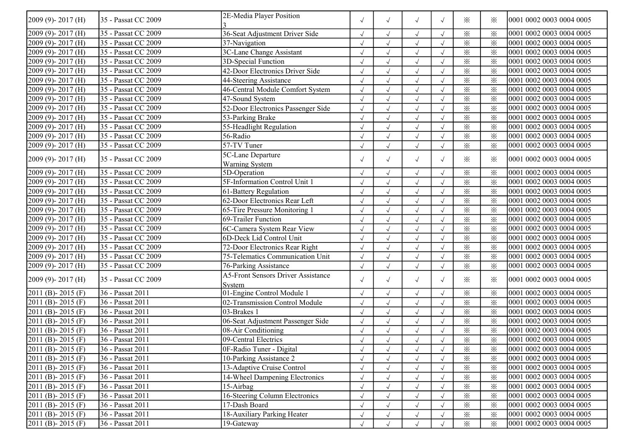| 2009 (9)-2017 (H)     | 35 - Passat CC 2009 | 2E-Media Player Position                            | $\sqrt{ }$ | $\sqrt{ }$ | $\sqrt{ }$ | $\sqrt{ }$ | $\times$                | $\times$ | 0001 0002 0003 0004 0005 |
|-----------------------|---------------------|-----------------------------------------------------|------------|------------|------------|------------|-------------------------|----------|--------------------------|
| 2009 (9)-2017 (H)     | 35 - Passat CC 2009 | 36-Seat Adjustment Driver Side                      |            |            | $\sqrt{ }$ | $\sqrt{ }$ | $\times$                | $\times$ | 0001 0002 0003 0004 0005 |
| 2009 (9)-2017 (H)     | 35 - Passat CC 2009 | 37-Navigation                                       | $\sqrt{ }$ |            | $\sqrt{ }$ |            | $\times$                | $\times$ | 0001 0002 0003 0004 0005 |
| $2009(9) - 2017(H)$   | 35 - Passat CC 2009 | 3C-Lane Change Assistant                            | $\sqrt{ }$ | $\sqrt{ }$ | $\sqrt{ }$ | $\sqrt{ }$ | $\times$                | $\times$ | 0001 0002 0003 0004 0005 |
| 2009 (9)-2017 (H)     | 35 - Passat CC 2009 | 3D-Special Function                                 | $\sqrt{ }$ | $\sqrt{ }$ | $\sqrt{ }$ | $\sqrt{ }$ | $\times$                | $\times$ | 0001 0002 0003 0004 0005 |
| 2009 (9)-2017 (H)     | 35 - Passat CC 2009 | 42-Door Electronics Driver Side                     | $\sqrt{ }$ | $\sqrt{ }$ | $\sqrt{ }$ | $\sqrt{ }$ | $\times$                | $\times$ | 0001 0002 0003 0004 0005 |
| 2009 (9)-2017 (H)     | 35 - Passat CC 2009 | 44-Steering Assistance                              | $\sqrt{}$  | $\sqrt{ }$ | $\sqrt{2}$ | $\sqrt{ }$ | $\times$                | $\times$ | 0001 0002 0003 0004 0005 |
| 2009 (9)-2017 (H)     | 35 - Passat CC 2009 | 46-Central Module Comfort System                    | $\sqrt{}$  | $\sqrt{}$  | $\sqrt{ }$ |            | $\times$                | $\times$ | 0001 0002 0003 0004 0005 |
| 2009 (9)-2017 (H)     | 35 - Passat CC 2009 | 47-Sound System                                     | $\sqrt{ }$ |            | $\sqrt{ }$ |            | $\times$                | $\times$ | 0001 0002 0003 0004 0005 |
| 2009 (9)-2017 (H)     | 35 - Passat CC 2009 | 52-Door Electronics Passenger Side                  | $\sqrt{}$  | $\sqrt{ }$ | $\sqrt{ }$ | $\sqrt{ }$ | $\times$                | $\times$ | 0001 0002 0003 0004 0005 |
| 2009 (9)-2017 (H)     | 35 - Passat CC 2009 | 53-Parking Brake                                    | $\sqrt{}$  | $\sqrt{ }$ | $\sqrt{ }$ | $\sqrt{ }$ | $\times$                | $\times$ | 0001 0002 0003 0004 0005 |
| 2009 (9)-2017 (H)     | 35 - Passat CC 2009 | 55-Headlight Regulation                             | $\sqrt{ }$ | $\sqrt{ }$ | $\sqrt{ }$ | $\sqrt{ }$ | $\times$                | $\times$ | 0001 0002 0003 0004 0005 |
| 2009 (9)-2017 (H)     | 35 - Passat CC 2009 | 56-Radio                                            | $\sqrt{ }$ | $\sqrt{ }$ | $\sqrt{ }$ | $\sqrt{ }$ | $\times$                | $\times$ | 0001 0002 0003 0004 0005 |
| 2009 (9)-2017 (H)     | 35 - Passat CC 2009 | 57-TV Tuner                                         | $\sqrt{}$  | $\sqrt{}$  | $\sqrt{}$  |            | $\times$                | $\times$ | 0001 0002 0003 0004 0005 |
| 2009 (9)-2017 (H)     | 35 - Passat CC 2009 | 5C-Lane Departure                                   |            |            |            |            |                         |          | 0001 0002 0003 0004 0005 |
|                       |                     | <b>Warning System</b>                               | $\sqrt{ }$ | $\sqrt{ }$ | $\sqrt{ }$ | $\sqrt{ }$ | $\times$                | $\times$ |                          |
| 2009 (9)-2017 (H)     | 35 - Passat CC 2009 | 5D-Operation                                        |            |            | $\sqrt{ }$ | $\sqrt{ }$ | $\times$                | $\times$ | 0001 0002 0003 0004 0005 |
| 2009 (9)-2017 (H)     | 35 - Passat CC 2009 | 5F-Information Control Unit 1                       | $\sqrt{}$  |            | $\sqrt{ }$ | $\sqrt{ }$ | $\times$                | $\times$ | 0001 0002 0003 0004 0005 |
| 2009 (9)-2017 (H)     | 35 - Passat CC 2009 | 61-Battery Regulation                               | $\sqrt{}$  |            | $\sqrt{ }$ |            | $\times$                | $\times$ | 0001 0002 0003 0004 0005 |
| 2009 (9)-2017 (H)     | 35 - Passat CC 2009 | 62-Door Electronics Rear Left                       | $\sqrt{ }$ | $\sqrt{}$  | $\sqrt{ }$ | $\sqrt{ }$ | $\times$                | $\times$ | 0001 0002 0003 0004 0005 |
| $2009(9) - 2017(H)$   | 35 - Passat CC 2009 | 65-Tire Pressure Monitoring 1                       | $\sqrt{}$  | $\sqrt{ }$ | $\sqrt{}$  | $\sqrt{ }$ | $\times$                | $\times$ | 0001 0002 0003 0004 0005 |
| 2009 (9)-2017 (H)     | 35 - Passat CC 2009 | 69-Trailer Function                                 | $\sqrt{ }$ | $\sqrt{ }$ | $\sqrt{}$  |            | $\times$                | $\times$ | 0001 0002 0003 0004 0005 |
| 2009 (9)-2017 (H)     | 35 - Passat CC 2009 | 6C-Camera System Rear View                          |            |            | $\sqrt{ }$ |            | $\times$                | $\times$ | 0001 0002 0003 0004 0005 |
| 2009 (9)-2017 (H)     | 35 - Passat CC 2009 | 6D-Deck Lid Control Unit                            | $\sqrt{}$  |            | $\sqrt{ }$ | $\sqrt{ }$ | $\times$                | $\times$ | 0001 0002 0003 0004 0005 |
| 2009 (9)-2017 (H)     | 35 - Passat CC 2009 | 72-Door Electronics Rear Right                      | $\sqrt{2}$ | $\sqrt{ }$ | $\sqrt{ }$ | $\sqrt{ }$ | $\overline{\mathbf{x}}$ | $\times$ | 0001 0002 0003 0004 0005 |
| 2009 (9)-2017 (H)     | 35 - Passat CC 2009 | 75-Telematics Communication Unit                    | $\sqrt{2}$ | $\sqrt{}$  | $\sqrt{}$  | $\sqrt{ }$ | $\times$                | $\times$ | 0001 0002 0003 0004 0005 |
| $2009(9) - 2017(H)$   | 35 - Passat CC 2009 | 76-Parking Assistance                               | $\sqrt{}$  | $\sqrt{}$  | $\sqrt{}$  | $\sqrt{ }$ | $\times$                | $\times$ | 0001 0002 0003 0004 0005 |
| 2009 (9)-2017 (H)     | 35 - Passat CC 2009 | <b>A5-Front Sensors Driver Assistance</b><br>System | $\sqrt{ }$ | $\sqrt{ }$ | $\sqrt{ }$ | $\sqrt{ }$ | $\times$                | $\times$ | 0001 0002 0003 0004 0005 |
| 2011 (B)-2015 (F)     | 36 - Passat 2011    | 01-Engine Control Module 1                          | $\sqrt{2}$ | $\sqrt{ }$ | $\sqrt{ }$ | $\sqrt{ }$ | $\times$                | $\times$ | 0001 0002 0003 0004 0005 |
| 2011 (B)-2015 (F)     | 36 - Passat 2011    | 02-Transmission Control Module                      | $\sqrt{2}$ | $\sqrt{}$  | $\sqrt{}$  | $\sqrt{ }$ | $\times$                | $\times$ | 0001 0002 0003 0004 0005 |
| 2011 (B)-2015 (F)     | 36 - Passat 2011    | 03-Brakes 1                                         | $\sqrt{ }$ |            | $\sqrt{ }$ | $\sqrt{ }$ | $\times$                | $\times$ | 0001 0002 0003 0004 0005 |
| 2011 (B)-2015 (F)     | 36 - Passat 2011    | 06-Seat Adjustment Passenger Side                   | $\sqrt{}$  | $\sqrt{ }$ | $\sqrt{ }$ | $\sqrt{ }$ | $\times$                | $\times$ | 0001 0002 0003 0004 0005 |
| 2011 (B)-2015 (F)     | 36 - Passat 2011    | 08-Air Conditioning                                 | $\sqrt{ }$ | $\sqrt{ }$ | $\sqrt{ }$ |            | $\times$                | $\times$ | 0001 0002 0003 0004 0005 |
| 2011 (B) - 2015 (F)   | 36 - Passat 2011    | 09-Central Electrics                                | $\sqrt{}$  | $\sqrt{ }$ | $\sqrt{}$  | $\sqrt{ }$ | $\times$                | $\times$ | 0001 0002 0003 0004 0005 |
| $2011$ (B) - 2015 (F) | 36 - Passat 2011    | 0F-Radio Tuner - Digital                            | $\sqrt{ }$ | $\sqrt{ }$ | $\sqrt{ }$ | $\sqrt{ }$ | $\times$                | ⋇        | 0001 0002 0003 0004 0005 |
| $2011$ (B) - 2015 (F) | 36 - Passat 2011    | 10-Parking Assistance 2                             | $\sqrt{}$  |            | $\sqrt{ }$ |            | $\times$                | $\times$ | 0001 0002 0003 0004 0005 |
| $2011$ (B) - 2015 (F) | 36 - Passat 2011    | 13-Adaptive Cruise Control                          |            |            | $\sqrt{ }$ | $\sqrt{ }$ | $\times$                | $\times$ | 0001 0002 0003 0004 0005 |
| $2011$ (B) - 2015 (F) | 36 - Passat 2011    | 14-Wheel Dampening Electronics                      |            |            | $\sqrt{ }$ | $\sqrt{ }$ | $\times$                | $\times$ | 0001 0002 0003 0004 0005 |
| 2011 (B) - 2015 (F)   | 36 - Passat 2011    | 15-Airbag                                           | $\sqrt{}$  |            | $\sqrt{ }$ | $\sqrt{ }$ | $\times$                | $\times$ | 0001 0002 0003 0004 0005 |
| 2011 (B) - 2015 (F)   | 36 - Passat 2011    | 16-Steering Column Electronics                      | $\sqrt{}$  |            | $\sqrt{ }$ | $\sqrt{ }$ | $\times$                | $\times$ | 0001 0002 0003 0004 0005 |
| 2011 (B) - 2015 (F)   | 36 - Passat 2011    | 17-Dash Board                                       | $\sqrt{}$  |            | $\sqrt{ }$ | $\sqrt{ }$ | $\times$                | $\times$ | 0001 0002 0003 0004 0005 |
| 2011 (B) - 2015 (F)   | 36 - Passat 2011    | 18-Auxiliary Parking Heater                         |            |            | $\sqrt{ }$ |            | $\times$                | $\times$ | 0001 0002 0003 0004 0005 |
| 2011 (B) - 2015 (F)   | 36 - Passat 2011    | 19-Gateway                                          |            |            | $\sqrt{ }$ |            | $\times$                | $\times$ | 0001 0002 0003 0004 0005 |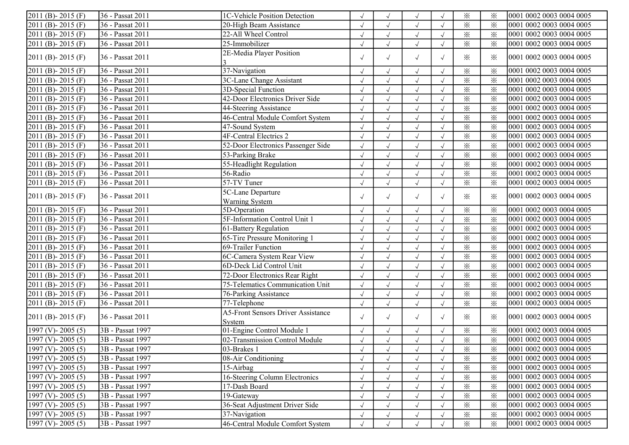| 2011 (B)-2015 (F)                | 36 - Passat 2011 | 1C-Vehicle Position Detection                       |            |                      | $\sqrt{ }$            |            | $\times$                | $\times$ | 0001 0002 0003 0004 0005 |
|----------------------------------|------------------|-----------------------------------------------------|------------|----------------------|-----------------------|------------|-------------------------|----------|--------------------------|
| 2011 (B) - 2015 (F)              | 36 - Passat 2011 | 20-High Beam Assistance                             |            |                      | $\sqrt{}$             | $\sqrt{ }$ | $\times$                | $\times$ | 0001 0002 0003 0004 0005 |
| 2011 (B)-2015 (F)                | 36 - Passat 2011 | 22-All Wheel Control                                | $\sqrt{}$  | $\sqrt{ }$           | $\sqrt{}$             | $\sqrt{ }$ | $\overline{\mathbf{x}}$ | $\times$ | 0001 0002 0003 0004 0005 |
| 2011 (B) - 2015 (F)              | 36 - Passat 2011 | 25-Immobilizer                                      | $\sqrt{ }$ | $\sqrt{ }$           | $\sqrt{ }$            | $\sqrt{ }$ | $\times$                | $\times$ | 0001 0002 0003 0004 0005 |
| 2011 (B) - 2015 (F)              | 36 - Passat 2011 | 2E-Media Player Position                            | $\sqrt{ }$ | $\sqrt{ }$           | $\sqrt{ }$            | $\sqrt{ }$ | $\times$                | $\times$ | 0001 0002 0003 0004 0005 |
| 2011 (B)-2015 (F)                | 36 - Passat 2011 | 37-Navigation                                       | $\sqrt{}$  | $\sqrt{ }$           | $\sqrt{}$             | $\sqrt{ }$ | $\times$                | $\times$ | 0001 0002 0003 0004 0005 |
| 2011 (B)-2015 (F)                | 36 - Passat 2011 | 3C-Lane Change Assistant                            | $\sqrt{ }$ | $\sqrt{ }$           | $\sqrt{ }$            | $\sqrt{ }$ | $\times$                | $\times$ | 0001 0002 0003 0004 0005 |
| 2011 (B)-2015 (F)                | 36 - Passat 2011 | 3D-Special Function                                 | $\sqrt{2}$ | $\sqrt{}$            | $\checkmark$          | $\sqrt{ }$ | $\times$                | $\times$ | 0001 0002 0003 0004 0005 |
| 2011 (B)-2015 (F)                | 36 - Passat 2011 | 42-Door Electronics Driver Side                     |            |                      | $\sqrt{}$             |            | $\times$                | $\times$ | 0001 0002 0003 0004 0005 |
| 2011 (B)-2015 (F)                | 36 - Passat 2011 | 44-Steering Assistance                              |            |                      | $\sqrt{ }$            |            | $\times$                | $\times$ | 0001 0002 0003 0004 0005 |
| 2011 (B)-2015 (F)                | 36 - Passat 2011 | 46-Central Module Comfort System                    | $\sqrt{}$  | $\sqrt{ }$           | $\sqrt{ }$            | $\sqrt{ }$ | $\overline{\mathbb{X}}$ | $\times$ | 0001 0002 0003 0004 0005 |
| 2011 (B) - 2015 (F)              | 36 - Passat 2011 | 47-Sound System                                     | $\sqrt{ }$ | $\sqrt{ }$           | $\sqrt{}$             | $\sqrt{ }$ | $\times$                | $\times$ | 0001 0002 0003 0004 0005 |
| 2011 (B)-2015 (F)                | 36 - Passat 2011 | <b>4F-Central Electrics 2</b>                       | $\sqrt{}$  | $\sqrt{ }$           | $\sqrt{}$             | $\sqrt{ }$ | $\times$                | $\times$ | 0001 0002 0003 0004 0005 |
| 2011 (B)-2015 (F)                | 36 - Passat 2011 | 52-Door Electronics Passenger Side                  | $\sqrt{2}$ | $\checkmark$         | $\overline{\sqrt{2}}$ | $\sqrt{ }$ | $\overline{\varkappa}$  | $\times$ | 0001 0002 0003 0004 0005 |
| 2011 (B)-2015 (F)                | 36 - Passat 2011 | 53-Parking Brake                                    | $\sqrt{}$  | $\sqrt{}$            | $\sqrt{}$             |            | $\times$                | $\times$ | 0001 0002 0003 0004 0005 |
| 2011 (B)-2015 (F)                | 36 - Passat 2011 | 55-Headlight Regulation                             | $\sqrt{ }$ |                      | $\sqrt{ }$            |            | $\times$                | $\times$ | 0001 0002 0003 0004 0005 |
| 2011 (B)-2015 (F)                | 36 - Passat 2011 | 56-Radio                                            | $\sqrt{}$  | $\sqrt{ }$           | $\sqrt{ }$            | $\sqrt{ }$ | $\times$                | $\times$ | 0001 0002 0003 0004 0005 |
| 2011 (B) - 2015 (F)              | 36 - Passat 2011 | $\overline{57}$ -TV Tuner                           | $\sqrt{2}$ | $\sqrt{ }$           | $\sqrt{ }$            | $\sqrt{ }$ | $\times$                | $\times$ | 0001 0002 0003 0004 0005 |
| 2011 (B) - 2015 (F)              | 36 - Passat 2011 | 5C-Lane Departure<br><b>Warning System</b>          | $\sqrt{ }$ | $\sqrt{ }$           | $\sqrt{ }$            | $\sqrt{ }$ | $\times$                | ⋇        | 0001 0002 0003 0004 0005 |
| 2011 (B)-2015 (F)                | 36 - Passat 2011 | 5D-Operation                                        | $\sqrt{ }$ | $\sqrt{ }$           | $\sqrt{ }$            | $\sqrt{ }$ | $\times$                | $\times$ | 0001 0002 0003 0004 0005 |
| 2011 (B)-2015 (F)                | 36 - Passat 2011 | 5F-Information Control Unit 1                       | $\sqrt{2}$ | $\sqrt{ }$           | $\sqrt{ }$            |            | $\times$                | $\times$ | 0001 0002 0003 0004 0005 |
| 2011 (B)-2015 (F)                | 36 - Passat 2011 | 61-Battery Regulation                               | $\sqrt{ }$ | $\checkmark$         | $\sqrt{}$             | $\sqrt{ }$ | $\times$                | $\times$ | 0001 0002 0003 0004 0005 |
| 2011 (B)-2015 (F)                | 36 - Passat 2011 | 65-Tire Pressure Monitoring 1                       |            | $\sqrt{ }$           | $\sqrt{ }$            | $\sqrt{ }$ | $\times$                | $\times$ | 0001 0002 0003 0004 0005 |
| 2011 (B) - 2015 (F)              | 36 - Passat 2011 | 69-Trailer Function                                 | $\sqrt{ }$ | $\sqrt{\phantom{a}}$ | $\sqrt{ }$            | $\sqrt{ }$ | $\times$                | $\times$ | 0001 0002 0003 0004 0005 |
| 2011 (B)-2015 (F)                | 36 - Passat 2011 | 6C-Camera System Rear View                          | $\sqrt{}$  | $\sqrt{ }$           | $\sqrt{ }$            | $\sqrt{ }$ | $\times$                | $\times$ | 0001 0002 0003 0004 0005 |
| 2011 (B)-2015 (F)                | 36 - Passat 2011 | 6D-Deck Lid Control Unit                            | $\sqrt{}$  | $\sqrt{ }$           | $\sqrt{ }$            | $\sqrt{ }$ | $\times$                | $\times$ | 0001 0002 0003 0004 0005 |
| $\overline{2011}$ (B) - 2015 (F) | 36 - Passat 2011 | 72-Door Electronics Rear Right                      | $\sqrt{}$  | $\sqrt{ }$           | $\sqrt{}$             | $\sqrt{ }$ | $\times$                | $\times$ | 0001 0002 0003 0004 0005 |
| 2011 (B)-2015 (F)                | 36 - Passat 2011 | 75-Telematics Communication Unit                    | $\sqrt{2}$ | $\checkmark$         | $\sqrt{ }$            | $\sqrt{ }$ | $\overline{\mathbf{x}}$ | $\times$ | 0001 0002 0003 0004 0005 |
| 2011 (B)-2015 (F)                | 36 - Passat 2011 | 76-Parking Assistance                               | $\sqrt{}$  |                      | $\sqrt{ }$            | $\sqrt{ }$ | $\times$                | $\times$ | 0001 0002 0003 0004 0005 |
| 2011 (B) - 2015 (F)              | 36 - Passat 2011 | 77-Telephone                                        | $\sqrt{}$  |                      | $\sqrt{}$             | $\sqrt{ }$ | $\times$                | $\times$ | 0001 0002 0003 0004 0005 |
| 2011 (B) - 2015 (F)              | 36 - Passat 2011 | <b>A5-Front Sensors Driver Assistance</b><br>System | $\sqrt{ }$ | $\sqrt{ }$           | $\sqrt{ }$            | $\sqrt{ }$ | $\times$                | $\times$ | 0001 0002 0003 0004 0005 |
| $\overline{1997}$ (V) - 2005 (5) | 3B - Passat 1997 | 01-Engine Control Module 1                          | $\sqrt{}$  | $\sqrt{ }$           | $\sqrt{ }$            | $\sqrt{ }$ | $\times$                | $\times$ | 0001 0002 0003 0004 0005 |
| 1997 (V)-2005 (5)                | 3B - Passat 1997 | 02-Transmission Control Module                      | $\sqrt{}$  |                      | $\sqrt{}$             | $\sqrt{ }$ | $\times$                | $\times$ | 0001 0002 0003 0004 0005 |
| 1997 (V) - 2005 (5)              | 3B - Passat 1997 | 03-Brakes 1                                         | $\sqrt{ }$ |                      | $\sqrt{ }$            | $\sqrt{ }$ | $\times$                | ⋇        | 0001 0002 0003 0004 0005 |
| 1997 (V) - 2005 (5)              | 3B - Passat 1997 | 08-Air Conditioning                                 | $\sqrt{2}$ | $\sqrt{ }$           | $\sqrt{}$             |            | $\times$                | $\times$ | 0001 0002 0003 0004 0005 |
| 1997 (V) - 2005 (5)              | 3B - Passat 1997 | 15-Airbag                                           | $\sqrt{}$  |                      | $\sqrt{ }$            | $\sqrt{ }$ | $\times$                | $\times$ | 0001 0002 0003 0004 0005 |
| 1997 (V) - 2005 (5)              | 3B - Passat 1997 | 16-Steering Column Electronics                      |            |                      |                       | $\sqrt{ }$ | $\times$                | $\times$ | 0001 0002 0003 0004 0005 |
| 1997 (V)-2005 (5)                | 3B - Passat 1997 | 17-Dash Board                                       | $\sqrt{}$  |                      | $\sqrt{}$             | $\sqrt{ }$ | $\times$                | $\times$ | 0001 0002 0003 0004 0005 |
| 1997 (V) - 2005 (5)              | 3B - Passat 1997 | 19-Gateway                                          | $\sqrt{ }$ | $\sqrt{ }$           | $\sqrt{ }$            | $\sqrt{ }$ | $\times$                | $\times$ | 0001 0002 0003 0004 0005 |
| 1997 (V) - 2005 (5)              | 3B - Passat 1997 | 36-Seat Adjustment Driver Side                      | $\sqrt{ }$ |                      | $\sqrt{ }$            | $\sqrt{ }$ | $\times$                | $\times$ | 0001 0002 0003 0004 0005 |
| 1997 (V)-2005 (5)                | 3B - Passat 1997 | 37-Navigation                                       |            |                      | $\sqrt{ }$            |            | $\times$                | $\times$ | 0001 0002 0003 0004 0005 |
| 1997 (V) - 2005 (5)              | 3B - Passat 1997 | 46-Central Module Comfort System                    |            |                      | $\sqrt{ }$            |            | $\times$                | $\times$ | 0001 0002 0003 0004 0005 |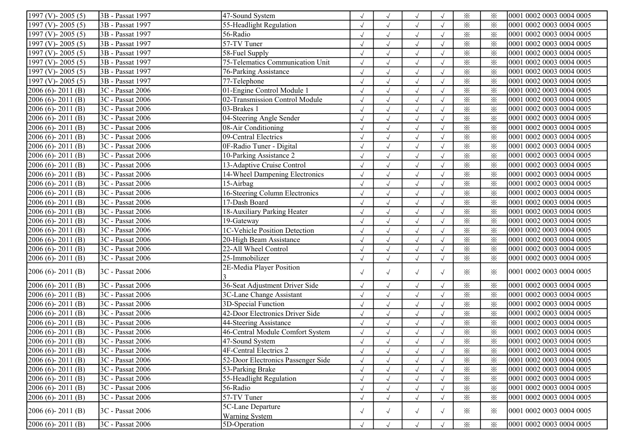| 1997 (V)-2005 (5)   | 3B - Passat 1997 | 47-Sound System                       |            |                      | $\sqrt{ }$   |            | $\times$                | $\times$ | 0001 0002 0003 0004 0005 |
|---------------------|------------------|---------------------------------------|------------|----------------------|--------------|------------|-------------------------|----------|--------------------------|
| 1997 (V) - 2005 (5) | 3B - Passat 1997 | 55-Headlight Regulation               | $\sqrt{}$  | $\sqrt{ }$           | $\sqrt{ }$   | $\sqrt{ }$ | $\times$                | $\times$ | 0001 0002 0003 0004 0005 |
| 1997 (V) - 2005 (5) | 3B - Passat 1997 | 56-Radio                              | $\sqrt{}$  | $\sqrt{}$            | $\sqrt{ }$   | $\sqrt{ }$ | $\times$                | $\times$ | 0001 0002 0003 0004 0005 |
| 1997 (V)-2005 (5)   | 3B - Passat 1997 | 57-TV Tuner                           | $\sqrt{ }$ | $\sqrt{ }$           | $\sqrt{ }$   |            | $\times$                | $\times$ | 0001 0002 0003 0004 0005 |
| 1997 (V) - 2005 (5) | 3B - Passat 1997 | 58-Fuel Supply                        | $\sqrt{}$  | $\sqrt{ }$           | $\sqrt{ }$   | $\sqrt{ }$ | $\times$                | $\times$ | 0001 0002 0003 0004 0005 |
| 1997 (V)-2005 (5)   | 3B - Passat 1997 | 75-Telematics Communication Unit      | $\sqrt{}$  | $\sqrt{ }$           | $\sqrt{ }$   |            | $\times$                | $\times$ | 0001 0002 0003 0004 0005 |
| 1997 (V) - 2005 (5) | 3B - Passat 1997 | 76-Parking Assistance                 |            |                      | $\sqrt{ }$   |            | $\times$                | $\times$ | 0001 0002 0003 0004 0005 |
| 1997 (V)-2005 (5)   | 3B - Passat 1997 | 77-Telephone                          | $\sqrt{}$  | $\sqrt{ }$           | $\sqrt{ }$   | $\sqrt{ }$ | $\times$                | $\times$ | 0001 0002 0003 0004 0005 |
| 2006 (6)-2011 (B)   | 3C - Passat 2006 | 01-Engine Control Module              | $\sqrt{}$  | $\sqrt{ }$           | $\sqrt{ }$   | $\sqrt{ }$ | $\times$                | $\times$ | 0001 0002 0003 0004 0005 |
| 2006 (6)-2011 (B)   | 3C - Passat 2006 | 02-Transmission Control Module        | $\sqrt{}$  | $\sqrt{ }$           | $\sqrt{ }$   | $\sqrt{ }$ | $\times$                | $\times$ | 0001 0002 0003 0004 0005 |
| 2006 (6)-2011 (B)   | 3C - Passat 2006 | 03-Brakes 1                           | $\sqrt{2}$ | $\sqrt{ }$           | $\sqrt{ }$   | $\sqrt{ }$ | $\times$                | $\times$ | 0001 0002 0003 0004 0005 |
| 2006 (6)-2011 (B)   | 3C - Passat 2006 | 04-Steering Angle Sender              | $\sqrt{}$  | $\sqrt{ }$           | $\sqrt{}$    |            | $\times$                | $\times$ | 0001 0002 0003 0004 0005 |
| 2006 (6)-2011 (B)   | 3C - Passat 2006 | 08-Air Conditioning                   |            |                      | $\sqrt{ }$   |            | $\times$                | $\times$ | 0001 0002 0003 0004 0005 |
| 2006 (6)-2011 (B)   | 3C - Passat 2006 | 09-Central Electrics                  | $\sqrt{}$  | $\sqrt{ }$           | $\sqrt{ }$   |            | $\times$                | $\times$ | 0001 0002 0003 0004 0005 |
| 2006 (6)-2011 (B)   | 3C - Passat 2006 | 0F-Radio Tuner - Digital              | $\sqrt{}$  | $\sqrt{ }$           | $\sqrt{ }$   | $\sqrt{ }$ | $\times$                | $\times$ | 0001 0002 0003 0004 0005 |
| 2006 (6)-2011 (B)   | 3C - Passat 2006 | 10-Parking Assistance 2               | $\sqrt{}$  | $\sqrt{\phantom{a}}$ | $\sqrt{ }$   | $\sqrt{ }$ | $\times$                | $\times$ | 0001 0002 0003 0004 0005 |
| 2006 (6)-2011 (B)   | 3C - Passat 2006 | 13-Adaptive Cruise Control            | $\sqrt{2}$ | $\sqrt{ }$           | $\sqrt{ }$   |            | $\times$                | $\times$ | 0001 0002 0003 0004 0005 |
| 2006 (6)-2011 (B)   | 3C - Passat 2006 | 14-Wheel Dampening Electronics        | $\sqrt{2}$ | $\sqrt{}$            | $\sqrt{ }$   |            | $\times$                | $\times$ | 0001 0002 0003 0004 0005 |
| $2006(6) - 2011(B)$ | 3C - Passat 2006 | 15-Airbag                             |            | $\sqrt{ }$           | $\sqrt{ }$   | $\sqrt{ }$ | $\times$                | $\times$ | 0001 0002 0003 0004 0005 |
| 2006 (6)-2011 (B)   | 3C - Passat 2006 | 16-Steering Column Electronics        | $\sqrt{}$  | $\sqrt{ }$           | $\sqrt{ }$   | $\sqrt{ }$ | $\times$                | $\times$ | 0001 0002 0003 0004 0005 |
| 2006 (6)-2011 (B)   | 3C - Passat 2006 | 17-Dash Board                         | $\sqrt{}$  | $\sqrt{ }$           | $\sqrt{ }$   | $\sqrt{ }$ | $\times$                | $\times$ | 0001 0002 0003 0004 0005 |
| 2006 (6)-2011 (B)   | 3C - Passat 2006 | 18-Auxiliary Parking Heater           | $\sqrt{}$  | $\sqrt{ }$           | $\sqrt{}$    | $\sqrt{ }$ | $\times$                | $\times$ | 0001 0002 0003 0004 0005 |
| 2006 (6)-2011 (B)   | 3C - Passat 2006 | 19-Gateway                            | $\sqrt{}$  | $\sqrt{ }$           | $\sqrt{}$    | $\sqrt{ }$ | $\times$                | $\times$ | 0001 0002 0003 0004 0005 |
| 2006 (6)-2011 (B)   | 3C - Passat 2006 | 1C-Vehicle Position Detection         | $\sqrt{2}$ | $\checkmark$         | $\sqrt{ }$   | $\sqrt{ }$ | $\times$                | $\times$ | 0001 0002 0003 0004 0005 |
| 2006 (6)-2011 (B)   | 3C - Passat 2006 | 20-High Beam Assistance               |            |                      | $\sqrt{ }$   | $\sqrt{ }$ | $\times$                | $\times$ | 0001 0002 0003 0004 0005 |
| 2006 (6)-2011 (B)   | 3C - Passat 2006 | 22-All Wheel Control                  | $\sqrt{}$  |                      | $\sqrt{ }$   | $\sqrt{ }$ | $\times$                | $\times$ | 0001 0002 0003 0004 0005 |
| 2006 (6)-2011 (B)   | 3C - Passat 2006 | 25-Immobilizer                        | $\sqrt{}$  | $\sqrt{ }$           | $\sqrt{ }$   | $\sqrt{ }$ | $\overline{\mathbf{x}}$ | $\times$ | 0001 0002 0003 0004 0005 |
|                     | 3C - Passat 2006 | 2E-Media Player Position              |            |                      |              |            |                         |          | 0001 0002 0003 0004 0005 |
| $2006(6) - 2011(B)$ |                  |                                       | $\sqrt{ }$ | $\sqrt{ }$           | $\sqrt{ }$   | $\sqrt{ }$ | $\times$                | ⋇        |                          |
| $2006(6) - 2011(B)$ | 3C - Passat 2006 | 36-Seat Adjustment Driver Side        | $\sqrt{}$  | $\sqrt{ }$           | $\sqrt{}$    | $\sqrt{ }$ | $\times$                | $\times$ | 0001 0002 0003 0004 0005 |
| 2006 (6)-2011 (B)   | 3C - Passat 2006 | 3C-Lane Change Assistant              | $\sqrt{ }$ | $\sqrt{ }$           | $\sqrt{}$    | $\sqrt{ }$ | $\times$                | $\times$ | 0001 0002 0003 0004 0005 |
| 2006 (6)-2011 (B)   | 3C - Passat 2006 | 3D-Special Function                   | $\sqrt{2}$ | $\sqrt{}$            | $\checkmark$ | $\sqrt{ }$ | $\times$                | $\times$ | 0001 0002 0003 0004 0005 |
| 2006 (6)-2011 (B)   | 3C - Passat 2006 | 42-Door Electronics Driver Side       |            | $\sqrt{}$            | $\sqrt{ }$   |            | $\times$                | $\times$ | 0001 0002 0003 0004 0005 |
| 2006 (6)-2011 (B)   | 3C - Passat 2006 | 44-Steering Assistance                |            |                      | $\sqrt{ }$   |            | $\times$                | $\times$ | 0001 0002 0003 0004 0005 |
| 2006 (6)-2011 (B)   | 3C - Passat 2006 | 46-Central Module Comfort System      | $\sqrt{}$  | $\sqrt{ }$           | $\sqrt{}$    | $\sqrt{ }$ | $\times$                | $\times$ | 0001 0002 0003 0004 0005 |
| $2006(6) - 2011(B)$ | 3C - Passat 2006 | 47-Sound System                       | $\sqrt{ }$ |                      | $\sqrt{ }$   | $\sqrt{ }$ | $\times$                | $\times$ | 0001 0002 0003 0004 0005 |
| 2006 (6)-2011 (B)   | 3C - Passat 2006 | 4F-Central Electrics 2                | $\sqrt{}$  | $\sqrt{ }$           | $\sqrt{ }$   | $\sqrt{ }$ | $\times$                | $\times$ | 0001 0002 0003 0004 0005 |
| $2006(6) - 2011(B)$ | 3C - Passat 2006 | 52-Door Electronics Passenger Side    |            |                      |              |            | $\times$                | $\times$ | 0001 0002 0003 0004 0005 |
| $2006(6) - 2011(B)$ | 3C - Passat 2006 | 53-Parking Brake                      | $\sqrt{ }$ |                      | $\sqrt{ }$   | $\sqrt{ }$ | $\times$                | $\times$ | 0001 0002 0003 0004 0005 |
| $2006(6) - 2011(B)$ | 3C - Passat 2006 | 55-Headlight Regulation               |            |                      | $\sqrt{ }$   | $\sqrt{ }$ | $\times$                | $\times$ | 0001 0002 0003 0004 0005 |
| $2006(6) - 2011(B)$ | 3C - Passat 2006 | 56-Radio                              | $\sqrt{}$  | $\sqrt{ }$           | $\sqrt{ }$   | $\sqrt{ }$ | $\times$                | $\times$ | 0001 0002 0003 0004 0005 |
| $2006(6) - 2011(B)$ | 3C - Passat 2006 | 57-TV Tuner                           | $\sqrt{2}$ | $\sqrt{ }$           | $\sqrt{ }$   | $\sqrt{ }$ | $\times$                | $\times$ | 0001 0002 0003 0004 0005 |
| $2006(6) - 2011(B)$ | 3C - Passat 2006 | 5C-Lane Departure                     | $\sqrt{ }$ | $\sqrt{ }$           | $\sqrt{ }$   | $\sqrt{ }$ | $\times$                | $\times$ | 0001 0002 0003 0004 0005 |
| $2006(6) - 2011(B)$ | 3C - Passat 2006 | <b>Warning System</b><br>5D-Operation |            |                      |              |            |                         |          | 0001 0002 0003 0004 0005 |
|                     |                  |                                       | $\sqrt{ }$ | $\sqrt{ }$           | $\sqrt{}$    | $\sqrt{ }$ | $\times$                | $\times$ |                          |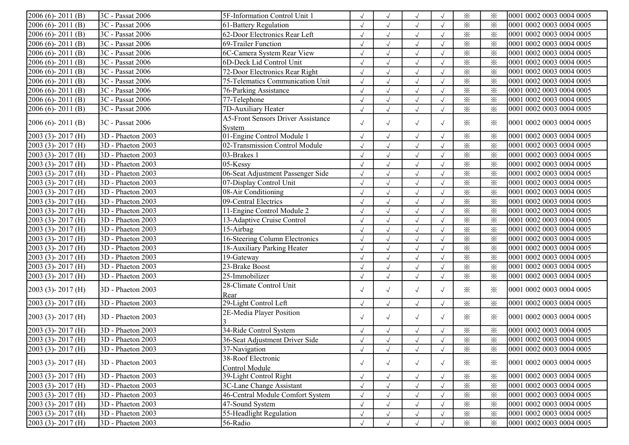| $2006(6) - 2011(B)$     | 3C - Passat 2006               | 5F-Information Control Unit 1             | $\sqrt{ }$ |                      | $\sqrt{ }$ |            | $\times$                | $\times$ | 0001 0002 0003 0004 0005 |
|-------------------------|--------------------------------|-------------------------------------------|------------|----------------------|------------|------------|-------------------------|----------|--------------------------|
| $2006(6) - 2011(B)$     | 3C - Passat 2006               | 61-Battery Regulation                     | $\sqrt{ }$ |                      | $\sqrt{ }$ |            | $\times$                | $\times$ | 0001 0002 0003 0004 0005 |
| $2006(6) - 2011(B)$     | 3C - Passat 2006               | 62-Door Electronics Rear Left             | $\sqrt{ }$ | $\sqrt{ }$           | $\sqrt{ }$ | $\sqrt{ }$ | $\times$                | $\times$ | 0001 0002 0003 0004 0005 |
| $2006(6) - 2011(B)$     | 3C - Passat 2006               | 69-Trailer Function                       | $\sqrt{ }$ | $\sqrt{ }$           | $\sqrt{}$  |            | $\times$                | $\times$ | 0001 0002 0003 0004 0005 |
| $2006(6) - 2011(B)$     | 3C - Passat 2006               | 6C-Camera System Rear View                | $\sqrt{ }$ | $\sqrt{ }$           | $\sqrt{}$  |            | $\times$                | $\times$ | 0001 0002 0003 0004 0005 |
| 2006 (6)-2011 (B)       | 3C - Passat 2006               | 6D-Deck Lid Control Unit                  | $\sqrt{ }$ | $\sqrt{ }$           | $\sqrt{ }$ | $\sqrt{ }$ | $\overline{\mathbf{x}}$ | $\times$ | 0001 0002 0003 0004 0005 |
| 2006 (6)-2011 (B)       | 3C - Passat 2006               | 72-Door Electronics Rear Right            |            |                      | $\sqrt{}$  |            | $\times$                | $\times$ | 0001 0002 0003 0004 0005 |
| 2006 (6)-2011 (B)       | 3C - Passat 2006               | 75-Telematics Communication Unit          |            |                      | $\sqrt{ }$ |            | $\times$                | $\times$ | 0001 0002 0003 0004 0005 |
| 2006 (6)-2011 (B)       | 3C - Passat 2006               | 76-Parking Assistance                     | $\sqrt{ }$ | $\sqrt{ }$           | $\sqrt{}$  | $\sqrt{ }$ | $\overline{\mathbf{x}}$ | $\times$ | 0001 0002 0003 0004 0005 |
| $2006(6) - 2011(B)$     | 3C - Passat 2006               | 77-Telephone                              | $\sqrt{ }$ | $\sqrt{ }$           | $\sqrt{}$  | $\sqrt{ }$ | $\times$                | $\times$ | 0001 0002 0003 0004 0005 |
| $2006(6) - 2011(B)$     | 3C - Passat 2006               | 7D-Auxiliary Heater                       | $\sqrt{ }$ | $\sqrt{ }$           | $\sqrt{ }$ | $\sqrt{ }$ | $\times$                | $\times$ | 0001 0002 0003 0004 0005 |
|                         |                                | <b>A5-Front Sensors Driver Assistance</b> | $\sqrt{ }$ |                      |            |            | ✕                       |          |                          |
| $2006(6) - 2011(B)$     | 3C - Passat 2006               | System                                    |            | $\sqrt{ }$           | $\sqrt{ }$ | $\sqrt{ }$ |                         | $\times$ | 0001 0002 0003 0004 0005 |
| 2003 (3)-2017 (H)       | 3D - Phaeton 2003              | 01-Engine Control Module 1                | $\sqrt{ }$ | $\sqrt{ }$           | $\sqrt{}$  | $\sqrt{ }$ | $\times$                | $\times$ | 0001 0002 0003 0004 0005 |
| $2003$ (3) - $2017$ (H) | 3D - Phaeton 2003              | 02-Transmission Control Module            | $\sqrt{}$  | $\sqrt{ }$           | $\sqrt{}$  |            | $\times$                | $\times$ | 0001 0002 0003 0004 0005 |
| 2003 (3)-2017 (H)       | 3D - Phaeton 2003              | 03-Brakes 1                               | $\sqrt{ }$ |                      | $\sqrt{ }$ | $\sqrt{ }$ | $\times$                | $\times$ | 0001 0002 0003 0004 0005 |
| $2003$ (3) - $2017$ (H) | 3D - Phaeton 2003              | 05-Kessy                                  | $\sqrt{ }$ | $\sqrt{ }$           | $\sqrt{ }$ |            | $\times$                | $\times$ | 0001 0002 0003 0004 0005 |
| $2003$ (3) - $2017$ (H) | 3D - Phaeton 2003              | 06-Seat Adjustment Passenger Side         | $\sqrt{ }$ | $\sqrt{ }$           | $\sqrt{}$  |            | $\times$                | $\times$ | 0001 0002 0003 0004 0005 |
| $2003$ (3) - $2017$ (H) | 3D - Phaeton 2003              | 07-Display Control Unit                   | $\sqrt{ }$ | $\sqrt{ }$           | $\sqrt{}$  |            | $\times$                | $\times$ | 0001 0002 0003 0004 0005 |
| 2003 (3)-2017 (H)       | 3D - Phaeton 2003              | 08-Air Conditioning                       | $\sqrt{}$  | $\sqrt{ }$           | $\sqrt{}$  |            | $\times$                | $\times$ | 0001 0002 0003 0004 0005 |
| $2003$ (3) - $2017$ (H) | 3D - Phaeton 2003              | 09-Central Electrics                      |            | $\sqrt{ }$           | $\sqrt{}$  |            | $\times$                | $\times$ | 0001 0002 0003 0004 0005 |
| $2003$ (3) - $2017$ (H) | 3D - Phaeton 2003              | 11-Engine Control Module 2                |            | $\sqrt{ }$           | $\sqrt{}$  |            | $\times$                | $\times$ | 0001 0002 0003 0004 0005 |
| $2003$ (3) - $2017$ (H) | 3D - Phaeton 2003              | 13-Adaptive Cruise Control                | $\sqrt{ }$ | $\sqrt{ }$           | $\sqrt{}$  | $\sqrt{ }$ | $\times$                | $\times$ | 0001 0002 0003 0004 0005 |
| 2003 (3)-2017 (H)       | 3D - Phaeton 2003              | $15-Airbag$                               | $\sqrt{ }$ | $\sqrt{ }$           | $\sqrt{}$  | $\sqrt{ }$ | $\times$                | $\times$ | 0001 0002 0003 0004 0005 |
| 2003 (3)-2017 (H)       | 3D - Phaeton 2003              | 16-Steering Column Electronics            | $\sqrt{ }$ | $\sqrt{ }$           | $\sqrt{ }$ | $\sqrt{ }$ | $\times$                | $\times$ | 0001 0002 0003 0004 0005 |
| 2003 (3)-2017 (H)       | 3D - Phaeton 2003              | 18-Auxiliary Parking Heater               | $\sqrt{ }$ | $\sqrt{ }$           | $\sqrt{ }$ | $\sqrt{ }$ | $\times$                | $\times$ | 0001 0002 0003 0004 0005 |
| 2003 (3)-2017 (H)       | 3D - Phaeton 2003              | 19-Gateway                                | $\sqrt{}$  | $\sqrt{ }$           | $\sqrt{ }$ | $\sqrt{ }$ | $\times$                | $\times$ | 0001 0002 0003 0004 0005 |
| 2003 (3)-2017 (H)       | 3D - Phaeton 2003              | 23-Brake Boost                            | $\sqrt{ }$ | $\sqrt{ }$           | $\sqrt{ }$ | $\sqrt{ }$ | $\times$                | $\times$ | 0001 0002 0003 0004 0005 |
| $2003$ (3) - $2017$ (H) | 3D - Phaeton 2003              | 25-Immobilizer                            | $\sqrt{ }$ |                      | $\sqrt{}$  |            | $\times$                | $\times$ | 0001 0002 0003 0004 0005 |
|                         | 3D - Phaeton 2003              | 28-Climate Control Unit                   |            |                      |            |            | $\times$                | $\times$ | 0001 0002 0003 0004 0005 |
| $2003$ (3) - $2017$ (H) |                                | Rear                                      | $\sqrt{ }$ | $\sqrt{ }$           | $\sqrt{ }$ | $\sqrt{ }$ |                         |          |                          |
| 2003 (3)-2017 (H)       | 3D - Phaeton 2003              | 29-Light Control Left                     | $\sqrt{ }$ | $\sqrt{ }$           | $\sqrt{ }$ | $\sqrt{ }$ | $\times$                | $\times$ | 0001 0002 0003 0004 0005 |
| $2003$ (3) - $2017$ (H) | 3D - Phaeton 2003              | 2E-Media Player Position                  | $\sqrt{ }$ | $\sqrt{ }$           | $\sqrt{ }$ | $\sqrt{ }$ | $\times$                | $\times$ | 0001 0002 0003 0004 0005 |
| $2003$ (3) - $2017$ (H) | 3D - Phaeton 2003              | 34-Ride Control System                    | $\sqrt{ }$ | $\sqrt{ }$           | $\sqrt{ }$ | $\sqrt{ }$ | $\times$                | $\times$ | 0001 0002 0003 0004 0005 |
| $2003$ (3) - $2017$ (H) | $\overline{3D}$ - Phaeton 2003 | 36-Seat Adjustment Driver Side            | $\sqrt{ }$ | $\sqrt{\phantom{a}}$ | $\sqrt{ }$ | $\sqrt{ }$ | $\times$                | $\times$ | 0001 0002 0003 0004 0005 |
| $[2003 (3) - 2017 (H)]$ | 3D - Phaeton 2003              | 37-Navigation                             | $\sqrt{ }$ | $\sqrt{ }$           | $\sqrt{ }$ | $\sqrt{ }$ | $\times$                | ⋇        | 0001 0002 0003 0004 0005 |
|                         |                                | 38-Roof Electronic                        |            |                      |            |            |                         |          |                          |
| $2003$ (3) - $2017$ (H) | 3D - Phaeton 2003              | Control Module                            | $\sqrt{ }$ | $\sqrt{ }$           | $\sqrt{ }$ | $\sqrt{ }$ | ✕                       | $\times$ | 0001 0002 0003 0004 0005 |
| 2003 (3)-2017 (H)       | 3D - Phaeton 2003              | 39-Light Control Right                    | $\sqrt{ }$ |                      | $\sqrt{ }$ |            | $\times$                | $\times$ | 0001 0002 0003 0004 0005 |
| $2003$ (3) - $2017$ (H) | 3D - Phaeton 2003              | 3C-Lane Change Assistant                  | J          |                      | $\sqrt{ }$ |            | $\times$                | $\times$ | 0001 0002 0003 0004 0005 |
| $2003$ (3) - $2017$ (H) | 3D - Phaeton 2003              | 46-Central Module Comfort System          |            |                      | $\sqrt{ }$ | $\sqrt{ }$ | $\times$                | $\times$ | 0001 0002 0003 0004 0005 |
| $2003$ (3) - $2017$ (H) | 3D - Phaeton 2003              | 47-Sound System                           | $\sqrt{}$  |                      | $\sqrt{ }$ | $\sqrt{ }$ | $\times$                | $\times$ | 0001 0002 0003 0004 0005 |
| $2003$ (3) - $2017$ (H) | 3D - Phaeton 2003              | 55-Headlight Regulation                   | $\sqrt{ }$ |                      | $\sqrt{ }$ |            | $\times$                | $\times$ | 0001 0002 0003 0004 0005 |
| $2003$ (3) - $2017$ (H) | 3D - Phaeton 2003              | 56-Radio                                  |            |                      | $\sqrt{ }$ |            | $\times$                | $\times$ | 0001 0002 0003 0004 0005 |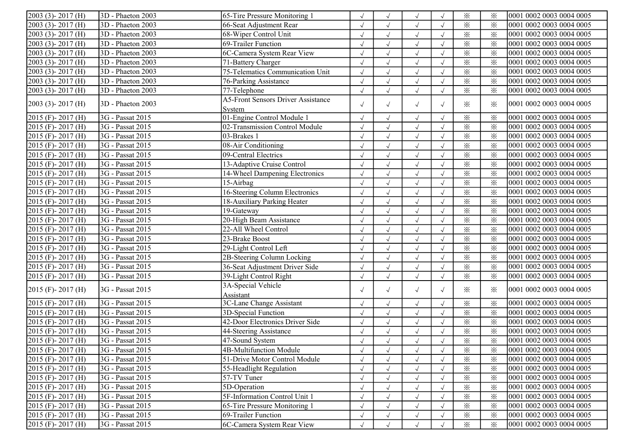| 2003 (3)-2017 (H)                              | 3D - Phaeton 2003 | 65-Tire Pressure Monitoring 1               | $\sqrt{}$  |              | $\sqrt{ }$   | $\sqrt{ }$ | $\times$                | $\times$ | 0001 0002 0003 0004 0005 |
|------------------------------------------------|-------------------|---------------------------------------------|------------|--------------|--------------|------------|-------------------------|----------|--------------------------|
| 2003 (3)-2017 (H)                              | 3D - Phaeton 2003 | 66-Seat Adjustment Rear                     | $\sqrt{}$  |              | $\sqrt{ }$   | $\sqrt{ }$ | $\times$                | $\times$ | 0001 0002 0003 0004 0005 |
| 2003 (3)-2017 (H)                              | 3D - Phaeton 2003 | 68-Wiper Control Unit                       | $\sqrt{}$  | $\sqrt{ }$   | $\sqrt{ }$   | $\sqrt{ }$ | $\overline{\mathbf{x}}$ | $\times$ | 0001 0002 0003 0004 0005 |
| 2003 (3)-2017 (H)                              | 3D - Phaeton 2003 | 69-Trailer Function                         | $\sqrt{ }$ | $\sqrt{ }$   | $\sqrt{ }$   | $\sqrt{ }$ | $\times$                | $\times$ | 0001 0002 0003 0004 0005 |
| 2003 (3)-2017 (H)                              | 3D - Phaeton 2003 | 6C-Camera System Rear View                  | $\sqrt{ }$ | $\sqrt{ }$   | $\sqrt{}$    | $\sqrt{ }$ | $\times$                | $\times$ | 0001 0002 0003 0004 0005 |
| 2003 (3)-2017 (H)                              | 3D - Phaeton 2003 | 71-Battery Charger                          | $\sqrt{ }$ | $\checkmark$ | $\checkmark$ | $\sqrt{ }$ | $\times$                | $\times$ | 0001 0002 0003 0004 0005 |
| 2003 (3)-2017 (H)                              | 3D - Phaeton 2003 | 75-Telematics Communication Unit            |            |              | $\sqrt{ }$   |            | $\times$                | $\times$ | 0001 0002 0003 0004 0005 |
| 2003 (3)-2017 (H)                              | 3D - Phaeton 2003 | 76-Parking Assistance                       | $\sqrt{}$  |              | $\sqrt{ }$   |            | $\times$                | $\times$ | 0001 0002 0003 0004 0005 |
| 2003 (3)-2017 (H)                              | 3D - Phaeton 2003 | $77$ -Telephone                             | $\sqrt{}$  | $\sqrt{ }$   | $\sqrt{ }$   | $\sqrt{ }$ | $\times$                | $\times$ | 0001 0002 0003 0004 0005 |
| $2003$ (3) - $2017$ (H)                        | 3D - Phaeton 2003 | <b>A5-Front Sensors Driver Assistance</b>   | $\sqrt{ }$ | $\sqrt{ }$   | $\sqrt{ }$   | $\sqrt{ }$ | $\times$                | $\times$ | 0001 0002 0003 0004 0005 |
| 2015 (F)-2017 (H)                              | 3G - Passat 2015  | System<br>01-Engine Control Module 1        | $\sqrt{ }$ | $\sqrt{}$    | $\sqrt{ }$   | $\sqrt{ }$ | $\times$                | $\times$ | 0001 0002 0003 0004 0005 |
| 2015 (F)-2017 (H)                              | 3G - Passat 2015  | 02-Transmission Control Module              | $\sqrt{ }$ | $\sqrt{ }$   | $\sqrt{}$    | $\sqrt{ }$ | $\times$                | $\times$ | 0001 0002 0003 0004 0005 |
| 2015 (F)-2017 (H)                              | 3G - Passat 2015  | 03-Brakes 1                                 | $\sqrt{2}$ | $\sqrt{ }$   | $\sqrt{ }$   | $\sqrt{ }$ | $\times$                | $\times$ | 0001 0002 0003 0004 0005 |
| 2015 (F)-2017 (H)                              | 3G - Passat 2015  | 08-Air Conditioning                         | $\sqrt{}$  | $\checkmark$ | $\sqrt{}$    | $\sqrt{ }$ | $\times$                | $\times$ | 0001 0002 0003 0004 0005 |
| 2015 (F)-2017 (H)                              | 3G - Passat 2015  | 09-Central Electrics                        | $\sqrt{}$  |              |              | $\sqrt{ }$ | $\times$                | $\times$ | 0001 0002 0003 0004 0005 |
|                                                | 3G - Passat 2015  | 13-Adaptive Cruise Control                  |            |              | $\sqrt{ }$   |            | $\times$                |          | 0001 0002 0003 0004 0005 |
| 2015 (F)-2017 (H)                              | 3G - Passat 2015  |                                             | $\sqrt{}$  | $\sqrt{ }$   | $\sqrt{ }$   |            | $\times$                | $\times$ | 0001 0002 0003 0004 0005 |
| 2015 (F)-2017 (H)                              | 3G - Passat 2015  | 14-Wheel Dampening Electronics<br>15-Airbag | $\sqrt{ }$ | $\sqrt{ }$   | $\sqrt{ }$   | $\sqrt{ }$ |                         | $\times$ | 0001 0002 0003 0004 0005 |
| 2015 (F)-2017 (H)                              |                   |                                             | $\sqrt{ }$ | $\sqrt{ }$   | $\sqrt{ }$   | $\sqrt{ }$ | $\times$                | $\times$ |                          |
| 2015 (F)-2017 (H)                              | 3G - Passat 2015  | 16-Steering Column Electronics              | $\sqrt{2}$ | $\sqrt{ }$   | $\sqrt{ }$   |            | $\times$                | $\times$ | 0001 0002 0003 0004 0005 |
| 2015 (F) - 2017 (H)                            | 3G - Passat 2015  | 18-Auxiliary Parking Heater                 | $\sqrt{ }$ | $\sqrt{}$    | $\sqrt{}$    |            | $\times$                | $\times$ | 0001 0002 0003 0004 0005 |
| 2015 (F) - 2017 (H)                            | 3G - Passat 2015  | 19-Gateway                                  |            | $\sqrt{ }$   | $\sqrt{ }$   | $\sqrt{ }$ | $\times$                | $\times$ | 0001 0002 0003 0004 0005 |
| 2015 (F)-2017 (H)                              | 3G - Passat 2015  | 20-High Beam Assistance                     | $\sqrt{}$  | $\sqrt{ }$   | $\sqrt{}$    | $\sqrt{ }$ | $\times$                | $\times$ | 0001 0002 0003 0004 0005 |
| 2015 (F)-2017 (H)                              | 3G - Passat 2015  | 22-All Wheel Control                        | $\sqrt{ }$ | $\sqrt{ }$   | $\sqrt{ }$   | $\sqrt{ }$ | $\times$                | $\times$ | 0001 0002 0003 0004 0005 |
| 2015 (F)-2017 (H)                              | 3G - Passat 2015  | 23-Brake Boost                              | $\sqrt{ }$ | $\sqrt{ }$   | $\sqrt{}$    | $\sqrt{ }$ | $\times$                | $\times$ | 0001 0002 0003 0004 0005 |
| 2015 (F)-2017 (H)                              | 3G - Passat 2015  | 29-Light Control Left                       | $\sqrt{}$  | $\sqrt{ }$   | $\sqrt{}$    | $\sqrt{ }$ | $\times$                | $\times$ | 0001 0002 0003 0004 0005 |
| 2015 (F)-2017 (H)                              | 3G - Passat 2015  | 2B-Steering Column Locking                  | $\sqrt{2}$ | $\checkmark$ | $\sqrt{ }$   | $\sqrt{ }$ | $\times$                | $\times$ | 0001 0002 0003 0004 0005 |
| 2015 (F)-2017 (H)                              | 3G - Passat 2015  | 36-Seat Adjustment Driver Side              |            | $\checkmark$ | $\sqrt{ }$   | $\sqrt{ }$ | $\times$                | $\times$ | 0001 0002 0003 0004 0005 |
| 2015 (F)-2017 (H)                              | 3G - Passat 2015  | 39-Light Control Right                      | $\sqrt{ }$ |              | $\sqrt{ }$   | $\sqrt{ }$ | $\times$                | $\times$ | 0001 0002 0003 0004 0005 |
| 2015 (F) - 2017 (H)                            | 3G - Passat 2015  | 3A-Special Vehicle<br>Assistant             | $\sqrt{ }$ | $\sqrt{ }$   | $\sqrt{ }$   | $\sqrt{ }$ | $\times$                | $\times$ | 0001 0002 0003 0004 0005 |
| 2015 (F)-2017 (H)                              | 3G - Passat 2015  | 3C-Lane Change Assistant                    | $\sqrt{ }$ | $\sqrt{ }$   | $\sqrt{ }$   | $\sqrt{ }$ | $\times$                | $\times$ | 0001 0002 0003 0004 0005 |
| 2015 (F)-2017 (H)                              | 3G - Passat 2015  | 3D-Special Function                         | $\sqrt{}$  | $\sqrt{ }$   | $\sqrt{ }$   | $\sqrt{ }$ | $\times$                | $\times$ | 0001 0002 0003 0004 0005 |
| 2015 (F) - 2017 (H)                            | 3G - Passat 2015  | 42-Door Electronics Driver Side             | $\sqrt{ }$ | $\sqrt{ }$   | $\sqrt{}$    | $\sqrt{ }$ | $\times$                | $\times$ | 0001 0002 0003 0004 0005 |
| 2015 (F)-2017 (H)                              | 3G - Passat 2015  | 44-Steering Assistance                      | $\sqrt{}$  | $\sqrt{}$    | $\checkmark$ |            | $\times$                | $\times$ | 0001 0002 0003 0004 0005 |
| $2015$ (F) - $2017$ (H)                        | 3G - Passat 2015  | 47-Sound System                             |            | $\sqrt{ }$   | $\sqrt{}$    |            | $\times$                | $\times$ | 0001 0002 0003 0004 0005 |
| $2015$ (F) - 2017 (H)                          | 3G - Passat 2015  | 4B-Multifunction Module                     |            |              | $\sqrt{ }$   |            | $\times$                | ⋇        | 0001 0002 0003 0004 0005 |
| $2015$ (F) - 2017 (H)                          | 3G - Passat 2015  | 51-Drive Motor Control Module               | $\sqrt{ }$ |              | $\sqrt{}$    | $\sqrt{ }$ | $\times$                | $\times$ | 0001 0002 0003 0004 0005 |
| $2015$ (F) - 2017 (H)                          | 3G - Passat 2015  | 55-Headlight Regulation                     | $\sqrt{ }$ |              | $\sqrt{ }$   | $\sqrt{ }$ | $\times$                | $\times$ | 0001 0002 0003 0004 0005 |
| 2015 (F) - 2017 (H)                            | 3G - Passat 2015  | 57-TV Tuner                                 | $\sqrt{}$  |              | $\sqrt{ }$   | $\sqrt{ }$ | $\times$                | $\times$ | 0001 0002 0003 0004 0005 |
| 2015 (F)-2017 (H)                              | 3G - Passat 2015  | 5D-Operation                                | $\sqrt{2}$ |              |              |            | $\times$                | $\times$ | 0001 0002 0003 0004 0005 |
|                                                | 3G - Passat 2015  | 5F-Information Control Unit 1               |            |              |              |            |                         |          | 0001 0002 0003 0004 0005 |
| 2015 (F) - 2017 (H)<br>$2015$ (F) - $2017$ (H) | 3G - Passat 2015  |                                             |            |              | $\sqrt{ }$   | $\sqrt{ }$ | $\times$                | $\times$ | 0001 0002 0003 0004 0005 |
|                                                |                   | 65-Tire Pressure Monitoring 1               |            |              | $\sqrt{ }$   | $\sqrt{ }$ | $\times$                | $\times$ |                          |
| $2015$ (F) - $2017$ (H)                        | 3G - Passat 2015  | 69-Trailer Function                         | $\sqrt{}$  | $\sqrt{ }$   | $\sqrt{ }$   | $\sqrt{ }$ | $\times$                | $\times$ | 0001 0002 0003 0004 0005 |
| $2015$ (F) - 2017 (H)                          | 3G - Passat 2015  | 6C-Camera System Rear View                  |            |              | $\sqrt{ }$   |            | $\times$                | $\times$ | 0001 0002 0003 0004 0005 |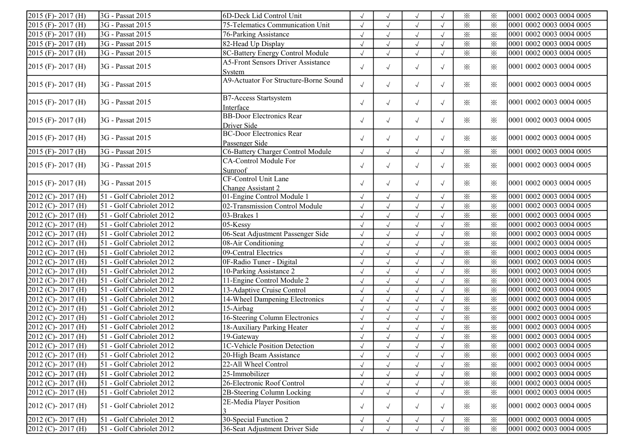| $2015$ (F) - 2017 (H)   | 3G - Passat 2015         | 6D-Deck Lid Control Unit                            |            | $\sqrt{ }$           |            |            | $\times$                | $\times$                | 0001 0002 0003 0004 0005 |
|-------------------------|--------------------------|-----------------------------------------------------|------------|----------------------|------------|------------|-------------------------|-------------------------|--------------------------|
| $2015$ (F) - $2017$ (H) | 3G - Passat 2015         | 75-Telematics Communication Unit                    |            | $\sqrt{ }$           | $\sqrt{ }$ |            | $\times$                | $\times$                | 0001 0002 0003 0004 0005 |
| 2015 (F) - 2017 (H)     | 3G - Passat 2015         | 76-Parking Assistance                               | $\sqrt{ }$ | $\sqrt{ }$           | $\sqrt{ }$ | $\sqrt{ }$ | $\times$                | $\times$                | 0001 0002 0003 0004 0005 |
| 2015 (F)-2017 (H)       | 3G - Passat 2015         | 82-Head Up Display                                  | $\sqrt{}$  | $\sqrt{\phantom{a}}$ | $\sqrt{}$  |            | $\times$                | $\times$                | 0001 0002 0003 0004 0005 |
| $2015$ (F) - 2017 (H)   | 3G - Passat 2015         | 8C-Battery Energy Control Module                    | $\sqrt{2}$ | $\sqrt{ }$           | $\sqrt{2}$ |            | $\times$                | $\times$                | 0001 0002 0003 0004 0005 |
| $2015$ (F) - 2017 (H)   | 3G - Passat 2015         | <b>A5-Front Sensors Driver Assistance</b><br>System | $\sqrt{ }$ | $\sqrt{ }$           | $\sqrt{ }$ | $\sqrt{ }$ | $\times$                | $\times$                | 0001 0002 0003 0004 0005 |
| $2015$ (F) - 2017 (H)   | 3G - Passat 2015         | A9-Actuator For Structure-Borne Sound               | $\sqrt{ }$ | $\sqrt{ }$           | $\sqrt{ }$ | $\sqrt{ }$ | $\times$                | ⋇                       | 0001 0002 0003 0004 0005 |
| $2015$ (F) - 2017 (H)   | 3G - Passat 2015         | <b>B7-Access Startsystem</b><br>Interface           | $\sqrt{ }$ | $\sqrt{ }$           | $\sqrt{ }$ | $\sqrt{ }$ | $\times$                | ⋇                       | 0001 0002 0003 0004 0005 |
| $2015$ (F) - 2017 (H)   | 3G - Passat 2015         | <b>BB-Door Electronics Rear</b><br>Driver Side      | $\sqrt{ }$ | $\sqrt{ }$           | $\sqrt{ }$ | $\sqrt{ }$ | $\times$                | $\times$                | 0001 0002 0003 0004 0005 |
| $2015$ (F) - 2017 (H)   | 3G - Passat 2015         | <b>BC-Door Electronics Rear</b><br>Passenger Side   | $\sqrt{ }$ | $\sqrt{ }$           | $\sqrt{ }$ | $\sqrt{ }$ | $\times$                | ⋇                       | 0001 0002 0003 0004 0005 |
| $2015$ (F) - 2017 (H)   | 3G - Passat 2015         | C6-Battery Charger Control Module                   | $\sqrt{}$  | $\sqrt{ }$           | $\sqrt{ }$ |            | $\times$                | $\times$                | 0001 0002 0003 0004 0005 |
| $2015$ (F) - 2017 (H)   | 3G - Passat 2015         | CA-Control Module For<br>Sunroof                    | $\sqrt{ }$ | $\sqrt{ }$           | $\sqrt{ }$ | $\sqrt{ }$ | $\times$                | $\times$                | 0001 0002 0003 0004 0005 |
| $2015$ (F) - 2017 (H)   | 3G - Passat 2015         | CF-Control Unit Lane<br>Change Assistant 2          | $\sqrt{ }$ | $\sqrt{ }$           | $\sqrt{ }$ | $\sqrt{ }$ | $\times$                | ⋇                       | 0001 0002 0003 0004 0005 |
| 2012 (C)-2017 (H)       | 51 - Golf Cabriolet 2012 | 01-Engine Control Module 1                          | $\sqrt{2}$ | $\sqrt{ }$           | $\sqrt{ }$ |            | $\times$                | $\times$                | 0001 0002 0003 0004 0005 |
| 2012 (C)-2017 (H)       | 51 - Golf Cabriolet 2012 | 02-Transmission Control Module                      | $\sqrt{2}$ | $\sqrt{ }$           | $\sqrt{ }$ |            | $\times$                | $\times$                | 0001 0002 0003 0004 0005 |
| 2012 (C)-2017 (H)       | 51 - Golf Cabriolet 2012 | 03-Brakes 1                                         |            | $\sqrt{}$            | $\sqrt{ }$ |            | $\times$                | $\times$                | 0001 0002 0003 0004 0005 |
| 2012 (C)-2017 (H)       | 51 - Golf Cabriolet 2012 | $05$ -Kessy                                         | $\sqrt{ }$ | $\sqrt{ }$           | $\sqrt{ }$ |            | $\times$                | $\times$                | 0001 0002 0003 0004 0005 |
| 2012 (C)-2017 (H)       | 51 - Golf Cabriolet 2012 | 06-Seat Adjustment Passenger Side                   | $\sqrt{ }$ | $\sqrt{ }$           | $\sqrt{ }$ | $\sqrt{ }$ | $\times$                | $\times$                | 0001 0002 0003 0004 0005 |
| 2012 (C)-2017 (H)       | 51 - Golf Cabriolet 2012 | 08-Air Conditioning                                 | $\sqrt{ }$ | $\sqrt{}$            | $\sqrt{ }$ | $\sqrt{ }$ | $\times$                | $\times$                | 0001 0002 0003 0004 0005 |
| 2012 (C)-2017 (H)       | 51 - Golf Cabriolet 2012 | 09-Central Electrics                                | $\sqrt{ }$ | $\checkmark$         | $\sqrt{2}$ | $\sqrt{ }$ | $\times$                | $\times$                | 0001 0002 0003 0004 0005 |
| 2012 (C)-2017 (H)       | 51 - Golf Cabriolet 2012 | 0F-Radio Tuner - Digital                            | $\sqrt{2}$ | $\sqrt{ }$           | $\sqrt{ }$ |            | $\times$                | $\times$                | 0001 0002 0003 0004 0005 |
| 2012 (C)-2017 (H)       | 51 - Golf Cabriolet 2012 | 10-Parking Assistance 2                             |            | $\sqrt{ }$           | $\sqrt{ }$ |            | $\times$                | $\times$                | 0001 0002 0003 0004 0005 |
| 2012 (C)-2017 (H)       | 51 - Golf Cabriolet 2012 | 11-Engine Control Module 2                          |            | $\sqrt{ }$           | $\sqrt{}$  |            | $\times$                | $\times$                | 0001 0002 0003 0004 0005 |
| 2012 (C)-2017 (H)       | 51 - Golf Cabriolet 2012 | 13-Adaptive Cruise Control                          | $\sqrt{ }$ | $\sqrt{ }$           | $\sqrt{}$  |            | $\times$                | $\times$                | 0001 0002 0003 0004 0005 |
| 2012 (C)-2017 (H)       | 51 - Golf Cabriolet 2012 | 14-Wheel Dampening Electronics                      | $\sqrt{ }$ | $\sqrt{ }$           | $\sqrt{}$  |            | $\times$                | $\times$                | 0001 0002 0003 0004 0005 |
| 2012 (C)-2017 (H)       | 51 - Golf Cabriolet 2012 | 15-Airbag                                           | $\sqrt{ }$ | $\sqrt{ }$           | $\sqrt{ }$ |            | $\times$                | $\times$                | 0001 0002 0003 0004 0005 |
| 2012 (C)-2017 (H)       | 51 - Golf Cabriolet 2012 | 16-Steering Column Electronics                      | $\sqrt{ }$ | $\sqrt{ }$           | $\sqrt{ }$ |            | $\times$                | $\times$                | 0001 0002 0003 0004 0005 |
| $2012$ (C) - 2017 (H)   | 51 - Golf Cabriolet 2012 | 18-Auxiliary Parking Heater                         | $\sqrt{ }$ | $\sqrt{ }$           | $\sqrt{ }$ |            | $\times$                | $\times$                | 0001 0002 0003 0004 0005 |
| $2012$ (C) - 2017 (H)   | 51 - Golf Cabriolet 2012 | 19-Gateway                                          | $\sqrt{ }$ | $\sqrt{ }$           | $\sqrt{}$  | $\sqrt{ }$ | $\times$                | $\times$                | 0001 0002 0003 0004 0005 |
| $2012$ (C) - $2017$ (H) | 51 - Golf Cabriolet 2012 | 1C-Vehicle Position Detection                       | $\sqrt{ }$ | $\sqrt{ }$           | $\sqrt{ }$ | $\sqrt{}$  | $\overline{\mathbb{X}}$ | $\overline{\mathbf{x}}$ | 0001 0002 0003 0004 0005 |
| $2012$ (C) - 2017 (H)   | 51 - Golf Cabriolet 2012 | 20-High Beam Assistance                             | $\sqrt{ }$ | $\sqrt{ }$           | $\sqrt{ }$ | $\sqrt{ }$ | $\times$                | $\times$                | 0001 0002 0003 0004 0005 |
| $2012$ (C) - 2017 (H)   | 51 - Golf Cabriolet 2012 | 22-All Wheel Control                                | $\sqrt{ }$ |                      |            |            | $\times$                | $\times$                | 0001 0002 0003 0004 0005 |
| 2012 (C)-2017 (H)       | 51 - Golf Cabriolet 2012 | 25-Immobilizer                                      | $\sqrt{ }$ | $\sqrt{ }$           | $\sqrt{}$  |            | $\times$                | $\times$                | 0001 0002 0003 0004 0005 |
| $2012$ (C) - $2017$ (H) | 51 - Golf Cabriolet 2012 | 26-Electronic Roof Control                          |            | $\sqrt{ }$           |            |            | $\times$                | $\times$                | 0001 0002 0003 0004 0005 |
| 2012 (C)-2017 (H)       | 51 - Golf Cabriolet 2012 | 2B-Steering Column Locking                          | $\sqrt{ }$ | $\sqrt{ }$           | $\sqrt{ }$ | $\sqrt{ }$ | $\times$                | $\times$                | 0001 0002 0003 0004 0005 |
| $2012$ (C) - $2017$ (H) | 51 - Golf Cabriolet 2012 | 2E-Media Player Position                            | $\sqrt{ }$ | $\sqrt{ }$           | $\sqrt{ }$ | $\sqrt{ }$ | $\times$                | ⋇                       | 0001 0002 0003 0004 0005 |
| $2012$ (C) - 2017 (H)   | 51 - Golf Cabriolet 2012 | 30-Special Function 2                               | $\sqrt{ }$ | $\sqrt{ }$           | $\sqrt{ }$ | $\sqrt{ }$ | ⋇                       | $\times$                | 0001 0002 0003 0004 0005 |
| 2012 (C)-2017 (H)       | 51 - Golf Cabriolet 2012 | 36-Seat Adjustment Driver Side                      | $\sqrt{2}$ | $\sqrt{ }$           | $\sqrt{ }$ |            | $\times$                | $\times$                | 0001 0002 0003 0004 0005 |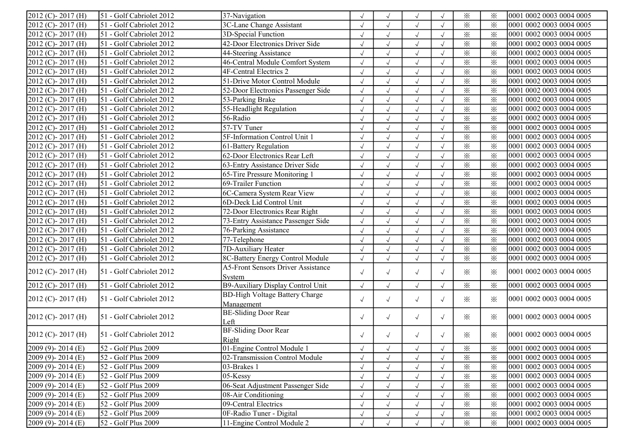| $2012$ (C) - 2017 (H)            | 51 - Golf Cabriolet 2012 | 37-Navigation                             |              | $\sqrt{ }$ | $\sqrt{ }$ |            | $\times$ | $\times$ | 0001 0002 0003 0004 0005 |
|----------------------------------|--------------------------|-------------------------------------------|--------------|------------|------------|------------|----------|----------|--------------------------|
| 2012 (C)-2017 (H)                | 51 - Golf Cabriolet 2012 | 3C-Lane Change Assistant                  |              | $\sqrt{ }$ | $\sqrt{ }$ | $\sqrt{ }$ | $\times$ | $\times$ | 0001 0002 0003 0004 0005 |
| 2012 (C)-2017 (H)                | 51 - Golf Cabriolet 2012 | 3D-Special Function                       | $\sqrt{}$    | $\sqrt{ }$ | $\sqrt{}$  | $\sqrt{ }$ | $\times$ | $\times$ | 0001 0002 0003 0004 0005 |
| 2012 (C)-2017 (H)                | 51 - Golf Cabriolet 2012 | 42-Door Electronics Driver Side           | $\sqrt{ }$   | $\sqrt{ }$ | $\sqrt{ }$ |            | $\times$ | $\times$ | 0001 0002 0003 0004 0005 |
| $2012$ (C) - 2017 (H)            | 51 - Golf Cabriolet 2012 | 44-Steering Assistance                    | $\sqrt{}$    | $\sqrt{}$  | $\sqrt{ }$ | $\sqrt{ }$ | $\times$ | $\times$ | 0001 0002 0003 0004 0005 |
| $\overline{2012}$ (C) - 2017 (H) | 51 - Golf Cabriolet 2012 | 46-Central Module Comfort System          | $\sqrt{2}$   | $\sqrt{ }$ | $\sqrt{2}$ | $\sqrt{ }$ | $\times$ | $\times$ | 0001 0002 0003 0004 0005 |
| 2012 (C)-2017 (H)                | 51 - Golf Cabriolet 2012 | 4F-Central Electrics 2                    |              | $\sqrt{ }$ | $\sqrt{ }$ |            | $\times$ | $\times$ | 0001 0002 0003 0004 0005 |
| $2012$ (C) - 2017 (H)            | 51 - Golf Cabriolet 2012 | 51-Drive Motor Control Module             |              | $\sqrt{ }$ | $\sqrt{ }$ |            | $\times$ | $\times$ | 0001 0002 0003 0004 0005 |
| $2012$ (C) - 2017 (H)            | 51 - Golf Cabriolet 2012 | 52-Door Electronics Passenger Side        | $\sqrt{ }$   | $\sqrt{ }$ | $\sqrt{ }$ | $\sqrt{ }$ | $\times$ | $\times$ | 0001 0002 0003 0004 0005 |
| 2012 (C)-2017 (H)                | 51 - Golf Cabriolet 2012 | 53-Parking Brake                          | $\sqrt{ }$   | $\sqrt{ }$ | $\sqrt{ }$ | $\sqrt{ }$ | $\times$ | $\times$ | 0001 0002 0003 0004 0005 |
| 2012 (C)-2017 (H)                | 51 - Golf Cabriolet 2012 | 55-Headlight Regulation                   | $\sqrt{2}$   | $\sqrt{ }$ | $\sqrt{2}$ | $\sqrt{ }$ | $\times$ | $\times$ | 0001 0002 0003 0004 0005 |
| 2012 (C)-2017 (H)                | 51 - Golf Cabriolet 2012 | 56-Radio                                  | $\sqrt{}$    | $\sqrt{ }$ | $\sqrt{2}$ | $\sqrt{ }$ | $\times$ | $\times$ | 0001 0002 0003 0004 0005 |
| 2012 (C)-2017 (H)                | 51 - Golf Cabriolet 2012 | 57-TV Tuner                               | $\sqrt{}$    | $\sqrt{ }$ | $\sqrt{ }$ | $\sqrt{ }$ | $\times$ | $\times$ | 0001 0002 0003 0004 0005 |
| 2012 (C)-2017 (H)                | 51 - Golf Cabriolet 2012 | 5F-Information Control Unit 1             |              | $\sqrt{ }$ | $\sqrt{ }$ |            | $\times$ | $\times$ | 0001 0002 0003 0004 0005 |
| 2012 (C)-2017 (H)                | 51 - Golf Cabriolet 2012 | 61-Battery Regulation                     |              | $\sqrt{ }$ | $\sqrt{ }$ |            | $\times$ | $\times$ | 0001 0002 0003 0004 0005 |
| 2012 (C)-2017 (H)                | 51 - Golf Cabriolet 2012 | 62-Door Electronics Rear Left             | $\sqrt{ }$   | $\sqrt{ }$ | $\sqrt{ }$ |            | $\times$ | $\times$ | 0001 0002 0003 0004 0005 |
| 2012 (C)-2017 (H)                | 51 - Golf Cabriolet 2012 | 63-Entry Assistance Driver Side           | $\sqrt{}$    | $\sqrt{ }$ | $\sqrt{ }$ |            | $\times$ | $\times$ | 0001 0002 0003 0004 0005 |
| $2012$ (C) - 2017 (H)            | 51 - Golf Cabriolet 2012 | 65-Tire Pressure Monitoring 1             | $\sqrt{2}$   | $\sqrt{ }$ | $\sqrt{2}$ |            | $\times$ | $\times$ | 0001 0002 0003 0004 0005 |
| $2012$ (C) - 2017 (H)            | 51 - Golf Cabriolet 2012 | 69-Trailer Function                       | $\sqrt{}$    | $\sqrt{ }$ | $\sqrt{2}$ |            | $\times$ | $\times$ | 0001 0002 0003 0004 0005 |
| $\sqrt{2012}$ (C) - 2017 (H)     | 51 - Golf Cabriolet 2012 | 6C-Camera System Rear View                |              | $\sqrt{ }$ | $\sqrt{ }$ |            | $\times$ | $\times$ | 0001 0002 0003 0004 0005 |
| $2012$ (C) - 2017 (H)            | 51 - Golf Cabriolet 2012 | 6D-Deck Lid Control Unit                  | $\sqrt{}$    | $\sqrt{ }$ | $\sqrt{ }$ | $\sqrt{ }$ | $\times$ | $\times$ | 0001 0002 0003 0004 0005 |
| $2012$ (C) - 2017 (H)            | 51 - Golf Cabriolet 2012 | 72-Door Electronics Rear Right            | $\sqrt{ }$   | $\sqrt{ }$ | $\sqrt{ }$ | $\sqrt{ }$ | $\times$ | $\times$ | 0001 0002 0003 0004 0005 |
| 2012 (C)-2017 (H)                | 51 - Golf Cabriolet 2012 | 73-Entry Assistance Passenger Side        | $\sqrt{}$    | $\sqrt{ }$ | $\sqrt{ }$ | $\sqrt{ }$ | $\times$ | $\times$ | 0001 0002 0003 0004 0005 |
| 2012 (C)-2017 (H)                | 51 - Golf Cabriolet 2012 | 76-Parking Assistance                     | $\sqrt{ }$   | $\sqrt{}$  | $\sqrt{2}$ | $\sqrt{ }$ | $\times$ | $\times$ | 0001 0002 0003 0004 0005 |
| 2012 (C)-2017 (H)                | 51 - Golf Cabriolet 2012 | 77-Telephone                              | $\sqrt{2}$   | $\sqrt{ }$ | $\sqrt{2}$ | $\sqrt{ }$ | $\times$ | $\times$ | 0001 0002 0003 0004 0005 |
| 2012 (C)-2017 (H)                | 51 - Golf Cabriolet 2012 | 7D-Auxiliary Heater                       |              | $\sqrt{ }$ | $\sqrt{}$  | $\sqrt{ }$ | $\times$ | $\times$ | 0001 0002 0003 0004 0005 |
| 2012 (C)-2017 (H)                | 51 - Golf Cabriolet 2012 | 8C-Battery Energy Control Module          | $\sqrt{}$    | $\sqrt{ }$ | $\sqrt{ }$ | $\sqrt{ }$ | $\times$ | $\times$ | 0001 0002 0003 0004 0005 |
|                                  | 51 - Golf Cabriolet 2012 | <b>A5-Front Sensors Driver Assistance</b> |              |            |            |            |          |          | 0001 0002 0003 0004 0005 |
| $2012$ (C) - 2017 (H)            |                          | System                                    | $\sqrt{ }$   | $\sqrt{ }$ | $\sqrt{ }$ | $\sqrt{ }$ | $\times$ | $\times$ |                          |
| $2012$ (C) - 2017 (H)            | 51 - Golf Cabriolet 2012 | B9-Auxiliary Display Control Unit         | $\sqrt{ }$   | $\sqrt{ }$ | $\sqrt{2}$ | $\sqrt{ }$ | $\times$ | $\times$ | 0001 0002 0003 0004 0005 |
| $2012$ (C) - 2017 (H)            | 51 - Golf Cabriolet 2012 | <b>BD-High Voltage Battery Charge</b>     | $\sqrt{ }$   | $\sqrt{ }$ | $\sqrt{ }$ | $\sqrt{ }$ | $\times$ | ⋇        | 0001 0002 0003 0004 0005 |
|                                  |                          | Management                                |              |            |            |            |          |          |                          |
| $2012$ (C) - 2017 (H)            | 51 - Golf Cabriolet 2012 | <b>BE-Sliding Door Rear</b>               | $\sqrt{ }$   | $\sqrt{ }$ | $\sqrt{ }$ | $\sqrt{ }$ | $\times$ | ⋇        | 0001 0002 0003 0004 0005 |
|                                  |                          | Left                                      |              |            |            |            |          |          |                          |
| $2012$ (C) - 2017 (H)            | 51 - Golf Cabriolet 2012 | <b>BF-Sliding Door Rear</b>               | $\sqrt{ }$   | $\sqrt{ }$ | $\sqrt{ }$ | $\sqrt{ }$ | $\times$ | ⋇        | 0001 0002 0003 0004 0005 |
|                                  |                          | Right                                     |              |            |            |            |          |          |                          |
| $[2009 (9) - 2014 (E)]$          | 52 - Golf Plus 2009      | 01-Engine Control Module 1                | $\sqrt{}$    | $\sqrt{ }$ | $\sqrt{ }$ | $\sqrt{ }$ | $\times$ | ⋇        | 0001 0002 0003 0004 0005 |
| $2009(9) - 2014(E)$              | 52 - Golf Plus 2009      | 02-Transmission Control Module            | J            | $\sqrt{ }$ | $\sqrt{ }$ |            | $\times$ | ⋇        | 0001 0002 0003 0004 0005 |
| $[2009 (9) - 2014 (E)]$          | 52 - Golf Plus 2009      | 03-Brakes 1                               | $\checkmark$ | $\sqrt{ }$ | $\sqrt{ }$ |            | $\times$ | $\times$ | 0001 0002 0003 0004 0005 |
| $[2009 (9) - 2014 (E)]$          | 52 - Golf Plus 2009      | 05-Kessy                                  | $\sqrt{}$    | $\sqrt{ }$ | $\sqrt{ }$ |            | $\times$ | $\times$ | 0001 0002 0003 0004 0005 |
| $[2009 (9) - 2014 (E)]$          | 52 - Golf Plus 2009      | 06-Seat Adjustment Passenger Side         | $\sqrt{ }$   | $\sqrt{ }$ | $\sqrt{}$  | $\sqrt{ }$ | $\times$ | $\times$ | 0001 0002 0003 0004 0005 |
| $[2009 (9) - 2014 (E)]$          | 52 - Golf Plus 2009      | 08-Air Conditioning                       |              | $\sqrt{ }$ | $\sqrt{ }$ | $\sqrt{ }$ | $\times$ | $\times$ | 0001 0002 0003 0004 0005 |
| $[2009 (9) - 2014 (E)]$          | 52 - Golf Plus 2009      | 09-Central Electrics                      | $\sqrt{ }$   | $\sqrt{ }$ | $\sqrt{ }$ | $\sqrt{ }$ | $\times$ | $\times$ | 0001 0002 0003 0004 0005 |
| $[2009 (9) - 2014 (E)]$          | 52 - Golf Plus 2009      | OF-Radio Tuner - Digital                  | $\sqrt{ }$   | $\sqrt{ }$ | $\sqrt{ }$ |            | $\times$ | $\times$ | 0001 0002 0003 0004 0005 |
| $[2009 (9) - 2014 (E)]$          | 52 - Golf Plus 2009      | 11-Engine Control Module 2                |              |            |            |            | $\times$ | $\times$ | 0001 0002 0003 0004 0005 |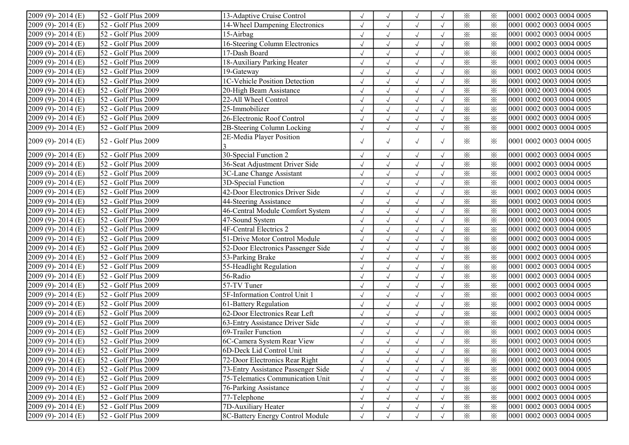| $2009(9) - 2014(E)$          | 52 - Golf Plus 2009              | 13-Adaptive Cruise Control         | $\sqrt{2}$ |                      | $\sqrt{}$  |            | $\times$                | $\times$ | 0001 0002 0003 0004 0005 |
|------------------------------|----------------------------------|------------------------------------|------------|----------------------|------------|------------|-------------------------|----------|--------------------------|
| 2009 (9)-2014 (E)            | 52 - Golf Plus 2009              | 14-Wheel Dampening Electronics     | $\sqrt{ }$ | $\sqrt{}$            | $\sqrt{}$  |            | $\times$                | $\times$ | 0001 0002 0003 0004 0005 |
| 2009 (9)-2014 (E)            | 52 - Golf Plus 2009              | 15-Airbag                          | $\sqrt{ }$ |                      | $\sqrt{ }$ | $\sqrt{ }$ | $\times$                | $\times$ | 0001 0002 0003 0004 0005 |
| $2009(9) - 2014(E)$          | 52 - Golf Plus 2009              | 16-Steering Column Electronics     | $\sqrt{2}$ | $\sqrt{ }$           | $\sqrt{ }$ | $\sqrt{ }$ | $\times$                | $\times$ | 0001 0002 0003 0004 0005 |
| $2009(9) - 2014(E)$          | 52 - Golf Plus 2009              | 17-Dash Board                      | $\sqrt{ }$ | $\sqrt{ }$           | $\sqrt{}$  |            | $\times$                | $\times$ | 0001 0002 0003 0004 0005 |
| $2009(9) - 2014(E)$          | 52 - Golf Plus 2009              | 18-Auxiliary Parking Heater        | $\sqrt{}$  | $\sqrt{ }$           | $\sqrt{}$  |            | $\times$                | $\times$ | 0001 0002 0003 0004 0005 |
| 2009 (9)-2014 (E)            | 52 - Golf Plus 2009              | 19-Gateway                         | $\sqrt{ }$ | $\sqrt{ }$           | $\sqrt{}$  |            | $\times$                | $\times$ | 0001 0002 0003 0004 0005 |
| $2009(9) - 2014(E)$          | $\overline{52}$ - Golf Plus 2009 | 1C-Vehicle Position Detection      |            | $\sqrt{\phantom{a}}$ | $\sqrt{}$  |            | $\times$                | $\times$ | 0001 0002 0003 0004 0005 |
| 2009 (9)-2014 (E)            | $\overline{52}$ - Golf Plus 2009 | 20-High Beam Assistance            |            | $\sqrt{ }$           | $\sqrt{}$  |            | $\times$                | $\times$ | 0001 0002 0003 0004 0005 |
| $2009(9) - 2014(E)$          | 52 - Golf Plus 2009              | 22-All Wheel Control               | $\sqrt{ }$ | $\sqrt{ }$           | $\sqrt{}$  | $\sqrt{ }$ | $\times$                | $\times$ | 0001 0002 0003 0004 0005 |
| 2009 (9)-2014 (E)            | 52 - Golf Plus 2009              | 25-Immobilizer                     | $\sqrt{ }$ | $\sqrt{ }$           | $\sqrt{}$  | $\sqrt{ }$ | $\times$                | $\times$ | 0001 0002 0003 0004 0005 |
| 2009 (9)-2014 (E)            | 52 - Golf Plus 2009              | 26-Electronic Roof Control         | $\sqrt{ }$ | $\sqrt{ }$           | $\sqrt{}$  | $\sqrt{ }$ | $\times$                | $\times$ | 0001 0002 0003 0004 0005 |
| 2009 (9)-2014 (E)            | 52 - Golf Plus 2009              | 2B-Steering Column Locking         | $\sqrt{2}$ | $\sqrt{}$            | $\sqrt{ }$ | $\sqrt{ }$ | $\times$                | $\times$ | 0001 0002 0003 0004 0005 |
| $[2009 (9) - 2014 (E)]$      | 52 - Golf Plus 2009              | 2E-Media Player Position           | $\sqrt{ }$ | $\sqrt{ }$           | $\sqrt{ }$ | $\sqrt{ }$ | $\times$                | $\times$ | 0001 0002 0003 0004 0005 |
| $2009(9) - 2014(E)$          | 52 - Golf Plus 2009              | 30-Special Function 2              | $\sqrt{}$  | $\sqrt{ }$           | $\sqrt{}$  | $\sqrt{ }$ | $\times$                | $\times$ | 0001 0002 0003 0004 0005 |
| 2009 (9)-2014 (E)            | 52 - Golf Plus 2009              | 36-Seat Adjustment Driver Side     |            |                      | $\sqrt{}$  |            | $\times$                | $\times$ | 0001 0002 0003 0004 0005 |
| 2009 (9)-2014 (E)            | 52 - Golf Plus 2009              | 3C-Lane Change Assistant           | $\sqrt{}$  |                      | $\sqrt{ }$ |            | $\times$                | $\times$ | 0001 0002 0003 0004 0005 |
| 2009 (9)-2014 (E)            | 52 - Golf Plus 2009              | 3D-Special Function                | $\sqrt{ }$ | $\sqrt{ }$           | $\sqrt{ }$ |            | $\overline{\mathbf{x}}$ | $\times$ | 0001 0002 0003 0004 0005 |
| 2009 (9)-2014 (E)            | 52 - Golf Plus 2009              | 42-Door Electronics Driver Side    | $\sqrt{ }$ | $\sqrt{ }$           | $\sqrt{}$  |            | $\times$                | $\times$ | 0001 0002 0003 0004 0005 |
| $2009(9) - 2014(E)$          | 52 - Golf Plus 2009              | 44-Steering Assistance             | $\sqrt{ }$ | $\sqrt{ }$           | $\sqrt{}$  |            | $\times$                | $\times$ | 0001 0002 0003 0004 0005 |
| $2009(9) - 2014(E)$          | 52 - Golf Plus 2009              | 46-Central Module Comfort System   | $\sqrt{}$  | $\sqrt{ }$           | $\sqrt{ }$ |            | $\times$                | $\times$ | 0001 0002 0003 0004 0005 |
| $2009(9) - 2014(E)$          | 52 - Golf Plus 2009              | 47-Sound System                    | $\sqrt{}$  | $\sqrt{ }$           | $\sqrt{}$  |            | $\times$                | $\times$ | 0001 0002 0003 0004 0005 |
| $2009(9) - 2014(E)$          | 52 - Golf Plus 2009              | <b>4F-Central Electrics 2</b>      | $\sqrt{ }$ |                      | $\sqrt{ }$ |            | $\times$                | $\times$ | 0001 0002 0003 0004 0005 |
| $2009(9) - 2014(E)$          | 52 - Golf Plus 2009              | 51-Drive Motor Control Module      | $\sqrt{}$  | $\sqrt{ }$           | $\sqrt{}$  | $\sqrt{ }$ | $\times$                | $\times$ | 0001 0002 0003 0004 0005 |
| $2009(9) - 2014(E)$          | 52 - Golf Plus 2009              | 52-Door Electronics Passenger Side | $\sqrt{}$  | $\sqrt{}$            | $\sqrt{}$  | $\sqrt{ }$ | $\times$                | $\times$ | 0001 0002 0003 0004 0005 |
| 2009 (9)-2014 (E)            | 52 - Golf Plus 2009              | 53-Parking Brake                   | $\sqrt{}$  | $\sqrt{ }$           | $\sqrt{}$  | $\sqrt{ }$ | $\times$                | $\times$ | 0001 0002 0003 0004 0005 |
| 2009 (9)-2014 (E)            | 52 - Golf Plus 2009              | 55-Headlight Regulation            | $\sqrt{2}$ | $\sqrt{ }$           | $\sqrt{ }$ | $\sqrt{ }$ | $\times$                | $\times$ | 0001 0002 0003 0004 0005 |
| 2009 (9)-2014 (E)            | 52 - Golf Plus 2009              | 56-Radio                           | $\sqrt{ }$ | $\sqrt{}$            | $\sqrt{ }$ | $\sqrt{ }$ | $\times$                | $\times$ | 0001 0002 0003 0004 0005 |
| 2009 (9)-2014 (E)            | 52 - Golf Plus 2009              | 57-TV Tuner                        | $\sqrt{ }$ |                      | $\sqrt{}$  |            | $\times$                | $\times$ | 0001 0002 0003 0004 0005 |
| 2009 (9)-2014 (E)            | 52 - Golf Plus 2009              | 5F-Information Control Unit 1      | $\sqrt{ }$ | $\sqrt{ }$           | $\sqrt{ }$ | $\sqrt{ }$ | $\times$                | $\times$ | 0001 0002 0003 0004 0005 |
| 2009 (9)-2014 (E)            | $\sqrt{52}$ - Golf Plus 2009     | 61-Battery Regulation              | $\sqrt{ }$ | $\sqrt{ }$           | $\sqrt{ }$ |            | $\times$                | $\times$ | 0001 0002 0003 0004 0005 |
| 2009 (9)-2014 (E)            | 52 - Golf Plus 2009              | 62-Door Electronics Rear Left      | $\sqrt{}$  | $\sqrt{ }$           | $\sqrt{}$  | $\sqrt{ }$ | $\times$                | $\times$ | 0001 0002 0003 0004 0005 |
| $2009(9) - 2014(E)$          | 52 - Golf Plus 2009              | 63-Entry Assistance Driver Side    | $\sqrt{}$  | $\sqrt{ }$           | $\sqrt{}$  |            | $\times$                | $\times$ | 0001 0002 0003 0004 0005 |
| 2009 (9)-2014 (E)            | 52 - Golf Plus 2009              | 69-Trailer Function                |            |                      | $\sqrt{}$  |            | $\times$                | $\times$ | 0001 0002 0003 0004 0005 |
| $\sqrt{2009}$ (9) - 2014 (E) | 52 - Golf Plus 2009              | 6C-Camera System Rear View         |            |                      | $\sqrt{}$  |            | $\times$                | $\times$ | 0001 0002 0003 0004 0005 |
| $[2009 (9) - 2014 (E)]$      | 52 - Golf Plus 2009              | 6D-Deck Lid Control Unit           | $\sqrt{ }$ | $\sqrt{ }$           | $\sqrt{ }$ |            | $\times$                | ⋇        | 0001 0002 0003 0004 0005 |
| $[2009 (9) - 2014 (E)]$      | 52 - Golf Plus 2009              | 72-Door Electronics Rear Right     | $\sqrt{}$  |                      | $\sqrt{}$  |            | $\times$                | $\times$ | 0001 0002 0003 0004 0005 |
| $[2009 (9) - 2014 (E)]$      | 52 - Golf Plus 2009              | 73-Entry Assistance Passenger Side | $\sqrt{ }$ |                      | $\sqrt{ }$ | $\sqrt{ }$ | $\times$                | $\times$ | 0001 0002 0003 0004 0005 |
| $[2009 (9) - 2014 (E)]$      | 52 - Golf Plus 2009              | 75-Telematics Communication Unit   | $\sqrt{}$  |                      | $\sqrt{ }$ |            | $\times$                | $\times$ | 0001 0002 0003 0004 0005 |
| $2009(9) - 2014(E)$          | 52 - Golf Plus 2009              | 76-Parking Assistance              | $\sqrt{}$  |                      | $\sqrt{}$  |            | $\times$                | $\times$ | 0001 0002 0003 0004 0005 |
| 2009 (9)-2014 (E)            | 52 - Golf Plus 2009              | 77-Telephone                       | $\sqrt{ }$ |                      | $\sqrt{ }$ | $\sqrt{ }$ | $\times$                | $\times$ | 0001 0002 0003 0004 0005 |
| $[2009 (9) - 2014 (E)]$      | 52 - Golf Plus 2009              | 7D-Auxiliary Heater                |            |                      | $\sqrt{ }$ |            | $\times$                | $\times$ | 0001 0002 0003 0004 0005 |
| $[2009 (9) - 2014 (E)]$      | 52 - Golf Plus 2009              | 8C-Battery Energy Control Module   |            |                      | $\sqrt{ }$ |            | $\times$                | $\times$ | 0001 0002 0003 0004 0005 |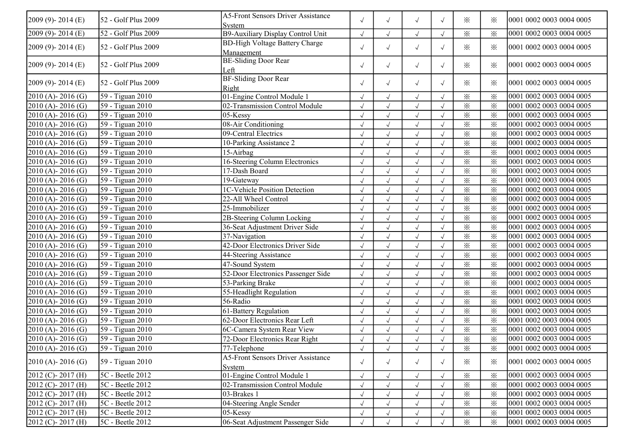| 2009 (9)-2014 (E)     | 52 - Golf Plus 2009                  | <b>A5-Front Sensors Driver Assistance</b>   | $\sqrt{ }$ | $\sqrt{ }$   | $\sqrt{ }$           | $\sqrt{ }$ | $\times$                | ⋇                       | 0001 0002 0003 0004 0005 |
|-----------------------|--------------------------------------|---------------------------------------------|------------|--------------|----------------------|------------|-------------------------|-------------------------|--------------------------|
| 2009 (9)-2014 (E)     | 52 - Golf Plus 2009                  | System<br>B9-Auxiliary Display Control Unit | $\sqrt{ }$ | $\sqrt{}$    | $\sqrt{}$            |            | $\times$                | $\times$                | 0001 0002 0003 0004 0005 |
|                       |                                      | <b>BD-High Voltage Battery Charge</b>       |            |              |                      |            |                         |                         |                          |
| $2009(9) - 2014(E)$   | 52 - Golf Plus 2009                  | Management                                  | $\sqrt{ }$ | $\sqrt{ }$   | $\sqrt{\phantom{a}}$ | $\sqrt{ }$ | $\times$                | ⋇                       | 0001 0002 0003 0004 0005 |
|                       |                                      | <b>BE-Sliding Door Rear</b>                 |            |              |                      |            |                         |                         |                          |
| 2009 (9)-2014 (E)     | 52 - Golf Plus 2009                  | Left                                        | $\sqrt{ }$ | $\sqrt{ }$   | $\sqrt{\phantom{a}}$ | $\sqrt{ }$ | $\times$                | ⋇                       | 0001 0002 0003 0004 0005 |
|                       |                                      | BF-Sliding Door Rear                        |            |              |                      |            |                         |                         |                          |
| 2009 (9)-2014 (E)     | 52 - Golf Plus 2009                  | Right                                       | $\sqrt{ }$ | $\sqrt{ }$   | $\sqrt{\phantom{a}}$ | $\sqrt{ }$ | $\times$                | $\times$                | 0001 0002 0003 0004 0005 |
| $2010(A) - 2016(G)$   | 59 - Tiguan 2010                     | 01-Engine Control Module                    | $\sqrt{ }$ | $\sqrt{}$    | $\checkmark$         |            | $\times$                | $\times$                | 0001 0002 0003 0004 0005 |
| 2010 (A)-2016 (G)     | $\sqrt{59}$ - Tiguan 2010            | 02-Transmission Control Module              | $\sqrt{ }$ |              | $\sqrt{ }$           |            | $\times$                | $\times$                | 0001 0002 0003 0004 0005 |
| $2010(A) - 2016(G)$   | 59 - Tiguan 2010                     | 05-Kessy                                    |            |              |                      |            | $\times$                | $\times$                | 0001 0002 0003 0004 0005 |
| $2010(A) - 2016(G)$   | 59 - Tiguan 2010                     | 08-Air Conditioning                         | $\sqrt{ }$ | $\sqrt{}$    | $\sqrt{ }$           |            | $\times$                | $\times$                | 0001 0002 0003 0004 0005 |
| $2010(A) - 2016(G)$   | 59 - Tiguan 2010                     | 09-Central Electrics                        | $\sqrt{ }$ | $\sqrt{}$    | $\sqrt{ }$           |            | $\times$                | $\times$                | 0001 0002 0003 0004 0005 |
| 2010 (A)-2016 (G)     | 59 - Tiguan 2010                     | 10-Parking Assistance 2                     | $\sqrt{}$  | $\checkmark$ | $\sqrt{\phantom{a}}$ |            | $\times$                | $\times$                | 0001 0002 0003 0004 0005 |
| 2010 (A)-2016 (G)     | 59 - Tiguan 2010                     | 15-Airbag                                   | $\sqrt{}$  | $\sqrt{}$    | $\sqrt{ }$           |            | $\times$                | $\times$                | 0001 0002 0003 0004 0005 |
| 2010 (A)-2016 (G)     | 59 - Tiguan 2010                     | 16-Steering Column Electronics              | $\sqrt{ }$ |              | $\sqrt{ }$           |            | ⋇                       | $\times$                | 0001 0002 0003 0004 0005 |
| 2010 (A)-2016 (G)     | 59 - Tiguan 2010                     | 17-Dash Board                               | $\sqrt{ }$ |              | $\sqrt{ }$           |            | $\times$                | $\times$                | 0001 0002 0003 0004 0005 |
| $2010(A) - 2016(G)$   | 59 - Tiguan 2010                     | 19-Gateway                                  | $\sqrt{ }$ | $\sqrt{}$    | $\sqrt{ }$           | $\sqrt{ }$ | $\times$                | $\times$                | 0001 0002 0003 0004 0005 |
| $2010$ (A) - 2016 (G) | 59 - Tiguan 2010                     | <b>1C-Vehicle Position Detection</b>        | $\sqrt{ }$ | $\sqrt{}$    | $\sqrt{}$            |            | $\times$                | $\times$                | 0001 0002 0003 0004 0005 |
| $2010(A) - 2016(G)$   | 59 - Tiguan 2010                     | 22-All Wheel Control                        | $\sqrt{ }$ | $\sqrt{}$    |                      | $\sqrt{ }$ | $\times$                | $\times$                | 0001 0002 0003 0004 0005 |
|                       |                                      |                                             | $\sqrt{ }$ | $\sqrt{}$    | $\sqrt{ }$           | $\sqrt{2}$ |                         |                         |                          |
| $2010(A) - 2016(G)$   | 59 - Tiguan 2010<br>59 - Tiguan 2010 | 25-Immobilizer                              |            |              | $\sqrt{ }$           |            | $\times$                | $\times$                | 0001 0002 0003 0004 0005 |
| 2010 (A)-2016 (G)     |                                      | 2B-Steering Column Locking                  | $\sqrt{}$  | $\sqrt{}$    | $\sqrt{ }$           |            | $\times$                | $\times$                | 0001 0002 0003 0004 0005 |
| $2010(A) - 2016(G)$   | 59 - Tiguan 2010                     | 36-Seat Adjustment Driver Side              |            |              | $\sqrt{ }$           |            | $\times$                | $\times$                | 0001 0002 0003 0004 0005 |
| $2010(A) - 2016(G)$   | $\sqrt{59}$ - Tiguan 2010            | 37-Navigation                               | $\sqrt{ }$ |              | $\sqrt{}$            |            | $\times$                | $\times$                | 0001 0002 0003 0004 0005 |
| $2010(A) - 2016(G)$   | 59 - Tiguan 2010                     | 42-Door Electronics Driver Side             | $\sqrt{ }$ |              | $\sqrt{}$            |            | $\times$                | $\times$                | 0001 0002 0003 0004 0005 |
| $2010(A) - 2016(G)$   | 59 - Tiguan 2010                     | 44-Steering Assistance                      | $\sqrt{ }$ | $\sqrt{}$    | $\sqrt{ }$           |            | $\times$                | $\times$                | 0001 0002 0003 0004 0005 |
| $2010(A) - 2016(G)$   | 59 - Tiguan 2010                     | 47-Sound System                             | $\sqrt{ }$ | $\sqrt{}$    | $\sqrt{ }$           |            | $\times$                | $\times$                | 0001 0002 0003 0004 0005 |
| 2010 (A)-2016 (G)     | $\sqrt{59}$ - Tiguan 2010            | 52-Door Electronics Passenger Side          | $\sqrt{ }$ | $\sqrt{}$    | $\checkmark$         |            | $\times$                | $\times$                | 0001 0002 0003 0004 0005 |
| 2010 (A)-2016 (G)     | 59 - Tiguan 2010                     | 53-Parking Brake                            | $\sqrt{}$  |              | $\sqrt{}$            |            | $\times$                | $\times$                | 0001 0002 0003 0004 0005 |
| $2010(A) - 2016(G)$   | $\sqrt{59}$ - Tiguan 2010            | 55-Headlight Regulation                     | $\sqrt{ }$ | $\sqrt{}$    | $\sqrt{ }$           |            | $\times$                | $\times$                | 0001 0002 0003 0004 0005 |
| $2010(A) - 2016(G)$   | $\sqrt{59}$ - Tiguan 2010            | $56 - Radio$                                | $\sqrt{ }$ | $\sqrt{ }$   | $\sqrt{ }$           | $\sqrt{ }$ | $\times$                | $\overline{\mathbf{x}}$ | 0001 0002 0003 0004 0005 |
| 2010 (A)-2016 (G)     | 59 - Tiguan 2010                     | 61-Battery Regulation                       | $\sqrt{ }$ | $\sqrt{}$    | $\sqrt{ }$           | $\sqrt{ }$ | $\times$                | $\times$                | 0001 0002 0003 0004 0005 |
| 2010 (A)-2016 (G)     | 59 - Tiguan 2010                     | 62-Door Electronics Rear Left               | $\sqrt{ }$ | $\sqrt{}$    | $\sqrt{ }$           | $\sqrt{ }$ | $\times$                | $\times$                | 0001 0002 0003 0004 0005 |
| 2010 (A)-2016 (G)     | 59 - Tiguan 2010                     | 6C-Camera System Rear View                  | $\sqrt{ }$ | $\sqrt{}$    | $\checkmark$         |            | $\overline{\mathbf{x}}$ | $\overline{\mathbf{x}}$ | 0001 0002 0003 0004 0005 |
| $2010(A) - 2016(G)$   | 59 - Tiguan 2010                     | 72-Door Electronics Rear Right              | $\sqrt{}$  |              | $\sqrt{2}$           |            | $\times$                | $\times$                | 0001 0002 0003 0004 0005 |
| $2010(A) - 2016(G)$   | 59 - Tiguan 2010                     | 77-Telephone                                | $\sqrt{ }$ | $\sqrt{ }$   | $\sqrt{ }$           | $\sqrt{ }$ | $\times$                | $\times$                | 0001 0002 0003 0004 0005 |
| $2010(A) - 2016(G)$   | 59 - Tiguan 2010                     | <b>A5-Front Sensors Driver Assistance</b>   | $\sqrt{ }$ | $\sqrt{}$    | $\sqrt{ }$           |            | $\times$                | $\times$                | 0001 0002 0003 0004 0005 |
|                       |                                      | System                                      |            |              |                      |            |                         |                         |                          |
| $2012$ (C) - 2017 (H) | 5C - Beetle 2012                     | 01-Engine Control Module 1                  | $\sqrt{ }$ | $\sqrt{ }$   | $\sqrt{ }$           | $\sqrt{ }$ | $\times$                | $\times$                | 0001 0002 0003 0004 0005 |
| $2012$ (C) - 2017 (H) | $\overline{5C}$ - Beetle 2012        | 02-Transmission Control Module              | $\sqrt{ }$ |              | $\sqrt{}$            |            | $\times$                | $\times$                | 0001 0002 0003 0004 0005 |
| 2012 (C)-2017 (H)     | 5C - Beetle 2012                     | 03-Brakes 1                                 | $\sqrt{ }$ |              | $\sqrt{ }$           |            | $\times$                | $\times$                | 0001 0002 0003 0004 0005 |
| 2012 (C)-2017 (H)     | 5C - Beetle 2012                     | 04-Steering Angle Sender                    | $\sqrt{2}$ |              | $\sqrt{ }$           |            | $\times$                | $\times$                | 0001 0002 0003 0004 0005 |
| $2012$ (C) - 2017 (H) | 5C - Beetle 2012                     | 05-Kessy                                    |            |              | $\sqrt{ }$           |            | $\times$                | $\times$                | 0001 0002 0003 0004 0005 |
| $2012$ (C) - 2017 (H) | 5C - Beetle 2012                     | 06-Seat Adjustment Passenger Side           |            |              | $\sqrt{}$            |            | $\times$                | $\times$                | 0001 0002 0003 0004 0005 |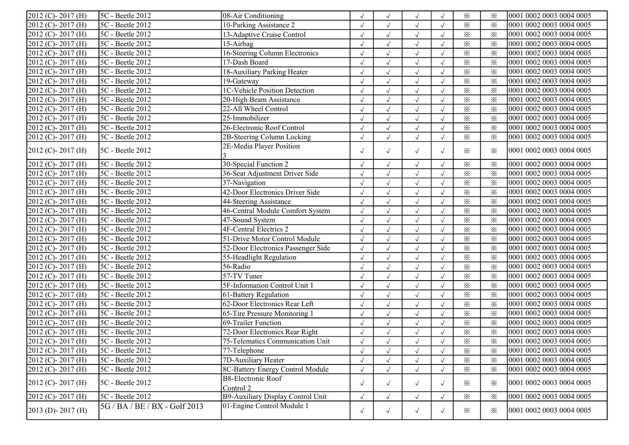| $2012$ (C) - 2017 (H)   | 5C - Beetle 2012              | 08-Air Conditioning                    | $\sqrt{ }$ | $\sqrt{ }$   | $\sqrt{ }$           |            | $\times$                | $\times$ | 0001 0002 0003 0004 0005 |
|-------------------------|-------------------------------|----------------------------------------|------------|--------------|----------------------|------------|-------------------------|----------|--------------------------|
| 2012 (C)-2017 (H)       | 5C - Beetle 2012              | 10-Parking Assistance 2                | $\sqrt{ }$ | $\sqrt{}$    | $\checkmark$         |            | ⋇                       | $\times$ | 0001 0002 0003 0004 0005 |
| 2012 (C)-2017 (H)       | 5C - Beetle 2012              | 13-Adaptive Cruise Control             |            |              | $\sqrt{\phantom{a}}$ |            | $\times$                | $\times$ | 0001 0002 0003 0004 0005 |
| 2012 (C)-2017 (H)       | 5C - Beetle 2012              | 15-Airbag                              | $\sqrt{ }$ | $\sqrt{}$    | $\sqrt{ }$           | $\sqrt{ }$ | $\times$                | $\times$ | 0001 0002 0003 0004 0005 |
| 2012 (C)-2017 (H)       | $5C$ - Beetle 2012            | 16-Steering Column Electronics         | $\sqrt{ }$ | $\sqrt{ }$   | $\sqrt{ }$           |            | $\times$                | $\times$ | 0001 0002 0003 0004 0005 |
| 2012 (C)-2017 (H)       | 5C - Beetle 2012              | 17-Dash Board                          | $\sqrt{ }$ | $\sqrt{}$    | $\sqrt{ }$           |            | $\times$                | $\times$ | 0001 0002 0003 0004 0005 |
| 2012 (C)-2017 (H)       | 5C - Beetle 2012              | 18-Auxiliary Parking Heater            | $\sqrt{}$  | $\sqrt{}$    | $\sqrt{ }$           |            | $\times$                | $\times$ | 0001 0002 0003 0004 0005 |
| 2012 (C)-2017 (H)       | 5C - Beetle 2012              | 19-Gateway                             |            | $\sqrt{}$    | $\sqrt{ }$           |            | $\times$                | $\times$ | 0001 0002 0003 0004 0005 |
| 2012 (C)-2017 (H)       | 5C - Beetle 2012              | 1C-Vehicle Position Detection          |            |              | $\sqrt{ }$           |            | $\times$                | $\times$ | 0001 0002 0003 0004 0005 |
| 2012 (C)-2017 (H)       | 5C - Beetle 2012              | 20-High Beam Assistance                | $\sqrt{ }$ | $\sqrt{ }$   | $\sqrt{ }$           | $\sqrt{ }$ | $\times$                | $\times$ | 0001 0002 0003 0004 0005 |
| 2012 (C)-2017 (H)       | 5C - Beetle 2012              | 22-All Wheel Control                   | $\sqrt{ }$ | $\sqrt{ }$   | $\sqrt{ }$           | $\sqrt{ }$ | $\times$                | $\times$ | 0001 0002 0003 0004 0005 |
| 2012 (C)-2017 (H)       | 5C - Beetle 2012              | 25-Immobilizer                         | $\sqrt{ }$ | $\sqrt{}$    | $\sqrt{ }$           | $\sqrt{ }$ | $\times$                | $\times$ | 0001 0002 0003 0004 0005 |
| 2012 (C)-2017 (H)       | 5C - Beetle 2012              | 26-Electronic Roof Control             | $\sqrt{ }$ | $\sqrt{}$    | $\sqrt{ }$           | $\sqrt{ }$ | $\times$                | $\times$ | 0001 0002 0003 0004 0005 |
| 2012 (C)-2017 (H)       | 5C - Beetle 2012              | 2B-Steering Column Locking             | $\sqrt{2}$ | $\sqrt{}$    | $\checkmark$         |            | $\times$                | $\times$ | 0001 0002 0003 0004 0005 |
| $2012$ (C) - $2017$ (H) | 5C - Beetle 2012              | 2E-Media Player Position               | $\sqrt{ }$ | $\sqrt{}$    | $\sqrt{ }$           | $\sqrt{ }$ | $\times$                | $\times$ | 0001 0002 0003 0004 0005 |
| 2012 (C)-2017 (H)       | 5C - Beetle 2012              | 30-Special Function 2                  | $\sqrt{ }$ | $\sqrt{}$    | $\sqrt{\phantom{a}}$ |            | $\times$                | $\times$ | 0001 0002 0003 0004 0005 |
| 2012 (C)-2017 (H)       | 5C - Beetle 2012              | 36-Seat Adjustment Driver Side         |            |              | $\sqrt{ }$           |            | $\times$                | $\times$ | 0001 0002 0003 0004 0005 |
| 2012 (C)-2017 (H)       | 5C - Beetle 2012              | 37-Navigation                          | $\sqrt{ }$ | $\sqrt{ }$   | $\sqrt{ }$           |            | $\overline{\mathbf{x}}$ | $\times$ | 0001 0002 0003 0004 0005 |
| 2012 (C)-2017 (H)       | 5C - Beetle 2012              | 42-Door Electronics Driver Side        | $\sqrt{ }$ | $\sqrt{}$    | $\sqrt{\phantom{a}}$ |            | $\times$                | $\times$ | 0001 0002 0003 0004 0005 |
| 2012 (C)-2017 (H)       | 5C - Beetle 2012              | 44-Steering Assistance                 | $\sqrt{ }$ | $\sqrt{}$    | $\sqrt{\phantom{a}}$ |            | $\times$                | $\times$ | 0001 0002 0003 0004 0005 |
| 2012 (C)-2017 (H)       | 5C - Beetle 2012              | 46-Central Module Comfort System       | $\sqrt{}$  | $\checkmark$ | $\sqrt{ }$           |            | $\times$                | $\times$ | 0001 0002 0003 0004 0005 |
| 2012 (C)-2017 (H)       | $5C$ - Beetle 2012            | 47-Sound System                        | $\sqrt{ }$ | $\sqrt{}$    | $\sqrt{ }$           |            | $\times$                | $\times$ | 0001 0002 0003 0004 0005 |
| 2012 (C)-2017 (H)       | 5C - Beetle 2012              | <b>4F-Central Electrics 2</b>          | $\sqrt{ }$ |              | $\sqrt{ }$           |            | $\times$                | $\times$ | 0001 0002 0003 0004 0005 |
| 2012 (C)-2017 (H)       | 5C - Beetle 2012              | 51-Drive Motor Control Module          | $\sqrt{ }$ | $\sqrt{ }$   | $\sqrt{ }$           | $\sqrt{ }$ | $\times$                | $\times$ | 0001 0002 0003 0004 0005 |
| 2012 (C)-2017 (H)       | 5C - Beetle 2012              | 52-Door Electronics Passenger Side     | $\sqrt{ }$ | $\sqrt{ }$   | $\sqrt{ }$           | $\sqrt{ }$ | $\times$                | $\times$ | 0001 0002 0003 0004 0005 |
| 2012 (C)-2017 (H)       | 5C - Beetle 2012              | 55-Headlight Regulation                | $\sqrt{ }$ | $\sqrt{}$    | $\sqrt{ }$           | $\sqrt{ }$ | $\times$                | $\times$ | 0001 0002 0003 0004 0005 |
| 2012 (C)-2017 (H)       | 5C - Beetle 2012              | 56-Radio                               | $\sqrt{ }$ | $\sqrt{}$    | $\checkmark$         | $\sqrt{ }$ | $\times$                | $\times$ | 0001 0002 0003 0004 0005 |
| 2012 (C)-2017 (H)       | 5C - Beetle 2012              | 57-TV Tuner                            | $\sqrt{ }$ | $\sqrt{}$    | $\sqrt{ }$           | $\sqrt{ }$ | $\times$                | $\times$ | 0001 0002 0003 0004 0005 |
| 2012 (C)-2017 (H)       | 5C - Beetle 2012              | 5F-Information Control Unit 1          | $\sqrt{}$  |              | $\sqrt{ }$           |            | $\times$                | $\times$ | 0001 0002 0003 0004 0005 |
| 2012 (C)-2017 (H)       | 5C - Beetle 2012              | 61-Battery Regulation                  | $\sqrt{ }$ | $\sqrt{ }$   | $\sqrt{ }$           | $\sqrt{ }$ | $\times$                | $\times$ | 0001 0002 0003 0004 0005 |
| 2012 (C)-2017 (H)       | 5C - Beetle 2012              | 62-Door Electronics Rear Left          | $\sqrt{ }$ | $\sqrt{}$    | $\sqrt{ }$           |            | $\times$                | $\times$ | 0001 0002 0003 0004 0005 |
| 2012 (C)-2017 (H)       | 5C - Beetle 2012              | 65-Tire Pressure Monitoring 1          | $\sqrt{ }$ | $\sqrt{}$    | $\sqrt{ }$           |            | $\times$                | $\times$ | 0001 0002 0003 0004 0005 |
| 2012 (C)-2017 (H)       | 5C - Beetle 2012              | 69-Trailer Function                    | $\sqrt{2}$ | $\sqrt{}$    | $\sqrt{ }$           |            | $\times$                | $\times$ | 0001 0002 0003 0004 0005 |
| 2012 (C)-2017 (H)       | 5C - Beetle 2012              | 72-Door Electronics Rear Right         | $\sqrt{}$  |              | $\sqrt{ }$           |            | $\times$                | $\times$ | 0001 0002 0003 0004 0005 |
| 2012 (C)-2017 (H)       | 5C - Beetle 2012              | 75-Telematics Communication Unit       |            |              | $\sqrt{ }$           |            | $\times$                | $\times$ | 0001 0002 0003 0004 0005 |
| $2012$ (C) - 2017 (H)   | 5C - Beetle 2012              | 77-Telephone                           | $\sqrt{ }$ | $\sqrt{ }$   | $\sqrt{ }$           |            | $\times$                | ፠        | 0001 0002 0003 0004 0005 |
| $2012$ (C) - 2017 (H)   | 5C - Beetle 2012              | 7D-Auxiliary Heater                    | $\sqrt{ }$ |              | $\sqrt{ }$           |            | $\times$                | $\times$ | 0001 0002 0003 0004 0005 |
| 2012 (C)-2017 (H)       | 5C - Beetle 2012              | 8C-Battery Energy Control Module       | $\sqrt{ }$ |              | $\sqrt{}$            | $\sqrt{ }$ | $\times$                | $\times$ | 0001 0002 0003 0004 0005 |
| 2012 (C)-2017 (H)       | 5C - Beetle 2012              | <b>B8-Electronic Roof</b><br>Control 2 | $\sqrt{ }$ | $\sqrt{ }$   | $\sqrt{}$            | $\sqrt{ }$ | $\times$                | $\times$ | 0001 0002 0003 0004 0005 |
| $2012$ (C) - 2017 (H)   | 5C - Beetle 2012              | B9-Auxiliary Display Control Unit      | $\sqrt{ }$ | $\sqrt{ }$   | $\sqrt{}$            | $\sqrt{ }$ | $\times$                | $\times$ | 0001 0002 0003 0004 0005 |
| $2013$ (D) - 2017 (H)   | 5G / BA / BE / BX - Golf 2013 | 01-Engine Control Module 1             | $\sqrt{ }$ | $\sqrt{}$    | $\sqrt{ }$           | $\sqrt{ }$ | $\times$                | $\times$ | 0001 0002 0003 0004 0005 |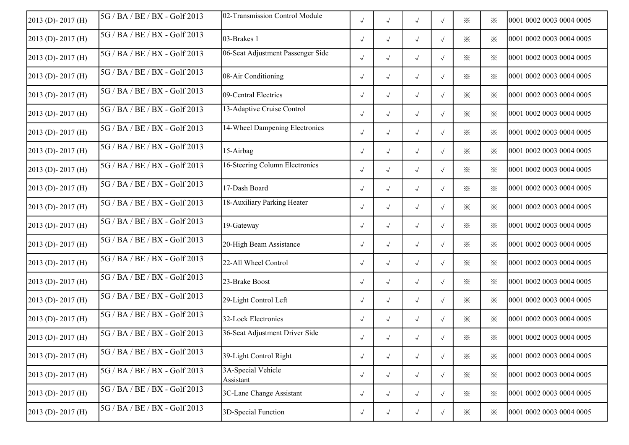| 2013 (D)-2017 (H)       | $5G/BA/BE/BX - Golf2013$      | 02-Transmission Control Module    | $\sqrt{ }$ | $\sqrt{ }$ | $\sqrt{ }$ | $\sqrt{ }$ | $\times$         | ⋇        | 0001 0002 0003 0004 0005 |
|-------------------------|-------------------------------|-----------------------------------|------------|------------|------------|------------|------------------|----------|--------------------------|
| 2013 (D)-2017 (H)       | 5G / BA / BE / BX - Golf 2013 | 03-Brakes 1                       | $\sqrt{ }$ | $\sqrt{ }$ | $\sqrt{ }$ | $\sqrt{ }$ | $\times$         | ⋇        | 0001 0002 0003 0004 0005 |
| 2013 (D)-2017 (H)       | $5G/BA/BE/BX - Golf2013$      | 06-Seat Adjustment Passenger Side | $\sqrt{ }$ | $\sqrt{ }$ | $\sqrt{ }$ | $\sqrt{ }$ | ※                | ⋇        | 0001 0002 0003 0004 0005 |
| 2013 (D)-2017 (H)       | 5G / BA / BE / BX - Golf 2013 | 08-Air Conditioning               | $\sqrt{ }$ | $\sqrt{ }$ | $\sqrt{}$  | $\sqrt{ }$ | $\times$         | ፠        | 0001 0002 0003 0004 0005 |
| 2013 (D)-2017 (H)       | 5G / BA / BE / BX - Golf 2013 | 09-Central Electrics              | $\sqrt{ }$ | $\sqrt{ }$ | $\sqrt{ }$ | $\sqrt{ }$ | $\times$         | $\times$ | 0001 0002 0003 0004 0005 |
| 2013 (D)-2017 (H)       | 5G / BA / BE / BX - Golf 2013 | 13-Adaptive Cruise Control        | $\sqrt{ }$ | $\sqrt{ }$ | $\sqrt{ }$ | $\sqrt{ }$ | $\times$         | $\times$ | 0001 0002 0003 0004 0005 |
| 2013 (D)-2017 (H)       | 5G / BA / BE / BX - Golf 2013 | 14-Wheel Dampening Electronics    | $\sqrt{ }$ | $\sqrt{ }$ | $\sqrt{ }$ | $\sqrt{ }$ | ፠                | ⋇        | 0001 0002 0003 0004 0005 |
| 2013 (D)-2017 (H)       | 5G / BA / BE / BX - Golf 2013 | 15-Airbag                         | $\sqrt{ }$ | $\sqrt{ }$ | $\sqrt{ }$ | $\sqrt{}$  | $\times$         | ⋇        | 0001 0002 0003 0004 0005 |
| $2013$ (D) - 2017 (H)   | 5G / BA / BE / BX - Golf 2013 | 16-Steering Column Electronics    | $\sqrt{ }$ | $\sqrt{ }$ | $\sqrt{ }$ | $\sqrt{ }$ | $\times$         | ⋇        | 0001 0002 0003 0004 0005 |
| 2013 (D)-2017 (H)       | 5G / BA / BE / BX - Golf 2013 | 17-Dash Board                     | $\sqrt{ }$ | $\sqrt{ }$ | $\sqrt{ }$ | $\sqrt{ }$ | $\times$         | ፠        | 0001 0002 0003 0004 0005 |
| 2013 (D)-2017 (H)       | 5G / BA / BE / BX - Golf 2013 | 18-Auxiliary Parking Heater       | $\sqrt{ }$ | $\sqrt{ }$ | $\sqrt{ }$ | $\sqrt{}$  | $\times$         | ፠        | 0001 0002 0003 0004 0005 |
| 2013 (D)-2017 (H)       | 5G / BA / BE / BX - Golf 2013 | 19-Gateway                        | $\sqrt{ }$ | $\sqrt{ }$ | $\sqrt{ }$ | $\sqrt{ }$ | $\times$         | $\times$ | 0001 0002 0003 0004 0005 |
| 2013 (D)-2017 (H)       | 5G / BA / BE / BX - Golf 2013 | 20-High Beam Assistance           | $\sqrt{ }$ | $\sqrt{ }$ | $\sqrt{ }$ | $\sqrt{ }$ | $\times$         | $\times$ | 0001 0002 0003 0004 0005 |
| 2013 (D)-2017 (H)       | 5G / BA / BE / BX - Golf 2013 | 22-All Wheel Control              | $\sqrt{ }$ | $\sqrt{ }$ | $\sqrt{ }$ | $\sqrt{ }$ | ፠                | $\times$ | 0001 0002 0003 0004 0005 |
| 2013 (D)-2017 (H)       | 5G / BA / BE / BX - Golf 2013 | 23-Brake Boost                    | $\sqrt{ }$ | $\sqrt{ }$ | $\sqrt{}$  | $\sqrt{ }$ | ※                | ⋇        | 0001 0002 0003 0004 0005 |
| 2013 (D)-2017 (H)       | 5G / BA / BE / BX - Golf 2013 | 29-Light Control Left             | $\sqrt{ }$ | $\sqrt{ }$ | $\sqrt{}$  | $\sqrt{ }$ | $\times$         | ⋇        | 0001 0002 0003 0004 0005 |
| 2013 (D)-2017 (H)       | 5G / BA / BE / BX - Golf 2013 | 32-Lock Electronics               | $\sqrt{ }$ | $\sqrt{ }$ | $\sqrt{ }$ | $\sqrt{ }$ | $\times$         | ⋇        | 0001 0002 0003 0004 0005 |
| 2013 (D)-2017 (H)       | 5G / BA / BE / BX - Golf 2013 | 36-Seat Adjustment Driver Side    | $\sqrt{ }$ | $\sqrt{ }$ | $\sqrt{ }$ | $\sqrt{ }$ | $\ddot{\times}$  | $\times$ | 0001 0002 0003 0004 0005 |
| 2013 (D)-2017 (H)       | 5G / BA / BE / BX - Golf 2013 | 39-Light Control Right            | $\sqrt{ }$ | $\sqrt{ }$ | $\sqrt{ }$ | $\sqrt{ }$ | $\times$         | ፠        | 0001 0002 0003 0004 0005 |
| $2013$ (D) - $2017$ (H) | 5G / BA / BE / BX - Golf 2013 | 3A-Special Vehicle<br>Assistant   | $\sqrt{ }$ | $\sqrt{ }$ | $\sqrt{ }$ | $\sqrt{ }$ | $\times$         | ⋇        | 0001 0002 0003 0004 0005 |
| $2013$ (D) - $2017$ (H) | 5G / BA / BE / BX - Golf 2013 | 3C-Lane Change Assistant          | $\sqrt{ }$ | $\sqrt{ }$ | $\sqrt{ }$ | $\sqrt{ }$ | $\times$         | $\times$ | 0001 0002 0003 0004 0005 |
| 2013 (D)-2017 (H)       | 5G / BA / BE / BX - Golf 2013 | 3D-Special Function               | $\sqrt{ }$ | $\sqrt{ }$ | $\sqrt{ }$ | $\sqrt{ }$ | $\divideontimes$ | ⋇        | 0001 0002 0003 0004 0005 |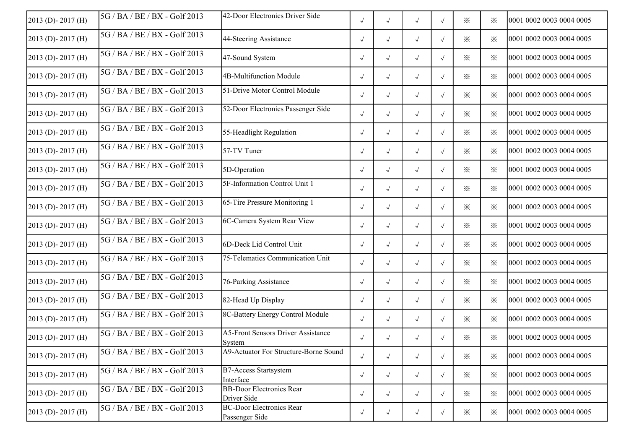| 2013 (D)-2017 (H)       | $5G/BA/BE/BX - Golf2013$      | 42-Door Electronics Driver Side                     | $\sqrt{ }$ | $\sqrt{ }$ | $\sqrt{ }$ | $\sqrt{ }$ | $\times$         | ⋇        | 0001 0002 0003 0004 0005 |
|-------------------------|-------------------------------|-----------------------------------------------------|------------|------------|------------|------------|------------------|----------|--------------------------|
| 2013 (D)-2017 (H)       | 5G / BA / BE / BX - Golf 2013 | 44-Steering Assistance                              | $\sqrt{ }$ | $\sqrt{ }$ | $\sqrt{ }$ | $\sqrt{ }$ | $\times$         | ⋇        | 0001 0002 0003 0004 0005 |
| 2013 (D)-2017 (H)       | 5G / BA / BE / BX - Golf 2013 | 47-Sound System                                     | $\sqrt{ }$ | $\sqrt{ }$ | $\sqrt{ }$ | $\sqrt{ }$ | $\times$         | ⋇        | 0001 0002 0003 0004 0005 |
| 2013 (D)-2017 (H)       | 5G / BA / BE / BX - Golf 2013 | 4B-Multifunction Module                             | $\sqrt{ }$ | $\sqrt{ }$ | $\sqrt{}$  | $\sqrt{ }$ | $\times$         | ፠        | 0001 0002 0003 0004 0005 |
| 2013 (D)-2017 (H)       | 5G / BA / BE / BX - Golf 2013 | 51-Drive Motor Control Module                       | $\sqrt{ }$ | $\sqrt{ }$ | $\sqrt{ }$ | $\sqrt{ }$ | $\times$         | $\times$ | 0001 0002 0003 0004 0005 |
| 2013 (D)-2017 (H)       | 5G / BA / BE / BX - Golf 2013 | 52-Door Electronics Passenger Side                  | $\sqrt{ }$ | $\sqrt{ }$ | $\sqrt{ }$ | $\sqrt{ }$ | $\times$         | $\times$ | 0001 0002 0003 0004 0005 |
| 2013 (D)-2017 (H)       | 5G / BA / BE / BX - Golf 2013 | 55-Headlight Regulation                             | $\sqrt{}$  | $\sqrt{ }$ | $\sqrt{ }$ | $\sqrt{ }$ | ፠                | ⋇        | 0001 0002 0003 0004 0005 |
| 2013 (D)-2017 (H)       | 5G / BA / BE / BX - Golf 2013 | 57-TV Tuner                                         | $\sqrt{ }$ | $\sqrt{ }$ | $\sqrt{ }$ | $\sqrt{ }$ | $\times$         | ⋇        | 0001 0002 0003 0004 0005 |
| $2013$ (D) - 2017 (H)   | 5G / BA / BE / BX - Golf 2013 | 5D-Operation                                        | $\sqrt{}$  | $\sqrt{ }$ | $\sqrt{ }$ | $\sqrt{ }$ | $\times$         | ⋇        | 0001 0002 0003 0004 0005 |
| 2013 (D)-2017 (H)       | 5G / BA / BE / BX - Golf 2013 | 5F-Information Control Unit 1                       | $\sqrt{ }$ | $\sqrt{ }$ | $\sqrt{ }$ | $\sqrt{}$  | $\times$         | ፠        | 0001 0002 0003 0004 0005 |
| 2013 (D)-2017 (H)       | 5G / BA / BE / BX - Golf 2013 | 65-Tire Pressure Monitoring 1                       | $\sqrt{ }$ | $\sqrt{ }$ | $\sqrt{ }$ | $\sqrt{}$  | $\times$         | ፠        | 0001 0002 0003 0004 0005 |
| 2013 (D)-2017 (H)       | 5G / BA / BE / BX - Golf 2013 | 6C-Camera System Rear View                          | $\sqrt{ }$ | $\sqrt{ }$ | $\sqrt{ }$ | $\sqrt{ }$ | $\times$         | $\times$ | 0001 0002 0003 0004 0005 |
| 2013 (D)-2017 (H)       | 5G / BA / BE / BX - Golf 2013 | 6D-Deck Lid Control Unit                            | $\sqrt{ }$ | $\sqrt{ }$ | $\sqrt{ }$ | $\sqrt{ }$ | $\times$         | $\times$ | 0001 0002 0003 0004 0005 |
| $2013$ (D) - 2017 (H)   | 5G / BA / BE / BX - Golf 2013 | 75-Telematics Communication Unit                    | $\sqrt{ }$ | $\sqrt{ }$ | $\sqrt{ }$ | $\sqrt{ }$ | $\times$         | $\times$ | 0001 0002 0003 0004 0005 |
| 2013 (D)-2017 (H)       | 5G / BA / BE / BX - Golf 2013 | 76-Parking Assistance                               | $\sqrt{ }$ | $\sqrt{ }$ | $\sqrt{}$  | $\sqrt{ }$ | ※                | ⋇        | 0001 0002 0003 0004 0005 |
| 2013 (D)-2017 (H)       | 5G / BA / BE / BX - Golf 2013 | 82-Head Up Display                                  | $\sqrt{ }$ | $\sqrt{ }$ | $\sqrt{}$  | $\sqrt{ }$ | $\times$         | ⋇        | 0001 0002 0003 0004 0005 |
| 2013 (D)-2017 (H)       | 5G / BA / BE / BX - Golf 2013 | 8C-Battery Energy Control Module                    | $\sqrt{ }$ | $\sqrt{ }$ | $\sqrt{ }$ | $\sqrt{ }$ | $\times$         | ⋇        | 0001 0002 0003 0004 0005 |
| 2013 (D)-2017 (H)       | 5G / BA / BE / BX - Golf 2013 | <b>A5-Front Sensors Driver Assistance</b><br>System | $\sqrt{ }$ | $\sqrt{ }$ | $\sqrt{ }$ | $\sqrt{ }$ | $\ddot{\times}$  | $\times$ | 0001 0002 0003 0004 0005 |
| 2013 (D)-2017 (H)       | 5G / BA / BE / BX - Golf 2013 | A9-Actuator For Structure-Borne Sound               | $\sqrt{ }$ | $\sqrt{ }$ | $\sqrt{ }$ | $\sqrt{ }$ | $\times$         | ✕        | 0001 0002 0003 0004 0005 |
| 2013 (D)-2017 (H)       | 5G / BA / BE / BX - Golf 2013 | <b>B7-Access Startsystem</b><br>Interface           | $\sqrt{ }$ | $\sqrt{ }$ | $\sqrt{ }$ | $\sqrt{ }$ | $\times$         | $\times$ | 0001 0002 0003 0004 0005 |
| $2013$ (D) - $2017$ (H) | 5G / BA / BE / BX - Golf 2013 | <b>BB-Door Electronics Rear</b><br>Driver Side      | $\sqrt{ }$ | $\sqrt{ }$ | $\sqrt{ }$ | $\sqrt{ }$ | $\times$         | $\times$ | 0001 0002 0003 0004 0005 |
| 2013 (D)-2017 (H)       | 5G / BA / BE / BX - Golf 2013 | <b>BC-Door Electronics Rear</b><br>Passenger Side   | $\sqrt{ }$ | $\sqrt{ }$ | $\sqrt{ }$ | $\sqrt{ }$ | $\divideontimes$ | ፠        | 0001 0002 0003 0004 0005 |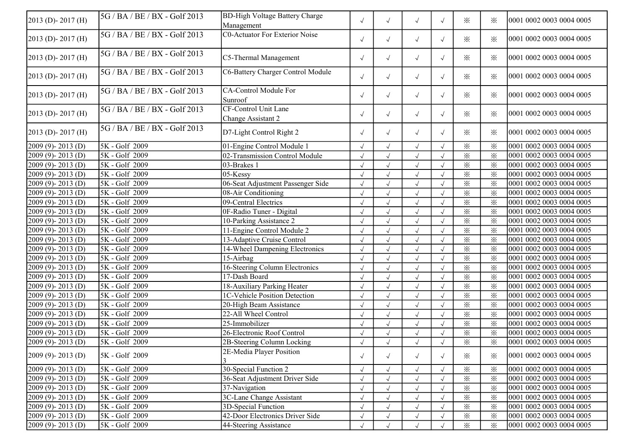| C0-Actuator For Exterior Noise<br>5G / BA / BE / BX - Golf 2013<br>$2013$ (D) - 2017 (H)<br>$\times$<br>$\times$<br>0001 0002 0003 0004 0005<br>$\sqrt{ }$<br>$\checkmark$<br>$\sqrt{ }$<br>$\sqrt{ }$<br>5G / BA / BE / BX - Golf 2013<br>$2013$ (D) - 2017 (H)<br>C5-Thermal Management<br>0001 0002 0003 0004 0005<br>$\sqrt{}$<br>$\times$<br>⋇<br>$\sqrt{ }$<br>$\sqrt{ }$<br>$\sqrt{ }$<br>C6-Battery Charger Control Module<br>5G / BA / BE / BX - Golf 2013<br>$2013$ (D) - 2017 (H)<br>0001 0002 0003 0004 0005<br>$\times$<br>$\times$<br>$\sqrt{ }$<br>$\checkmark$<br>$\sqrt{ }$<br>$\sqrt{}$<br>5G / BA / BE / BX - Golf 2013<br>CA-Control Module For<br>$2013$ (D) - 2017 (H)<br>0001 0002 0003 0004 0005<br>$\sqrt{}$<br>$\times$<br>$\times$<br>$\sqrt{ }$<br>$\sqrt{ }$<br>$\sqrt{ }$<br>Sunroof<br><b>CF-Control Unit Lane</b><br>5G / BA / BE / BX - Golf 2013<br>2013 (D)-2017 (H)<br>✕<br>$\sqrt{}$<br>$\sqrt{\phantom{a}}$<br>$\times$<br>0001 0002 0003 0004 0005<br>$\sqrt{ }$<br>$\sqrt{ }$<br>Change Assistant 2<br>5G / BA / BE / BX - Golf 2013<br>2013 (D)-2017 (H)<br>D7-Light Control Right 2<br>$\times$<br>⋇<br>0001 0002 0003 0004 0005<br>$\checkmark$<br>$\sqrt{ }$<br>$\sqrt{ }$<br>$\sqrt{ }$<br>5K - Golf 2009<br>01-Engine Control Module 1<br>$\times$<br>$\times$<br>0001 0002 0003 0004 0005<br>2009 (9)-2013 (D)<br>$\sqrt{ }$<br>$\sqrt{ }$<br>$\sqrt{}$<br>$\times$<br>$2009(9) - 2013(D)$<br>5K - Golf 2009<br>02-Transmission Control Module<br>$\times$<br>0001 0002 0003 0004 0005<br>$\sqrt{ }$<br>$\checkmark$<br>$\sqrt{}$<br>5K - Golf 2009<br>$\times$<br>$2009(9) - 2013(D)$<br>03-Brakes 1<br>$\times$<br>0001 0002 0003 0004 0005<br>$\sqrt{}$<br>$\sqrt{}$<br>$\checkmark$<br>5K - Golf 2009<br>$05$ -Kessy<br>$\times$<br>$\times$<br>0001 0002 0003 0004 0005<br>2009 (9)-2013 (D)<br>$\sqrt{ }$<br>$\sqrt{}$<br>$\checkmark$<br>$\times$<br>$\times$<br>2009 (9)-2013 (D)<br>5K - Golf 2009<br>06-Seat Adjustment Passenger Side<br>0001 0002 0003 0004 0005<br>$\sqrt{ }$<br>$\sqrt{}$<br>$\sqrt{ }$<br>$2009(9) - 2013(D)$<br>5K - Golf 2009<br>$\times$<br>$\times$<br>0001 0002 0003 0004 0005<br>08-Air Conditioning<br>$\sqrt{ }$<br>$\sqrt{}$<br>$\times$<br>$\times$<br>5K - Golf 2009<br>0001 0002 0003 0004 0005<br>2009 (9)-2013 (D)<br>09-Central Electrics<br>$\sqrt{}$<br>$\sqrt{ }$<br>$\sqrt{ }$<br>5K - Golf 2009<br>$\times$<br>$\times$<br>0001 0002 0003 0004 0005<br>2009 (9)-2013 (D)<br>0F-Radio Tuner - Digital<br>$\sqrt{}$<br>$\sqrt{ }$<br>$\sqrt{ }$<br>$\sqrt{ }$<br>5K - Golf 2009<br>$\times$<br>$\times$<br>0001 0002 0003 0004 0005<br>2009 (9)-2013 (D)<br>10-Parking Assistance 2<br>$\checkmark$<br>$\sqrt{ }$<br>$\sqrt{}$<br>$\sqrt{ }$<br>5K - Golf 2009<br>$\times$<br>$\times$<br>2009 (9)-2013 (D)<br>11-Engine Control Module 2<br>$\checkmark$<br>0001 0002 0003 0004 0005<br>$\sqrt{ }$<br>$\sqrt{}$<br>5K - Golf 2009<br>$\times$<br>$\times$<br>2009 (9)-2013 (D)<br>13-Adaptive Cruise Control<br>$\checkmark$<br>0001 0002 0003 0004 0005<br>$\sqrt{}$<br>$\sqrt{}$<br>$\times$<br>5K - Golf 2009<br>$\times$<br>2009 (9)-2013 (D)<br>14-Wheel Dampening Electronics<br>0001 0002 0003 0004 0005<br>$\sqrt{ }$<br>$\sqrt{ }$<br>$\overline{\mathbf{x}}$<br>$\times$<br>5K - Golf 2009<br>15-Airbag<br>$2009(9) - 2013(D)$<br>$\sqrt{ }$<br>$\sqrt{ }$<br>0001 0002 0003 0004 0005<br>16-Steering Column Electronics<br>$\times$<br>$2009(9) - 2013(D)$<br>5K - Golf 2009<br>$\times$<br>0001 0002 0003 0004 0005<br>$\sqrt{ }$<br>$\sqrt{ }$<br>5K - Golf 2009<br>17-Dash Board<br>$\times$<br>2009 (9)-2013 (D)<br>$\times$<br>0001 0002 0003 0004 0005<br>$\sqrt{ }$<br>$\sqrt{}$<br>$\sqrt{ }$<br>$\sqrt{}$<br>$2009(9) - 2013(D)$<br>5K - Golf 2009<br>18-Auxiliary Parking Heater<br>$\times$<br>$\times$<br>0001 0002 0003 0004 0005<br>$\sqrt{ }$<br>$\sqrt{}$<br>$\sqrt{ }$<br>$\times$<br>$2009(9) - 2013(D)$<br>5K - Golf 2009<br>1C-Vehicle Position Detection<br>$\times$<br>$\sqrt{2}$<br>$\checkmark$<br>0001 0002 0003 0004 0005<br>$\sqrt{2}$<br>2009 (9)-2013 (D)<br>5K - Golf 2009<br>$\times$<br>$\times$<br>20-High Beam Assistance<br>0001 0002 0003 0004 0005<br>$\checkmark$<br>$\sqrt{}$<br>22-All Wheel Control<br>$\times$<br>$\times$<br>5K - Golf 2009<br>0001 0002 0003 0004 0005<br>$2009(9) - 2013(D)$<br>$\sqrt{}$<br>$\sqrt{ }$<br>$\sqrt{ }$<br>$\overline{\mathbf{x}}$<br>$\times$<br>5K - Golf 2009<br>25-Immobilizer<br>0001 0002 0003 0004 0005<br>$2009(9) - 2013(D)$<br>$\sqrt{ }$<br>$\sqrt{ }$<br>$\sqrt{ }$<br>5K - Golf 2009<br>$\times$<br>$\times$<br>0001 0002 0003 0004 0005<br>2009 (9)-2013 (D)<br>26-Electronic Roof Control<br>$\checkmark$<br>$\sqrt{ }$<br>$\sqrt{}$<br>$\sqrt{2009}$ (9) - 2013 (D)<br>5K - Golf 2009<br>0001 0002 0003 0004 0005<br>2B-Steering Column Locking<br>✕<br>$\times$<br>$\sqrt{ }$<br>$\sqrt{ }$<br>$\sqrt{ }$<br>$\sqrt{ }$<br>2E-Media Player Position<br>5K - Golf 2009<br>$2009(9) - 2013(D)$<br>0001 0002 0003 0004 0005<br>$\times$<br>$\sqrt{ }$<br>$\sqrt{ }$<br>$\sqrt{ }$<br>⋇<br>$\sqrt{ }$<br>30-Special Function 2<br>5K - Golf 2009<br>$\times$<br>$\times$<br>0001 0002 0003 0004 0005<br>$2009(9) - 2013(D)$<br>$\sqrt{ }$<br>$\sqrt{ }$<br>$\sqrt{}$<br>$2009(9) - 2013(D)$<br>5K - Golf 2009<br>36-Seat Adjustment Driver Side<br>$\times$<br>$\times$<br>0001 0002 0003 0004 0005<br>$\checkmark$<br>$\sqrt{}$<br>5K - Golf 2009<br>37-Navigation<br>$\times$<br>$2009(9) - 2013(D)$<br>$\times$<br>0001 0002 0003 0004 0005<br>$\sqrt{}$<br>$\sqrt{}$<br>3C-Lane Change Assistant<br>$\times$<br>$2009(9) - 2013(D)$<br>5K - Golf 2009<br>$\times$<br>0001 0002 0003 0004 0005<br>$\sqrt{ }$<br>$\sqrt{ }$<br>$\sqrt{}$<br>$2009(9) - 2013(D)$<br>5K - Golf 2009<br>3D-Special Function<br>$\times$<br>0001 0002 0003 0004 0005<br>$\times$<br>$\sqrt{ }$<br>$\checkmark$<br>$\sqrt{ }$<br>$\times$<br>$2009(9) - 2013(D)$<br>5K - Golf 2009<br>42-Door Electronics Driver Side<br>$\times$<br>0001 0002 0003 0004 0005<br>$\sqrt{ }$<br>$\sqrt{ }$<br>$\sqrt{}$ | $2013$ (D) - 2017 (H) | 5G / BA / BE / BX - Golf 2013 | <b>BD-High Voltage Battery Charge</b><br>Management | $\sqrt{ }$ | $\sqrt{ }$ | $\sqrt{ }$   | $\sqrt{}$ | $\times$ | ⋇        | 0001 0002 0003 0004 0005 |
|-----------------------------------------------------------------------------------------------------------------------------------------------------------------------------------------------------------------------------------------------------------------------------------------------------------------------------------------------------------------------------------------------------------------------------------------------------------------------------------------------------------------------------------------------------------------------------------------------------------------------------------------------------------------------------------------------------------------------------------------------------------------------------------------------------------------------------------------------------------------------------------------------------------------------------------------------------------------------------------------------------------------------------------------------------------------------------------------------------------------------------------------------------------------------------------------------------------------------------------------------------------------------------------------------------------------------------------------------------------------------------------------------------------------------------------------------------------------------------------------------------------------------------------------------------------------------------------------------------------------------------------------------------------------------------------------------------------------------------------------------------------------------------------------------------------------------------------------------------------------------------------------------------------------------------------------------------------------------------------------------------------------------------------------------------------------------------------------------------------------------------------------------------------------------------------------------------------------------------------------------------------------------------------------------------------------------------------------------------------------------------------------------------------------------------------------------------------------------------------------------------------------------------------------------------------------------------------------------------------------------------------------------------------------------------------------------------------------------------------------------------------------------------------------------------------------------------------------------------------------------------------------------------------------------------------------------------------------------------------------------------------------------------------------------------------------------------------------------------------------------------------------------------------------------------------------------------------------------------------------------------------------------------------------------------------------------------------------------------------------------------------------------------------------------------------------------------------------------------------------------------------------------------------------------------------------------------------------------------------------------------------------------------------------------------------------------------------------------------------------------------------------------------------------------------------------------------------------------------------------------------------------------------------------------------------------------------------------------------------------------------------------------------------------------------------------------------------------------------------------------------------------------------------------------------------------------------------------------------------------------------------------------------------------------------------------------------------------------------------------------------------------------------------------------------------------------------------------------------------------------------------------------------------------------------------------------------------------------------------------------------------------------------------------------------------------------------------------------------------------------------------------------------------------------------------------------------------------------------------------------------------------------------------------------------------------------------------------------------------------------------------------------------------------------------------------------------------------------------------------------------------------------------------------------------------------------------------------------------------------------------------------------------------------------------------------------------------------------------------------------------------------------------------------------------------------------------------------------------------------------------------------------------------------------------------------------------------------------------------------------------------------------------------------------------------------------------------------------------------------------------------------------------------------------------------------------------------------------------------------------------------------------------------------------------------------------------------------------------------------------------------------------------------------------------------------------------------------|-----------------------|-------------------------------|-----------------------------------------------------|------------|------------|--------------|-----------|----------|----------|--------------------------|
|                                                                                                                                                                                                                                                                                                                                                                                                                                                                                                                                                                                                                                                                                                                                                                                                                                                                                                                                                                                                                                                                                                                                                                                                                                                                                                                                                                                                                                                                                                                                                                                                                                                                                                                                                                                                                                                                                                                                                                                                                                                                                                                                                                                                                                                                                                                                                                                                                                                                                                                                                                                                                                                                                                                                                                                                                                                                                                                                                                                                                                                                                                                                                                                                                                                                                                                                                                                                                                                                                                                                                                                                                                                                                                                                                                                                                                                                                                                                                                                                                                                                                                                                                                                                                                                                                                                                                                                                                                                                                                                                                                                                                                                                                                                                                                                                                                                                                                                                                                                                                                                                                                                                                                                                                                                                                                                                                                                                                                                                                                                                                                                                                                                                                                                                                                                                                                                                                                                                                                                                                                                                                         |                       |                               |                                                     |            |            |              |           |          |          |                          |
|                                                                                                                                                                                                                                                                                                                                                                                                                                                                                                                                                                                                                                                                                                                                                                                                                                                                                                                                                                                                                                                                                                                                                                                                                                                                                                                                                                                                                                                                                                                                                                                                                                                                                                                                                                                                                                                                                                                                                                                                                                                                                                                                                                                                                                                                                                                                                                                                                                                                                                                                                                                                                                                                                                                                                                                                                                                                                                                                                                                                                                                                                                                                                                                                                                                                                                                                                                                                                                                                                                                                                                                                                                                                                                                                                                                                                                                                                                                                                                                                                                                                                                                                                                                                                                                                                                                                                                                                                                                                                                                                                                                                                                                                                                                                                                                                                                                                                                                                                                                                                                                                                                                                                                                                                                                                                                                                                                                                                                                                                                                                                                                                                                                                                                                                                                                                                                                                                                                                                                                                                                                                                         |                       |                               |                                                     |            |            |              |           |          |          |                          |
|                                                                                                                                                                                                                                                                                                                                                                                                                                                                                                                                                                                                                                                                                                                                                                                                                                                                                                                                                                                                                                                                                                                                                                                                                                                                                                                                                                                                                                                                                                                                                                                                                                                                                                                                                                                                                                                                                                                                                                                                                                                                                                                                                                                                                                                                                                                                                                                                                                                                                                                                                                                                                                                                                                                                                                                                                                                                                                                                                                                                                                                                                                                                                                                                                                                                                                                                                                                                                                                                                                                                                                                                                                                                                                                                                                                                                                                                                                                                                                                                                                                                                                                                                                                                                                                                                                                                                                                                                                                                                                                                                                                                                                                                                                                                                                                                                                                                                                                                                                                                                                                                                                                                                                                                                                                                                                                                                                                                                                                                                                                                                                                                                                                                                                                                                                                                                                                                                                                                                                                                                                                                                         |                       |                               |                                                     |            |            |              |           |          |          |                          |
|                                                                                                                                                                                                                                                                                                                                                                                                                                                                                                                                                                                                                                                                                                                                                                                                                                                                                                                                                                                                                                                                                                                                                                                                                                                                                                                                                                                                                                                                                                                                                                                                                                                                                                                                                                                                                                                                                                                                                                                                                                                                                                                                                                                                                                                                                                                                                                                                                                                                                                                                                                                                                                                                                                                                                                                                                                                                                                                                                                                                                                                                                                                                                                                                                                                                                                                                                                                                                                                                                                                                                                                                                                                                                                                                                                                                                                                                                                                                                                                                                                                                                                                                                                                                                                                                                                                                                                                                                                                                                                                                                                                                                                                                                                                                                                                                                                                                                                                                                                                                                                                                                                                                                                                                                                                                                                                                                                                                                                                                                                                                                                                                                                                                                                                                                                                                                                                                                                                                                                                                                                                                                         |                       |                               |                                                     |            |            |              |           |          |          |                          |
|                                                                                                                                                                                                                                                                                                                                                                                                                                                                                                                                                                                                                                                                                                                                                                                                                                                                                                                                                                                                                                                                                                                                                                                                                                                                                                                                                                                                                                                                                                                                                                                                                                                                                                                                                                                                                                                                                                                                                                                                                                                                                                                                                                                                                                                                                                                                                                                                                                                                                                                                                                                                                                                                                                                                                                                                                                                                                                                                                                                                                                                                                                                                                                                                                                                                                                                                                                                                                                                                                                                                                                                                                                                                                                                                                                                                                                                                                                                                                                                                                                                                                                                                                                                                                                                                                                                                                                                                                                                                                                                                                                                                                                                                                                                                                                                                                                                                                                                                                                                                                                                                                                                                                                                                                                                                                                                                                                                                                                                                                                                                                                                                                                                                                                                                                                                                                                                                                                                                                                                                                                                                                         |                       |                               |                                                     |            |            |              |           |          |          |                          |
|                                                                                                                                                                                                                                                                                                                                                                                                                                                                                                                                                                                                                                                                                                                                                                                                                                                                                                                                                                                                                                                                                                                                                                                                                                                                                                                                                                                                                                                                                                                                                                                                                                                                                                                                                                                                                                                                                                                                                                                                                                                                                                                                                                                                                                                                                                                                                                                                                                                                                                                                                                                                                                                                                                                                                                                                                                                                                                                                                                                                                                                                                                                                                                                                                                                                                                                                                                                                                                                                                                                                                                                                                                                                                                                                                                                                                                                                                                                                                                                                                                                                                                                                                                                                                                                                                                                                                                                                                                                                                                                                                                                                                                                                                                                                                                                                                                                                                                                                                                                                                                                                                                                                                                                                                                                                                                                                                                                                                                                                                                                                                                                                                                                                                                                                                                                                                                                                                                                                                                                                                                                                                         |                       |                               |                                                     |            |            |              |           |          |          |                          |
|                                                                                                                                                                                                                                                                                                                                                                                                                                                                                                                                                                                                                                                                                                                                                                                                                                                                                                                                                                                                                                                                                                                                                                                                                                                                                                                                                                                                                                                                                                                                                                                                                                                                                                                                                                                                                                                                                                                                                                                                                                                                                                                                                                                                                                                                                                                                                                                                                                                                                                                                                                                                                                                                                                                                                                                                                                                                                                                                                                                                                                                                                                                                                                                                                                                                                                                                                                                                                                                                                                                                                                                                                                                                                                                                                                                                                                                                                                                                                                                                                                                                                                                                                                                                                                                                                                                                                                                                                                                                                                                                                                                                                                                                                                                                                                                                                                                                                                                                                                                                                                                                                                                                                                                                                                                                                                                                                                                                                                                                                                                                                                                                                                                                                                                                                                                                                                                                                                                                                                                                                                                                                         |                       |                               |                                                     |            |            |              |           |          |          |                          |
|                                                                                                                                                                                                                                                                                                                                                                                                                                                                                                                                                                                                                                                                                                                                                                                                                                                                                                                                                                                                                                                                                                                                                                                                                                                                                                                                                                                                                                                                                                                                                                                                                                                                                                                                                                                                                                                                                                                                                                                                                                                                                                                                                                                                                                                                                                                                                                                                                                                                                                                                                                                                                                                                                                                                                                                                                                                                                                                                                                                                                                                                                                                                                                                                                                                                                                                                                                                                                                                                                                                                                                                                                                                                                                                                                                                                                                                                                                                                                                                                                                                                                                                                                                                                                                                                                                                                                                                                                                                                                                                                                                                                                                                                                                                                                                                                                                                                                                                                                                                                                                                                                                                                                                                                                                                                                                                                                                                                                                                                                                                                                                                                                                                                                                                                                                                                                                                                                                                                                                                                                                                                                         |                       |                               |                                                     |            |            |              |           |          |          |                          |
|                                                                                                                                                                                                                                                                                                                                                                                                                                                                                                                                                                                                                                                                                                                                                                                                                                                                                                                                                                                                                                                                                                                                                                                                                                                                                                                                                                                                                                                                                                                                                                                                                                                                                                                                                                                                                                                                                                                                                                                                                                                                                                                                                                                                                                                                                                                                                                                                                                                                                                                                                                                                                                                                                                                                                                                                                                                                                                                                                                                                                                                                                                                                                                                                                                                                                                                                                                                                                                                                                                                                                                                                                                                                                                                                                                                                                                                                                                                                                                                                                                                                                                                                                                                                                                                                                                                                                                                                                                                                                                                                                                                                                                                                                                                                                                                                                                                                                                                                                                                                                                                                                                                                                                                                                                                                                                                                                                                                                                                                                                                                                                                                                                                                                                                                                                                                                                                                                                                                                                                                                                                                                         |                       |                               |                                                     |            |            |              |           |          |          |                          |
|                                                                                                                                                                                                                                                                                                                                                                                                                                                                                                                                                                                                                                                                                                                                                                                                                                                                                                                                                                                                                                                                                                                                                                                                                                                                                                                                                                                                                                                                                                                                                                                                                                                                                                                                                                                                                                                                                                                                                                                                                                                                                                                                                                                                                                                                                                                                                                                                                                                                                                                                                                                                                                                                                                                                                                                                                                                                                                                                                                                                                                                                                                                                                                                                                                                                                                                                                                                                                                                                                                                                                                                                                                                                                                                                                                                                                                                                                                                                                                                                                                                                                                                                                                                                                                                                                                                                                                                                                                                                                                                                                                                                                                                                                                                                                                                                                                                                                                                                                                                                                                                                                                                                                                                                                                                                                                                                                                                                                                                                                                                                                                                                                                                                                                                                                                                                                                                                                                                                                                                                                                                                                         |                       |                               |                                                     |            |            |              |           |          |          |                          |
|                                                                                                                                                                                                                                                                                                                                                                                                                                                                                                                                                                                                                                                                                                                                                                                                                                                                                                                                                                                                                                                                                                                                                                                                                                                                                                                                                                                                                                                                                                                                                                                                                                                                                                                                                                                                                                                                                                                                                                                                                                                                                                                                                                                                                                                                                                                                                                                                                                                                                                                                                                                                                                                                                                                                                                                                                                                                                                                                                                                                                                                                                                                                                                                                                                                                                                                                                                                                                                                                                                                                                                                                                                                                                                                                                                                                                                                                                                                                                                                                                                                                                                                                                                                                                                                                                                                                                                                                                                                                                                                                                                                                                                                                                                                                                                                                                                                                                                                                                                                                                                                                                                                                                                                                                                                                                                                                                                                                                                                                                                                                                                                                                                                                                                                                                                                                                                                                                                                                                                                                                                                                                         |                       |                               |                                                     |            |            |              |           |          |          |                          |
|                                                                                                                                                                                                                                                                                                                                                                                                                                                                                                                                                                                                                                                                                                                                                                                                                                                                                                                                                                                                                                                                                                                                                                                                                                                                                                                                                                                                                                                                                                                                                                                                                                                                                                                                                                                                                                                                                                                                                                                                                                                                                                                                                                                                                                                                                                                                                                                                                                                                                                                                                                                                                                                                                                                                                                                                                                                                                                                                                                                                                                                                                                                                                                                                                                                                                                                                                                                                                                                                                                                                                                                                                                                                                                                                                                                                                                                                                                                                                                                                                                                                                                                                                                                                                                                                                                                                                                                                                                                                                                                                                                                                                                                                                                                                                                                                                                                                                                                                                                                                                                                                                                                                                                                                                                                                                                                                                                                                                                                                                                                                                                                                                                                                                                                                                                                                                                                                                                                                                                                                                                                                                         |                       |                               |                                                     |            |            |              |           |          |          |                          |
|                                                                                                                                                                                                                                                                                                                                                                                                                                                                                                                                                                                                                                                                                                                                                                                                                                                                                                                                                                                                                                                                                                                                                                                                                                                                                                                                                                                                                                                                                                                                                                                                                                                                                                                                                                                                                                                                                                                                                                                                                                                                                                                                                                                                                                                                                                                                                                                                                                                                                                                                                                                                                                                                                                                                                                                                                                                                                                                                                                                                                                                                                                                                                                                                                                                                                                                                                                                                                                                                                                                                                                                                                                                                                                                                                                                                                                                                                                                                                                                                                                                                                                                                                                                                                                                                                                                                                                                                                                                                                                                                                                                                                                                                                                                                                                                                                                                                                                                                                                                                                                                                                                                                                                                                                                                                                                                                                                                                                                                                                                                                                                                                                                                                                                                                                                                                                                                                                                                                                                                                                                                                                         |                       |                               |                                                     |            |            |              |           |          |          |                          |
|                                                                                                                                                                                                                                                                                                                                                                                                                                                                                                                                                                                                                                                                                                                                                                                                                                                                                                                                                                                                                                                                                                                                                                                                                                                                                                                                                                                                                                                                                                                                                                                                                                                                                                                                                                                                                                                                                                                                                                                                                                                                                                                                                                                                                                                                                                                                                                                                                                                                                                                                                                                                                                                                                                                                                                                                                                                                                                                                                                                                                                                                                                                                                                                                                                                                                                                                                                                                                                                                                                                                                                                                                                                                                                                                                                                                                                                                                                                                                                                                                                                                                                                                                                                                                                                                                                                                                                                                                                                                                                                                                                                                                                                                                                                                                                                                                                                                                                                                                                                                                                                                                                                                                                                                                                                                                                                                                                                                                                                                                                                                                                                                                                                                                                                                                                                                                                                                                                                                                                                                                                                                                         |                       |                               |                                                     |            |            |              |           |          |          |                          |
|                                                                                                                                                                                                                                                                                                                                                                                                                                                                                                                                                                                                                                                                                                                                                                                                                                                                                                                                                                                                                                                                                                                                                                                                                                                                                                                                                                                                                                                                                                                                                                                                                                                                                                                                                                                                                                                                                                                                                                                                                                                                                                                                                                                                                                                                                                                                                                                                                                                                                                                                                                                                                                                                                                                                                                                                                                                                                                                                                                                                                                                                                                                                                                                                                                                                                                                                                                                                                                                                                                                                                                                                                                                                                                                                                                                                                                                                                                                                                                                                                                                                                                                                                                                                                                                                                                                                                                                                                                                                                                                                                                                                                                                                                                                                                                                                                                                                                                                                                                                                                                                                                                                                                                                                                                                                                                                                                                                                                                                                                                                                                                                                                                                                                                                                                                                                                                                                                                                                                                                                                                                                                         |                       |                               |                                                     |            |            |              |           |          |          |                          |
|                                                                                                                                                                                                                                                                                                                                                                                                                                                                                                                                                                                                                                                                                                                                                                                                                                                                                                                                                                                                                                                                                                                                                                                                                                                                                                                                                                                                                                                                                                                                                                                                                                                                                                                                                                                                                                                                                                                                                                                                                                                                                                                                                                                                                                                                                                                                                                                                                                                                                                                                                                                                                                                                                                                                                                                                                                                                                                                                                                                                                                                                                                                                                                                                                                                                                                                                                                                                                                                                                                                                                                                                                                                                                                                                                                                                                                                                                                                                                                                                                                                                                                                                                                                                                                                                                                                                                                                                                                                                                                                                                                                                                                                                                                                                                                                                                                                                                                                                                                                                                                                                                                                                                                                                                                                                                                                                                                                                                                                                                                                                                                                                                                                                                                                                                                                                                                                                                                                                                                                                                                                                                         |                       |                               |                                                     |            |            |              |           |          |          |                          |
|                                                                                                                                                                                                                                                                                                                                                                                                                                                                                                                                                                                                                                                                                                                                                                                                                                                                                                                                                                                                                                                                                                                                                                                                                                                                                                                                                                                                                                                                                                                                                                                                                                                                                                                                                                                                                                                                                                                                                                                                                                                                                                                                                                                                                                                                                                                                                                                                                                                                                                                                                                                                                                                                                                                                                                                                                                                                                                                                                                                                                                                                                                                                                                                                                                                                                                                                                                                                                                                                                                                                                                                                                                                                                                                                                                                                                                                                                                                                                                                                                                                                                                                                                                                                                                                                                                                                                                                                                                                                                                                                                                                                                                                                                                                                                                                                                                                                                                                                                                                                                                                                                                                                                                                                                                                                                                                                                                                                                                                                                                                                                                                                                                                                                                                                                                                                                                                                                                                                                                                                                                                                                         |                       |                               |                                                     |            |            |              |           |          |          |                          |
|                                                                                                                                                                                                                                                                                                                                                                                                                                                                                                                                                                                                                                                                                                                                                                                                                                                                                                                                                                                                                                                                                                                                                                                                                                                                                                                                                                                                                                                                                                                                                                                                                                                                                                                                                                                                                                                                                                                                                                                                                                                                                                                                                                                                                                                                                                                                                                                                                                                                                                                                                                                                                                                                                                                                                                                                                                                                                                                                                                                                                                                                                                                                                                                                                                                                                                                                                                                                                                                                                                                                                                                                                                                                                                                                                                                                                                                                                                                                                                                                                                                                                                                                                                                                                                                                                                                                                                                                                                                                                                                                                                                                                                                                                                                                                                                                                                                                                                                                                                                                                                                                                                                                                                                                                                                                                                                                                                                                                                                                                                                                                                                                                                                                                                                                                                                                                                                                                                                                                                                                                                                                                         |                       |                               |                                                     |            |            |              |           |          |          |                          |
|                                                                                                                                                                                                                                                                                                                                                                                                                                                                                                                                                                                                                                                                                                                                                                                                                                                                                                                                                                                                                                                                                                                                                                                                                                                                                                                                                                                                                                                                                                                                                                                                                                                                                                                                                                                                                                                                                                                                                                                                                                                                                                                                                                                                                                                                                                                                                                                                                                                                                                                                                                                                                                                                                                                                                                                                                                                                                                                                                                                                                                                                                                                                                                                                                                                                                                                                                                                                                                                                                                                                                                                                                                                                                                                                                                                                                                                                                                                                                                                                                                                                                                                                                                                                                                                                                                                                                                                                                                                                                                                                                                                                                                                                                                                                                                                                                                                                                                                                                                                                                                                                                                                                                                                                                                                                                                                                                                                                                                                                                                                                                                                                                                                                                                                                                                                                                                                                                                                                                                                                                                                                                         |                       |                               |                                                     |            |            |              |           |          |          |                          |
|                                                                                                                                                                                                                                                                                                                                                                                                                                                                                                                                                                                                                                                                                                                                                                                                                                                                                                                                                                                                                                                                                                                                                                                                                                                                                                                                                                                                                                                                                                                                                                                                                                                                                                                                                                                                                                                                                                                                                                                                                                                                                                                                                                                                                                                                                                                                                                                                                                                                                                                                                                                                                                                                                                                                                                                                                                                                                                                                                                                                                                                                                                                                                                                                                                                                                                                                                                                                                                                                                                                                                                                                                                                                                                                                                                                                                                                                                                                                                                                                                                                                                                                                                                                                                                                                                                                                                                                                                                                                                                                                                                                                                                                                                                                                                                                                                                                                                                                                                                                                                                                                                                                                                                                                                                                                                                                                                                                                                                                                                                                                                                                                                                                                                                                                                                                                                                                                                                                                                                                                                                                                                         |                       |                               |                                                     |            |            |              |           |          |          |                          |
|                                                                                                                                                                                                                                                                                                                                                                                                                                                                                                                                                                                                                                                                                                                                                                                                                                                                                                                                                                                                                                                                                                                                                                                                                                                                                                                                                                                                                                                                                                                                                                                                                                                                                                                                                                                                                                                                                                                                                                                                                                                                                                                                                                                                                                                                                                                                                                                                                                                                                                                                                                                                                                                                                                                                                                                                                                                                                                                                                                                                                                                                                                                                                                                                                                                                                                                                                                                                                                                                                                                                                                                                                                                                                                                                                                                                                                                                                                                                                                                                                                                                                                                                                                                                                                                                                                                                                                                                                                                                                                                                                                                                                                                                                                                                                                                                                                                                                                                                                                                                                                                                                                                                                                                                                                                                                                                                                                                                                                                                                                                                                                                                                                                                                                                                                                                                                                                                                                                                                                                                                                                                                         |                       |                               |                                                     |            |            |              |           |          |          |                          |
|                                                                                                                                                                                                                                                                                                                                                                                                                                                                                                                                                                                                                                                                                                                                                                                                                                                                                                                                                                                                                                                                                                                                                                                                                                                                                                                                                                                                                                                                                                                                                                                                                                                                                                                                                                                                                                                                                                                                                                                                                                                                                                                                                                                                                                                                                                                                                                                                                                                                                                                                                                                                                                                                                                                                                                                                                                                                                                                                                                                                                                                                                                                                                                                                                                                                                                                                                                                                                                                                                                                                                                                                                                                                                                                                                                                                                                                                                                                                                                                                                                                                                                                                                                                                                                                                                                                                                                                                                                                                                                                                                                                                                                                                                                                                                                                                                                                                                                                                                                                                                                                                                                                                                                                                                                                                                                                                                                                                                                                                                                                                                                                                                                                                                                                                                                                                                                                                                                                                                                                                                                                                                         |                       |                               |                                                     |            |            |              |           |          |          |                          |
|                                                                                                                                                                                                                                                                                                                                                                                                                                                                                                                                                                                                                                                                                                                                                                                                                                                                                                                                                                                                                                                                                                                                                                                                                                                                                                                                                                                                                                                                                                                                                                                                                                                                                                                                                                                                                                                                                                                                                                                                                                                                                                                                                                                                                                                                                                                                                                                                                                                                                                                                                                                                                                                                                                                                                                                                                                                                                                                                                                                                                                                                                                                                                                                                                                                                                                                                                                                                                                                                                                                                                                                                                                                                                                                                                                                                                                                                                                                                                                                                                                                                                                                                                                                                                                                                                                                                                                                                                                                                                                                                                                                                                                                                                                                                                                                                                                                                                                                                                                                                                                                                                                                                                                                                                                                                                                                                                                                                                                                                                                                                                                                                                                                                                                                                                                                                                                                                                                                                                                                                                                                                                         |                       |                               |                                                     |            |            |              |           |          |          |                          |
|                                                                                                                                                                                                                                                                                                                                                                                                                                                                                                                                                                                                                                                                                                                                                                                                                                                                                                                                                                                                                                                                                                                                                                                                                                                                                                                                                                                                                                                                                                                                                                                                                                                                                                                                                                                                                                                                                                                                                                                                                                                                                                                                                                                                                                                                                                                                                                                                                                                                                                                                                                                                                                                                                                                                                                                                                                                                                                                                                                                                                                                                                                                                                                                                                                                                                                                                                                                                                                                                                                                                                                                                                                                                                                                                                                                                                                                                                                                                                                                                                                                                                                                                                                                                                                                                                                                                                                                                                                                                                                                                                                                                                                                                                                                                                                                                                                                                                                                                                                                                                                                                                                                                                                                                                                                                                                                                                                                                                                                                                                                                                                                                                                                                                                                                                                                                                                                                                                                                                                                                                                                                                         |                       |                               |                                                     |            |            |              |           |          |          |                          |
|                                                                                                                                                                                                                                                                                                                                                                                                                                                                                                                                                                                                                                                                                                                                                                                                                                                                                                                                                                                                                                                                                                                                                                                                                                                                                                                                                                                                                                                                                                                                                                                                                                                                                                                                                                                                                                                                                                                                                                                                                                                                                                                                                                                                                                                                                                                                                                                                                                                                                                                                                                                                                                                                                                                                                                                                                                                                                                                                                                                                                                                                                                                                                                                                                                                                                                                                                                                                                                                                                                                                                                                                                                                                                                                                                                                                                                                                                                                                                                                                                                                                                                                                                                                                                                                                                                                                                                                                                                                                                                                                                                                                                                                                                                                                                                                                                                                                                                                                                                                                                                                                                                                                                                                                                                                                                                                                                                                                                                                                                                                                                                                                                                                                                                                                                                                                                                                                                                                                                                                                                                                                                         |                       |                               |                                                     |            |            |              |           |          |          |                          |
|                                                                                                                                                                                                                                                                                                                                                                                                                                                                                                                                                                                                                                                                                                                                                                                                                                                                                                                                                                                                                                                                                                                                                                                                                                                                                                                                                                                                                                                                                                                                                                                                                                                                                                                                                                                                                                                                                                                                                                                                                                                                                                                                                                                                                                                                                                                                                                                                                                                                                                                                                                                                                                                                                                                                                                                                                                                                                                                                                                                                                                                                                                                                                                                                                                                                                                                                                                                                                                                                                                                                                                                                                                                                                                                                                                                                                                                                                                                                                                                                                                                                                                                                                                                                                                                                                                                                                                                                                                                                                                                                                                                                                                                                                                                                                                                                                                                                                                                                                                                                                                                                                                                                                                                                                                                                                                                                                                                                                                                                                                                                                                                                                                                                                                                                                                                                                                                                                                                                                                                                                                                                                         |                       |                               |                                                     |            |            |              |           |          |          |                          |
|                                                                                                                                                                                                                                                                                                                                                                                                                                                                                                                                                                                                                                                                                                                                                                                                                                                                                                                                                                                                                                                                                                                                                                                                                                                                                                                                                                                                                                                                                                                                                                                                                                                                                                                                                                                                                                                                                                                                                                                                                                                                                                                                                                                                                                                                                                                                                                                                                                                                                                                                                                                                                                                                                                                                                                                                                                                                                                                                                                                                                                                                                                                                                                                                                                                                                                                                                                                                                                                                                                                                                                                                                                                                                                                                                                                                                                                                                                                                                                                                                                                                                                                                                                                                                                                                                                                                                                                                                                                                                                                                                                                                                                                                                                                                                                                                                                                                                                                                                                                                                                                                                                                                                                                                                                                                                                                                                                                                                                                                                                                                                                                                                                                                                                                                                                                                                                                                                                                                                                                                                                                                                         |                       |                               |                                                     |            |            |              |           |          |          |                          |
|                                                                                                                                                                                                                                                                                                                                                                                                                                                                                                                                                                                                                                                                                                                                                                                                                                                                                                                                                                                                                                                                                                                                                                                                                                                                                                                                                                                                                                                                                                                                                                                                                                                                                                                                                                                                                                                                                                                                                                                                                                                                                                                                                                                                                                                                                                                                                                                                                                                                                                                                                                                                                                                                                                                                                                                                                                                                                                                                                                                                                                                                                                                                                                                                                                                                                                                                                                                                                                                                                                                                                                                                                                                                                                                                                                                                                                                                                                                                                                                                                                                                                                                                                                                                                                                                                                                                                                                                                                                                                                                                                                                                                                                                                                                                                                                                                                                                                                                                                                                                                                                                                                                                                                                                                                                                                                                                                                                                                                                                                                                                                                                                                                                                                                                                                                                                                                                                                                                                                                                                                                                                                         |                       |                               |                                                     |            |            |              |           |          |          |                          |
|                                                                                                                                                                                                                                                                                                                                                                                                                                                                                                                                                                                                                                                                                                                                                                                                                                                                                                                                                                                                                                                                                                                                                                                                                                                                                                                                                                                                                                                                                                                                                                                                                                                                                                                                                                                                                                                                                                                                                                                                                                                                                                                                                                                                                                                                                                                                                                                                                                                                                                                                                                                                                                                                                                                                                                                                                                                                                                                                                                                                                                                                                                                                                                                                                                                                                                                                                                                                                                                                                                                                                                                                                                                                                                                                                                                                                                                                                                                                                                                                                                                                                                                                                                                                                                                                                                                                                                                                                                                                                                                                                                                                                                                                                                                                                                                                                                                                                                                                                                                                                                                                                                                                                                                                                                                                                                                                                                                                                                                                                                                                                                                                                                                                                                                                                                                                                                                                                                                                                                                                                                                                                         |                       |                               |                                                     |            |            |              |           |          |          |                          |
|                                                                                                                                                                                                                                                                                                                                                                                                                                                                                                                                                                                                                                                                                                                                                                                                                                                                                                                                                                                                                                                                                                                                                                                                                                                                                                                                                                                                                                                                                                                                                                                                                                                                                                                                                                                                                                                                                                                                                                                                                                                                                                                                                                                                                                                                                                                                                                                                                                                                                                                                                                                                                                                                                                                                                                                                                                                                                                                                                                                                                                                                                                                                                                                                                                                                                                                                                                                                                                                                                                                                                                                                                                                                                                                                                                                                                                                                                                                                                                                                                                                                                                                                                                                                                                                                                                                                                                                                                                                                                                                                                                                                                                                                                                                                                                                                                                                                                                                                                                                                                                                                                                                                                                                                                                                                                                                                                                                                                                                                                                                                                                                                                                                                                                                                                                                                                                                                                                                                                                                                                                                                                         |                       |                               |                                                     |            |            |              |           |          |          |                          |
|                                                                                                                                                                                                                                                                                                                                                                                                                                                                                                                                                                                                                                                                                                                                                                                                                                                                                                                                                                                                                                                                                                                                                                                                                                                                                                                                                                                                                                                                                                                                                                                                                                                                                                                                                                                                                                                                                                                                                                                                                                                                                                                                                                                                                                                                                                                                                                                                                                                                                                                                                                                                                                                                                                                                                                                                                                                                                                                                                                                                                                                                                                                                                                                                                                                                                                                                                                                                                                                                                                                                                                                                                                                                                                                                                                                                                                                                                                                                                                                                                                                                                                                                                                                                                                                                                                                                                                                                                                                                                                                                                                                                                                                                                                                                                                                                                                                                                                                                                                                                                                                                                                                                                                                                                                                                                                                                                                                                                                                                                                                                                                                                                                                                                                                                                                                                                                                                                                                                                                                                                                                                                         |                       |                               |                                                     |            |            |              |           |          |          |                          |
|                                                                                                                                                                                                                                                                                                                                                                                                                                                                                                                                                                                                                                                                                                                                                                                                                                                                                                                                                                                                                                                                                                                                                                                                                                                                                                                                                                                                                                                                                                                                                                                                                                                                                                                                                                                                                                                                                                                                                                                                                                                                                                                                                                                                                                                                                                                                                                                                                                                                                                                                                                                                                                                                                                                                                                                                                                                                                                                                                                                                                                                                                                                                                                                                                                                                                                                                                                                                                                                                                                                                                                                                                                                                                                                                                                                                                                                                                                                                                                                                                                                                                                                                                                                                                                                                                                                                                                                                                                                                                                                                                                                                                                                                                                                                                                                                                                                                                                                                                                                                                                                                                                                                                                                                                                                                                                                                                                                                                                                                                                                                                                                                                                                                                                                                                                                                                                                                                                                                                                                                                                                                                         |                       |                               |                                                     |            |            |              |           |          |          |                          |
|                                                                                                                                                                                                                                                                                                                                                                                                                                                                                                                                                                                                                                                                                                                                                                                                                                                                                                                                                                                                                                                                                                                                                                                                                                                                                                                                                                                                                                                                                                                                                                                                                                                                                                                                                                                                                                                                                                                                                                                                                                                                                                                                                                                                                                                                                                                                                                                                                                                                                                                                                                                                                                                                                                                                                                                                                                                                                                                                                                                                                                                                                                                                                                                                                                                                                                                                                                                                                                                                                                                                                                                                                                                                                                                                                                                                                                                                                                                                                                                                                                                                                                                                                                                                                                                                                                                                                                                                                                                                                                                                                                                                                                                                                                                                                                                                                                                                                                                                                                                                                                                                                                                                                                                                                                                                                                                                                                                                                                                                                                                                                                                                                                                                                                                                                                                                                                                                                                                                                                                                                                                                                         |                       |                               |                                                     |            |            |              |           |          |          |                          |
|                                                                                                                                                                                                                                                                                                                                                                                                                                                                                                                                                                                                                                                                                                                                                                                                                                                                                                                                                                                                                                                                                                                                                                                                                                                                                                                                                                                                                                                                                                                                                                                                                                                                                                                                                                                                                                                                                                                                                                                                                                                                                                                                                                                                                                                                                                                                                                                                                                                                                                                                                                                                                                                                                                                                                                                                                                                                                                                                                                                                                                                                                                                                                                                                                                                                                                                                                                                                                                                                                                                                                                                                                                                                                                                                                                                                                                                                                                                                                                                                                                                                                                                                                                                                                                                                                                                                                                                                                                                                                                                                                                                                                                                                                                                                                                                                                                                                                                                                                                                                                                                                                                                                                                                                                                                                                                                                                                                                                                                                                                                                                                                                                                                                                                                                                                                                                                                                                                                                                                                                                                                                                         |                       |                               |                                                     |            |            |              |           |          |          |                          |
|                                                                                                                                                                                                                                                                                                                                                                                                                                                                                                                                                                                                                                                                                                                                                                                                                                                                                                                                                                                                                                                                                                                                                                                                                                                                                                                                                                                                                                                                                                                                                                                                                                                                                                                                                                                                                                                                                                                                                                                                                                                                                                                                                                                                                                                                                                                                                                                                                                                                                                                                                                                                                                                                                                                                                                                                                                                                                                                                                                                                                                                                                                                                                                                                                                                                                                                                                                                                                                                                                                                                                                                                                                                                                                                                                                                                                                                                                                                                                                                                                                                                                                                                                                                                                                                                                                                                                                                                                                                                                                                                                                                                                                                                                                                                                                                                                                                                                                                                                                                                                                                                                                                                                                                                                                                                                                                                                                                                                                                                                                                                                                                                                                                                                                                                                                                                                                                                                                                                                                                                                                                                                         |                       |                               |                                                     |            |            |              |           |          |          |                          |
|                                                                                                                                                                                                                                                                                                                                                                                                                                                                                                                                                                                                                                                                                                                                                                                                                                                                                                                                                                                                                                                                                                                                                                                                                                                                                                                                                                                                                                                                                                                                                                                                                                                                                                                                                                                                                                                                                                                                                                                                                                                                                                                                                                                                                                                                                                                                                                                                                                                                                                                                                                                                                                                                                                                                                                                                                                                                                                                                                                                                                                                                                                                                                                                                                                                                                                                                                                                                                                                                                                                                                                                                                                                                                                                                                                                                                                                                                                                                                                                                                                                                                                                                                                                                                                                                                                                                                                                                                                                                                                                                                                                                                                                                                                                                                                                                                                                                                                                                                                                                                                                                                                                                                                                                                                                                                                                                                                                                                                                                                                                                                                                                                                                                                                                                                                                                                                                                                                                                                                                                                                                                                         | $2009(9) - 2013(D)$   | 5K - Golf 2009                | 44-Steering Assistance                              |            |            | $\checkmark$ |           | $\times$ | $\times$ | 0001 0002 0003 0004 0005 |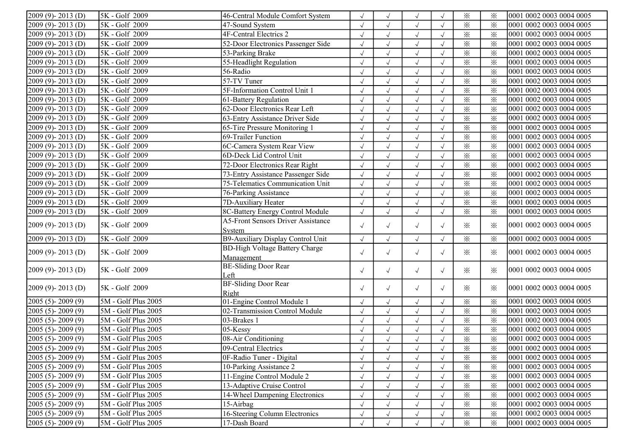| $2009(9) - 2013(D)$          | 5K - Golf 2009                     | 46-Central Module Comfort System          |            | $\sqrt{ }$           | $\sqrt{ }$           |            | $\times$                | $\times$ | 0001 0002 0003 0004 0005 |
|------------------------------|------------------------------------|-------------------------------------------|------------|----------------------|----------------------|------------|-------------------------|----------|--------------------------|
| 2009 (9)-2013 (D)            | 5K - Golf 2009                     | 47-Sound System                           |            | $\sqrt{}$            | $\sqrt{ }$           | $\sqrt{ }$ | $\times$                | $\times$ | 0001 0002 0003 0004 0005 |
| 2009 (9)-2013 (D)            | 5K - Golf 2009                     | 4F-Central Electrics 2                    | $\sqrt{ }$ | $\sqrt{ }$           | $\sqrt{ }$           | $\sqrt{ }$ | $\overline{\mathbf{x}}$ | $\times$ | 0001 0002 0003 0004 0005 |
| $2009(9) - 2013(D)$          | 5K - Golf 2009                     | 52-Door Electronics Passenger Side        | $\sqrt{2}$ | $\sqrt{ }$           | $\sqrt{ }$           | $\sqrt{ }$ | $\times$                | $\times$ | 0001 0002 0003 0004 0005 |
| 2009 (9)-2013 (D)            | 5K - Golf 2009                     | 53-Parking Brake                          | $\sqrt{}$  | $\sqrt{ }$           | $\sqrt{ }$           | $\sqrt{ }$ | $\times$                | $\times$ | 0001 0002 0003 0004 0005 |
| $2009(9) - 2013(D)$          | 5K - Golf 2009                     | 55-Headlight Regulation                   | $\sqrt{2}$ | $\sqrt{ }$           | $\sqrt{ }$           | $\sqrt{ }$ | $\times$                | $\times$ | 0001 0002 0003 0004 0005 |
| 2009 (9)-2013 (D)            | 5K - Golf 2009                     | 56-Radio                                  |            | $\sqrt{ }$           | $\sqrt{ }$           |            | $\times$                | $\times$ | 0001 0002 0003 0004 0005 |
| $2009(9) - 2013(D)$          | $\overline{\text{5K}}$ - Golf 2009 | $57-TV$ Tuner                             |            | $\sqrt{ }$           | $\sqrt{ }$           |            | $\times$                | $\times$ | 0001 0002 0003 0004 0005 |
| $2009(9) - 2013(D)$          | 5K - Golf 2009                     | 5F-Information Control Unit 1             |            | $\sqrt{ }$           | $\sqrt{ }$           | $\sqrt{ }$ | $\times$                | $\times$ | 0001 0002 0003 0004 0005 |
| 2009 (9)-2013 (D)            | 5K - Golf 2009                     | 61-Battery Regulation                     | $\sqrt{2}$ | $\sqrt{ }$           | $\sqrt{ }$           | $\sqrt{ }$ | $\times$                | $\times$ | 0001 0002 0003 0004 0005 |
| 2009 (9)-2013 (D)            | 5K - Golf 2009                     | 62-Door Electronics Rear Left             | $\sqrt{2}$ | $\sqrt{ }$           | $\sqrt{ }$           | $\sqrt{ }$ | $\times$                | $\times$ | 0001 0002 0003 0004 0005 |
| 2009 (9)-2013 (D)            | 5K - Golf 2009                     | 63-Entry Assistance Driver Side           | $\sqrt{}$  | $\sqrt{ }$           | $\sqrt{ }$           | $\sqrt{ }$ | $\overline{\mathbf{x}}$ | $\times$ | 0001 0002 0003 0004 0005 |
| 2009 (9)-2013 (D)            | 5K - Golf 2009                     | 65-Tire Pressure Monitoring 1             |            | $\checkmark$         | $\sqrt{ }$           |            | $\times$                | $\times$ | 0001 0002 0003 0004 0005 |
| 2009 (9)-2013 (D)            | 5K - Golf 2009                     | 69-Trailer Function                       |            |                      | $\sqrt{\phantom{a}}$ |            | $\times$                | $\times$ | 0001 0002 0003 0004 0005 |
| 2009 (9)-2013 (D)            | 5K - Golf 2009                     | 6C-Camera System Rear View                |            | $\sqrt{ }$           | $\sqrt{ }$           | $\sqrt{ }$ | $\times$                | $\times$ | 0001 0002 0003 0004 0005 |
| $2009(9) - 2013(D)$          | 5K - Golf 2009                     | 6D-Deck Lid Control Unit                  | $\sqrt{}$  | $\sqrt{}$            | $\sqrt{ }$           |            | $\times$                | $\times$ | 0001 0002 0003 0004 0005 |
| 2009 (9)-2013 (D)            | 5K - Golf 2009                     | 72-Door Electronics Rear Right            | $\sqrt{}$  | $\sqrt{ }$           | $\sqrt{\phantom{a}}$ |            | $\times$                | $\times$ | 0001 0002 0003 0004 0005 |
| $2009(9) - 2013(D)$          | 5K - Golf 2009                     | 73-Entry Assistance Passenger Side        | $\sqrt{2}$ | $\sqrt{ }$           | $\sqrt{ }$           | $\sqrt{ }$ | $\times$                | $\times$ | 0001 0002 0003 0004 0005 |
| $2009(9) - 2013(D)$          | 5K - Golf 2009                     | 75-Telematics Communication Unit          | $\sqrt{}$  | $\sqrt{ }$           | $\sqrt{ }$           | $\sqrt{ }$ | $\times$                | $\times$ | 0001 0002 0003 0004 0005 |
| $\sqrt{2009}$ (9) - 2013 (D) | $\overline{\text{5K}}$ - Golf 2009 | 76-Parking Assistance                     |            | $\sqrt{ }$           | $\sqrt{ }$           | $\sqrt{ }$ | $\times$                | $\times$ | 0001 0002 0003 0004 0005 |
| $2009(9) - 2013(D)$          | 5K - Golf 2009                     | 7D-Auxiliary Heater                       | $\sqrt{}$  | $\sqrt{ }$           | $\sqrt{ }$           | $\sqrt{ }$ | $\times$                | $\times$ | 0001 0002 0003 0004 0005 |
| $[2009 (9) - 2013 (D)]$      | 5K - Golf 2009                     | 8C-Battery Energy Control Module          | $\sqrt{ }$ | $\sqrt{ }$           | $\sqrt{ }$           | $\sqrt{ }$ | $\times$                | $\times$ | 0001 0002 0003 0004 0005 |
|                              |                                    | <b>A5-Front Sensors Driver Assistance</b> |            |                      |                      |            |                         |          |                          |
| $2009(9) - 2013(D)$          | 5K - Golf 2009                     | System                                    | $\sqrt{ }$ | $\sqrt{ }$           | $\sqrt{ }$           | $\sqrt{ }$ | $\times$                | $\times$ | 0001 0002 0003 0004 0005 |
| $2009(9) - 2013(D)$          | 5K - Golf 2009                     | B9-Auxiliary Display Control Unit         | $\sqrt{ }$ | $\sqrt{ }$           | $\sqrt{ }$           | $\sqrt{ }$ | $\times$                | $\times$ | 0001 0002 0003 0004 0005 |
| $2009(9) - 2013(D)$          | 5K - Golf 2009                     | <b>BD-High Voltage Battery Charge</b>     | $\sqrt{ }$ | $\sqrt{ }$           | $\sqrt{ }$           | $\sqrt{ }$ | $\times$                | $\times$ | 0001 0002 0003 0004 0005 |
|                              |                                    | Management                                |            |                      |                      |            |                         |          |                          |
| $[2009 (9) - 2013 (D)]$      | 5K - Golf 2009                     | <b>BE-Sliding Door Rear</b>               | $\sqrt{ }$ | $\sqrt{ }$           | $\sqrt{ }$           | $\sqrt{ }$ | $\times$                | $\times$ | 0001 0002 0003 0004 0005 |
|                              |                                    | Left                                      |            |                      |                      |            |                         |          |                          |
| $2009(9) - 2013(D)$          | 5K - Golf 2009                     | <b>BF-Sliding Door Rear</b>               | $\sqrt{ }$ | $\sqrt{ }$           | $\sqrt{ }$           | $\sqrt{ }$ | $\times$                | ፠        | 0001 0002 0003 0004 0005 |
|                              |                                    | Right                                     |            |                      |                      |            |                         |          |                          |
| $2005(5) - 2009(9)$          | 5M - Golf Plus 2005                | 01-Engine Control Module 1                | $\sqrt{}$  | $\sqrt{ }$           | $\sqrt{ }$           | $\sqrt{ }$ | $\times$                | $\times$ | 0001 0002 0003 0004 0005 |
| $2005(5) - 2009(9)$          | 5M - Golf Plus 2005                | 02-Transmission Control Module            | $\sqrt{}$  | $\sqrt{ }$           | $\sqrt{ }$           | $\sqrt{ }$ | $\times$                | $\times$ | 0001 0002 0003 0004 0005 |
| $2005(5) - 2009(9)$          | 5M - Golf Plus 2005                | 03-Brakes 1                               |            | $\sqrt{\phantom{a}}$ | $\sqrt{}$            | $\sqrt{ }$ | $\times$                | $\times$ | 0001 0002 0003 0004 0005 |
| $2005(5) - 2009(9)$          | 5M - Golf Plus 2005                | $\overline{0}$ 5-Kessy                    |            | $\sqrt{ }$           | $\sqrt{ }$           | $\sqrt{ }$ | $\times$                | $\times$ | 0001 0002 0003 0004 0005 |
| $2005(5) - 2009(9)$          | 5M - Golf Plus 2005                | 08-Air Conditioning                       |            | $\sqrt{ }$           | $\sqrt{}$            |            | $\times$                | $\times$ | 0001 0002 0003 0004 0005 |
| $[2005 (5)-2009 (9)]$        | $\mathcal{5M}$ - Golf Plus 2005    | 09-Central Electrics                      | $\sqrt{ }$ | $\sqrt{ }$           | $\sqrt{ }$           | $\sqrt{ }$ | ⋇                       | ⋇        | 0001 0002 0003 0004 0005 |
| $[2005 (5) - 2009 (9)]$      | $5M - Golf$ Plus 2005              | 0F-Radio Tuner - Digital                  | $\sqrt{}$  | $\sqrt{ }$           | $\sqrt{ }$           |            | $\times$                | $\times$ | 0001 0002 0003 0004 0005 |
| $[2005 (5) - 2009 (9)]$      | 5M - Golf Plus 2005                | 10-Parking Assistance 2                   | $\sqrt{}$  | $\sqrt{ }$           | $\sqrt{ }$           |            | $\times$                | $\times$ | 0001 0002 0003 0004 0005 |
| $2005(5) - 2009(9)$          | 5M - Golf Plus 2005                | 11-Engine Control Module 2                |            |                      | $\sqrt{ }$           |            | $\times$                | $\times$ | 0001 0002 0003 0004 0005 |
| $[2005 (5) - 2009 (9)]$      | 5M - Golf Plus 2005                | 13-Adaptive Cruise Control                |            |                      | $\sqrt{ }$           | $\sqrt{ }$ | $\times$                | $\times$ | 0001 0002 0003 0004 0005 |
| $[2005 (5) - 2009 (9)]$      | $5M - Golf$ Plus 2005              | 14-Wheel Dampening Electronics            |            |                      | $\sqrt{ }$           | $\sqrt{ }$ | $\times$                | $\times$ | 0001 0002 0003 0004 0005 |
| $[2005 (5) - 2009 (9)]$      | $5M - Golf$ Plus 2005              | 15-Airbag                                 |            | $\sqrt{ }$           | $\sqrt{ }$           | $\sqrt{ }$ | $\times$                | $\times$ | 0001 0002 0003 0004 0005 |
| $2005(5) - 2009(9)$          | $5M - Golf$ Plus 2005              | 16-Steering Column Electronics            |            | $\sqrt{ }$           | $\sqrt{}$            | $\sqrt{ }$ | $\times$                | $\times$ | 0001 0002 0003 0004 0005 |
| $[2005 (5)-2009 (9)]$        | 5M - Golf Plus 2005                | 17-Dash Board                             |            |                      |                      |            | $\times$                | $\times$ | 0001 0002 0003 0004 0005 |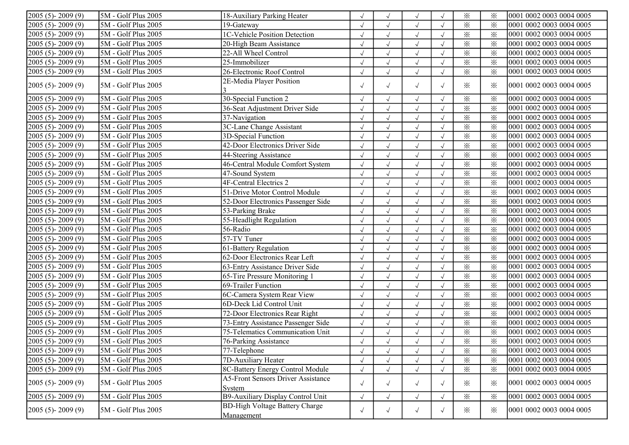| $2005(5) - 2009(9)$     | 5M - Golf Plus 2005         | 18-Auxiliary Parking Heater                         |            | $\sqrt{ }$   | $\sqrt{ }$           |            | $\times$ | $\times$                | 0001 0002 0003 0004 0005 |
|-------------------------|-----------------------------|-----------------------------------------------------|------------|--------------|----------------------|------------|----------|-------------------------|--------------------------|
| $2005(5) - 2009(9)$     | 5M - Golf Plus 2005         | 19-Gateway                                          | $\sqrt{ }$ | $\sqrt{}$    | $\sqrt{ }$           |            | ⋇        | $\times$                | 0001 0002 0003 0004 0005 |
| $2005(5) - 2009(9)$     | 5M - Golf Plus 2005         | 1C-Vehicle Position Detection                       | $\sqrt{}$  |              | $\sqrt{\phantom{a}}$ |            | $\times$ | $\times$                | 0001 0002 0003 0004 0005 |
| $2005(5) - 2009(9)$     | 5M - Golf Plus 2005         | 20-High Beam Assistance                             |            | $\checkmark$ | $\sqrt{ }$           | $\sqrt{ }$ | $\times$ | $\times$                | 0001 0002 0003 0004 0005 |
| 2005 (5)-2009 (9)       | 5M - Golf Plus 2005         | 22-All Wheel Control                                | $\sqrt{ }$ | $\sqrt{}$    | $\sqrt{ }$           |            | $\times$ | $\times$                | 0001 0002 0003 0004 0005 |
| $2005(5) - 2009(9)$     | 5M - Golf Plus 2005         | 25-Immobilizer                                      | $\sqrt{ }$ | $\sqrt{}$    | $\sqrt{ }$           |            | $\times$ | $\times$                | 0001 0002 0003 0004 0005 |
| $2005(5) - 2009(9)$     | 5M - Golf Plus 2005         | 26-Electronic Roof Control                          | $\sqrt{}$  | $\sqrt{}$    | $\checkmark$         |            | $\times$ | $\times$                | 0001 0002 0003 0004 0005 |
| 2005 (5)-2009 (9)       | $5M - Golf$ Plus 2005       | 2E-Media Player Position                            | $\sqrt{ }$ | $\sqrt{}$    | $\sqrt{ }$           | $\sqrt{ }$ | $\times$ | $\times$                | 0001 0002 0003 0004 0005 |
| 2005 (5)-2009 (9)       | 5M - Golf Plus 2005         | 30-Special Function 2                               | $\sqrt{ }$ | $\sqrt{}$    | $\sqrt{ }$           |            | ⋇        | $\times$                | 0001 0002 0003 0004 0005 |
| $2005(5) - 2009(9)$     | 5M - Golf Plus 2005         | 36-Seat Adjustment Driver Side                      | $\sqrt{}$  | $\sqrt{}$    | $\sqrt{ }$           |            | $\times$ | $\times$                | 0001 0002 0003 0004 0005 |
| $2005(5) - 2009(9)$     | 5M - Golf Plus 2005         | 37-Navigation                                       |            | $\sqrt{ }$   | $\sqrt{ }$           | $\sqrt{ }$ | ⋇        | $\times$                | 0001 0002 0003 0004 0005 |
| $2005(5) - 2009(9)$     | 5M - Golf Plus 2005         | 3C-Lane Change Assistant                            |            | $\sqrt{}$    | $\sqrt{ }$           | $\sqrt{ }$ | $\times$ | $\times$                | 0001 0002 0003 0004 0005 |
| $2005(5) - 2009(9)$     | 5M - Golf Plus 2005         | 3D-Special Function                                 | $\sqrt{ }$ | $\sqrt{ }$   | $\sqrt{ }$           | $\sqrt{ }$ | $\times$ | $\times$                | 0001 0002 0003 0004 0005 |
| 2005 (5)-2009 (9)       | 5M - Golf Plus 2005         | 42-Door Electronics Driver Side                     | $\sqrt{ }$ | $\sqrt{}$    | $\sqrt{}$            | $\sqrt{ }$ | $\times$ | $\times$                | 0001 0002 0003 0004 0005 |
| 2005 (5)-2009 (9)       | 5M - Golf Plus 2005         | 44-Steering Assistance                              | $\sqrt{ }$ | $\sqrt{}$    | $\checkmark$         | $\sqrt{ }$ | $\times$ | $\overline{\mathbf{x}}$ | 0001 0002 0003 0004 0005 |
| $2005(5) - 2009(9)$     | 5M - Golf Plus 2005         | 46-Central Module Comfort System                    | $\sqrt{}$  |              | $\sqrt{ }$           |            | $\times$ | $\times$                | 0001 0002 0003 0004 0005 |
| 2005 (5)-2009 (9)       | 5M - Golf Plus 2005         | 47-Sound System                                     | $\sqrt{ }$ |              | $\sqrt{ }$           |            | $\times$ | $\times$                | 0001 0002 0003 0004 0005 |
| 2005 (5)-2009 (9)       | 5M - Golf Plus 2005         | 4F-Central Electrics 2                              | $\sqrt{ }$ | $\sqrt{ }$   | $\sqrt{ }$           |            | $\times$ | $\times$                | 0001 0002 0003 0004 0005 |
| $2005(5) - 2009(9)$     | 5M - Golf Plus 2005         | 51-Drive Motor Control Module                       | $\sqrt{ }$ | $\sqrt{}$    | $\sqrt{ }$           |            | ⋇        | $\times$                | 0001 0002 0003 0004 0005 |
| $2005(5) - 2009(9)$     | 5M - Golf Plus 2005         | 52-Door Electronics Passenger Side                  | $\sqrt{ }$ | $\sqrt{}$    | $\sqrt{ }$           |            | $\times$ | $\times$                | 0001 0002 0003 0004 0005 |
| $2005(5) - 2009(9)$     | $\sqrt{5M - Golf$ Plus 2005 | 53-Parking Brake                                    | $\sqrt{}$  | $\sqrt{}$    | $\checkmark$         |            | $\times$ | $\times$                | 0001 0002 0003 0004 0005 |
| $2005(5) - 2009(9)$     | 5M - Golf Plus 2005         | 55-Headlight Regulation                             | $\sqrt{ }$ | $\sqrt{}$    | $\sqrt{ }$           |            | $\times$ | $\times$                | 0001 0002 0003 0004 0005 |
| $2005(5) - 2009(9)$     | 5M - Golf Plus 2005         | 56-Radio                                            |            | $\sqrt{}$    | $\sqrt{ }$           |            | $\times$ | $\times$                | 0001 0002 0003 0004 0005 |
| $2005(5) - 2009(9)$     | 5M - Golf Plus 2005         | 57-TV Tuner                                         | $\sqrt{ }$ | $\sqrt{ }$   | $\sqrt{ }$           | $\sqrt{ }$ | $\times$ | $\times$                | 0001 0002 0003 0004 0005 |
| $2005(5) - 2009(9)$     | 5M - Golf Plus 2005         | 61-Battery Regulation                               | $\sqrt{ }$ | $\sqrt{ }$   | $\sqrt{\phantom{a}}$ | $\sqrt{ }$ | $\times$ | $\times$                | 0001 0002 0003 0004 0005 |
| $2005(5) - 2009(9)$     | 5M - Golf Plus 2005         | 62-Door Electronics Rear Left                       | $\sqrt{ }$ | $\sqrt{}$    | $\sqrt{ }$           | $\sqrt{ }$ | $\times$ | $\times$                | 0001 0002 0003 0004 0005 |
| $2005(5) - 2009(9)$     | 5M - Golf Plus 2005         | 63-Entry Assistance Driver Side                     | $\sqrt{2}$ | $\sqrt{}$    | $\checkmark$         | $\sqrt{ }$ | $\times$ | $\times$                | 0001 0002 0003 0004 0005 |
| 2005 (5)-2009 (9)       | 5M - Golf Plus 2005         | 65-Tire Pressure Monitoring 1                       | $\sqrt{ }$ | $\sqrt{}$    | $\sqrt{ }$           | $\sqrt{ }$ | $\times$ | $\times$                | 0001 0002 0003 0004 0005 |
| $2005(5) - 2009(9)$     | 5M - Golf Plus 2005         | 69-Trailer Function                                 | $\sqrt{ }$ |              | $\sqrt{ }$           |            | $\times$ | $\times$                | 0001 0002 0003 0004 0005 |
| 2005 (5)-2009 (9)       | 5M - Golf Plus 2005         | 6C-Camera System Rear View                          | $\sqrt{ }$ | $\sqrt{ }$   | $\sqrt{ }$           | $\sqrt{ }$ | $\times$ | $\times$                | 0001 0002 0003 0004 0005 |
| 2005 (5)-2009 (9)       | 5M - Golf Plus 2005         | 6D-Deck Lid Control Unit                            | $\sqrt{ }$ | $\sqrt{}$    | $\sqrt{ }$           |            | $\times$ | $\times$                | 0001 0002 0003 0004 0005 |
| $2005(5) - 2009(9)$     | 5M - Golf Plus 2005         | 72-Door Electronics Rear Right                      | $\sqrt{ }$ | $\sqrt{}$    | $\sqrt{ }$           |            | $\times$ | $\times$                | 0001 0002 0003 0004 0005 |
| $2005(5) - 2009(9)$     | 5M - Golf Plus 2005         | 73-Entry Assistance Passenger Side                  | $\sqrt{}$  | $\sqrt{2}$   | $\sqrt{ }$           |            | $\times$ | $\times$                | 0001 0002 0003 0004 0005 |
| $2005(5) - 2009(9)$     | 5M - Golf Plus 2005         | 75-Telematics Communication Unit                    | $\sqrt{ }$ |              | $\sqrt{ }$           |            | $\times$ | $\times$                | 0001 0002 0003 0004 0005 |
| $2005(5) - 2009(9)$     | 5M - Golf Plus 2005         | 76-Parking Assistance                               |            |              | $\sqrt{ }$           |            | $\times$ | $\times$                | 0001 0002 0003 0004 0005 |
| $[2005 (5) - 2009 (9)]$ | 5M - Golf Plus 2005         | 77-Telephone                                        | $\sqrt{ }$ | $\sqrt{ }$   | $\sqrt{ }$           |            | $\times$ | ፠                       | 0001 0002 0003 0004 0005 |
| $2005(5) - 2009(9)$     | 5M - Golf Plus 2005         | 7D-Auxiliary Heater                                 | $\sqrt{ }$ |              |                      |            | $\times$ | $\times$                | 0001 0002 0003 0004 0005 |
| $2005(5) - 2009(9)$     | 5M - Golf Plus 2005         | 8C-Battery Energy Control Module                    | $\sqrt{ }$ |              | $\sqrt{ }$           | $\sqrt{ }$ | $\times$ | $\times$                | 0001 0002 0003 0004 0005 |
| $2005(5) - 2009(9)$     | $5M - Golf$ Plus 2005       | <b>A5-Front Sensors Driver Assistance</b><br>System | $\sqrt{ }$ | $\sqrt{ }$   | $\sqrt{}$            | $\sqrt{ }$ | $\times$ | $\times$                | 0001 0002 0003 0004 0005 |
| $2005(5) - 2009(9)$     | 5M - Golf Plus 2005         | B9-Auxiliary Display Control Unit                   | $\sqrt{ }$ | $\sqrt{}$    | $\sqrt{ }$           | $\sqrt{ }$ | $\times$ | $\times$                | 0001 0002 0003 0004 0005 |
| $2005(5) - 2009(9)$     | 5M - Golf Plus 2005         | <b>BD-High Voltage Battery Charge</b><br>Management | $\sqrt{ }$ | $\sqrt{ }$   | $\sqrt{ }$           | $\sqrt{ }$ | $\times$ | $\times$                | 0001 0002 0003 0004 0005 |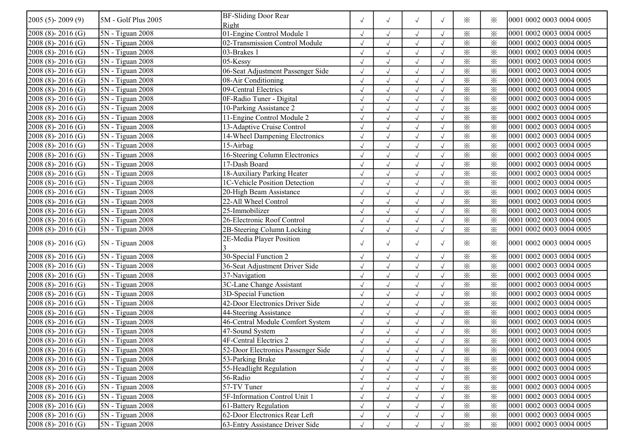| $2005(5) - 2009(9)$     | 5M - Golf Plus 2005                  | <b>BF-Sliding Door Rear</b><br>Right | $\sqrt{ }$ | $\sqrt{ }$   | $\sqrt{ }$   | $\sqrt{ }$ | $\times$                | $\times$                | 0001 0002 0003 0004 0005 |
|-------------------------|--------------------------------------|--------------------------------------|------------|--------------|--------------|------------|-------------------------|-------------------------|--------------------------|
| $2008(8) - 2016(G)$     | 5N - Tiguan 2008                     | 01-Engine Control Module 1           |            |              | $\sqrt{ }$   |            | $\times$                | $\times$                | 0001 0002 0003 0004 0005 |
| $2008(8) - 2016(G)$     | $SN - Tiguan 2008$                   | 02-Transmission Control Module       | $\sqrt{ }$ |              | $\sqrt{ }$   |            | $\times$                | $\times$                | 0001 0002 0003 0004 0005 |
| $2008(8) - 2016(G)$     | 5N - Tiguan 2008                     | 03-Brakes 1                          | $\sqrt{}$  | $\sqrt{ }$   | $\sqrt{ }$   | $\sqrt{ }$ | $\overline{\mathbf{x}}$ | $\times$                | 0001 0002 0003 0004 0005 |
| $2008(8) - 2016(G)$     | $5N - Tiguan 2008$                   | $05$ -Kessy                          | $\sqrt{ }$ | $\sqrt{}$    | $\sqrt{ }$   |            | $\times$                | $\times$                | 0001 0002 0003 0004 0005 |
| 2008 (8)-2016 (G)       | $5N - Tiguan 2008$                   | 06-Seat Adjustment Passenger Side    | $\sqrt{ }$ | $\sqrt{}$    | $\sqrt{}$    |            | $\times$                | $\times$                | 0001 0002 0003 0004 0005 |
| $2008(8) - 2016(G)$     | 5N - Tiguan 2008                     | 08-Air Conditioning                  | $\sqrt{ }$ | $\sqrt{ }$   | $\sqrt{ }$   | $\sqrt{ }$ | $\overline{\mathbf{x}}$ | $\times$                | 0001 0002 0003 0004 0005 |
| 2008 (8)-2016 (G)       | 5N - Tiguan 2008                     | 09-Central Electrics                 |            |              | $\sqrt{}$    |            | $\times$                | $\times$                | 0001 0002 0003 0004 0005 |
| 2008 (8)-2016 (G)       | 5N - Tiguan 2008                     | 0F-Radio Tuner - Digital             |            |              | $\sqrt{ }$   |            | $\times$                | $\times$                | 0001 0002 0003 0004 0005 |
| $2008(8) - 2016(G)$     | $5N - Tiguan 2008$                   | 10-Parking Assistance 2              | $\sqrt{}$  | $\sqrt{ }$   | $\sqrt{}$    | $\sqrt{ }$ | $\times$                | $\times$                | 0001 0002 0003 0004 0005 |
| $2008(8) - 2016(G)$     | 5N - Tiguan 2008                     | 11-Engine Control Module 2           | $\sqrt{}$  | $\sqrt{ }$   | $\sqrt{ }$   | $\sqrt{ }$ | $\times$                | $\times$                | 0001 0002 0003 0004 0005 |
| $2008(8) - 2016(G)$     | 5N - Tiguan 2008                     | 13-Adaptive Cruise Control           | $\sqrt{ }$ | $\sqrt{}$    | $\sqrt{ }$   | $\sqrt{ }$ | $\times$                | $\times$                | 0001 0002 0003 0004 0005 |
| $2008(8) - 2016(G)$     | 5N - Tiguan 2008                     | 14-Wheel Dampening Electronics       | $\sqrt{ }$ | $\sqrt{2}$   | $\sqrt{ }$   | $\sqrt{2}$ | $\times$                | $\times$                | 0001 0002 0003 0004 0005 |
| $2008(8) - 2016(G)$     | 5N - Tiguan 2008                     | 15-Airbag                            | $\sqrt{2}$ | $\sqrt{}$    | $\sqrt{ }$   |            | $\times$                | $\times$                | 0001 0002 0003 0004 0005 |
| $2008(8) - 2016(G)$     | 5N - Tiguan 2008                     | 16-Steering Column Electronics       |            |              | $\sqrt{}$    |            | $\overline{\mathbf{x}}$ | $\times$                | 0001 0002 0003 0004 0005 |
| $2008(8) - 2016(G)$     | 5N - Tiguan 2008                     | 17-Dash Board                        | $\sqrt{}$  | $\sqrt{ }$   | $\sqrt{ }$   |            | $\times$                | $\times$                | 0001 0002 0003 0004 0005 |
| $2008(8) - 2016(G)$     | 5N - Tiguan 2008                     | 18-Auxiliary Parking Heater          | $\sqrt{2}$ | $\checkmark$ | $\sqrt{ }$   |            | $\times$                | $\times$                | 0001 0002 0003 0004 0005 |
| $2008(8) - 2016(G)$     | 5N - Tiguan 2008                     | 1C-Vehicle Position Detection        | $\sqrt{2}$ | $\sqrt{ }$   | $\sqrt{}$    | $\sqrt{ }$ | $\times$                | $\times$                | 0001 0002 0003 0004 0005 |
| $2008(8) - 2016(G)$     | 5N - Tiguan 2008                     | 20-High Beam Assistance              | $\sqrt{2}$ | $\sqrt{}$    | $\sqrt{}$    |            | $\times$                | $\times$                | 0001 0002 0003 0004 0005 |
| $2008(8) - 2016(G)$     | $5N - Tiguan 2008$                   | 22-All Wheel Control                 |            | $\sqrt{ }$   | $\sqrt{}$    |            | $\times$                | $\times$                | 0001 0002 0003 0004 0005 |
| $2008(8) - 2016(G)$     | $\overline{\text{5N}}$ - Tiguan 2008 | 25-Immobilizer                       | $\sqrt{ }$ |              | $\sqrt{}$    |            | $\times$                | $\times$                | 0001 0002 0003 0004 0005 |
| $2008(8) - 2016(G)$     | 5N - Tiguan 2008                     | 26-Electronic Roof Control           | $\sqrt{2}$ | $\sqrt{}$    | $\sqrt{ }$   | $\sqrt{ }$ | $\times$                | $\times$                | 0001 0002 0003 0004 0005 |
| $2008(8) - 2016(G)$     | 5N - Tiguan 2008                     | 2B-Steering Column Locking           | $\sqrt{}$  | $\sqrt{}$    | $\sqrt{ }$   | $\sqrt{ }$ | $\times$                | $\times$                | 0001 0002 0003 0004 0005 |
| $2008(8) - 2016(G)$     | 5N - Tiguan 2008                     | 2E-Media Player Position             | $\sqrt{ }$ |              |              |            | $\times$                | $\times$                | 0001 0002 0003 0004 0005 |
|                         |                                      |                                      |            | $\sqrt{ }$   | $\sqrt{ }$   | $\sqrt{ }$ |                         |                         |                          |
| $2008(8) - 2016(G)$     | $\overline{5N}$ - Tiguan 2008        | 30-Special Function 2                | $\sqrt{2}$ | $\sqrt{}$    | $\sqrt{}$    | $\sqrt{ }$ | $\times$                | $\times$                | 0001 0002 0003 0004 0005 |
| 2008 (8)-2016 (G)       | $5N - Tiguan 2008$                   | 36-Seat Adjustment Driver Side       | $\sqrt{2}$ | $\sqrt{ }$   | $\sqrt{}$    | $\sqrt{ }$ | $\times$                | $\times$                | 0001 0002 0003 0004 0005 |
| $2008(8) - 2016(G)$     | 5N - Tiguan 2008                     | 37-Navigation                        | $\sqrt{2}$ | $\sqrt{ }$   | $\checkmark$ | $\sqrt{ }$ | $\overline{\mathbf{x}}$ | $\overline{\mathbf{x}}$ | 0001 0002 0003 0004 0005 |
| $2008(8) - 2016(G)$     | $5N - Tiguan 2008$                   | 3C-Lane Change Assistant             | $\sqrt{2}$ |              | $\sqrt{}$    | $\sqrt{ }$ | $\times$                | $\times$                | 0001 0002 0003 0004 0005 |
| $2008(8) - 2016(G)$     | 5N - Tiguan 2008                     | 3D-Special Function                  | $\sqrt{ }$ |              | $\sqrt{ }$   |            | $\times$                | $\times$                | 0001 0002 0003 0004 0005 |
| 2008 (8) - 2016 (G)     | 5N - Tiguan 2008                     | 42-Door Electronics Driver Side      | $\sqrt{}$  | $\sqrt{ }$   | $\sqrt{ }$   | $\sqrt{ }$ | $\overline{\mathbf{x}}$ | $\times$                | 0001 0002 0003 0004 0005 |
| $2008(8) - 2016(G)$     | 5N - Tiguan 2008                     | 44-Steering Assistance               | $\sqrt{2}$ | $\sqrt{}$    | $\sqrt{ }$   | $\sqrt{ }$ | $\times$                | $\times$                | 0001 0002 0003 0004 0005 |
| $2008(8) - 2016(G)$     | 5N - Tiguan 2008                     | 46-Central Module Comfort System     | $\sqrt{2}$ | $\sqrt{ }$   | $\sqrt{}$    | $\sqrt{ }$ | $\times$                | $\times$                | 0001 0002 0003 0004 0005 |
| $2008(8) - 2016(G)$     | 5N - Tiguan 2008                     | 47-Sound System                      | $\sqrt{2}$ | $\sqrt{ }$   | $\sqrt{ }$   |            | $\times$                | $\times$                | 0001 0002 0003 0004 0005 |
| $2008(8) - 2016(G)$     | $5N - Tiguan 2008$                   | <b>4F-Central Electrics 2</b>        |            |              | $\sqrt{}$    |            | $\times$                | $\times$                | 0001 0002 0003 0004 0005 |
| $[2008 (8)-2016 (G)]$   | 5N - Tiguan 2008                     | 52-Door Electronics Passenger Side   |            |              | $\sqrt{ }$   |            | $\times$                | ⋇                       | 0001 0002 0003 0004 0005 |
| $2008(8) - 2016(G)$     | $SN - Tiguan 2008$                   | 53-Parking Brake                     | $\sqrt{}$  |              | $\sqrt{ }$   |            | $\times$                | $\times$                | 0001 0002 0003 0004 0005 |
| $[2008 (8) - 2016 (G)]$ | 5N - Tiguan 2008                     | 55-Headlight Regulation              | $\sqrt{ }$ |              | $\sqrt{ }$   | $\sqrt{ }$ | $\times$                | $\times$                | 0001 0002 0003 0004 0005 |
| $2008(8) - 2016(G)$     | $5N - Tiguan 2008$                   | 56-Radio                             | $\sqrt{ }$ |              | $\sqrt{ }$   | $\sqrt{ }$ | $\times$                | $\times$                | 0001 0002 0003 0004 0005 |
| $2008(8) - 2016(G)$     | $5N - Tiguan 2008$                   | 57-TV Tuner                          | $\sqrt{2}$ |              | $\sqrt{ }$   |            | $\times$                | $\times$                | 0001 0002 0003 0004 0005 |
| $2008(8) - 2016(G)$     | 5N - Tiguan 2008                     | 5F-Information Control Unit 1        |            |              | $\sqrt{ }$   |            | $\times$                | $\times$                | 0001 0002 0003 0004 0005 |
| $2008(8) - 2016(G)$     | $5N - Tiguan 2008$                   | 61-Battery Regulation                |            |              | $\sqrt{ }$   |            | $\times$                | $\times$                | 0001 0002 0003 0004 0005 |
| $2008(8) - 2016(G)$     | $5N - Tiguan 2008$                   | 62-Door Electronics Rear Left        | $\sqrt{ }$ | $\sqrt{ }$   | $\sqrt{ }$   | $\sqrt{ }$ | $\times$                | $\times$                | 0001 0002 0003 0004 0005 |
| $2008(8) - 2016(G)$     | $5N - Tiguan 2008$                   | 63-Entry Assistance Driver Side      |            |              | $\sqrt{ }$   |            | $\times$                | $\times$                | 0001 0002 0003 0004 0005 |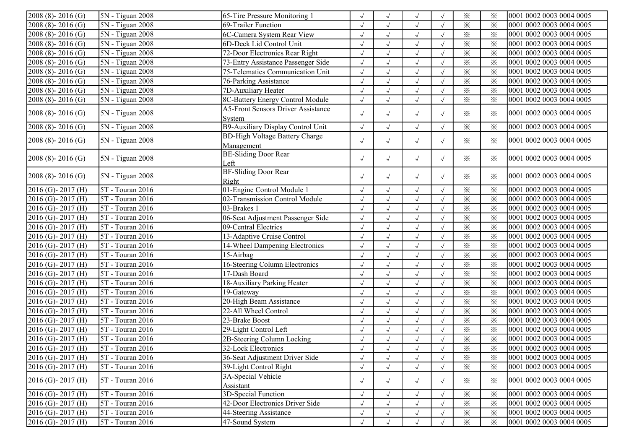| $2008(8) - 2016(G)$              | 5N - Tiguan 2008              | 65-Tire Pressure Monitoring 1             |            |              | $\sqrt{ }$   |                      | $\times$                | $\times$                | 0001 0002 0003 0004 0005 |
|----------------------------------|-------------------------------|-------------------------------------------|------------|--------------|--------------|----------------------|-------------------------|-------------------------|--------------------------|
| $2008(8) - 2016(G)$              | 5N - Tiguan 2008              | 69-Trailer Function                       |            |              | $\sqrt{ }$   |                      | $\times$                | $\times$                | 0001 0002 0003 0004 0005 |
| $2008(8) - 2016(G)$              | 5N - Tiguan 2008              | 6C-Camera System Rear View                | $\sqrt{}$  |              | $\sqrt{}$    | $\sqrt{ }$           | $\times$                | $\times$                | 0001 0002 0003 0004 0005 |
| $2008(8) - 2016(G)$              | 5N - Tiguan 2008              | 6D-Deck Lid Control Unit                  | $\sqrt{ }$ |              | $\sqrt{ }$   |                      | $\times$                | $\times$                | 0001 0002 0003 0004 0005 |
| $\overline{2008}$ (8) - 2016 (G) | 5N - Tiguan 2008              | 72-Door Electronics Rear Right            | $\sqrt{}$  | $\sqrt{ }$   | $\sqrt{ }$   | $\sqrt{}$            | $\times$                | $\times$                | 0001 0002 0003 0004 0005 |
| $2008(8) - 2016(G)$              | 5N - Tiguan 2008              | 73-Entry Assistance Passenger Side        | $\sqrt{}$  | $\sqrt{ }$   | $\sqrt{}$    | $\sqrt{ }$           | $\times$                | $\times$                | 0001 0002 0003 0004 0005 |
| 2008 (8)-2016 (G)                | 5N - Tiguan 2008              | 75-Telematics Communication Unit          | $\sqrt{2}$ | $\sqrt{ }$   | $\sqrt{ }$   |                      | $\times$                | $\times$                | 0001 0002 0003 0004 0005 |
| $2008(8) - 2016(G)$              | $5N - Tiguan 2008$            | 76-Parking Assistance                     |            |              | $\sqrt{}$    |                      | $\times$                | $\times$                | 0001 0002 0003 0004 0005 |
| 2008 (8)-2016 (G)                | 5N - Tiguan 2008              | 7D-Auxiliary Heater                       | $\sqrt{}$  | $\sqrt{ }$   | $\sqrt{}$    |                      | $\times$                | $\times$                | 0001 0002 0003 0004 0005 |
| $2008(8) - 2016(G)$              | $\overline{5N}$ - Tiguan 2008 | 8C-Battery Energy Control Module          | $\sqrt{}$  |              | $\sqrt{ }$   |                      | $\times$                | $\times$                | 0001 0002 0003 0004 0005 |
|                                  |                               | <b>A5-Front Sensors Driver Assistance</b> |            |              |              |                      |                         |                         |                          |
| $[2008 (8) - 2016 (G)]$          | $SN - Tiguan$ 2008            | System                                    | $\sqrt{ }$ | $\sqrt{ }$   | $\sqrt{ }$   | $\sqrt{ }$           | ✕                       | $\times$                | 0001 0002 0003 0004 0005 |
| $2008(8) - 2016(G)$              | 5N - Tiguan 2008              | B9-Auxiliary Display Control Unit         | $\sqrt{}$  | $\sqrt{}$    | $\sqrt{ }$   | $\sqrt{}$            | $\times$                | $\times$                | 0001 0002 0003 0004 0005 |
|                                  |                               | <b>BD-High Voltage Battery Charge</b>     |            |              |              |                      | ✕                       |                         | 0001 0002 0003 0004 0005 |
| $2008(8) - 2016(G)$              | 5N - Tiguan 2008              | Management                                | $\sqrt{ }$ | $\sqrt{}$    | $\sqrt{ }$   | $\sqrt{ }$           |                         | $\times$                |                          |
| $2008(8) - 2016(G)$              | 5N - Tiguan 2008              | <b>BE-Sliding Door Rear</b>               | $\sqrt{ }$ |              |              | $\sqrt{ }$           | ✕                       | $\times$                | 0001 0002 0003 0004 0005 |
|                                  |                               | Left                                      |            | $\sqrt{ }$   | $\sqrt{}$    |                      |                         |                         |                          |
| $[2008 (8) - 2016 (G)]$          | 5N - Tiguan 2008              | <b>BF-Sliding Door Rear</b>               | $\sqrt{ }$ | $\sqrt{ }$   | $\sqrt{ }$   | $\sqrt{ }$           | ✕                       | $\times$                | 0001 0002 0003 0004 0005 |
|                                  |                               | Right                                     |            |              |              |                      |                         |                         |                          |
| 2016 (G)-2017 (H)                | 5T - Touran 2016              | 01-Engine Control Module 1                | $\sqrt{}$  | $\sqrt{}$    | $\sqrt{}$    | $\sqrt{ }$           | $\times$                | $\times$                | 0001 0002 0003 0004 0005 |
| 2016 (G)-2017 (H)                | 5T - Touran 2016              | 02-Transmission Control Module            | $\sqrt{}$  | $\sqrt{ }$   | $\sqrt{}$    | $\sqrt{}$            | $\times$                | $\times$                | 0001 0002 0003 0004 0005 |
| 2016 (G)-2017 (H)                | 5T - Touran 2016              | 03-Brakes 1                               | $\sqrt{ }$ | $\checkmark$ | $\sqrt{ }$   | $\sqrt{ }$           | $\times$                | $\times$                | 0001 0002 0003 0004 0005 |
| 2016 (G)-2017 (H)                | 5T - Touran 2016              | 06-Seat Adjustment Passenger Side         |            |              | $\sqrt{}$    |                      | $\times$                | $\times$                | 0001 0002 0003 0004 0005 |
| 2016 (G)-2017 (H)                | 5T - Touran 2016              | 09-Central Electrics                      | $\sqrt{ }$ |              | $\sqrt{ }$   |                      | $\times$                | $\times$                | 0001 0002 0003 0004 0005 |
| 2016 (G)-2017 (H)                | 5T - Touran 2016              | 13-Adaptive Cruise Control                | $\sqrt{}$  | $\sqrt{ }$   | $\sqrt{ }$   |                      | $\overline{\mathbf{x}}$ | $\times$                | 0001 0002 0003 0004 0005 |
| $2016$ (G)- $2017$ (H)           | 5T - Touran 2016              | 14-Wheel Dampening Electronics            | $\sqrt{}$  | $\sqrt{ }$   | $\sqrt{}$    |                      | $\times$                | $\times$                | 0001 0002 0003 0004 0005 |
| 2016 (G)-2017 (H)                | 5T - Touran 2016              | 15-Airbag                                 | $\sqrt{}$  | $\sqrt{ }$   | $\sqrt{}$    |                      | $\times$                | $\times$                | 0001 0002 0003 0004 0005 |
| 2016 (G)-2017 (H)                | 5T - Touran 2016              | 16-Steering Column Electronics            | $\sqrt{}$  | $\sqrt{ }$   | $\sqrt{ }$   | $\sqrt{\phantom{a}}$ | $\overline{\mathbf{x}}$ | $\overline{\mathbf{x}}$ | 0001 0002 0003 0004 0005 |
| 2016 (G)-2017 (H)                | 5T - Touran 2016              | 17-Dash Board                             |            | $\sqrt{}$    | $\sqrt{}$    |                      | $\times$                | $\times$                | 0001 0002 0003 0004 0005 |
| $2016$ (G) - 2017 (H)            | 5T - Touran 2016              | 18-Auxiliary Parking Heater               |            |              | $\sqrt{ }$   |                      | $\times$                | $\times$                | 0001 0002 0003 0004 0005 |
| $2016$ (G)-2017 (H)              | 5T - Touran 2016              | $19$ -Gateway                             | $\sqrt{}$  | $\sqrt{ }$   | $\sqrt{ }$   | $\sqrt{ }$           | $\overline{\mathbf{x}}$ | $\overline{\mathbf{x}}$ | 0001 0002 0003 0004 0005 |
| 2016 (G)-2017 (H)                | 5T - Touran 2016              | 20-High Beam Assistance                   | $\sqrt{}$  | $\sqrt{}$    | $\sqrt{}$    | $\sqrt{ }$           | $\times$                | $\times$                | 0001 0002 0003 0004 0005 |
| 2016 (G)-2017 (H)                | 5T - Touran 2016              | 22-All Wheel Control                      | $\sqrt{}$  | $\sqrt{ }$   | $\sqrt{}$    | $\sqrt{ }$           | $\times$                | $\times$                | 0001 0002 0003 0004 0005 |
| 2016 (G)-2017 (H)                | 5T - Touran 2016              | 23-Brake Boost                            | $\sqrt{ }$ | $\sqrt{ }$   | $\checkmark$ | $\sqrt{ }$           | $\overline{\mathbf{x}}$ | $\times$                | 0001 0002 0003 0004 0005 |
| 2016 (G)-2017 (H)                | 5T - Touran 2016              | 29-Light Control Left                     | $\sqrt{ }$ | $\sqrt{}$    | $\sqrt{}$    |                      | $\times$                | $\times$                | 0001 0002 0003 0004 0005 |
| 2016 (G)-2017 (H)                | 5T - Touran 2016              | 2B-Steering Column Locking                |            |              | $\sqrt{}$    |                      | $\times$                | $\times$                | 0001 0002 0003 0004 0005 |
| $[2016 (G)-2017 (H)]$            | 5T - Touran 2016              | 32-Lock Electronics                       | $\sqrt{ }$ | $\sqrt{ }$   | $\sqrt{ }$   | $\sqrt{ }$           | ⋇                       | ⋇                       | 0001 0002 0003 0004 0005 |
| $2016$ (G) - 2017 (H)            | 5T - Touran 2016              | 36-Seat Adjustment Driver Side            | $\sqrt{}$  | $\sqrt{ }$   | $\sqrt{ }$   |                      | $\times$                | $\times$                | 0001 0002 0003 0004 0005 |
| $2016$ (G) - 2017 (H)            | 5T - Touran 2016              | 39-Light Control Right                    | $\sqrt{ }$ | $\sqrt{ }$   | $\sqrt{}$    |                      | $\times$                | $\times$                | 0001 0002 0003 0004 0005 |
|                                  |                               | 3A-Special Vehicle                        |            |              |              |                      |                         |                         |                          |
| $2016$ (G)-2017 (H)              | 5T - Touran 2016              | Assistant                                 | $\sqrt{ }$ | $\sqrt{ }$   | $\sqrt{ }$   | $\sqrt{ }$           | $\times$                | $\times$                | 0001 0002 0003 0004 0005 |
| $2016$ (G) - 2017 (H)            | 5T - Touran 2016              | 3D-Special Function                       | $\sqrt{}$  | $\sqrt{ }$   | $\sqrt{}$    |                      | $\times$                | $\times$                | 0001 0002 0003 0004 0005 |
| $2016$ (G) - 2017 (H)            | 5T - Touran 2016              | 42-Door Electronics Driver Side           |            |              | $\sqrt{}$    |                      | $\times$                | $\times$                | 0001 0002 0003 0004 0005 |
| $2016$ (G) - 2017 (H)            | 5T - Touran 2016              | 44-Steering Assistance                    |            | $\sqrt{ }$   | $\sqrt{}$    |                      | $\times$                | $\times$                | 0001 0002 0003 0004 0005 |
| $2016$ (G)-2017 (H)              | 5T - Touran 2016              | 47-Sound System                           |            |              | $\sqrt{ }$   |                      | $\times$                | $\times$                | 0001 0002 0003 0004 0005 |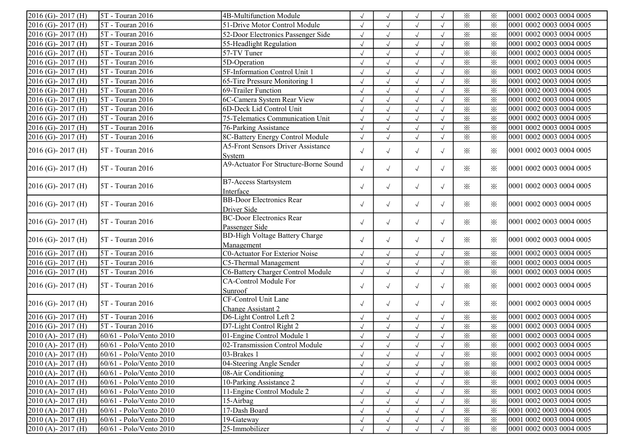| $2016$ (G)-2017 (H)   | 5T - Touran 2016              | 4B-Multifunction Module                             |            | $\sqrt{ }$ | $\sqrt{ }$ |            | $\times$ | $\times$               | 0001 0002 0003 0004 0005 |
|-----------------------|-------------------------------|-----------------------------------------------------|------------|------------|------------|------------|----------|------------------------|--------------------------|
| 2016 (G)-2017 (H)     | 5T - Touran 2016              | 51-Drive Motor Control Module                       | $\sqrt{}$  | $\sqrt{ }$ | $\sqrt{ }$ | $\sqrt{ }$ | $\times$ | $\times$               | 0001 0002 0003 0004 0005 |
| 2016 (G)-2017 (H)     | 5T - Touran 2016              | 52-Door Electronics Passenger Side                  | $\sqrt{ }$ | $\sqrt{ }$ | $\sqrt{}$  | $\sqrt{ }$ | $\times$ | $\times$               | 0001 0002 0003 0004 0005 |
| $2016$ (G)-2017 (H)   | 5T - Touran 2016              | 55-Headlight Regulation                             | $\sqrt{ }$ | $\sqrt{ }$ | $\sqrt{2}$ |            | $\times$ | $\times$               | 0001 0002 0003 0004 0005 |
| 2016 (G)-2017 (H)     | 5T - Touran 2016              | 57-TV Tuner                                         | $\sqrt{}$  | $\sqrt{ }$ | $\sqrt{ }$ |            | $\times$ | $\times$               | 0001 0002 0003 0004 0005 |
| $2016$ (G)-2017 (H)   | 5T - Touran 2016              | 5D-Operation                                        | $\sqrt{}$  | $\sqrt{ }$ | $\sqrt{2}$ | $\sqrt{ }$ | $\times$ | $\times$               | 0001 0002 0003 0004 0005 |
| 2016 (G)-2017 (H)     | 5T - Touran 2016              | 5F-Information Control Unit 1                       |            | $\sqrt{ }$ | $\sqrt{2}$ |            | $\times$ | $\times$               | 0001 0002 0003 0004 0005 |
| $2016$ (G)-2017 (H)   | 5T - Touran 2016              | 65-Tire Pressure Monitoring 1                       |            | $\sqrt{ }$ | $\sqrt{ }$ |            | $\times$ | $\times$               | 0001 0002 0003 0004 0005 |
| $2016$ (G)-2017 (H)   | 5T - Touran 2016              | 69-Trailer Function                                 |            | $\sqrt{ }$ | $\sqrt{ }$ | $\sqrt{ }$ | $\times$ | $\times$               | 0001 0002 0003 0004 0005 |
| 2016 (G)-2017 (H)     | 5T - Touran 2016              | 6C-Camera System Rear View                          | $\sqrt{2}$ | $\sqrt{ }$ | $\sqrt{2}$ | $\sqrt{ }$ | $\times$ | $\times$               | 0001 0002 0003 0004 0005 |
| 2016 (G)-2017 (H)     | 5T - Touran 2016              | 6D-Deck Lid Control Unit                            | $\sqrt{2}$ | $\sqrt{ }$ | $\sqrt{2}$ | $\sqrt{ }$ | $\times$ | $\times$               | 0001 0002 0003 0004 0005 |
| 2016 (G)-2017 (H)     | 5T - Touran 2016              | 75-Telematics Communication Unit                    | $\sqrt{}$  | $\sqrt{ }$ | $\sqrt{2}$ | $\sqrt{ }$ | $\times$ | $\overline{\varkappa}$ | 0001 0002 0003 0004 0005 |
| 2016 (G)-2017 (H)     | 5T - Touran 2016              | 76-Parking Assistance                               | $\sqrt{2}$ | $\sqrt{ }$ | $\sqrt{2}$ | $\sqrt{ }$ | $\times$ | $\times$               | 0001 0002 0003 0004 0005 |
| 2016 (G)-2017 (H)     | 5T - Touran 2016              | 8C-Battery Energy Control Module                    |            | $\sqrt{}$  | $\sqrt{}$  |            | $\times$ | $\times$               | 0001 0002 0003 0004 0005 |
|                       | 5T - Touran 2016              | <b>A5-Front Sensors Driver Assistance</b>           |            |            |            |            | $\times$ |                        |                          |
| $2016$ (G)-2017 (H)   |                               | Svstem                                              | $\sqrt{ }$ | $\sqrt{ }$ | $\sqrt{ }$ | $\sqrt{ }$ |          | $\times$               | 0001 0002 0003 0004 0005 |
| $2016$ (G)-2017 (H)   | 5T - Touran 2016              | A9-Actuator For Structure-Borne Sound               | $\sqrt{ }$ | $\sqrt{ }$ | $\sqrt{ }$ | $\sqrt{ }$ | $\times$ | ⋇                      | 0001 0002 0003 0004 0005 |
| $2016$ (G)-2017 (H)   | 5T - Touran 2016              | <b>B7-Access Startsystem</b><br>Interface           | $\sqrt{ }$ | $\sqrt{ }$ | $\sqrt{ }$ | $\sqrt{ }$ | $\times$ | $\times$               | 0001 0002 0003 0004 0005 |
| $2016$ (G)-2017 (H)   | 5T - Touran 2016              | <b>BB-Door Electronics Rear</b><br>Driver Side      | $\sqrt{ }$ | $\sqrt{ }$ | $\sqrt{ }$ | $\sqrt{ }$ | $\times$ | ⋇                      | 0001 0002 0003 0004 0005 |
| $2016$ (G)-2017 (H)   | 5T - Touran 2016              | <b>BC-Door Electronics Rear</b><br>Passenger Side   | $\sqrt{ }$ | $\sqrt{ }$ | $\sqrt{ }$ | $\sqrt{ }$ | $\times$ | $\times$               | 0001 0002 0003 0004 0005 |
| $2016$ (G)-2017 (H)   | 5T - Touran 2016              | <b>BD-High Voltage Battery Charge</b><br>Management | $\sqrt{ }$ | $\sqrt{ }$ | $\sqrt{ }$ | $\sqrt{ }$ | $\times$ | ⋇                      | 0001 0002 0003 0004 0005 |
| 2016 (G)-2017 (H)     | $\overline{5T}$ - Touran 2016 | <b>C0-Actuator For Exterior Noise</b>               |            | $\sqrt{ }$ | $\sqrt{ }$ | $\sqrt{ }$ | $\times$ | $\times$               | 0001 0002 0003 0004 0005 |
| 2016 (G)-2017 (H)     | 5T - Touran 2016              | C5-Thermal Management                               | $\sqrt{2}$ | $\sqrt{}$  | $\sqrt{ }$ | $\sqrt{ }$ | $\times$ | $\times$               | 0001 0002 0003 0004 0005 |
| 2016 (G)-2017 (H)     | $5T - Touran 2016$            | C6-Battery Charger Control Module                   | $\sqrt{ }$ | $\sqrt{ }$ | $\sqrt{ }$ | $\sqrt{ }$ | $\times$ | $\times$               | 0001 0002 0003 0004 0005 |
| $2016$ (G)-2017 (H)   | 5T - Touran 2016              | CA-Control Module For<br>Sunroof                    | $\sqrt{ }$ | $\sqrt{ }$ | $\sqrt{ }$ | $\sqrt{ }$ | $\times$ | ⋇                      | 0001 0002 0003 0004 0005 |
| $2016$ (G)-2017 (H)   | 5T - Touran 2016              | CF-Control Unit Lane<br>Change Assistant 2          | $\sqrt{ }$ | $\sqrt{ }$ | $\sqrt{ }$ | $\sqrt{ }$ | $\times$ | ⋇                      | 0001 0002 0003 0004 0005 |
| 2016 (G)-2017 (H)     | 5T - Touran 2016              | D6-Light Control Left 2                             | $\sqrt{ }$ | $\sqrt{ }$ | $\sqrt{ }$ | $\sqrt{ }$ | $\times$ | $\times$               | 0001 0002 0003 0004 0005 |
| $2016$ (G) - 2017 (H) | 5T - Touran 2016              | D7-Light Control Right 2                            | $\sqrt{}$  | $\sqrt{ }$ | $\sqrt{}$  |            | $\times$ | $\times$               | 0001 0002 0003 0004 0005 |
| $2010$ (A) - 2017 (H) | 60/61 - Polo/Vento 2010       | 01-Engine Control Module 1                          | $\sqrt{}$  | $\sqrt{}$  | $\sqrt{2}$ |            | $\times$ | $\times$               | 0001 0002 0003 0004 0005 |
| $2010$ (A)-2017 (H)   | 60/61 - Polo/Vento 2010       | 02-Transmission Control Module                      |            |            |            |            | $\times$ | $\times$               | 0001 0002 0003 0004 0005 |
| $2010(A) - 2017(H)$   | 60/61 - Polo/Vento 2010       | $ 03 - Brakes $                                     |            |            | $\sqrt{ }$ |            | $\times$ | ፠                      | 0001 0002 0003 0004 0005 |
| $2010(A) - 2017(H)$   | 60/61 - Polo/Vento 2010       | 04-Steering Angle Sender                            | $\sqrt{ }$ | $\sqrt{ }$ | $\sqrt{ }$ | $\sqrt{ }$ | $\times$ | $\times$               | 0001 0002 0003 0004 0005 |
| $[2010(A)-2017(H)]$   | 60/61 - Polo/Vento 2010       | 08-Air Conditioning                                 | $\sqrt{ }$ | $\sqrt{ }$ |            | $\sqrt{ }$ | $\times$ | ⋇                      | 0001 0002 0003 0004 0005 |
| $[2010(A)-2017(H)]$   | 60/61 - Polo/Vento 2010       | 10-Parking Assistance 2                             | $\sqrt{ }$ | $\sqrt{ }$ |            |            | $\times$ | $\times$               | 0001 0002 0003 0004 0005 |
| $2010(A) - 2017(H)$   | 60/61 - Polo/Vento 2010       | 11-Engine Control Module 2                          |            |            |            |            | $\times$ | $\times$               | 0001 0002 0003 0004 0005 |
| $[2010(A)-2017(H)]$   | 60/61 - Polo/Vento 2010       | 15-Airbag                                           |            |            |            |            | $\times$ | $\times$               | 0001 0002 0003 0004 0005 |
| $2010(A) - 2017(H)$   | 60/61 - Polo/Vento 2010       | 17-Dash Board                                       |            | $\sqrt{ }$ |            |            | $\times$ | $\times$               | 0001 0002 0003 0004 0005 |
| $[2010(A)-2017(H)]$   | 60/61 - Polo/Vento 2010       | 19-Gateway                                          | $\sqrt{ }$ | $\sqrt{ }$ | $\sqrt{ }$ | $\sqrt{ }$ | $\times$ | $\times$               | 0001 0002 0003 0004 0005 |
| $2010(A) - 2017(H)$   | 60/61 - Polo/Vento 2010       | 25-Immobilizer                                      |            | $\sqrt{ }$ | $\sqrt{ }$ |            | $\times$ | ⋇                      | 0001 0002 0003 0004 0005 |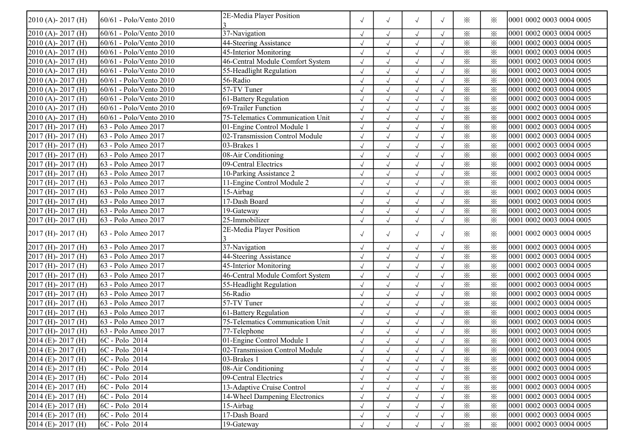| $2010(A) - 2017(H)$          | 60/61 - Polo/Vento 2010 | 2E-Media Player Position         | $\sqrt{ }$ | $\sqrt{}$            | $\sqrt{ }$ | $\sqrt{ }$ | ⋇        | ⋇        | 0001 0002 0003 0004 0005 |
|------------------------------|-------------------------|----------------------------------|------------|----------------------|------------|------------|----------|----------|--------------------------|
| $2010(A) - 2017(H)$          | 60/61 - Polo/Vento 2010 | 37-Navigation                    | $\sqrt{ }$ |                      | $\sqrt{ }$ |            | $\times$ | $\times$ | 0001 0002 0003 0004 0005 |
| $2010(A) - 2017(H)$          | 60/61 - Polo/Vento 2010 | 44-Steering Assistance           | $\sqrt{ }$ |                      | $\sqrt{ }$ | $\sqrt{ }$ | $\times$ | $\times$ | 0001 0002 0003 0004 0005 |
| 2010 (A)-2017 (H)            | 60/61 - Polo/Vento 2010 | 45-Interior Monitoring           | $\sqrt{}$  | $\checkmark$         | $\sqrt{ }$ |            | $\times$ | $\times$ | 0001 0002 0003 0004 0005 |
| 2010 (A)-2017 (H)            | 60/61 - Polo/Vento 2010 | 46-Central Module Comfort System | $\sqrt{}$  | $\sqrt{ }$           | $\sqrt{ }$ |            | $\times$ | $\times$ | 0001 0002 0003 0004 0005 |
| $2010$ (A)-2017 (H)          | 60/61 - Polo/Vento 2010 | 55-Headlight Regulation          | $\sqrt{ }$ | $\sqrt{ }$           | $\sqrt{}$  |            | $\times$ | $\times$ | 0001 0002 0003 0004 0005 |
| $2010$ (A) - 2017 (H)        | 60/61 - Polo/Vento 2010 | 56-Radio                         |            |                      | $\sqrt{ }$ |            | $\times$ | $\times$ | 0001 0002 0003 0004 0005 |
| $2010$ (A) - 2017 (H)        | 60/61 - Polo/Vento 2010 | $57-TV$ Tuner                    |            |                      | $\sqrt{ }$ |            | $\times$ | $\times$ | 0001 0002 0003 0004 0005 |
| 2010 (A)-2017 (H)            | 60/61 - Polo/Vento 2010 | 61-Battery Regulation            | $\sqrt{ }$ | $\sqrt{\phantom{a}}$ | $\sqrt{ }$ |            | $\times$ | $\times$ | 0001 0002 0003 0004 0005 |
| 2010 (A) - 2017 (H)          | 60/61 - Polo/Vento 2010 | 69-Trailer Function              | $\sqrt{ }$ | $\sqrt{}$            | $\sqrt{ }$ | $\sqrt{ }$ | $\times$ | $\times$ | 0001 0002 0003 0004 0005 |
| 2010 (A) - 2017 (H)          | 60/61 - Polo/Vento 2010 | 75-Telematics Communication Unit | $\sqrt{ }$ | $\sqrt{}$            | $\sqrt{ }$ | $\sqrt{ }$ | $\times$ | $\times$ | 0001 0002 0003 0004 0005 |
| 2017 (H) - 2017 (H)          | 63 - Polo Ameo 2017     | 01-Engine Control Module 1       | $\sqrt{ }$ | $\sqrt{}$            | $\sqrt{}$  | $\sqrt{ }$ | $\times$ | $\times$ | 0001 0002 0003 0004 0005 |
| 2017 (H) - 2017 (H)          | 63 - Polo Ameo 2017     | 02-Transmission Control Module   | $\sqrt{2}$ | $\sqrt{}$            | $\sqrt{ }$ |            | $\times$ | $\times$ | 0001 0002 0003 0004 0005 |
| $2017$ (H) - $2017$ (H)      | 63 - Polo Ameo 2017     | 03-Brakes 1                      |            |                      | $\sqrt{ }$ |            | $\times$ | $\times$ | 0001 0002 0003 0004 0005 |
| 2017 (H) - 2017 (H)          | 63 - Polo Ameo 2017     | 08-Air Conditioning              | $\sqrt{ }$ |                      | $\sqrt{ }$ |            | $\times$ | $\times$ | 0001 0002 0003 0004 0005 |
| 2017 (H) - 2017 (H)          | 63 - Polo Ameo 2017     | 09-Central Electrics             | $\sqrt{ }$ |                      | $\sqrt{ }$ |            | $\times$ | $\times$ | 0001 0002 0003 0004 0005 |
| 2017 (H) - 2017 (H)          | 63 - Polo Ameo 2017     | 10-Parking Assistance 2          | $\sqrt{}$  | $\checkmark$         | $\sqrt{ }$ |            | $\times$ | $\times$ | 0001 0002 0003 0004 0005 |
| $2017$ (H) - 2017 (H)        | 63 - Polo Ameo 2017     | 11-Engine Control Module 2       | $\sqrt{ }$ | $\checkmark$         | $\sqrt{ }$ | $\sqrt{ }$ | $\times$ | $\times$ | 0001 0002 0003 0004 0005 |
| $2017$ (H) - 2017 (H)        | 63 - Polo Ameo 2017     | 15-Airbag                        | $\cdot$    | $\sqrt{ }$           | $\sqrt{}$  |            | $\times$ | $\times$ | 0001 0002 0003 0004 0005 |
| $2017$ (H) - 2017 (H)        | 63 - Polo Ameo 2017     | 17-Dash Board                    |            |                      | $\sqrt{ }$ |            | $\times$ | $\times$ | 0001 0002 0003 0004 0005 |
| $2017$ (H) - 2017 (H)        | 63 - Polo Ameo 2017     | 19-Gateway                       | $\sqrt{ }$ |                      | $\sqrt{ }$ |            | $\times$ | $\times$ | 0001 0002 0003 0004 0005 |
| $2017$ (H) - 2017 (H)        | 63 - Polo Ameo 2017     | $25$ -Immobilizer                | $\sqrt{ }$ |                      | $\sqrt{ }$ | $\sqrt{ }$ | $\times$ | $\times$ | 0001 0002 0003 0004 0005 |
| $2017$ (H) - 2017 (H)        | [63 - Polo Ameo 2017]   | 2E-Media Player Position         | $\sqrt{ }$ | $\sqrt{}$            | $\sqrt{ }$ | $\sqrt{ }$ | $\times$ | $\times$ | 0001 0002 0003 0004 0005 |
| $2017$ (H) - 2017 (H)        | 63 - Polo Ameo 2017     | 37-Navigation                    | $\sqrt{ }$ | $\sqrt{}$            | $\sqrt{ }$ | $\sqrt{ }$ | $\times$ | $\times$ | 0001 0002 0003 0004 0005 |
| 2017 (H) - 2017 (H)          | 63 - Polo Ameo 2017     | 44-Steering Assistance           | $\sqrt{ }$ | $\sqrt{}$            | $\sqrt{ }$ | $\sqrt{ }$ | $\times$ | $\times$ | 0001 0002 0003 0004 0005 |
| 2017 (H) - 2017 (H)          | 63 - Polo Ameo 2017     | 45-Interior Monitoring           | $\sqrt{ }$ | $\sqrt{2}$           | $\sqrt{ }$ | $\sqrt{ }$ | $\times$ | $\times$ | 0001 0002 0003 0004 0005 |
| 2017 (H) - 2017 (H)          | 63 - Polo Ameo 2017     | 46-Central Module Comfort System | $\sqrt{2}$ | $\sqrt{}$            | $\sqrt{ }$ |            | $\times$ | $\times$ | 0001 0002 0003 0004 0005 |
| $2017$ (H) - $2017$ (H)      | 63 - Polo Ameo 2017     | 55-Headlight Regulation          | $\sqrt{ }$ |                      | $\sqrt{ }$ |            | $\times$ | $\times$ | 0001 0002 0003 0004 0005 |
| 2017 (H) - 2017 (H)          | 63 - Polo Ameo 2017     | 56-Radio                         | $\sqrt{ }$ | $\sqrt{ }$           | $\sqrt{ }$ | $\sqrt{ }$ | $\times$ | $\times$ | 0001 0002 0003 0004 0005 |
| 2017 (H) - 2017 (H)          | 63 - Polo Ameo 2017     | $\overline{57}$ -TV Tuner        | $\sqrt{2}$ | $\checkmark$         | $\sqrt{ }$ |            | $\times$ | $\times$ | 0001 0002 0003 0004 0005 |
| 2017 (H) - 2017 (H)          | 63 - Polo Ameo 2017     | 61-Battery Regulation            | $\sqrt{ }$ | $\checkmark$         | $\sqrt{}$  | $\sqrt{ }$ | $\times$ | $\times$ | 0001 0002 0003 0004 0005 |
| $2017$ (H) - 2017 (H)        | 63 - Polo Ameo 2017     | 75-Telematics Communication Unit | $\sqrt{2}$ | $\sqrt{}$            | $\sqrt{}$  | $\sqrt{ }$ | $\times$ | $\times$ | 0001 0002 0003 0004 0005 |
| $2017$ (H) - 2017 (H)        | 63 - Polo Ameo 2017     | $77$ -Telephone                  |            |                      | $\sqrt{ }$ |            | $\times$ | $\times$ | 0001 0002 0003 0004 0005 |
| $\sqrt{2014}$ (E) - 2017 (H) | 6C - Polo 2014          | 01-Engine Control Module 1       |            |                      | $\sqrt{ }$ |            | $\times$ | $\times$ | 0001 0002 0003 0004 0005 |
| $2014$ (E) - 2017 (H)        | $ 6C - Polo 2014$       | 02-Transmission Control Module   | $\sqrt{ }$ | $\sqrt{ }$           | $\sqrt{}$  | $\sqrt{ }$ | $\times$ | ⋇        | 0001 0002 0003 0004 0005 |
| $2014$ (E) - 2017 (H)        | $ 6C - Polo 2014 $      | 03-Brakes 1                      | $\sqrt{}$  |                      | $\sqrt{}$  |            | $\times$ | $\times$ | 0001 0002 0003 0004 0005 |
| $2014$ (E) - 2017 (H)        | 6C - Polo 2014          | 08-Air Conditioning              | $\sqrt{}$  |                      | $\sqrt{ }$ | $\sqrt{ }$ | $\times$ | $\times$ | 0001 0002 0003 0004 0005 |
| $2014$ (E) - 2017 (H)        | $ 6C - Polo 2014 $      | 09-Central Electrics             | $\sqrt{2}$ |                      | $\sqrt{ }$ | $\sqrt{ }$ | $\times$ | $\times$ | 0001 0002 0003 0004 0005 |
| $2014$ (E) - 2017 (H)        | 6C - Polo 2014          | 13-Adaptive Cruise Control       |            |                      | $\sqrt{}$  | $\sqrt{ }$ | $\times$ | $\times$ | 0001 0002 0003 0004 0005 |
| 2014 (E)-2017 (H)            | 6C - Polo 2014          | 14-Wheel Dampening Electronics   |            |                      | $\sqrt{ }$ | $\sqrt{ }$ | $\times$ | $\times$ | 0001 0002 0003 0004 0005 |
| $2014$ (E) - 2017 (H)        | $ 6C - Polo 2014 $      | 15-Airbag                        | $\sqrt{ }$ |                      | $\sqrt{ }$ | $\sqrt{ }$ | $\times$ | $\times$ | 0001 0002 0003 0004 0005 |
| $2014$ (E) - 2017 (H)        | $ 6C - Polo 2014 $      | 17-Dash Board                    | $\sqrt{}$  | $\sqrt{ }$           | $\sqrt{ }$ |            | $\times$ | $\times$ | 0001 0002 0003 0004 0005 |
| $2014$ (E) - 2017 (H)        | $ 6C - Polo 2014 $      | 19-Gateway                       |            | $\sqrt{ }$           | $\sqrt{ }$ |            | $\times$ | $\times$ | 0001 0002 0003 0004 0005 |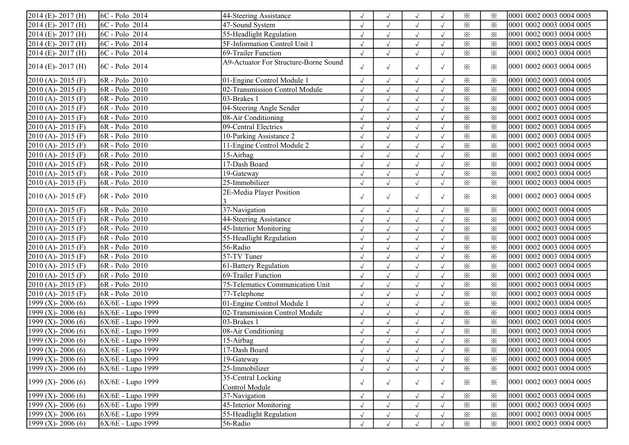| $2014$ (E) - 2017 (H) | 6C - Polo 2014    | 44-Steering Assistance                |            |                      | $\sqrt{ }$   | $\sqrt{ }$ | $\times$                | $\times$                | 0001 0002 0003 0004 0005 |
|-----------------------|-------------------|---------------------------------------|------------|----------------------|--------------|------------|-------------------------|-------------------------|--------------------------|
| 2014 (E)-2017 (H)     | 6C - Polo 2014    | 47-Sound System                       |            |                      | $\sqrt{ }$   | $\sqrt{ }$ | $\times$                | $\times$                | 0001 0002 0003 0004 0005 |
| 2014 (E)-2017 (H)     | $ 6C - Polo 2014$ | 55-Headlight Regulation               | $\sqrt{}$  | $\sqrt{ }$           | $\sqrt{}$    | $\sqrt{ }$ | $\times$                | $\times$                | 0001 0002 0003 0004 0005 |
| 2014 (E)-2017 (H)     | $ 6C - Polo 2014$ | 5F-Information Control Unit 1         | $\sqrt{2}$ | $\sqrt{ }$           | $\sqrt{ }$   | $\sqrt{ }$ | $\times$                | $\times$                | 0001 0002 0003 0004 0005 |
| 2014 (E)-2017 (H)     | $ 6C - Polo 2014$ | 69-Trailer Function                   | $\sqrt{ }$ | $\sqrt{ }$           | $\sqrt{}$    | $\sqrt{ }$ | $\times$                | $\times$                | 0001 0002 0003 0004 0005 |
| 2014 (E)-2017 (H)     | 6C - Polo 2014    | A9-Actuator For Structure-Borne Sound | $\sqrt{ }$ | $\sqrt{ }$           | $\sqrt{ }$   | $\sqrt{ }$ | $\times$                | $\times$                | 0001 0002 0003 0004 0005 |
| $2010(A) - 2015(F)$   | 6R - Polo 2010    | 01-Engine Control Module 1            | $\sqrt{2}$ | $\sqrt{ }$           | $\sqrt{ }$   | $\sqrt{ }$ | $\times$                | $\times$                | 0001 0002 0003 0004 0005 |
| 2010 (A)-2015 (F)     | 6R - Polo 2010    | 02-Transmission Control Module        | $\sqrt{2}$ | $\sqrt{}$            | $\checkmark$ | $\sqrt{ }$ | $\times$                | $\times$                | 0001 0002 0003 0004 0005 |
| 2010 (A)-2015 (F)     | 6R - Polo 2010    | 03-Brakes 1                           |            | $\sqrt{ }$           | $\sqrt{}$    |            | $\times$                | $\times$                | 0001 0002 0003 0004 0005 |
| 2010 (A) - 2015 (F)   | $6R - Polo$ 2010  | 04-Steering Angle Sender              |            |                      | $\sqrt{ }$   |            | $\times$                | $\times$                | 0001 0002 0003 0004 0005 |
| 2010 (A)-2015 (F)     | $6R - Polo$ 2010  | 08-Air Conditioning                   | $\sqrt{}$  | $\sqrt{ }$           | $\sqrt{ }$   | $\sqrt{ }$ | $\times$                | $\times$                | 0001 0002 0003 0004 0005 |
| 2010 (A) - 2015 (F)   | $6R - Polo$ 2010  | 09-Central Electrics                  | $\sqrt{2}$ | $\sqrt{ }$           | $\sqrt{}$    | $\sqrt{ }$ | $\times$                | $\times$                | 0001 0002 0003 0004 0005 |
| 2010 (A)-2015 (F)     | 6R - Polo 2010    | 10-Parking Assistance 2               | $\sqrt{2}$ | $\sqrt{ }$           | $\sqrt{}$    | $\sqrt{ }$ | $\times$                | $\times$                | 0001 0002 0003 0004 0005 |
| 2010 (A)-2015 (F)     | 6R - Polo 2010    | 11-Engine Control Module 2            | $\sqrt{2}$ | $\sqrt{ }$           | $\sqrt{}$    | $\sqrt{ }$ | $\times$                | $\times$                | 0001 0002 0003 0004 0005 |
| 2010 (A)-2015 (F)     | 6R - Polo 2010    | $15$ -Airbag                          | $\sqrt{2}$ | $\sqrt{ }$           | $\sqrt{}$    |            | $\times$                | $\times$                | 0001 0002 0003 0004 0005 |
| 2010 (A)-2015 (F)     | 6R - Polo 2010    | 17-Dash Board                         | $\sqrt{ }$ |                      | $\sqrt{ }$   |            | $\times$                | $\times$                | 0001 0002 0003 0004 0005 |
| $2010(A) - 2015(F)$   | 6R - Polo 2010    | 19-Gateway                            | $\sqrt{}$  | $\sqrt{ }$           | $\sqrt{ }$   | $\sqrt{ }$ | $\times$                | $\times$                | 0001 0002 0003 0004 0005 |
| $2010(A) - 2015(F)$   | 6R - Polo 2010    | 25-Immobilizer                        | $\sqrt{2}$ | $\sqrt{ }$           | $\sqrt{ }$   | $\sqrt{ }$ | $\times$                | $\times$                | 0001 0002 0003 0004 0005 |
| $2010(A) - 2015(F)$   | $ 6R - Polo 2010$ | 2E-Media Player Position              | $\sqrt{ }$ | $\sqrt{ }$           | $\sqrt{ }$   | $\sqrt{ }$ | $\times$                | ⋇                       | 0001 0002 0003 0004 0005 |
| $2010(A) - 2015(F)$   | 6R - Polo 2010    | 37-Navigation                         | $\sqrt{}$  | $\sqrt{ }$           | $\sqrt{ }$   | $\sqrt{ }$ | $\times$                | $\times$                | 0001 0002 0003 0004 0005 |
| 2010 (A)-2015 (F)     | 6R - Polo 2010    | 44-Steering Assistance                | $\sqrt{2}$ | $\sqrt{ }$           | $\sqrt{ }$   |            | $\times$                | $\times$                | 0001 0002 0003 0004 0005 |
| 2010 (A) - 2015 (F)   | 6R - Polo 2010    | 45-Interior Monitoring                |            | $\sqrt{ }$           | $\sqrt{}$    | $\sqrt{ }$ | $\times$                | $\times$                | 0001 0002 0003 0004 0005 |
| 2010 (A) - 2015 (F)   | 6R - Polo 2010    | 55-Headlight Regulation               |            | $\sqrt{ }$           | $\sqrt{ }$   | $\sqrt{ }$ | $\times$                | $\times$                | 0001 0002 0003 0004 0005 |
| 2010 (A) - 2015 (F)   | 6R - Polo 2010    | $\overline{56}$ -Radio                | $\sqrt{}$  | $\sqrt{ }$           | $\sqrt{ }$   | $\sqrt{ }$ | $\times$                | $\times$                | 0001 0002 0003 0004 0005 |
| 2010 (A) - 2015 (F)   | 6R - Polo 2010    | 57-TV Tuner                           | $\sqrt{}$  | $\sqrt{ }$           | $\sqrt{ }$   | $\sqrt{ }$ | $\times$                | $\times$                | 0001 0002 0003 0004 0005 |
| 2010 (A)-2015 (F)     | 6R - Polo 2010    | 61-Battery Regulation                 | $\sqrt{2}$ | $\sqrt{ }$           | $\sqrt{}$    | $\sqrt{ }$ | $\times$                | $\times$                | 0001 0002 0003 0004 0005 |
| 2010 (A)-2015 (F)     | 6R - Polo 2010    | 69-Trailer Function                   | $\sqrt{}$  | $\sqrt{ }$           | $\sqrt{}$    | $\sqrt{ }$ | $\times$                | $\times$                | 0001 0002 0003 0004 0005 |
| 2010 (A)-2015 (F)     | 6R - Polo 2010    | 75-Telematics Communication Unit      | $\sqrt{2}$ | $\checkmark$         | $\sqrt{ }$   | $\sqrt{ }$ | $\times$                | $\times$                | 0001 0002 0003 0004 0005 |
| 2010 (A)-2015 (F)     | 6R - Polo 2010    | 77-Telephone                          | $\sqrt{}$  |                      | $\sqrt{ }$   | $\sqrt{ }$ | $\times$                | $\times$                | 0001 0002 0003 0004 0005 |
| 1999 (X) - 2006 (6)   | 6X/6E - Lupo 1999 | 01-Engine Control Module 1            | $\sqrt{}$  |                      | $\sqrt{ }$   | $\sqrt{ }$ | $\times$                | $\times$                | 0001 0002 0003 0004 0005 |
| 1999 (X) - 2006 (6)   | 6X/6E - Lupo 1999 | 02-Transmission Control Module        | $\sqrt{}$  | $\sqrt{ }$           | $\sqrt{ }$   | $\sqrt{ }$ | $\overline{\mathbf{x}}$ | $\times$                | 0001 0002 0003 0004 0005 |
| 1999 (X) - 2006 (6)   | 6X/6E - Lupo 1999 | 03-Brakes 1                           | $\sqrt{}$  | $\sqrt{\phantom{a}}$ | $\sqrt{}$    | $\sqrt{ }$ | $\times$                | $\times$                | 0001 0002 0003 0004 0005 |
| 1999 (X) - 2006 (6)   | 6X/6E - Lupo 1999 | 08-Air Conditioning                   | $\sqrt{}$  | $\sqrt{}$            | $\sqrt{}$    |            | $\times$                | $\times$                | 0001 0002 0003 0004 0005 |
| 1999 (X) - 2006 (6)   | 6X/6E - Lupo 1999 | 15-Airbag                             | $\sqrt{2}$ | $\sqrt{ }$           | $\sqrt{ }$   | $\sqrt{ }$ | $\overline{\mathbf{x}}$ | $\overline{\mathbf{x}}$ | 0001 0002 0003 0004 0005 |
| 1999 (X) - 2006 (6)   | 6X/6E - Lupo 1999 | 17-Dash Board                         | $\sqrt{}$  |                      | $\sqrt{ }$   | $\sqrt{ }$ | $\times$                | ⋇                       | 0001 0002 0003 0004 0005 |
| 1999 (X) - 2006 (6)   | 6X/6E - Lupo 1999 | 19-Gateway                            | $\sqrt{ }$ |                      | $\sqrt{ }$   |            | $\times$                | $\times$                | 0001 0002 0003 0004 0005 |
| 1999 (X) - 2006 (6)   | 6X/6E - Lupo 1999 | 25-Immobilizer                        | $\sqrt{}$  | $\sqrt{ }$           | $\sqrt{}$    | $\sqrt{ }$ | $\times$                | $\times$                | 0001 0002 0003 0004 0005 |
|                       |                   | 35-Central Locking                    |            |                      |              |            |                         |                         |                          |
| 1999 (X) - 2006 (6)   | 6X/6E - Lupo 1999 | Control Module                        | $\sqrt{ }$ | $\sqrt{ }$           | $\sqrt{ }$   | $\sqrt{ }$ | $\times$                | $\times$                | 0001 0002 0003 0004 0005 |
| 1999 (X) - 2006 (6)   | 6X/6E - Lupo 1999 | 37-Navigation                         | $\sqrt{ }$ | $\sqrt{ }$           | $\sqrt{ }$   | $\sqrt{ }$ | $\times$                | $\times$                | 0001 0002 0003 0004 0005 |
| 1999 (X) - 2006 (6)   | 6X/6E - Lupo 1999 | 45-Interior Monitoring                | $\sqrt{ }$ |                      | $\sqrt{ }$   |            | $\times$                | $\times$                | 0001 0002 0003 0004 0005 |
| 1999 (X) - 2006 (6)   | 6X/6E - Lupo 1999 | 55-Headlight Regulation               |            |                      | $\sqrt{ }$   |            | $\times$                | $\times$                | 0001 0002 0003 0004 0005 |
| 1999 (X) - 2006 (6)   | 6X/6E - Lupo 1999 | 56-Radio                              |            |                      |              |            | $\times$                | $\times$                | 0001 0002 0003 0004 0005 |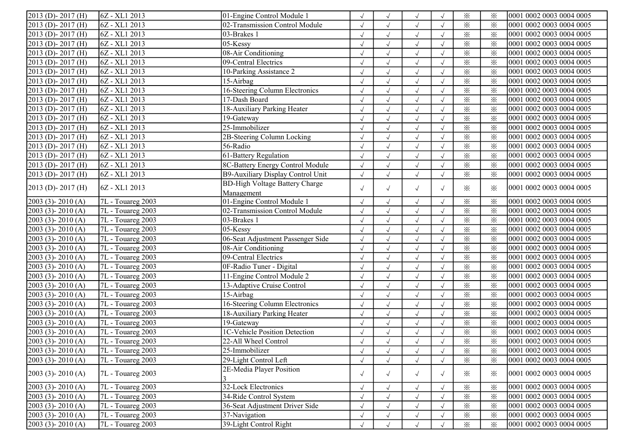| $2013$ (D) - 2017 (H)            | $ 6Z - XL1 2013$           | 01-Engine Control Module 1            | $\sqrt{ }$ |                      | $\sqrt{ }$ |            | $\times$                | $\times$ | 0001 0002 0003 0004 0005 |
|----------------------------------|----------------------------|---------------------------------------|------------|----------------------|------------|------------|-------------------------|----------|--------------------------|
| 2013 (D)-2017 (H)                | 6Z - XL1 2013              | 02-Transmission Control Module        | $\sqrt{}$  |                      | $\sqrt{ }$ |            | $\times$                | $\times$ | 0001 0002 0003 0004 0005 |
| 2013 (D)-2017 (H)                | 6Z - XL1 2013              | 03-Brakes 1                           | $\sqrt{}$  |                      | $\sqrt{}$  | $\sqrt{ }$ | $\times$                | $\times$ | 0001 0002 0003 0004 0005 |
| 2013 (D)-2017 (H)                | 6Z - XL1 2013              | 05-Kessy                              | $\sqrt{ }$ |                      | $\sqrt{ }$ |            | $\times$                | $\times$ | 0001 0002 0003 0004 0005 |
| 2013 (D)-2017 (H)                | 6Z - XL1 2013              | 08-Air Conditioning                   | $\sqrt{}$  | $\sqrt{ }$           | $\sqrt{ }$ | $\sqrt{}$  | $\times$                | $\times$ | 0001 0002 0003 0004 0005 |
| 2013 (D)-2017 (H)                | $ 6Z - XL1 2013$           | 09-Central Electrics                  | $\sqrt{}$  | $\sqrt{ }$           | $\sqrt{}$  | $\sqrt{ }$ | $\times$                | $\times$ | 0001 0002 0003 0004 0005 |
| $2013$ (D) - 2017 (H)            | 6Z - XL1 2013              | 10-Parking Assistance 2               | $\sqrt{2}$ | $\sqrt{ }$           | $\sqrt{}$  |            | $\times$                | $\times$ | 0001 0002 0003 0004 0005 |
| $\overline{2013}$ (D) - 2017 (H) | $\overline{6Z}$ - XL1 2013 | 15-Airbag                             |            | $\sqrt{ }$           | $\sqrt{}$  |            | $\times$                | $\times$ | 0001 0002 0003 0004 0005 |
| $2013$ (D) - 2017 (H)            | 6Z - XL1 2013              | 16-Steering Column Electronics        | $\sqrt{ }$ | $\sqrt{ }$           | $\sqrt{ }$ |            | $\times$                | $\times$ | 0001 0002 0003 0004 0005 |
| 2013 (D)-2017 (H)                | 6Z - XL1 2013              | 17-Dash Board                         |            | $\sqrt{}$            | $\sqrt{}$  | $\sqrt{ }$ | $\times$                | $\times$ | 0001 0002 0003 0004 0005 |
| 2013 (D)-2017 (H)                | 6Z - XL1 2013              | 18-Auxiliary Parking Heater           | $\sqrt{}$  | $\sqrt{ }$           | $\sqrt{ }$ | $\sqrt{ }$ | $\times$                | $\times$ | 0001 0002 0003 0004 0005 |
| 2013 (D)-2017 (H)                | 6Z - XL1 2013              | 19-Gateway                            | $\sqrt{ }$ | $\sqrt{ }$           | $\sqrt{}$  | $\sqrt{ }$ | $\times$                | $\times$ | 0001 0002 0003 0004 0005 |
| 2013 (D)-2017 (H)                | 6Z - XL1 2013              | 25-Immobilizer                        | $\sqrt{2}$ | $\sqrt{ }$           | $\sqrt{ }$ | $\sqrt{ }$ | $\overline{\mathbf{x}}$ | $\times$ | 0001 0002 0003 0004 0005 |
| 2013 (D)-2017 (H)                | 6Z - XL1 2013              | 2B-Steering Column Locking            | $\sqrt{2}$ | $\sqrt{ }$           | $\sqrt{}$  |            | $\times$                | $\times$ | 0001 0002 0003 0004 0005 |
| 2013 (D)-2017 (H)                | 6Z - XL1 2013              | 56-Radio                              | $\sqrt{ }$ |                      | $\sqrt{ }$ |            | $\times$                | $\times$ | 0001 0002 0003 0004 0005 |
| 2013 (D)-2017 (H)                | 6Z - XL1 2013              | 61-Battery Regulation                 | $\sqrt{}$  | $\sqrt{ }$           | $\sqrt{ }$ |            | $\overline{\mathbf{x}}$ | $\times$ | 0001 0002 0003 0004 0005 |
| 2013 (D)-2017 (H)                | 6Z - XL1 2013              | 8C-Battery Energy Control Module      | $\sqrt{2}$ | $\sqrt{ }$           | $\sqrt{}$  |            | $\times$                | $\times$ | 0001 0002 0003 0004 0005 |
| 2013 (D)-2017 (H)                | 6Z - XL1 2013              | B9-Auxiliary Display Control Unit     | $\sqrt{}$  | $\sqrt{}$            | $\sqrt{}$  |            | $\times$                | $\times$ | 0001 0002 0003 0004 0005 |
| $2013$ (D) - 2017 (H)            | $ 6Z - XL1 2013$           | <b>BD-High Voltage Battery Charge</b> |            |                      |            |            |                         | $\times$ | 0001 0002 0003 0004 0005 |
|                                  |                            | Management                            | $\sqrt{ }$ | $\sqrt{ }$           | $\sqrt{ }$ | $\sqrt{ }$ | $\times$                |          |                          |
| $2003$ (3) - 2010 (A)            | 7L - Touareg 2003          | 01-Engine Control Module 1            | $\sqrt{2}$ | $\sqrt{\phantom{a}}$ | $\sqrt{}$  |            | $\times$                | $\times$ | 0001 0002 0003 0004 0005 |
| $2003$ (3) - 2010 (A)            | 7L - Touareg 2003          | 02-Transmission Control Module        | $\sqrt{}$  | $\sqrt{}$            | $\sqrt{}$  |            | $\times$                | $\times$ | 0001 0002 0003 0004 0005 |
| $2003$ (3) - 2010 (A)            | 7L - Touareg 2003          | 03-Brakes 1                           | $\sqrt{}$  |                      | $\sqrt{}$  |            | $\times$                | $\times$ | 0001 0002 0003 0004 0005 |
| $2003$ (3) - 2010 (A)            | 7L - Touareg 2003          | 05-Kessy                              | $\sqrt{}$  | $\sqrt{ }$           | $\sqrt{}$  | $\sqrt{ }$ | $\times$                | $\times$ | 0001 0002 0003 0004 0005 |
| $[2003 (3)-2010 (A)]$            | 7L - Touareg 2003          | 06-Seat Adjustment Passenger Side     | $\sqrt{}$  | $\sqrt{ }$           | $\sqrt{}$  | $\sqrt{ }$ | $\times$                | $\times$ | 0001 0002 0003 0004 0005 |
| $2003$ (3) - $2010$ (A)          | 7L - Touareg 2003          | 08-Air Conditioning                   | $\sqrt{}$  | $\sqrt{ }$           | $\sqrt{}$  | $\sqrt{ }$ | $\times$                | $\times$ | 0001 0002 0003 0004 0005 |
| $2003$ (3) - $2010$ (A)          | 7L - Touareg 2003          | 09-Central Electrics                  | $\sqrt{2}$ | $\sqrt{ }$           | $\sqrt{ }$ | $\sqrt{ }$ | $\times$                | $\times$ | 0001 0002 0003 0004 0005 |
| $2003$ (3) - $2010$ (A)          | 7L - Touareg 2003          | 0F-Radio Tuner - Digital              | $\sqrt{2}$ | $\sqrt{ }$           | $\sqrt{}$  |            | $\times$                | $\times$ | 0001 0002 0003 0004 0005 |
| $2003$ (3) - $2010$ (A)          | 7L - Touareg 2003          | 11-Engine Control Module 2            | $\sqrt{2}$ |                      | $\sqrt{}$  |            | $\times$                | $\times$ | 0001 0002 0003 0004 0005 |
| $2003$ (3) - $2010$ (A)          | 7L - Touareg 2003          | 13-Adaptive Cruise Control            | $\sqrt{}$  |                      | $\sqrt{}$  | $\sqrt{ }$ | $\times$                | $\times$ | 0001 0002 0003 0004 0005 |
| 2003 (3) - 2010 (A)              | 7L - Touareg 2003          | 15-Airbag                             | $\sqrt{}$  | $\sqrt{ }$           | $\sqrt{}$  |            | $\times$                | $\times$ | 0001 0002 0003 0004 0005 |
| $2003$ (3) - $2010$ (A)          | 7L - Touareg 2003          | 16-Steering Column Electronics        | $\sqrt{}$  | $\sqrt{ }$           | $\sqrt{}$  | $\sqrt{ }$ | $\times$                | $\times$ | 0001 0002 0003 0004 0005 |
| $[2003 (3)-2010 (A)]$            | $\sqrt{7L}$ - Touareg 2003 | 18-Auxiliary Parking Heater           | $\sqrt{2}$ | $\sqrt{ }$           | $\sqrt{}$  | $\sqrt{ }$ | $\times$                | $\times$ | 0001 0002 0003 0004 0005 |
| $2003$ (3) - 2010 (A)            | 7L - Touareg 2003          | 19-Gateway                            | $\sqrt{}$  | $\sqrt{}$            | $\sqrt{ }$ |            | $\times$                | $\times$ | 0001 0002 0003 0004 0005 |
| 2003 (3)-2010 (A)                | 7L - Touareg 2003          | 1C-Vehicle Position Detection         |            | $\sqrt{ }$           | $\sqrt{}$  |            | $\times$                | $\times$ | 0001 0002 0003 0004 0005 |
| $[2003 (3) - 2010 (A)]$          | 7L - Touareg 2003          | 22-All Wheel Control                  |            |                      | $\sqrt{}$  |            | $\times$                | $\times$ | 0001 0002 0003 0004 0005 |
| $[2003 (3) - 2010 (A)]$          | 7L - Touareg 2003          | 25-Immobilizer                        | $\sqrt{ }$ | $\sqrt{ }$           | $\sqrt{ }$ | $\sqrt{ }$ | $\times$                | $\times$ | 0001 0002 0003 0004 0005 |
| $2003$ (3) - 2010 (A)            | 7L - Touareg 2003          | 29-Light Control Left                 | $\sqrt{ }$ | $\sqrt{ }$           | $\sqrt{ }$ | $\sqrt{ }$ | $\times$                | $\times$ | 0001 0002 0003 0004 0005 |
| $[2003 (3) - 2010 (A)]$          | 7L - Touareg 2003          | 2E-Media Player Position              | $\sqrt{ }$ | $\sqrt{ }$           | $\sqrt{ }$ | $\sqrt{ }$ | $\times$                | $\times$ | 0001 0002 0003 0004 0005 |
| $[2003 (3)-2010 (A)]$            | 7L - Touareg 2003          | 32-Lock Electronics                   | $\sqrt{ }$ | $\sqrt{ }$           | $\sqrt{ }$ |            | $\times$                | $\times$ | 0001 0002 0003 0004 0005 |
| $[2003 (3) - 2010 (A)]$          | 7L - Touareg 2003          | 34-Ride Control System                | $\sqrt{2}$ |                      | $\sqrt{}$  |            | $\times$                | $\times$ | 0001 0002 0003 0004 0005 |
| $2003$ (3) - $2010$ (A)          | 7L - Touareg 2003          | 36-Seat Adjustment Driver Side        | $\sqrt{ }$ |                      | $\sqrt{ }$ |            | $\times$                | $\times$ | 0001 0002 0003 0004 0005 |
| $2003$ (3) - $2010$ (A)          | 7L - Touareg 2003          | 37-Navigation                         |            |                      |            |            | $\times$                |          | 0001 0002 0003 0004 0005 |
| $[2003 (3) - 2010 (A)]$          | 7L - Touareg 2003          | 39-Light Control Right                |            |                      | $\sqrt{ }$ |            | $\times$                | $\times$ | 0001 0002 0003 0004 0005 |
|                                  |                            |                                       |            |                      | $\sqrt{ }$ |            |                         | $\times$ |                          |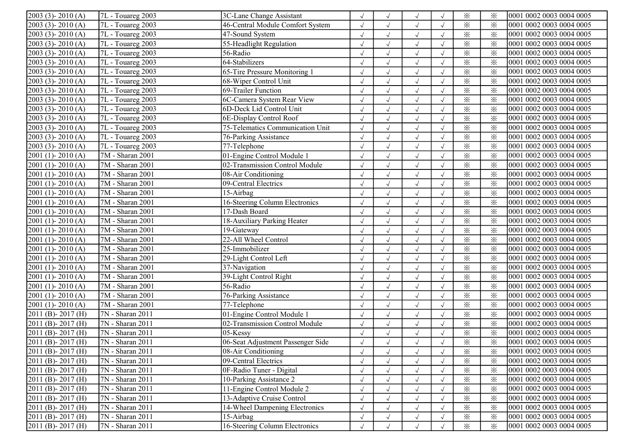| $2003$ (3) - $2010$ (A) | $7L$ - Touareg 2003           | 3C-Lane Change Assistant          | $\sqrt{ }$ |              | $\sqrt{ }$   |            | $\times$ | $\times$ | 0001 0002 0003 0004 0005 |
|-------------------------|-------------------------------|-----------------------------------|------------|--------------|--------------|------------|----------|----------|--------------------------|
| $2003$ (3) - $2010$ (A) | 7L - Touareg 2003             | 46-Central Module Comfort System  | $\sqrt{}$  |              | $\sqrt{ }$   | $\sqrt{ }$ | $\times$ | $\times$ | 0001 0002 0003 0004 0005 |
| 2003 (3)-2010 (A)       | 7L - Touareg 2003             | 47-Sound System                   | $\sqrt{}$  | $\sqrt{ }$   | $\sqrt{ }$   | $\sqrt{ }$ | $\times$ | $\times$ | 0001 0002 0003 0004 0005 |
| $2003$ (3) - $2010$ (A) | 7L - Touareg 2003             | 55-Headlight Regulation           | $\sqrt{2}$ | $\sqrt{ }$   | $\sqrt{ }$   | $\sqrt{ }$ | $\times$ | $\times$ | 0001 0002 0003 0004 0005 |
| 2003 (3)-2010 (A)       | 7L - Touareg 2003             | 56-Radio                          | $\sqrt{ }$ | $\sqrt{}$    | $\sqrt{ }$   | $\sqrt{ }$ | $\times$ | $\times$ | 0001 0002 0003 0004 0005 |
| $2003$ (3) - $2010$ (A) | $\sqrt{7L}$ - Touareg 2003    | 64-Stabilizers                    | $\sqrt{ }$ | $\checkmark$ | $\checkmark$ | $\sqrt{ }$ | $\times$ | $\times$ | 0001 0002 0003 0004 0005 |
| $2003$ (3) - $2010$ (A) | 7L - Touareg 2003             | 65-Tire Pressure Monitoring 1     |            |              | $\sqrt{ }$   |            | $\times$ | $\times$ | 0001 0002 0003 0004 0005 |
| 2003 (3)-2010 (A)       | 7L - Touareg 2003             | 68-Wiper Control Unit             |            |              | $\sqrt{ }$   |            | $\times$ | $\times$ | 0001 0002 0003 0004 0005 |
| $2003$ (3) - $2010$ (A) | 7L - Touareg 2003             | 69-Trailer Function               |            | $\sqrt{ }$   | $\sqrt{ }$   | $\sqrt{ }$ | $\times$ | $\times$ | 0001 0002 0003 0004 0005 |
| $2003$ (3) - $2010$ (A) | $7L$ - Touareg 2003           | 6C-Camera System Rear View        | $\sqrt{}$  | $\sqrt{ }$   | $\sqrt{}$    | $\sqrt{ }$ | $\times$ | $\times$ | 0001 0002 0003 0004 0005 |
| $2003$ (3) - $2010$ (A) | 7L - Touareg 2003             | 6D-Deck Lid Control Unit          | $\sqrt{ }$ | $\sqrt{ }$   | $\sqrt{}$    | $\sqrt{ }$ | $\times$ | $\times$ | 0001 0002 0003 0004 0005 |
| $2003$ (3) - $2010$ (A) | 7L - Touareg 2003             | 6E-Display Control Roof           | $\sqrt{}$  | $\checkmark$ | $\sqrt{ }$   | $\sqrt{ }$ | $\times$ | $\times$ | 0001 0002 0003 0004 0005 |
| $2003$ (3) - $2010$ (A) | 7L - Touareg 2003             | 75-Telematics Communication Unit  | $\sqrt{}$  | $\sqrt{ }$   | $\sqrt{}$    |            | $\times$ | $\times$ | 0001 0002 0003 0004 0005 |
| $2003$ (3) - $2010$ (A) | 7L - Touareg 2003             | 76-Parking Assistance             |            |              | $\sqrt{ }$   |            | $\times$ | $\times$ | 0001 0002 0003 0004 0005 |
| $2003$ (3) - $2010$ (A) | 7L - Touareg 2003             | 77-Telephone                      |            | $\sqrt{ }$   | $\sqrt{ }$   | $\sqrt{ }$ | $\times$ | $\times$ | 0001 0002 0003 0004 0005 |
| 2001 (1)-2010 (A)       | 7M - Sharan 2001              | 01-Engine Control Module 1        | $\sqrt{}$  | $\sqrt{ }$   | $\sqrt{ }$   |            | $\times$ | $\times$ | 0001 0002 0003 0004 0005 |
| $2001$ (1) - $2010$ (A) | 7M - Sharan 2001              | 02-Transmission Control Module    | $\sqrt{ }$ | $\sqrt{}$    | $\sqrt{ }$   |            | $\times$ | $\times$ | 0001 0002 0003 0004 0005 |
| 2001 (1)-2010 (A)       | 7M - Sharan 2001              | 08-Air Conditioning               | $\sqrt{2}$ | $\sqrt{}$    | $\sqrt{ }$   | $\sqrt{ }$ | $\times$ | $\times$ | 0001 0002 0003 0004 0005 |
| 2001 (1)-2010 (A)       | 7M - Sharan 2001              | 09-Central Electrics              |            | $\sqrt{ }$   | $\sqrt{ }$   |            | $\times$ | $\times$ | 0001 0002 0003 0004 0005 |
| 2001 (1)-2010 (A)       | 7M - Sharan 2001              | 15-Airbag                         |            | $\sqrt{ }$   | $\sqrt{ }$   |            | $\times$ | $\times$ | 0001 0002 0003 0004 0005 |
| 2001 (1)-2010 (A)       | 7M - Sharan 2001              | 16-Steering Column Electronics    | $\sqrt{}$  | $\sqrt{ }$   | $\sqrt{ }$   | $\sqrt{ }$ | $\times$ | $\times$ | 0001 0002 0003 0004 0005 |
| $2001$ (1) - $2010$ (A) | 7M - Sharan 2001              | 17-Dash Board                     | $\sqrt{}$  | $\sqrt{ }$   | $\sqrt{ }$   | $\sqrt{ }$ | $\times$ | $\times$ | 0001 0002 0003 0004 0005 |
| 2001 (1)-2010 (A)       | 7M - Sharan 2001              | 18-Auxiliary Parking Heater       | $\sqrt{}$  | $\sqrt{ }$   | $\sqrt{ }$   | $\sqrt{ }$ | $\times$ | $\times$ | 0001 0002 0003 0004 0005 |
| $2001$ (1) - $2010$ (A) | 7M - Sharan 2001              | 19-Gateway                        | $\sqrt{2}$ | $\sqrt{ }$   | $\sqrt{ }$   | $\sqrt{ }$ | $\times$ | $\times$ | 0001 0002 0003 0004 0005 |
| 2001 (1) - 2010 (A)     | 7M - Sharan 2001              | 22-All Wheel Control              | $\sqrt{2}$ | $\sqrt{ }$   | $\sqrt{}$    | $\sqrt{ }$ | $\times$ | $\times$ | 0001 0002 0003 0004 0005 |
| 2001 (1)-2010 (A)       | 7M - Sharan 2001              | 25-Immobilizer                    |            |              | $\sqrt{ }$   | $\sqrt{ }$ | $\times$ | $\times$ | 0001 0002 0003 0004 0005 |
| $2001$ (1) - $2010$ (A) | 7M - Sharan 2001              | 29-Light Control Left             | $\sqrt{}$  |              | $\sqrt{ }$   | $\sqrt{ }$ | $\times$ | $\times$ | 0001 0002 0003 0004 0005 |
| 2001 (1)-2010 (A)       | 7M - Sharan 2001              | 37-Navigation                     | $\sqrt{}$  |              | $\sqrt{}$    | $\sqrt{ }$ | $\times$ | $\times$ | 0001 0002 0003 0004 0005 |
| $2001$ (1) - $2010$ (A) | 7M - Sharan 2001              | 39-Light Control Right            | $\sqrt{}$  | $\sqrt{ }$   | $\sqrt{}$    | $\sqrt{ }$ | $\times$ | $\times$ | 0001 0002 0003 0004 0005 |
| $2001$ (1) - $2010$ (A) | 7M - Sharan 2001              | 56-Radio                          | $\sqrt{}$  | $\sqrt{ }$   | $\sqrt{}$    | $\sqrt{ }$ | $\times$ | $\times$ | 0001 0002 0003 0004 0005 |
| 2001 (1)-2010 (A)       | 7M - Sharan 2001              | 76-Parking Assistance             | $\sqrt{}$  | $\sqrt{ }$   | $\sqrt{ }$   |            | $\times$ | $\times$ | 0001 0002 0003 0004 0005 |
| 2001 (1)-2010 (A)       | 7M - Sharan 2001              | 77-Telephone                      |            |              | $\sqrt{ }$   |            | $\times$ | $\times$ | 0001 0002 0003 0004 0005 |
| 2011 (B)-2017 (H)       | 7N - Sharan 2011              | 01-Engine Control Module 1        | $\sqrt{}$  |              | $\sqrt{ }$   | $\sqrt{ }$ | $\times$ | $\times$ | 0001 0002 0003 0004 0005 |
| 2011 (B)-2017 (H)       | 7N - Sharan 2011              | 02-Transmission Control Module    | $\sqrt{}$  | $\sqrt{ }$   | $\sqrt{ }$   | $\sqrt{ }$ | $\times$ | $\times$ | 0001 0002 0003 0004 0005 |
| 2011 (B)-2017 (H)       | $\overline{7N}$ - Sharan 2011 | 05-Kessy                          | $\sqrt{}$  | $\sqrt{ }$   | $\sqrt{}$    | $\sqrt{ }$ | $\times$ | $\times$ | 0001 0002 0003 0004 0005 |
| 2011 (B)-2017 (H)       | 7N - Sharan 2011              | 06-Seat Adjustment Passenger Side | $\sqrt{ }$ | $\sqrt{ }$   | $\sqrt{ }$   | $\sqrt{ }$ | $\times$ | $\times$ | 0001 0002 0003 0004 0005 |
| $2011$ (B) - 2017 (H)   | 7N - Sharan 2011              | 08-Air Conditioning               | $\sqrt{ }$ | $\sqrt{ }$   | $\sqrt{}$    | $\sqrt{ }$ | $\times$ | $\times$ | 0001 0002 0003 0004 0005 |
| 2011 (B)-2017 (H)       | 7N - Sharan 2011              | 09-Central Electrics              |            |              | $\sqrt{ }$   | $\sqrt{ }$ | $\times$ | $\times$ | 0001 0002 0003 0004 0005 |
| 2011 (B)-2017 (H)       | 7N - Sharan 2011              | 0F-Radio Tuner - Digital          |            |              | $\sqrt{ }$   | $\sqrt{ }$ | $\times$ | ⋇        | 0001 0002 0003 0004 0005 |
| 2011 (B)-2017 (H)       | 7N - Sharan 2011              | 10-Parking Assistance 2           | $\sqrt{ }$ | $\sqrt{ }$   | $\sqrt{ }$   | $\sqrt{ }$ | $\times$ | $\times$ | 0001 0002 0003 0004 0005 |
| 2011 (B)-2017 (H)       | 7N - Sharan 2011              | 11-Engine Control Module 2        | $\sqrt{ }$ | $\sqrt{ }$   | $\sqrt{ }$   | $\sqrt{ }$ | $\times$ | $\times$ | 0001 0002 0003 0004 0005 |
| 2011 (B)-2017 (H)       | 7N - Sharan 2011              | 13-Adaptive Cruise Control        |            | $\sqrt{ }$   | $\sqrt{ }$   |            | $\times$ | $\times$ | 0001 0002 0003 0004 0005 |
| 2011 (B)-2017 (H)       | 7N - Sharan 2011              | 14-Wheel Dampening Electronics    | $\sqrt{}$  | $\sqrt{ }$   | $\sqrt{ }$   |            | $\times$ | $\times$ | 0001 0002 0003 0004 0005 |
| $2011$ (B) - 2017 (H)   | 7N - Sharan 2011              | 15-Airbag                         |            |              | $\sqrt{ }$   | $\sqrt{ }$ | $\times$ | $\times$ | 0001 0002 0003 0004 0005 |
| $2011$ (B) - 2017 (H)   | 7N - Sharan 2011              | 16-Steering Column Electronics    |            |              | $\sqrt{ }$   | $\sqrt{ }$ | $\times$ | $\times$ | 0001 0002 0003 0004 0005 |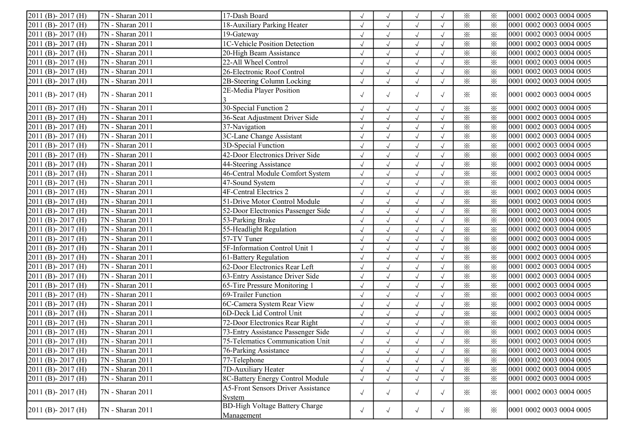| $2011$ (B) - 2017 (H)            | 7N - Sharan 2011              | 17-Dash Board                             | $\sqrt{ }$ | $\sqrt{}$    | $\sqrt{ }$   |            | $\times$                | $\times$                | 0001 0002 0003 0004 0005 |
|----------------------------------|-------------------------------|-------------------------------------------|------------|--------------|--------------|------------|-------------------------|-------------------------|--------------------------|
| 2011 (B)-2017 (H)                | 7N - Sharan 2011              | 18-Auxiliary Parking Heater               | $\sqrt{}$  | $\sqrt{ }$   | $\sqrt{ }$   |            | $\times$                | $\times$                | 0001 0002 0003 0004 0005 |
| 2011 (B)-2017 (H)                | 7N - Sharan 2011              | 19-Gateway                                |            | $\sqrt{}$    | $\sqrt{ }$   |            | $\times$                | $\times$                | 0001 0002 0003 0004 0005 |
| 2011 (B)-2017 (H)                | 7N - Sharan 2011              | 1C-Vehicle Position Detection             |            | $\sqrt{ }$   | $\sqrt{ }$   |            | $\times$                | $\times$                | 0001 0002 0003 0004 0005 |
| 2011 (B)-2017 (H)                | 7N - Sharan 2011              | 20-High Beam Assistance                   | $\sqrt{ }$ | $\sqrt{ }$   | $\sqrt{ }$   |            | $\times$                | $\times$                | 0001 0002 0003 0004 0005 |
| 2011 (B)-2017 (H)                | 7N - Sharan 2011              | 22-All Wheel Control                      | $\sqrt{ }$ | $\sqrt{}$    | $\sqrt{ }$   |            | $\times$                | $\times$                | 0001 0002 0003 0004 0005 |
| $2011$ (B) - 2017 (H)            | 7N - Sharan 2011              | 26-Electronic Roof Control                |            | $\checkmark$ | $\sqrt{ }$   |            | $\times$                | $\times$                | 0001 0002 0003 0004 0005 |
| $2011$ (B) - 2017 (H)            | $\sqrt{7N}$ - Sharan 2011     | 2B-Steering Column Locking                | $\sqrt{}$  | $\sqrt{}$    | $\sqrt{ }$   |            | $\times$                | $\times$                | 0001 0002 0003 0004 0005 |
| $2011$ (B) - 2017 (H)            | 7N - Sharan 2011              | 2E-Media Player Position                  |            |              |              |            |                         |                         | 0001 0002 0003 0004 0005 |
|                                  |                               |                                           | $\sqrt{ }$ | $\sqrt{}$    | $\sqrt{ }$   | $\sqrt{ }$ | ⋇                       | $\times$                |                          |
| $2011$ (B) - 2017 (H)            | 7N - Sharan 2011              | 30-Special Function 2                     | $\sqrt{}$  | $\sqrt{ }$   | $\sqrt{ }$   |            | $\times$                | $\times$                | 0001 0002 0003 0004 0005 |
| $2011$ (B) - 2017 (H)            | 7N - Sharan 2011              | 36-Seat Adjustment Driver Side            | $\sqrt{ }$ | $\sqrt{ }$   | $\sqrt{ }$   |            | $\times$                | $\times$                | 0001 0002 0003 0004 0005 |
| 2011 (B)-2017 (H)                | 7N - Sharan 2011              | 37-Navigation                             | $\sqrt{}$  | $\sqrt{ }$   | $\sqrt{ }$   | $\sqrt{ }$ | $\times$                | $\times$                | 0001 0002 0003 0004 0005 |
| 2011 (B)-2017 (H)                | 7N - Sharan 2011              | 3C-Lane Change Assistant                  | $\sqrt{ }$ | $\sqrt{ }$   | $\sqrt{ }$   | $\sqrt{ }$ | $\times$                | $\times$                | 0001 0002 0003 0004 0005 |
| 2011 (B)-2017 (H)                | 7N - Sharan 2011              | 3D-Special Function                       | $\sqrt{ }$ | $\sqrt{ }$   | $\sqrt{ }$   | $\sqrt{ }$ | $\times$                | $\times$                | 0001 0002 0003 0004 0005 |
| 2011 (B)-2017 (H)                | 7N - Sharan 2011              | 42-Door Electronics Driver Side           | $\sqrt{2}$ | $\sqrt{ }$   | $\sqrt{2}$   | $\sqrt{}$  | $\overline{\mathbf{x}}$ | $\overline{\mathbf{x}}$ | 0001 0002 0003 0004 0005 |
| 2011 (B)-2017 (H)                | 7N - Sharan 2011              | 44-Steering Assistance                    | $\sqrt{}$  | $\checkmark$ | $\sqrt{ }$   |            | $\times$                | $\times$                | 0001 0002 0003 0004 0005 |
| 2011 (B)-2017 (H)                | 7N - Sharan 2011              | 46-Central Module Comfort System          | $\sqrt{ }$ |              | $\sqrt{ }$   |            | $\overline{\mathbf{x}}$ | $\times$                | 0001 0002 0003 0004 0005 |
| 2011 (B)-2017 (H)                | 7N - Sharan 2011              | 47-Sound System                           | $\sqrt{ }$ | $\sqrt{}$    | $\sqrt{ }$   |            | $\overline{\mathbb{X}}$ | $\times$                | 0001 0002 0003 0004 0005 |
| 2011 (B)-2017 (H)                | 7N - Sharan 2011              | <b>4F-Central Electrics 2</b>             | $\sqrt{2}$ | $\sqrt{ }$   | $\sqrt{ }$   |            | $\times$                | $\times$                | 0001 0002 0003 0004 0005 |
| $2011$ (B) - 2017 (H)            | 7N - Sharan 2011              | 51-Drive Motor Control Module             | $\sqrt{}$  | $\sqrt{ }$   | $\sqrt{ }$   |            | $\times$                | $\times$                | 0001 0002 0003 0004 0005 |
| $\overline{2011}$ (B) - 2017 (H) | 7N - Sharan 2011              | 52-Door Electronics Passenger Side        | $\sqrt{}$  | $\checkmark$ | $\sqrt{ }$   |            | $\times$                | $\overline{\mathbf{x}}$ | 0001 0002 0003 0004 0005 |
| $2011$ (B) - 2017 (H)            | 7N - Sharan 2011              | 53-Parking Brake                          | $\sqrt{2}$ | $\sqrt{}$    | $\sqrt{ }$   |            | $\times$                | $\times$                | 0001 0002 0003 0004 0005 |
| $2011$ (B) - 2017 (H)            | 7N - Sharan 2011              | 55-Headlight Regulation                   | $\sqrt{ }$ | $\sqrt{}$    | $\sqrt{}$    |            | $\times$                | $\times$                | 0001 0002 0003 0004 0005 |
| $\overline{2011}$ (B) - 2017 (H) | $\sqrt{7N}$ - Sharan 2011     | 57-TV Tuner                               |            | $\sqrt{ }$   | $\sqrt{ }$   | $\sqrt{ }$ | $\overline{\mathbf{x}}$ | $\times$                | 0001 0002 0003 0004 0005 |
| $2011$ (B) - 2017 (H)            | 7N - Sharan 2011              | 5F-Information Control Unit 1             | $\sqrt{2}$ | $\checkmark$ | $\sqrt{ }$   | $\sqrt{ }$ | $\times$                | $\times$                | 0001 0002 0003 0004 0005 |
| 2011 (B)-2017 (H)                | 7N - Sharan 2011              | 61-Battery Regulation                     | $\sqrt{ }$ | $\checkmark$ | $\sqrt{ }$   | $\sqrt{ }$ | $\times$                | $\times$                | 0001 0002 0003 0004 0005 |
| 2011 (B)-2017 (H)                | $\overline{7N}$ - Sharan 2011 | 62-Door Electronics Rear Left             | $\sqrt{}$  | $\sqrt{}$    | $\sqrt{2}$   | $\sqrt{ }$ | $\times$                | $\times$                | 0001 0002 0003 0004 0005 |
| 2011 (B)-2017 (H)                | 7N - Sharan 2011              | 63-Entry Assistance Driver Side           | $\sqrt{}$  | $\sqrt{ }$   | $\sqrt{ }$   | $\sqrt{}$  | $\times$                | $\times$                | 0001 0002 0003 0004 0005 |
| 2011 (B)-2017 (H)                | 7N - Sharan 2011              | 65-Tire Pressure Monitoring 1             | $\sqrt{}$  | $\sqrt{ }$   | $\checkmark$ |            | $\times$                | $\times$                | 0001 0002 0003 0004 0005 |
| 2011 (B)-2017 (H)                | 7N - Sharan 2011              | 69-Trailer Function                       |            | $\sqrt{ }$   | $\sqrt{ }$   | $\sqrt{ }$ | $\times$                | $\times$                | 0001 0002 0003 0004 0005 |
| 2011 (B)-2017 (H)                | 7N - Sharan 2011              | 6C-Camera System Rear View                | $\sqrt{ }$ | $\sqrt{ }$   | $\sqrt{ }$   |            | $\times$                | $\times$                | 0001 0002 0003 0004 0005 |
| 2011 (B)-2017 (H)                | 7N - Sharan 2011              | 6D-Deck Lid Control Unit                  | $\sqrt{2}$ | $\sqrt{ }$   | $\sqrt{ }$   |            | $\times$                | $\times$                | 0001 0002 0003 0004 0005 |
| $2011$ (B) - 2017 (H)            | 7N - Sharan 2011              | 72-Door Electronics Rear Right            | $\sqrt{2}$ | $\checkmark$ | $\sqrt{ }$   |            | $\times$                | $\times$                | 0001 0002 0003 0004 0005 |
| $\overline{2011}$ (B) - 2017 (H) | $\overline{7N}$ - Sharan 2011 | 73-Entry Assistance Passenger Side        | $\sqrt{}$  |              | $\sqrt{ }$   |            | $\times$                | $\times$                | 0001 0002 0003 0004 0005 |
| $\overline{2011}$ (B) - 2017 (H) | $\overline{7N}$ - Sharan 2011 | 75-Telematics Communication Unit          | $\sqrt{ }$ |              | $\sqrt{ }$   |            | $\times$                | $\times$                | 0001 0002 0003 0004 0005 |
| $2011$ (B) - 2017 (H)            | 7N - Sharan 2011              | 76-Parking Assistance                     | $\sqrt{ }$ | $\sqrt{ }$   | $\sqrt{ }$   |            | $\times$                | ⋇                       | 0001 0002 0003 0004 0005 |
| $2011$ (B) - 2017 (H)            | 7N - Sharan 2011              | 77-Telephone                              | $\sqrt{2}$ |              | $\sqrt{ }$   |            | $\times$                | $\times$                | 0001 0002 0003 0004 0005 |
| $2011$ (B) - 2017 (H)            | 7N - Sharan 2011              | 7D-Auxiliary Heater                       | $\sqrt{ }$ |              | $\sqrt{ }$   |            | $\times$                | $\times$                | 0001 0002 0003 0004 0005 |
| $2011$ (B) - 2017 (H)            | $\overline{7N}$ - Sharan 2011 | 8C-Battery Energy Control Module          | $\sqrt{2}$ |              | $\sqrt{}$    |            | $\times$                | $\times$                | 0001 0002 0003 0004 0005 |
|                                  |                               | <b>A5-Front Sensors Driver Assistance</b> |            |              |              |            |                         |                         | 0001 0002 0003 0004 0005 |
| $2011$ (B) - 2017 (H)            | 7N - Sharan 2011              | System                                    | $\sqrt{ }$ | $\sqrt{ }$   | $\sqrt{ }$   | $\sqrt{ }$ | $\times$                | $\times$                |                          |
| $2011$ (B) - 2017 (H)            | 7N - Sharan 2011              | <b>BD-High Voltage Battery Charge</b>     | $\sqrt{ }$ | $\sqrt{ }$   |              |            | $\times$                | $\times$                | 0001 0002 0003 0004 0005 |
|                                  |                               | Management                                |            |              | $\sqrt{ }$   | $\sqrt{ }$ |                         |                         |                          |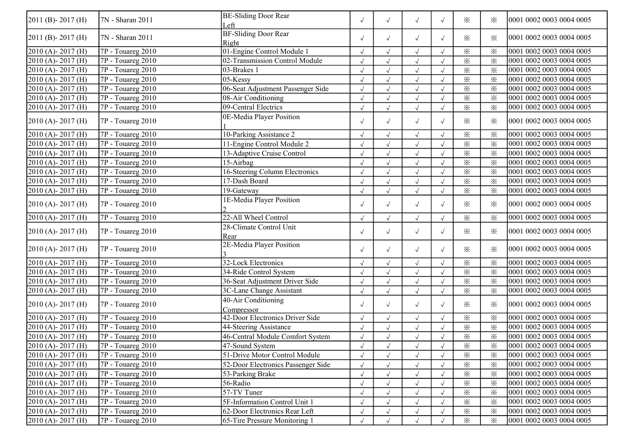| $2011$ (B) - 2017 (H) | 7N - Sharan 2011           | <b>BE-Sliding Door Rear</b><br>Left  | $\sqrt{ }$         | $\sqrt{ }$    | $\sqrt{ }$    | $\sqrt{ }$    | $\times$                | ⋇                      | 0001 0002 0003 0004 0005 |
|-----------------------|----------------------------|--------------------------------------|--------------------|---------------|---------------|---------------|-------------------------|------------------------|--------------------------|
| $2011$ (B) - 2017 (H) | 7N - Sharan 2011           | <b>BF-Sliding Door Rear</b><br>Right | $\sqrt{ }$         | $\sqrt{ }$    | $\sqrt{ }$    | $\sqrt{ }$    | $\times$                | ⋇                      | 0001 0002 0003 0004 0005 |
| $2010(A) - 2017(H)$   | $7P - Touareg 2010$        | 01-Engine Control Module 1           | $\sqrt{ }$         | $\sqrt{ }$    | $\sqrt{ }$    |               | $\times$                | $\times$               | 0001 0002 0003 0004 0005 |
| 2010 (A)-2017 (H)     | 7P - Touareg 2010          | 02-Transmission Control Module       |                    | $\sqrt{ }$    | $\sqrt{ }$    |               | $\times$                | $\times$               | 0001 0002 0003 0004 0005 |
| 2010 (A)-2017 (H)     | 7P - Touareg 2010          | 03-Brakes 1                          |                    | $\sqrt{ }$    | $\sqrt{ }$    | $\sqrt{ }$    | $\times$                | $\times$               | 0001 0002 0003 0004 0005 |
| 2010 (A)-2017 (H)     | 7P - Touareg 2010          | $05$ -Kessy                          | $\sqrt{ }$         | $\sqrt{ }$    | $\sqrt{ }$    |               | $\times$                | $\times$               | 0001 0002 0003 0004 0005 |
| 2010 (A) - 2017 (H)   | 7P - Touareg 2010          | 06-Seat Adjustment Passenger Side    | $\sqrt{}$          | $\sqrt{ }$    | $\sqrt{ }$    |               | $\times$                | $\times$               | 0001 0002 0003 0004 0005 |
| 2010 (A)-2017 (H)     | 7P - Touareg 2010          | 08-Air Conditioning                  | $\sqrt{2}$         | $\sqrt{ }$    | $\sqrt{ }$    |               | $\times$                | $\times$               | 0001 0002 0003 0004 0005 |
| $2010(A) - 2017(H)$   | 7P - Touareg 2010          | 09-Central Electrics                 | $\sqrt{}$          | $\sqrt{ }$    | $\sqrt{2}$    |               | $\times$                | $\times$               | 0001 0002 0003 0004 0005 |
| $2010(A) - 2017(H)$   | $7P - Touareg 2010$        | 0E-Media Player Position             | $\sqrt{ }$         | $\sqrt{ }$    | $\sqrt{ }$    | $\sqrt{ }$    | $\times$                | ፠                      | 0001 0002 0003 0004 0005 |
| 2010 (A)-2017 (H)     | 7P - Touareg 2010          | 10-Parking Assistance 2              |                    | $\sqrt{}$     | $\sqrt{ }$    |               | $\times$                | $\times$               | 0001 0002 0003 0004 0005 |
| 2010 (A)-2017 (H)     | 7P - Touareg 2010          | 11-Engine Control Module 2           |                    | $\sqrt{ }$    | $\sqrt{ }$    | $\sqrt{ }$    | $\times$                | $\times$               | 0001 0002 0003 0004 0005 |
| 2010 (A)-2017 (H)     | 7P - Touareg 2010          | 13-Adaptive Cruise Control           | $\sqrt{ }$         | $\sqrt{ }$    | $\sqrt{ }$    |               | $\times$                | $\times$               | 0001 0002 0003 0004 0005 |
| 2010 (A)-2017 (H)     | 7P - Touareg 2010          | 15-Airbag                            | $\sqrt{ }$         | $\sqrt{ }$    | $\sqrt{}$     | $\sqrt{ }$    | $\times$                | $\times$               | 0001 0002 0003 0004 0005 |
| 2010 (A) - 2017 (H)   | 7P - Touareg 2010          | 16-Steering Column Electronics       | $\sqrt{}$          | $\sqrt{ }$    | $\sqrt{ }$    | $\sqrt{ }$    | $\times$                | $\times$               | 0001 0002 0003 0004 0005 |
| 2010 (A)-2017 (H)     | 7P - Touareg 2010          | 17-Dash Board                        | $\sqrt{ }$         | $\sqrt{ }$    | $\sqrt{2}$    | $\sqrt{ }$    | $\times$                | $\times$               | 0001 0002 0003 0004 0005 |
| 2010 (A)-2017 (H)     | 7P - Touareg 2010          | 19-Gateway                           | $\sqrt{}$          | $\sqrt{}$     | $\sqrt{ }$    |               | $\times$                | $\times$               | 0001 0002 0003 0004 0005 |
| $2010(A) - 2017(H)$   | 7P - Touareg 2010          | 1E-Media Player Position             | $\sqrt{ }$         | $\sqrt{ }$    | $\sqrt{ }$    | $\sqrt{ }$    | $\times$                | ⋇                      | 0001 0002 0003 0004 0005 |
| $2010(A) - 2017(H)$   | 7P - Touareg 2010          | 22-All Wheel Control                 |                    | $\sqrt{ }$    | J             |               | $\times$                | $\times$               | 0001 0002 0003 0004 0005 |
| $2010(A) - 2017(H)$   | 7P - Touareg 2010          | 28-Climate Control Unit<br>Rear      | $\sqrt{ }$         | $\sqrt{ }$    | $\sqrt{ }$    | $\sqrt{ }$    | $\times$                | ⋇                      | 0001 0002 0003 0004 0005 |
| $2010(A) - 2017(H)$   | 7P - Touareg 2010          | 2E-Media Player Position             | $\sqrt{ }$         | $\sqrt{ }$    | $\sqrt{ }$    | $\sqrt{ }$    | $\times$                | ⋇                      | 0001 0002 0003 0004 0005 |
| 2010 (A)-2017 (H)     | 7P - Touareg 2010          | 32-Lock Electronics                  |                    | $\sqrt{ }$    | $\sqrt{2}$    | $\sqrt{ }$    | $\times$                | $\times$               | 0001 0002 0003 0004 0005 |
| 2010 (A)-2017 (H)     | 7P - Touareg 2010          | 34-Ride Control System               | $\sqrt{}$          | $\sqrt{ }$    | $\sqrt{2}$    |               | $\times$                | $\times$               | 0001 0002 0003 0004 0005 |
| 2010 (A)-2017 (H)     | 7P - Touareg 2010          | 36-Seat Adjustment Driver Side       | $\sqrt{ }$         | $\sqrt{ }$    | $\sqrt{}$     |               | $\times$                | $\times$               | 0001 0002 0003 0004 0005 |
| $2010(A) - 2017(H)$   | 7P - Touareg 2010          | 3C-Lane Change Assistant             | $\sqrt{}$          | $\sqrt{ }$    | $\sqrt{ }$    |               | $\times$                | $\times$               | 0001 0002 0003 0004 0005 |
| $2010(A) - 2017(H)$   | 7P - Touareg 2010          | 40-Air Conditioning<br>Compressor    | $\sqrt{ }$         | $\sqrt{ }$    | $\sqrt{ }$    | $\sqrt{ }$    | $\times$                | $\times$               | 0001 0002 0003 0004 0005 |
| $2010(A) - 2017(H)$   | $\sqrt{7P}$ - Touareg 2010 | 42-Door Electronics Driver Side      | $\sqrt{}$          | $\sqrt{ }$    | $\sqrt{ }$    |               | $\times$                | $\times$               | 0001 0002 0003 0004 0005 |
| $2010(A) - 2017(H)$   | 7P - Touareg 2010          | 44-Steering Assistance               | $\sqrt{}$          | $\sqrt{ }$    | $\sqrt{ }$    |               | $\times$                | $\times$               | 0001 0002 0003 0004 0005 |
| $2010(A) - 2017(H)$   | $\sqrt{7P}$ - Touareg 2010 | 46-Central Module Comfort System     |                    | $\sqrt{ }$    | $\sqrt{ }$    |               | $\times$                | $\times$               | 0001 0002 0003 0004 0005 |
| $2010(A) - 2017(H)$   | $\sqrt{7P - T$ ouareg 2010 | 47-Sound System                      | $\rightsquigarrow$ | $\mathcal{N}$ | $\mathcal{N}$ | $\mathcal{N}$ | $\overline{\mathbb{X}}$ | $\overline{\varkappa}$ | 0001 0002 0003 0004 0005 |
| $2010(A) - 2017(H)$   | $7P - Touareg 2010$        | 51-Drive Motor Control Module        | $\sqrt{}$          | $\sqrt{ }$    | $\sqrt{ }$    |               | $\times$                | ⋇                      | 0001 0002 0003 0004 0005 |
| $[2010(A)-2017(H)]$   | 7P - Touareg 2010          | 52-Door Electronics Passenger Side   |                    |               |               |               | $\times$                | $\times$               | 0001 0002 0003 0004 0005 |
| $2010(A) - 2017(H)$   | 7P - Touareg 2010          | 53-Parking Brake                     |                    |               |               |               | $\times$                | $\times$               | 0001 0002 0003 0004 0005 |
| $2010(A) - 2017(H)$   | 7P - Touareg 2010          | 56-Radio                             | $\sqrt{}$          | $\sqrt{ }$    | $\sqrt{}$     |               | $\times$                | $\times$               | 0001 0002 0003 0004 0005 |
| $2010(A) - 2017(H)$   | $7P - Touareg 2010$        | 57-TV Tuner                          |                    | $\sqrt{ }$    | $\sqrt{ }$    |               | $\times$                | $\times$               | 0001 0002 0003 0004 0005 |
| $2010(A) - 2017(H)$   | $7P - Touareg 2010$        | 5F-Information Control Unit 1        |                    | $\sqrt{ }$    | $\sqrt{ }$    | $\sqrt{ }$    | $\times$                | $\times$               | 0001 0002 0003 0004 0005 |
| $2010(A) - 2017(H)$   | $7P - Touareg 2010$        | 62-Door Electronics Rear Left        | $\sqrt{ }$         | $\sqrt{ }$    | $\sqrt{ }$    |               | $\times$                | $\times$               | 0001 0002 0003 0004 0005 |
| $2010(A) - 2017(H)$   | $7P - Touareg 2010$        | 65-Tire Pressure Monitoring 1        | $\sqrt{ }$         | $\sqrt{ }$    | $\sqrt{ }$    |               | $\times$                | $\times$               | 0001 0002 0003 0004 0005 |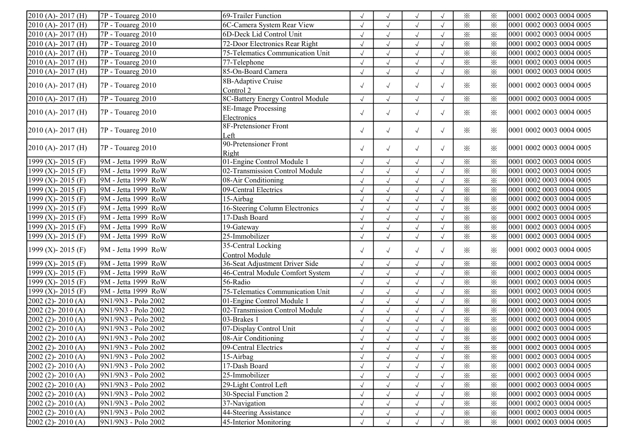| 2010 (A)-2017 (H)       | 7P - Touareg 2010   | 69-Trailer Function              |            |              | $\sqrt{ }$           |            | $\times$                | $\times$               | 0001 0002 0003 0004 0005 |
|-------------------------|---------------------|----------------------------------|------------|--------------|----------------------|------------|-------------------------|------------------------|--------------------------|
| 2010 (A)-2017 (H)       | 7P - Touareg 2010   | 6C-Camera System Rear View       | $\sqrt{ }$ |              | $\sqrt{ }$           | $\sqrt{ }$ | $\times$                | $\times$               | 0001 0002 0003 0004 0005 |
| 2010 (A)-2017 (H)       | 7P - Touareg 2010   | 6D-Deck Lid Control Unit         | $\sqrt{}$  | $\sqrt{ }$   | $\sqrt{ }$           | $\sqrt{ }$ | $\overline{\mathbf{x}}$ | $\times$               | 0001 0002 0003 0004 0005 |
| 2010 (A)-2017 (H)       | 7P - Touareg 2010   | 72-Door Electronics Rear Right   | $\sqrt{ }$ | $\sqrt{ }$   | $\sqrt{ }$           | $\sqrt{ }$ | $\times$                | $\times$               | 0001 0002 0003 0004 0005 |
| 2010 (A)-2017 (H)       | 7P - Touareg 2010   | 75-Telematics Communication Unit | $\sqrt{ }$ | $\sqrt{ }$   | $\sqrt{ }$           | $\sqrt{ }$ | $\times$                | $\times$               | 0001 0002 0003 0004 0005 |
| 2010 (A)-2017 (H)       | 7P - Touareg 2010   | 77-Telephone                     | $\sqrt{2}$ | $\sqrt{}$    | $\checkmark$         | $\sqrt{ }$ | $\times$                | $\times$               | 0001 0002 0003 0004 0005 |
| 2010 (A)-2017 (H)       | 7P - Touareg 2010   | 85-On-Board Camera               | $\sqrt{ }$ | $\sqrt{ }$   | $\sqrt{ }$           |            | $\times$                | $\times$               | 0001 0002 0003 0004 0005 |
|                         |                     | 8B-Adaptive Cruise               |            |              |                      |            |                         |                        |                          |
| $2010(A) - 2017(H)$     | 7P - Touareg 2010   | Control 2                        | $\sqrt{ }$ | $\sqrt{ }$   | $\sqrt{ }$           | $\sqrt{ }$ | $\times$                | $\times$               | 0001 0002 0003 0004 0005 |
| 2010 (A)-2017 (H)       | 7P - Touareg 2010   | 8C-Battery Energy Control Module | $\sqrt{ }$ |              | $\sqrt{ }$           |            | $\times$                | $\times$               | 0001 0002 0003 0004 0005 |
| $2010(A) - 2017(H)$     | 7P - Touareg 2010   | 8E-Image Processing              | $\sqrt{ }$ | $\sqrt{ }$   |                      | $\sqrt{ }$ | $\times$                | $\times$               | 0001 0002 0003 0004 0005 |
|                         |                     | Electronics                      |            |              | $\sqrt{ }$           |            |                         |                        |                          |
| $2010(A) - 2017(H)$     | 7P - Touareg 2010   | 8F-Pretensioner Front            | $\sqrt{ }$ | $\sqrt{ }$   | $\sqrt{ }$           | $\sqrt{ }$ | $\times$                | $\times$               | 0001 0002 0003 0004 0005 |
|                         |                     | Left                             |            |              |                      |            |                         |                        |                          |
| $2010(A) - 2017(H)$     | 7P - Touareg 2010   | 90-Pretensioner Front            | $\sqrt{ }$ | $\sqrt{ }$   | $\sqrt{ }$           | $\sqrt{ }$ | $\times$                | $\times$               | 0001 0002 0003 0004 0005 |
|                         |                     | Right                            |            |              |                      |            |                         |                        |                          |
| 1999 (X) - 2015 (F)     | 9M - Jetta 1999 RoW | 01-Engine Control Module 1       | $\sqrt{ }$ |              | $\sqrt{ }$           | $\sqrt{ }$ | $\times$                | $\times$               | 0001 0002 0003 0004 0005 |
| 1999 (X) - 2015 (F)     | 9M - Jetta 1999 RoW | 02-Transmission Control Module   | $\sqrt{}$  | $\sqrt{ }$   | $\sqrt{ }$           | $\sqrt{ }$ | $\overline{\mathbf{x}}$ | $\times$               | 0001 0002 0003 0004 0005 |
| 1999 (X) - 2015 (F)     | 9M - Jetta 1999 RoW | 08-Air Conditioning              | $\sqrt{ }$ | $\sqrt{ }$   | $\sqrt{ }$           | $\sqrt{ }$ | $\times$                | $\times$               | 0001 0002 0003 0004 0005 |
| 1999 (X) - 2015 (F)     | 9M - Jetta 1999 RoW | 09-Central Electrics             | $\sqrt{ }$ | $\sqrt{ }$   | $\sqrt{}$            | $\sqrt{ }$ | $\times$                | $\times$               | 0001 0002 0003 0004 0005 |
| 1999 (X) - 2015 (F)     | 9M - Jetta 1999 RoW | 15-Airbag                        | $\sqrt{2}$ | $\checkmark$ | $\sqrt{ }$           | $\sqrt{ }$ | $\overline{\varkappa}$  | $\overline{\varkappa}$ | 0001 0002 0003 0004 0005 |
| 1999 (X) - 2015 (F)     | 9M - Jetta 1999 RoW | 16-Steering Column Electronics   | $\sqrt{2}$ | $\sqrt{ }$   | $\sqrt{}$            | $\sqrt{ }$ | $\times$                | $\times$               | 0001 0002 0003 0004 0005 |
| 1999 (X) - 2015 (F)     | 9M - Jetta 1999 RoW | 17-Dash Board                    | $\sqrt{ }$ |              | $\sqrt{}$            |            | $\times$                | $\times$               | 0001 0002 0003 0004 0005 |
| 1999 (X) - 2015 (F)     | 9M - Jetta 1999 RoW | 19-Gateway                       | $\sqrt{}$  | $\sqrt{ }$   | $\sqrt{ }$           | $\sqrt{ }$ | $\times$                | $\times$               | 0001 0002 0003 0004 0005 |
| 1999 (X) - 2015 (F)     | 9M - Jetta 1999 RoW | 25-Immobilizer                   | $\sqrt{2}$ | $\sqrt{ }$   | $\sqrt{ }$           | $\sqrt{ }$ | $\times$                | $\times$               | 0001 0002 0003 0004 0005 |
|                         |                     | 35-Central Locking               |            |              |                      |            |                         |                        |                          |
| 1999 (X)- 2015 (F)      | 9M - Jetta 1999 RoW | Control Module                   | $\sqrt{ }$ | $\sqrt{ }$   | $\sqrt{ }$           | $\sqrt{ }$ | $\times$                | ⋇                      | 0001 0002 0003 0004 0005 |
| 1999 (X) - 2015 (F)     | 9M - Jetta 1999 RoW | 36-Seat Adjustment Driver Side   | $\sqrt{}$  | $\sqrt{ }$   | $\sqrt{}$            | $\sqrt{ }$ | $\times$                | $\times$               | 0001 0002 0003 0004 0005 |
| 1999 (X) - 2015 (F)     | 9M - Jetta 1999 RoW | 46-Central Module Comfort System | $\sqrt{2}$ | $\checkmark$ | $\sqrt{}$            | $\sqrt{ }$ | $\times$                | $\times$               | 0001 0002 0003 0004 0005 |
| 1999 (X) - 2015 (F)     | 9M - Jetta 1999 RoW | 56-Radio                         | $\sqrt{ }$ | $\sqrt{ }$   | $\sqrt{ }$           | $\sqrt{ }$ | $\times$                | $\times$               | 0001 0002 0003 0004 0005 |
| 1999 (X) - 2015 (F)     | 9M - Jetta 1999 RoW | 75-Telematics Communication Unit | $\sqrt{ }$ |              | $\sqrt{ }$           |            | $\times$                | $\times$               | 0001 0002 0003 0004 0005 |
| $2002$ (2) - $2010$ (A) | 9N1/9N3 - Polo 2002 | 01-Engine Control Module 1       | $\sqrt{}$  | $\sqrt{ }$   | $\sqrt{}$            | $\sqrt{ }$ | $\times$                | $\times$               | 0001 0002 0003 0004 0005 |
| $2002(2) - 2010(A)$     | 9N1/9N3 - Polo 2002 | 02-Transmission Control Module   | $\sqrt{}$  | $\sqrt{ }$   | $\sqrt{}$            | $\sqrt{ }$ | $\times$                | $\times$               | 0001 0002 0003 0004 0005 |
| $2002$ (2) - $2010$ (A) | 9N1/9N3 - Polo 2002 | 03-Brakes 1                      | $\sqrt{ }$ | $\sqrt{ }$   | $\sqrt{ }$           | $\sqrt{ }$ | $\times$                | $\times$               | 0001 0002 0003 0004 0005 |
| 2002 (2)-2010 (A)       | 9N1/9N3 - Polo 2002 | 07-Display Control Unit          | $\sqrt{ }$ | $\sqrt{ }$   | $\sqrt{}$            | $\sqrt{ }$ | $\times$                | $\times$               | 0001 0002 0003 0004 0005 |
| $2002$ (2) - $2010$ (A) | 9N1/9N3 - Polo 2002 | 08-Air Conditioning              |            | $\sqrt{ }$   | $\checkmark$         |            | $\times$                | $\times$               | 0001 0002 0003 0004 0005 |
| $2002(2) - 2010(A)$     | 9N1/9N3 - Polo 2002 | 09-Central Electrics             | $\sqrt{ }$ | $\sqrt{ }$   | $\sqrt{ }$           | $\sqrt{ }$ | $\times$                | $\ddotsc$<br>✕         | 0001 0002 0003 0004 0005 |
| $[2002 (2) - 2010 (A)]$ | 9N1/9N3 - Polo 2002 | 15-Airbag                        | $\sqrt{ }$ |              | $\sqrt{ }$           |            | $\times$                | $\times$               | 0001 0002 0003 0004 0005 |
| $[2002 (2)-2010 (A)]$   | 9N1/9N3 - Polo 2002 | 17-Dash Board                    | $\sqrt{}$  |              | $\sqrt{ }$           | $\sqrt{ }$ | $\times$                | $\times$               | 0001 0002 0003 0004 0005 |
| $2002$ (2) - $2010$ (A) | 9N1/9N3 - Polo 2002 | 25-Immobilizer                   | $\sqrt{}$  | $\sqrt{ }$   | $\sqrt{\phantom{a}}$ |            | $\times$                | $\times$               | 0001 0002 0003 0004 0005 |
| $2002(2) - 2010(A)$     | 9N1/9N3 - Polo 2002 | 29-Light Control Left            | $\sqrt{ }$ |              | $\sqrt{ }$           |            | $\times$                | $\times$               | 0001 0002 0003 0004 0005 |
| $2002$ (2) - $2010$ (A) | 9N1/9N3 - Polo 2002 | 30-Special Function 2            | $\sqrt{}$  | $\sqrt{ }$   | $\sqrt{ }$           |            | $\times$                | $\times$               | 0001 0002 0003 0004 0005 |
| $2002$ (2)- $2010$ (A)  | 9N1/9N3 - Polo 2002 | 37-Navigation                    |            |              | $\sqrt{ }$           |            | $\times$                | $\times$               | 0001 0002 0003 0004 0005 |
| $2002$ (2)- $2010$ (A)  | 9N1/9N3 - Polo 2002 | 44-Steering Assistance           |            |              | $\sqrt{ }$           |            | $\times$                | $\times$               | 0001 0002 0003 0004 0005 |
| $2002(2) - 2010(A)$     | 9N1/9N3 - Polo 2002 | 45-Interior Monitoring           |            |              | $\sqrt{ }$           |            | $\times$                | $\times$               | 0001 0002 0003 0004 0005 |
|                         |                     |                                  |            |              |                      |            |                         |                        |                          |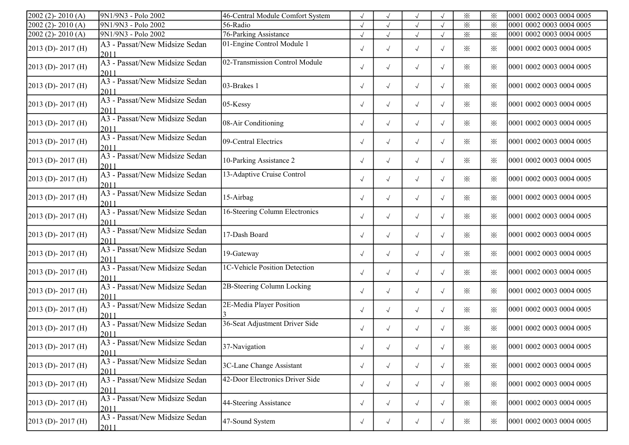| $2002(2) - 2010(A)$     | 9N1/9N3 - Polo 2002                   | 46-Central Module Comfort System | $\sqrt{ }$ |            | $\sqrt{}$  |            | $\times$        | $\times$ | 0001 0002 0003 0004 0005 |
|-------------------------|---------------------------------------|----------------------------------|------------|------------|------------|------------|-----------------|----------|--------------------------|
| 2002 (2)-2010 (A)       | 9N1/9N3 - Polo 2002                   | 56-Radio                         | $\sqrt{ }$ |            | $\sqrt{}$  |            | $\times$        | $\times$ | 0001 0002 0003 0004 0005 |
| $2002$ (2) - $2010$ (A) | 9N1/9N3 - Polo 2002                   | 76-Parking Assistance            | $\sqrt{ }$ | $\sqrt{ }$ | $\sqrt{}$  |            | $\times$        | $\times$ | 0001 0002 0003 0004 0005 |
| 2013 (D)-2017 (H)       | A3 - Passat/New Midsize Sedan<br>2011 | 01-Engine Control Module 1       | $\sqrt{ }$ | $\sqrt{}$  | $\sqrt{ }$ | $\sqrt{ }$ | $\times$        | $\times$ | 0001 0002 0003 0004 0005 |
| 2013 (D)-2017 (H)       | A3 - Passat/New Midsize Sedan<br>2011 | 02-Transmission Control Module   | $\sqrt{ }$ | $\sqrt{}$  | $\sqrt{}$  | $\sqrt{ }$ | $\times$        | ⋇        | 0001 0002 0003 0004 0005 |
| 2013 (D)-2017 (H)       | A3 - Passat/New Midsize Sedan<br>2011 | 03-Brakes 1                      | $\sqrt{ }$ | $\sqrt{}$  | $\sqrt{ }$ | $\sqrt{ }$ | $\times$        | ⋇        | 0001 0002 0003 0004 0005 |
| 2013 (D)-2017 (H)       | A3 - Passat/New Midsize Sedan<br>2011 | 05-Kessy                         | $\sqrt{ }$ | $\sqrt{ }$ | $\sqrt{ }$ | $\sqrt{ }$ | ✕               | $\times$ | 0001 0002 0003 0004 0005 |
| 2013 (D)-2017 (H)       | A3 - Passat/New Midsize Sedan<br>2011 | 08-Air Conditioning              | $\sqrt{ }$ | $\sqrt{}$  | $\sqrt{ }$ | $\sqrt{ }$ | $\times$        | ⋇        | 0001 0002 0003 0004 0005 |
| 2013 (D)-2017 (H)       | A3 - Passat/New Midsize Sedan<br>2011 | 09-Central Electrics             | $\sqrt{ }$ | $\sqrt{ }$ | $\sqrt{}$  | $\sqrt{ }$ | $\times$        | ⋇        | 0001 0002 0003 0004 0005 |
| 2013 (D)-2017 (H)       | A3 - Passat/New Midsize Sedan<br>2011 | 10-Parking Assistance 2          | $\sqrt{ }$ | $\sqrt{}$  | $\sqrt{ }$ | $\sqrt{}$  | $\times$        | ⋇        | 0001 0002 0003 0004 0005 |
| 2013 (D)-2017 (H)       | A3 - Passat/New Midsize Sedan<br>2011 | 13-Adaptive Cruise Control       | $\sqrt{ }$ | $\sqrt{}$  | $\sqrt{ }$ | $\sqrt{}$  | $\times$        | ✕        | 0001 0002 0003 0004 0005 |
| 2013 (D)-2017 (H)       | A3 - Passat/New Midsize Sedan<br>2011 | 15-Airbag                        | $\sqrt{ }$ | $\sqrt{}$  | $\sqrt{ }$ | $\sqrt{}$  | ✕               | ⋇        | 0001 0002 0003 0004 0005 |
| 2013 (D)-2017 (H)       | A3 - Passat/New Midsize Sedan<br>2011 | 16-Steering Column Electronics   | $\sqrt{ }$ | $\sqrt{ }$ | $\sqrt{ }$ | $\sqrt{}$  | $\times$        | $\times$ | 0001 0002 0003 0004 0005 |
| 2013 (D)-2017 (H)       | A3 - Passat/New Midsize Sedan<br>2011 | 17-Dash Board                    | $\sqrt{ }$ | $\sqrt{ }$ | $\sqrt{ }$ | $\sqrt{ }$ | $\times$        | ⋇        | 0001 0002 0003 0004 0005 |
| 2013 (D)-2017 (H)       | A3 - Passat/New Midsize Sedan<br>2011 | 19-Gateway                       | $\sqrt{ }$ | $\sqrt{ }$ | $\sqrt{ }$ | $\sqrt{ }$ | $\times$        | $\times$ | 0001 0002 0003 0004 0005 |
| 2013 (D)-2017 (H)       | A3 - Passat/New Midsize Sedan<br>2011 | 1C-Vehicle Position Detection    | $\sqrt{ }$ | $\sqrt{ }$ | $\sqrt{ }$ | $\sqrt{ }$ | $\times$        | ⋇        | 0001 0002 0003 0004 0005 |
| 2013 (D)-2017 (H)       | A3 - Passat/New Midsize Sedan<br>2011 | 2B-Steering Column Locking       | $\sqrt{ }$ | $\sqrt{}$  | $\sqrt{ }$ | $\sqrt{ }$ | $\times$        | ⋇        | 0001 0002 0003 0004 0005 |
| 2013 (D)-2017 (H)       | A3 - Passat/New Midsize Sedan<br>2011 | 2E-Media Player Position         | $\sqrt{ }$ | $\sqrt{}$  | $\sqrt{ }$ | $\sqrt{ }$ | ✕               | $\times$ | 0001 0002 0003 0004 0005 |
| 2013 (D)-2017 (H)       | A3 - Passat/New Midsize Sedan<br>201  | 36-Seat Adjustment Driver Side   | $\sqrt{ }$ | $\sqrt{ }$ | $\sqrt{ }$ | $\sqrt{ }$ | $\times$        | $\times$ | 0001 0002 0003 0004 0005 |
| 2013 (D)-2017 (H)       | A3 - Passat/New Midsize Sedan<br>2011 | 37-Navigation                    | $\sqrt{ }$ | $\sqrt{ }$ | $\sqrt{ }$ | $\sqrt{ }$ | $\times$        | $\times$ | 0001 0002 0003 0004 0005 |
| 2013 (D)-2017 (H)       | A3 - Passat/New Midsize Sedan<br>2011 | 3C-Lane Change Assistant         | $\sqrt{ }$ | $\sqrt{ }$ | $\sqrt{}$  | $\sqrt{ }$ | $\ddot{\times}$ | $\times$ | 0001 0002 0003 0004 0005 |
| 2013 (D)-2017 (H)       | A3 - Passat/New Midsize Sedan<br>2011 | 42-Door Electronics Driver Side  | $\sqrt{ }$ | $\sqrt{}$  | $\sqrt{ }$ | $\sqrt{ }$ | $\times$        | ፠        | 0001 0002 0003 0004 0005 |
| 2013 (D) - 2017 (H)     | A3 - Passat/New Midsize Sedan<br>2011 | 44-Steering Assistance           | $\sqrt{ }$ | $\sqrt{ }$ | $\sqrt{ }$ | $\sqrt{ }$ | $\times$        | ፠        | 0001 0002 0003 0004 0005 |
| 2013 (D)-2017 (H)       | A3 - Passat/New Midsize Sedan<br>2011 | 47-Sound System                  | $\sqrt{ }$ | $\sqrt{ }$ | $\sqrt{ }$ | $\sqrt{ }$ | $\times$        | $\times$ | 0001 0002 0003 0004 0005 |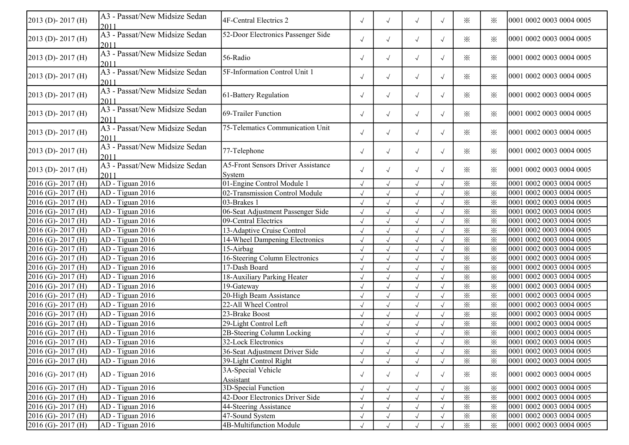| $2013$ (D) - 2017 (H)  | A3 - Passat/New Midsize Sedan<br>2011 | 4F-Central Electrics 2                              | $\sqrt{ }$ | $\sqrt{ }$ | $\sqrt{}$    | $\sqrt{ }$ | ⋇                       | ⋇        | 0001 0002 0003 0004 0005 |
|------------------------|---------------------------------------|-----------------------------------------------------|------------|------------|--------------|------------|-------------------------|----------|--------------------------|
| $2013$ (D) - 2017 (H)  | A3 - Passat/New Midsize Sedan<br>2011 | 52-Door Electronics Passenger Side                  | $\sqrt{ }$ | $\sqrt{}$  | $\sqrt{}$    | $\sqrt{ }$ | $\times$                | $\times$ | 0001 0002 0003 0004 0005 |
| $2013$ (D) - 2017 (H)  | A3 - Passat/New Midsize Sedan<br>2011 | 56-Radio                                            | $\sqrt{ }$ | $\sqrt{}$  | $\sqrt{ }$   | $\sqrt{ }$ | $\times$                | $\times$ | 0001 0002 0003 0004 0005 |
| $2013$ (D) - 2017 (H)  | A3 - Passat/New Midsize Sedan<br>2011 | 5F-Information Control Unit 1                       | $\sqrt{ }$ | $\sqrt{}$  | $\sqrt{ }$   | $\sqrt{ }$ | $\times$                | $\cdot$  | 0001 0002 0003 0004 0005 |
| $2013$ (D) - 2017 (H)  | A3 - Passat/New Midsize Sedan<br>2011 | 61-Battery Regulation                               | $\sqrt{ }$ | $\sqrt{ }$ | $\sqrt{}$    | $\sqrt{ }$ | $\times$                | $\times$ | 0001 0002 0003 0004 0005 |
| 2013 (D)-2017 (H)      | A3 - Passat/New Midsize Sedan<br>2011 | 69-Trailer Function                                 | $\sqrt{ }$ | $\sqrt{ }$ | $\checkmark$ | $\sqrt{ }$ | $\times$                | $\times$ | 0001 0002 0003 0004 0005 |
| 2013 (D)-2017 (H)      | A3 - Passat/New Midsize Sedan<br>2011 | 75-Telematics Communication Unit                    | $\sqrt{ }$ | $\sqrt{}$  | $\checkmark$ | $\sqrt{ }$ | $\times$                | $\times$ | 0001 0002 0003 0004 0005 |
| $2013$ (D) - 2017 (H)  | A3 - Passat/New Midsize Sedan<br>2011 | 77-Telephone                                        | $\sqrt{ }$ | $\sqrt{}$  | $\sqrt{}$    | $\sqrt{ }$ | $\times$                | $\times$ | 0001 0002 0003 0004 0005 |
| $2013$ (D) - 2017 (H)  | A3 - Passat/New Midsize Sedan<br>2011 | <b>A5-Front Sensors Driver Assistance</b><br>System | $\sqrt{ }$ | $\sqrt{}$  | $\sqrt{ }$   | $\sqrt{ }$ | $\times$                | $\times$ | 0001 0002 0003 0004 0005 |
| 2016 (G)-2017 (H)      | AD - Tiguan 2016                      | 01-Engine Control Module 1                          | $\sqrt{ }$ | $\sqrt{ }$ | $\sqrt{ }$   |            | $\times$                | $\times$ | 0001 0002 0003 0004 0005 |
| $2016$ (G)-2017 (H)    | AD - Tiguan 2016                      | 02-Transmission Control Module                      | $\sqrt{ }$ |            | $\sqrt{ }$   |            | $\times$                | $\times$ | 0001 0002 0003 0004 0005 |
| $2016$ (G) - 2017 (H)  | AD - Tiguan 2016                      | 03-Brakes 1                                         | $\sqrt{ }$ | $\sqrt{}$  | $\sqrt{ }$   |            | $\times$                | $\times$ | 0001 0002 0003 0004 0005 |
| $2016$ (G)-2017 (H)    | AD - Tiguan 2016                      | 06-Seat Adjustment Passenger Side                   | $\sqrt{ }$ | $\sqrt{ }$ | $\sqrt{2}$   | $\sqrt{ }$ | $\times$                | $\times$ | 0001 0002 0003 0004 0005 |
| $2016$ (G) - 2017 (H)  | AD - Tiguan 2016                      | 09-Central Electrics                                | $\sqrt{ }$ | $\sqrt{ }$ | $\sqrt{ }$   |            | $\times$                | $\times$ | 0001 0002 0003 0004 0005 |
| 2016 (G)-2017 (H)      | AD - Tiguan 2016                      | 13-Adaptive Cruise Control                          | $\sqrt{ }$ | $\sqrt{ }$ | $\sqrt{ }$   |            | $\times$                | $\times$ | 0001 0002 0003 0004 0005 |
| 2016 (G)-2017 (H)      | AD - Tiguan 2016                      | 14-Wheel Dampening Electronics                      | $\sqrt{ }$ | $\sqrt{}$  | $\sqrt{ }$   |            | $\times$                | $\times$ | 0001 0002 0003 0004 0005 |
| 2016 (G)-2017 (H)      | AD - Tiguan 2016                      | 15-Airbag                                           | $\sqrt{}$  |            | $\checkmark$ |            | $\times$                | $\times$ | 0001 0002 0003 0004 0005 |
| 2016 (G)-2017 (H)      | AD - Tiguan 2016                      | 16-Steering Column Electronics                      | $\sqrt{ }$ |            | $\sqrt{}$    |            | $\times$                | $\times$ | 0001 0002 0003 0004 0005 |
| 2016 (G)-2017 (H)      | AD - Tiguan 2016                      | 17-Dash Board                                       | $\sqrt{ }$ | $\sqrt{}$  | $\sqrt{2}$   |            | $\times$                | $\times$ | 0001 0002 0003 0004 0005 |
| $2016$ (G) - 2017 (H)  | AD - Tiguan 2016                      | 18-Auxiliary Parking Heater                         | $\sqrt{ }$ | $\sqrt{ }$ | $\sqrt{ }$   |            | $\times$                | $\times$ | 0001 0002 0003 0004 0005 |
| $2016$ (G) - 2017 (H)  | AD - Tiguan 2016                      | 19-Gateway                                          | $\sqrt{ }$ | $\sqrt{ }$ | $\sqrt{}$    | $\sqrt{}$  | $\times$                | $\times$ | 0001 0002 0003 0004 0005 |
| $2016$ (G) - 2017 (H)  | AD - Tiguan 2016                      | 20-High Beam Assistance                             | $\sqrt{}$  | $\sqrt{2}$ | $\sqrt{ }$   |            | $\times$                | $\times$ | 0001 0002 0003 0004 0005 |
| $2016$ (G)-2017 (H)    | AD - Tiguan 2016                      | 22-All Wheel Control                                |            |            | $\sqrt{}$    |            | $\times$                | $\times$ | 0001 0002 0003 0004 0005 |
| $2016$ (G)-2017 (H)    | AD - Tiguan 2016                      | 23-Brake Boost                                      | $\sqrt{ }$ | $\sqrt{ }$ | $\sqrt{ }$   |            | $\times$                | $\times$ | 0001 0002 0003 0004 0005 |
| $2016$ (G) - 2017 (H)  | AD - Tiguan 2016                      | 29-Light Control Left                               | $\sqrt{ }$ | $\sqrt{ }$ | $\sqrt{2}$   |            | $\overline{\mathbf{x}}$ | $\times$ | 0001 0002 0003 0004 0005 |
| $2016$ (G) - 2017 (H)  | AD - Tiguan 2016                      | 2B-Steering Column Locking                          | $\sqrt{ }$ | $\sqrt{ }$ | $\sqrt{}$    |            | $\times$                | $\times$ | 0001 0002 0003 0004 0005 |
| $2016$ (G) - 2017 (H)  | AD - Tiguan 2016                      | 32-Lock Electronics                                 | $\sqrt{ }$ | $\sqrt{ }$ | $\sqrt{2}$   | $\sqrt{ }$ | $\times$                | ⋇        | 0001 0002 0003 0004 0005 |
| $2016$ (G) - 2017 (H)  | AD - Tiguan 2016                      | 36-Seat Adjustment Driver Side                      | $\sqrt{ }$ | $\sqrt{ }$ | $\sqrt{ }$   | $\sqrt{ }$ | $\times$                | $\times$ | 0001 0002 0003 0004 0005 |
| $2016$ (G) - 2017 (H)  | AD - Tiguan 2016                      | 39-Light Control Right                              | $\sqrt{ }$ | $\sqrt{}$  | $\sqrt{}$    |            | $\times$                | $\times$ | 0001 0002 0003 0004 0005 |
|                        |                                       | 3A-Special Vehicle                                  |            |            |              |            |                         |          |                          |
| $2016$ (G)- $2017$ (H) | AD - Tiguan 2016                      | Assistant                                           | $\sqrt{ }$ | $\sqrt{}$  | $\sqrt{ }$   | $\sqrt{ }$ | $\times$                | ⋇        | 0001 0002 0003 0004 0005 |
| $2016$ (G) - 2017 (H)  | $AD - Tiguan 2016$                    | 3D-Special Function                                 | $\sqrt{ }$ |            | $\sqrt{}$    |            | $\times$                | $\times$ | 0001 0002 0003 0004 0005 |
| $2016$ (G) - 2017 (H)  | AD - Tiguan 2016                      | 42-Door Electronics Driver Side                     | $\sqrt{ }$ | $\sqrt{ }$ | $\sqrt{ }$   |            | $\times$                | $\times$ | 0001 0002 0003 0004 0005 |
| $2016$ (G) - 2017 (H)  | AD - Tiguan 2016                      | 44-Steering Assistance                              | $\sqrt{ }$ | $\sqrt{}$  | $\sqrt{ }$   |            | $\times$                | ⋇        | 0001 0002 0003 0004 0005 |
| $2016$ (G)-2017 (H)    | AD - Tiguan 2016                      | 47-Sound System                                     | $\sqrt{ }$ | $\sqrt{}$  | $\sqrt{ }$   |            | $\times$                | $\times$ | 0001 0002 0003 0004 0005 |
| $2016$ (G)-2017 (H)    | AD - Tiguan 2016                      | 4B-Multifunction Module                             | $\sqrt{ }$ | $\sqrt{ }$ | $\sqrt{}$    |            | $\times$                | $\times$ | 0001 0002 0003 0004 0005 |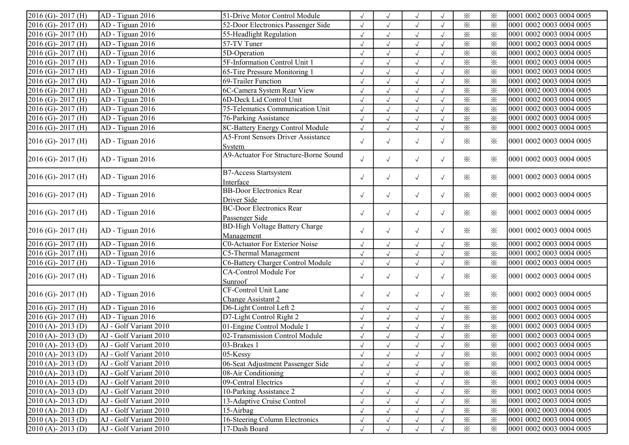| $2016$ (G)-2017 (H)  | AD - Tiguan 2016       | 51-Drive Motor Control Module             |            | $\sqrt{ }$ | $\sqrt{ }$   |            | $\times$                | $\times$               | 0001 0002 0003 0004 0005 |
|----------------------|------------------------|-------------------------------------------|------------|------------|--------------|------------|-------------------------|------------------------|--------------------------|
| 2016 (G)-2017 (H)    | AD - Tiguan 2016       | 52-Door Electronics Passenger Side        | $\sqrt{ }$ | $\sqrt{}$  | $\sqrt{ }$   | $\sqrt{ }$ | $\times$                | $\times$               | 0001 0002 0003 0004 0005 |
| 2016 (G)-2017 (H)    | AD - Tiguan 2016       | 55-Headlight Regulation                   | $\sqrt{}$  | $\sqrt{ }$ | $\sqrt{ }$   | $\sqrt{ }$ | $\times$                | $\times$               | 0001 0002 0003 0004 0005 |
| 2016 (G)-2017 (H)    | AD - Tiguan 2016       | 57-TV Tuner                               | $\sqrt{ }$ | $\sqrt{ }$ | $\sqrt{ }$   | $\sqrt{ }$ | $\times$                | $\times$               | 0001 0002 0003 0004 0005 |
| 2016 (G)-2017 (H)    | AD - Tiguan 2016       | 5D-Operation                              | $\sqrt{ }$ | $\sqrt{ }$ | $\sqrt{ }$   | $\sqrt{ }$ | $\times$                | $\times$               | 0001 0002 0003 0004 0005 |
| $2016$ (G)-2017 (H)  | AD - Tiguan 2016       | 5F-Information Control Unit 1             | $\sqrt{}$  | $\sqrt{ }$ | $\sqrt{ }$   | $\sqrt{ }$ | $\times$                | $\times$               | 0001 0002 0003 0004 0005 |
| 2016 (G)-2017 (H)    | AD - Tiguan 2016       | 65-Tire Pressure Monitoring 1             |            | $\sqrt{ }$ | $\sqrt{ }$   |            | $\times$                | $\times$               | 0001 0002 0003 0004 0005 |
| $2016$ (G)-2017 (H)  | AD - Tiguan 2016       | 69-Trailer Function                       |            |            | $\sqrt{ }$   |            | $\times$                | $\times$               | 0001 0002 0003 0004 0005 |
| $2016$ (G)-2017 (H)  | AD - Tiguan 2016       | 6C-Camera System Rear View                | $\sqrt{}$  | $\sqrt{ }$ | $\sqrt{ }$   | $\sqrt{ }$ | $\times$                | $\times$               | 0001 0002 0003 0004 0005 |
| 2016 (G)-2017 (H)    | AD - Tiguan 2016       | 6D-Deck Lid Control Unit                  | $\sqrt{2}$ | $\sqrt{ }$ | $\sqrt{ }$   | $\sqrt{ }$ | $\times$                | $\times$               | 0001 0002 0003 0004 0005 |
| 2016 (G)-2017 (H)    | AD - Tiguan 2016       | 75-Telematics Communication Unit          | $\sqrt{2}$ | $\sqrt{ }$ | $\sqrt{ }$   | $\sqrt{ }$ | $\times$                | $\times$               | 0001 0002 0003 0004 0005 |
| 2016 (G)-2017 (H)    | AD - Tiguan 2016       | 76-Parking Assistance                     | $\sqrt{}$  | $\sqrt{ }$ | $\sqrt{ }$   | $\sqrt{ }$ | $\overline{\mathbf{x}}$ | $\overline{\varkappa}$ | 0001 0002 0003 0004 0005 |
| 2016 (G)-2017 (H)    | AD - Tiguan 2016       | 8C-Battery Energy Control Module          | $\sqrt{2}$ | $\sqrt{ }$ | $\sqrt{ }$   |            | $\times$                | $\times$               | 0001 0002 0003 0004 0005 |
|                      |                        | <b>A5-Front Sensors Driver Assistance</b> |            |            |              |            |                         |                        |                          |
| $2016$ (G)-2017 (H)  | AD - Tiguan 2016       | System                                    | $\sqrt{ }$ | $\sqrt{ }$ | $\sqrt{ }$   | $\sqrt{ }$ | $\times$                | $\times$               | 0001 0002 0003 0004 0005 |
| $2016$ (G)-2017 (H)  | AD - Tiguan 2016       | A9-Actuator For Structure-Borne Sound     |            |            |              |            | $\times$                | $\times$               | 0001 0002 0003 0004 0005 |
|                      |                        |                                           | $\sqrt{ }$ | $\sqrt{ }$ | $\sqrt{ }$   | $\sqrt{ }$ |                         |                        |                          |
| $2016$ (G)-2017 (H)  | AD - Tiguan 2016       | <b>B7-Access Startsystem</b>              | $\sqrt{ }$ | $\sqrt{ }$ | $\sqrt{ }$   | $\sqrt{ }$ | $\times$                | $\times$               | 0001 0002 0003 0004 0005 |
|                      |                        | Interface                                 |            |            |              |            |                         |                        |                          |
| $2016$ (G)-2017 (H)  | AD - Tiguan 2016       | <b>BB-Door Electronics Rear</b>           | $\sqrt{ }$ | $\sqrt{ }$ | $\sqrt{ }$   | $\sqrt{ }$ | $\times$                | $\times$               | 0001 0002 0003 0004 0005 |
|                      |                        | Driver Side                               |            |            |              |            |                         |                        |                          |
| $2016$ (G)-2017 (H)  | AD - Tiguan 2016       | <b>BC-Door Electronics Rear</b>           | $\sqrt{ }$ | $\sqrt{ }$ | $\sqrt{ }$   | $\sqrt{ }$ | $\times$                | $\times$               | 0001 0002 0003 0004 0005 |
|                      |                        | Passenger Side                            |            |            |              |            |                         |                        |                          |
| $2016$ (G)-2017 (H)  | AD - Tiguan 2016       | <b>BD-High Voltage Battery Charge</b>     | $\sqrt{ }$ | $\sqrt{ }$ | $\sqrt{ }$   | $\sqrt{ }$ | $\times$                | $\times$               | 0001 0002 0003 0004 0005 |
|                      |                        | Management                                |            |            |              |            |                         |                        |                          |
| 2016 (G)-2017 (H)    | AD - Tiguan 2016       | C0-Actuator For Exterior Noise            | $\sqrt{ }$ | $\sqrt{ }$ | $\sqrt{ }$   | $\sqrt{ }$ | $\times$                | $\times$               | 0001 0002 0003 0004 0005 |
| 2016 (G)-2017 (H)    | AD - Tiguan 2016       | C5-Thermal Management                     |            | $\sqrt{ }$ | $\sqrt{ }$   | $\sqrt{ }$ | $\times$                | $\times$               | 0001 0002 0003 0004 0005 |
| 2016 (G)-2017 (H)    | AD - Tiguan 2016       | C6-Battery Charger Control Module         | $\sqrt{}$  | $\sqrt{}$  | $\sqrt{ }$   | $\sqrt{ }$ | $\times$                | $\times$               | 0001 0002 0003 0004 0005 |
| $2016$ (G)-2017 (H)  | AD - Tiguan 2016       | CA-Control Module For                     | $\sqrt{ }$ | $\sqrt{ }$ | $\sqrt{ }$   | $\sqrt{ }$ | $\times$                | $\times$               | 0001 0002 0003 0004 0005 |
|                      |                        | Sunroof                                   |            |            |              |            |                         |                        |                          |
| $2016$ (G)-2017 (H)  | AD - Tiguan 2016       | <b>CF-Control Unit Lane</b>               | $\sqrt{ }$ | $\sqrt{ }$ | $\sqrt{ }$   | $\sqrt{ }$ | $\times$                | $\times$               | 0001 0002 0003 0004 0005 |
|                      |                        | Change Assistant 2                        |            |            |              |            |                         |                        |                          |
| 2016 (G)-2017 (H)    | AD - Tiguan 2016       | D6-Light Control Left 2                   |            | $\sqrt{ }$ | $\sqrt{ }$   | $\sqrt{ }$ | $\times$                | $\times$               | 0001 0002 0003 0004 0005 |
| 2016 (G)-2017 (H)    | AD - Tiguan 2016       | D7-Light Control Right 2                  | $\sqrt{}$  | $\sqrt{ }$ | $\sqrt{ }$   | $\sqrt{ }$ | $\times$                | $\times$               | 0001 0002 0003 0004 0005 |
| $2010(A) - 2013(D)$  | AJ - Golf Variant 2010 | 01-Engine Control Module 1                | $\sqrt{}$  | $\sqrt{ }$ | $\sqrt{ }$   | $\sqrt{ }$ | $\times$                | $\times$               | 0001 0002 0003 0004 0005 |
| $2010(A) - 2013(D)$  | AJ - Golf Variant 2010 | 02-Transmission Control Module            | $\sqrt{2}$ | $\sqrt{ }$ | $\checkmark$ |            | $\times$                | $\times$               | 0001 0002 0003 0004 0005 |
| $2010(A)$ - 2013 (D) | AJ - Golf Variant 2010 | 03-Brakes 1                               |            |            |              |            | $\times$                | $\times$               | 0001 0002 0003 0004 0005 |
| $2010(A) - 2013(D)$  | AJ - Golf Variant 2010 | $05$ -Kessy                               |            |            | $\sqrt{ }$   |            | $\times$                | ⋇                      | 0001 0002 0003 0004 0005 |
| $2010(A) - 2013(D)$  | AJ - Golf Variant 2010 | 06-Seat Adjustment Passenger Side         |            |            | $\sqrt{ }$   | $\sqrt{ }$ | $\times$                | $\times$               | 0001 0002 0003 0004 0005 |
| $2010(A) - 2013(D)$  | AJ - Golf Variant 2010 | 08-Air Conditioning                       | $\sqrt{ }$ | $\sqrt{ }$ | $\sqrt{ }$   | $\sqrt{ }$ | $\times$                | ፠                      | 0001 0002 0003 0004 0005 |
| $2010(A) - 2013(D)$  | AJ - Golf Variant 2010 | 09-Central Electrics                      | $\sqrt{}$  |            | $\sqrt{ }$   | $\sqrt{ }$ | $\times$                | $\times$               | 0001 0002 0003 0004 0005 |
| $2010(A) - 2013(D)$  | AJ - Golf Variant 2010 | 10-Parking Assistance 2                   |            |            |              |            | $\times$                | $\times$               | 0001 0002 0003 0004 0005 |
| $2010(A) - 2013(D)$  | AJ - Golf Variant 2010 | 13-Adaptive Cruise Control                |            |            | $\sqrt{ }$   |            | $\times$                | $\times$               | 0001 0002 0003 0004 0005 |
| $2010(A) - 2013(D)$  | AJ - Golf Variant 2010 | 15-Airbag                                 |            |            |              | $\sqrt{ }$ | $\times$                | $\times$               | 0001 0002 0003 0004 0005 |
| $2010(A) - 2013(D)$  | AJ - Golf Variant 2010 | 16-Steering Column Electronics            |            | $\sqrt{ }$ | $\sqrt{ }$   | $\sqrt{ }$ | $\times$                | $\times$               | 0001 0002 0003 0004 0005 |
| $2010(A) - 2013(D)$  | AJ - Golf Variant 2010 | 17-Dash Board                             |            |            | $\sqrt{ }$   |            | $\times$                | ፠                      | 0001 0002 0003 0004 0005 |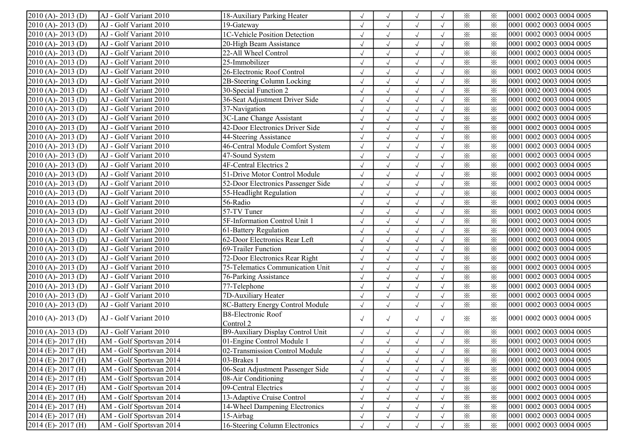| $2010(A) - 2013(D)$              | AJ - Golf Variant 2010   | 18-Auxiliary Parking Heater        |            | $\sqrt{ }$ | $\sqrt{ }$ |            | $\times$ | ፠        | 0001 0002 0003 0004 0005 |
|----------------------------------|--------------------------|------------------------------------|------------|------------|------------|------------|----------|----------|--------------------------|
| $2010(A) - 2013(D)$              | AJ - Golf Variant 2010   | 19-Gateway                         |            | $\sqrt{ }$ | $\sqrt{ }$ | $\sqrt{ }$ | $\times$ | $\times$ | 0001 0002 0003 0004 0005 |
| $2010(A) - 2013(D)$              | AJ - Golf Variant 2010   | 1C-Vehicle Position Detection      | $\sqrt{}$  | $\sqrt{ }$ | $\sqrt{ }$ | $\sqrt{ }$ | $\times$ | $\times$ | 0001 0002 0003 0004 0005 |
| 2010 (A)-2013 (D)                | AJ - Golf Variant 2010   | 20-High Beam Assistance            | $\sqrt{ }$ | $\sqrt{}$  | $\sqrt{ }$ | $\sqrt{ }$ | $\times$ | $\times$ | 0001 0002 0003 0004 0005 |
| $2010(A) - 2013(D)$              | AJ - Golf Variant 2010   | 22-All Wheel Control               | $\sqrt{}$  | $\sqrt{ }$ | $\sqrt{ }$ | $\sqrt{ }$ | $\times$ | $\times$ | 0001 0002 0003 0004 0005 |
| $2010(A) - 2013(D)$              | AJ - Golf Variant 2010   | $25$ -Immobilizer                  | $\sqrt{}$  | $\sqrt{ }$ | $\sqrt{ }$ | $\sqrt{ }$ | $\times$ | $\times$ | 0001 0002 0003 0004 0005 |
| 2010 (A)-2013 (D)                | AJ - Golf Variant 2010   | 26-Electronic Roof Control         |            | $\sqrt{ }$ | $\sqrt{ }$ |            | $\times$ | $\times$ | 0001 0002 0003 0004 0005 |
| $2010(A) - 2013(D)$              | AJ - Golf Variant 2010   | 2B-Steering Column Locking         |            | $\sqrt{ }$ | $\sqrt{ }$ | $\sqrt{ }$ | $\times$ | $\times$ | 0001 0002 0003 0004 0005 |
| $2010(A) - 2013(D)$              | AJ - Golf Variant 2010   | 30-Special Function 2              |            | $\sqrt{ }$ | $\sqrt{ }$ | $\sqrt{ }$ | $\times$ | $\times$ | 0001 0002 0003 0004 0005 |
| $2010(A) - 2013(D)$              | AJ - Golf Variant 2010   | 36-Seat Adjustment Driver Side     | $\sqrt{2}$ | $\sqrt{ }$ | $\sqrt{ }$ | $\sqrt{ }$ | $\times$ | $\times$ | 0001 0002 0003 0004 0005 |
| 2010 (A)-2013 (D)                | AJ - Golf Variant 2010   | 37-Navigation                      | $\sqrt{ }$ | $\sqrt{ }$ | $\sqrt{ }$ | $\sqrt{ }$ | $\times$ | $\times$ | 0001 0002 0003 0004 0005 |
| 2010 (A)-2013 (D)                | AJ - Golf Variant 2010   | 3C-Lane Change Assistant           | $\sqrt{}$  | $\sqrt{ }$ | $\sqrt{ }$ | $\sqrt{ }$ | $\times$ | $\times$ | 0001 0002 0003 0004 0005 |
| $2010(A) - 2013(D)$              | AJ - Golf Variant 2010   | 42-Door Electronics Driver Side    | $\sqrt{}$  | $\sqrt{ }$ | $\sqrt{ }$ | $\sqrt{ }$ | $\times$ | $\times$ | 0001 0002 0003 0004 0005 |
| $2010(A) - 2013(D)$              | AJ - Golf Variant 2010   | 44-Steering Assistance             |            | $\sqrt{ }$ | $\sqrt{ }$ |            | $\times$ | $\times$ | 0001 0002 0003 0004 0005 |
| $2010(A) - 2013(D)$              | AJ - Golf Variant 2010   | 46-Central Module Comfort System   |            | $\sqrt{ }$ | $\sqrt{ }$ | $\sqrt{ }$ | $\times$ | $\times$ | 0001 0002 0003 0004 0005 |
| 2010 (A)-2013 (D)                | AJ - Golf Variant 2010   | 47-Sound System                    | $\sqrt{ }$ | $\sqrt{ }$ | $\sqrt{ }$ | $\sqrt{ }$ | $\times$ | $\times$ | 0001 0002 0003 0004 0005 |
| $2010(A) - 2013(D)$              | AJ - Golf Variant 2010   | <b>4F-Central Electrics 2</b>      | $\sqrt{}$  | $\sqrt{ }$ | $\sqrt{ }$ | $\sqrt{ }$ | $\times$ | $\times$ | 0001 0002 0003 0004 0005 |
| $2010(A) - 2013(D)$              | AJ - Golf Variant 2010   | 51-Drive Motor Control Module      | $\sqrt{}$  | $\sqrt{ }$ | $\sqrt{ }$ | $\sqrt{ }$ | $\times$ | $\times$ | 0001 0002 0003 0004 0005 |
| $2010(A) - 2013(D)$              | AJ - Golf Variant 2010   | 52-Door Electronics Passenger Side | $\sqrt{}$  | $\sqrt{}$  | $\sqrt{ }$ | $\sqrt{ }$ | $\times$ | $\times$ | 0001 0002 0003 0004 0005 |
| $2010(A) - 2013(D)$              | AJ - Golf Variant 2010   | 55-Headlight Regulation            |            | $\sqrt{ }$ | $\sqrt{ }$ | $\sqrt{ }$ | $\times$ | $\times$ | 0001 0002 0003 0004 0005 |
| $2010(A) - 2013(D)$              | AJ - Golf Variant 2010   | 56-Radio                           | $\sqrt{}$  | $\sqrt{ }$ | $\sqrt{ }$ | $\sqrt{ }$ | $\times$ | $\times$ | 0001 0002 0003 0004 0005 |
| $2010(A) - 2013(D)$              | AJ - Golf Variant 2010   | $\overline{57-TV}$ Tuner           | $\sqrt{}$  | $\sqrt{ }$ | $\sqrt{ }$ | $\sqrt{ }$ | $\times$ | $\times$ | 0001 0002 0003 0004 0005 |
| 2010 (A)-2013 (D)                | AJ - Golf Variant 2010   | 5F-Information Control Unit 1      | $\sqrt{ }$ | $\sqrt{ }$ | $\sqrt{ }$ | $\sqrt{ }$ | $\times$ | $\times$ | 0001 0002 0003 0004 0005 |
| 2010 (A)-2013 (D)                | AJ - Golf Variant 2010   | 61-Battery Regulation              | $\sqrt{}$  | $\sqrt{ }$ | $\sqrt{ }$ | $\sqrt{ }$ | $\times$ | $\times$ | 0001 0002 0003 0004 0005 |
| 2010 (A)-2013 (D)                | AJ - Golf Variant 2010   | 62-Door Electronics Rear Left      | $\sqrt{}$  | $\sqrt{ }$ | $\sqrt{ }$ | $\sqrt{ }$ | $\times$ | $\times$ | 0001 0002 0003 0004 0005 |
| $2010(A) - 2013(D)$              | AJ - Golf Variant 2010   | 69-Trailer Function                |            | $\sqrt{ }$ | $\sqrt{ }$ | $\sqrt{ }$ | $\times$ | $\times$ | 0001 0002 0003 0004 0005 |
| $2010(A) - 2013(D)$              | AJ - Golf Variant 2010   | 72-Door Electronics Rear Right     |            | $\sqrt{ }$ | $\sqrt{ }$ | $\sqrt{ }$ | $\times$ | $\times$ | 0001 0002 0003 0004 0005 |
| 2010 (A)-2013 (D)                | AJ - Golf Variant 2010   | 75-Telematics Communication Unit   | $\sqrt{}$  | $\sqrt{}$  | $\sqrt{ }$ | $\sqrt{ }$ | $\times$ | $\times$ | 0001 0002 0003 0004 0005 |
| 2010 (A)-2013 (D)                | AJ - Golf Variant 2010   | 76-Parking Assistance              | $\sqrt{ }$ | $\sqrt{ }$ | $\sqrt{}$  | $\sqrt{ }$ | $\times$ | $\times$ | 0001 0002 0003 0004 0005 |
| 2010 (A)-2013 (D)                | AJ - Golf Variant 2010   | 77-Telephone                       | $\sqrt{ }$ | $\sqrt{ }$ | $\sqrt{ }$ | $\sqrt{ }$ | $\times$ | $\times$ | 0001 0002 0003 0004 0005 |
| $2010(A) - 2013(D)$              | AJ - Golf Variant 2010   | 7D-Auxiliary Heater                | $\sqrt{}$  | $\sqrt{ }$ | $\sqrt{}$  | $\sqrt{ }$ | $\times$ | $\times$ | 0001 0002 0003 0004 0005 |
| $2010(A) - 2013(D)$              | AJ - Golf Variant 2010   | 8C-Battery Energy Control Module   |            | $\sqrt{ }$ | $\sqrt{ }$ |            | $\times$ | $\times$ | 0001 0002 0003 0004 0005 |
| $2010(A) - 2013(D)$              | AJ - Golf Variant 2010   | <b>B8-Electronic Roof</b>          | $\sqrt{ }$ | $\sqrt{ }$ | $\sqrt{ }$ | $\sqrt{ }$ | $\times$ | $\times$ | 0001 0002 0003 0004 0005 |
|                                  |                          | Control 2                          |            |            |            |            |          |          |                          |
| $2010(A) - 2013(D)$              | AJ - Golf Variant 2010   | B9-Auxiliary Display Control Unit  |            |            |            |            | $\times$ | $\times$ | 0001 0002 0003 0004 0005 |
| $\overline{2014}$ (E) - 2017 (H) | AM - Golf Sportsvan 2014 | 01-Engine Control Module 1         | $\sqrt{}$  |            | $\sqrt{ }$ | $\sqrt{ }$ | $\times$ | $\times$ | 0001 0002 0003 0004 0005 |
| $2014$ (E) - 2017 (H)            | AM - Golf Sportsvan 2014 | 02-Transmission Control Module     | $\sqrt{ }$ | $\sqrt{ }$ | $\sqrt{ }$ | $\sqrt{ }$ | $\times$ | ⋇        | 0001 0002 0003 0004 0005 |
| $2014$ (E) - 2017 (H)            | AM - Golf Sportsvan 2014 | 03-Brakes 1                        | $\sqrt{ }$ |            |            |            | $\times$ | $\times$ | 0001 0002 0003 0004 0005 |
| $2014$ (E) - 2017 (H)            | AM - Golf Sportsvan 2014 | 06-Seat Adjustment Passenger Side  |            |            |            | $\sqrt{ }$ | $\times$ | $\times$ | 0001 0002 0003 0004 0005 |
| $2014$ (E) - 2017 (H)            | AM - Golf Sportsvan 2014 | 08-Air Conditioning                | $\sqrt{}$  |            | $\sqrt{ }$ | $\sqrt{ }$ | $\times$ | $\times$ | 0001 0002 0003 0004 0005 |
| 2014 (E)-2017 (H)                | AM - Golf Sportsvan 2014 | 09-Central Electrics               |            |            |            | $\sqrt{ }$ | $\times$ | $\times$ | 0001 0002 0003 0004 0005 |
| 2014 (E)-2017 (H)                | AM - Golf Sportsvan 2014 | 13-Adaptive Cruise Control         | $\sqrt{ }$ | $\sqrt{ }$ | $\sqrt{ }$ | $\sqrt{ }$ | $\times$ | $\times$ | 0001 0002 0003 0004 0005 |
| 2014 (E)-2017 (H)                | AM - Golf Sportsvan 2014 | 14-Wheel Dampening Electronics     | $\sqrt{ }$ | $\sqrt{ }$ | $\sqrt{ }$ | $\sqrt{ }$ | $\times$ | ፠        | 0001 0002 0003 0004 0005 |
| $2014$ (E) - 2017 (H)            | AM - Golf Sportsvan 2014 | 15-Airbag                          | $\sqrt{ }$ | $\sqrt{ }$ | $\sqrt{ }$ | $\sqrt{ }$ | $\times$ | $\times$ | 0001 0002 0003 0004 0005 |
| $2014$ (E) - 2017 (H)            | AM - Golf Sportsvan 2014 | 16-Steering Column Electronics     | $\sqrt{}$  | $\sqrt{ }$ | $\sqrt{ }$ |            | $\times$ | $\times$ | 0001 0002 0003 0004 0005 |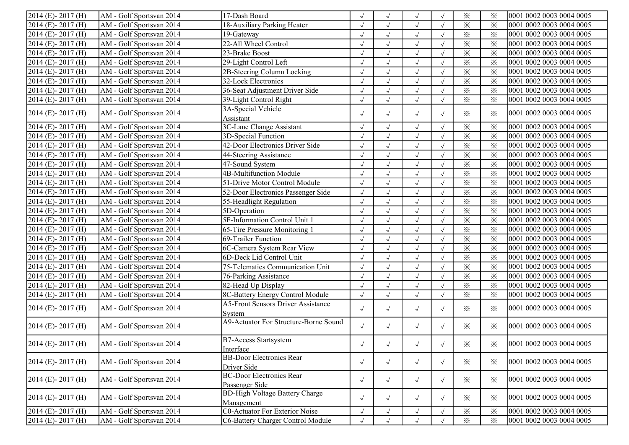| 2014 (E)-2017 (H)      | AM - Golf Sportsvan 2014                       | 17-Dash Board                                       |            |                      | $\sqrt{ }$   |            | $\times$                | $\times$ | 0001 0002 0003 0004 0005 |
|------------------------|------------------------------------------------|-----------------------------------------------------|------------|----------------------|--------------|------------|-------------------------|----------|--------------------------|
| 2014 (E)-2017 (H)      | AM - Golf Sportsvan 2014                       | 18-Auxiliary Parking Heater                         | $\sqrt{ }$ |                      | $\sqrt{ }$   | $\sqrt{ }$ | $\times$                | $\times$ | 0001 0002 0003 0004 0005 |
| 2014 (E)-2017 (H)      | AM - Golf Sportsvan 2014                       | 19-Gateway                                          | $\sqrt{ }$ | $\sqrt{ }$           | $\sqrt{ }$   | $\sqrt{ }$ | $\times$                | $\times$ | 0001 0002 0003 0004 0005 |
| 2014 (E)-2017 (H)      | AM - Golf Sportsvan 2014                       | 22-All Wheel Control                                | $\sqrt{ }$ | $\sqrt{ }$           | $\sqrt{ }$   |            | $\times$                | $\times$ | 0001 0002 0003 0004 0005 |
| 2014 (E)-2017 (H)      | AM - Golf Sportsvan 2014                       | 23-Brake Boost                                      | $\sqrt{}$  | $\sqrt{ }$           | $\sqrt{}$    | $\sqrt{ }$ | $\times$                | $\times$ | 0001 0002 0003 0004 0005 |
| $2014$ (E)-2017 (H)    | AM - Golf Sportsvan 2014                       | 29-Light Control Left                               | $\sqrt{2}$ | $\sqrt{ }$           | $\checkmark$ | $\sqrt{ }$ | $\times$                | $\times$ | 0001 0002 0003 0004 0005 |
| 2014 (E)-2017 (H)      | AM - Golf Sportsvan 2014                       | 2B-Steering Column Locking                          |            |                      | $\sqrt{}$    |            | $\times$                | $\times$ | 0001 0002 0003 0004 0005 |
| 2014 (E)-2017 (H)      | AM - Golf Sportsvan 2014                       | 32-Lock Electronics                                 |            |                      | $\sqrt{ }$   |            | $\times$                | $\times$ | 0001 0002 0003 0004 0005 |
| 2014 (E)-2017 (H)      | AM - Golf Sportsvan 2014                       | 36-Seat Adjustment Driver Side                      | $\sqrt{ }$ | $\sqrt{ }$           | $\sqrt{ }$   | $\sqrt{ }$ | $\overline{\mathbf{x}}$ | $\times$ | 0001 0002 0003 0004 0005 |
| 2014 (E)-2017 (H)      | AM - Golf Sportsvan 2014                       | 39-Light Control Right                              | $\sqrt{ }$ | $\sqrt{ }$           | $\sqrt{}$    | $\sqrt{ }$ | $\times$                | $\times$ | 0001 0002 0003 0004 0005 |
|                        |                                                | 3A-Special Vehicle                                  |            |                      |              |            |                         |          |                          |
| $2014$ (E)- $2017$ (H) | AM - Golf Sportsvan 2014                       | Assistant                                           | $\sqrt{ }$ | $\sqrt{}$            | $\sqrt{ }$   | $\sqrt{ }$ | $\times$                | $\times$ | 0001 0002 0003 0004 0005 |
| 2014 (E)-2017 (H)      | AM - Golf Sportsvan 2014                       | 3C-Lane Change Assistant                            | $\sqrt{ }$ | $\sqrt{ }$           | $\sqrt{ }$   | $\sqrt{ }$ | $\times$                | $\times$ | 0001 0002 0003 0004 0005 |
| 2014 (E)-2017 (H)      | AM - Golf Sportsvan 2014                       | 3D-Special Function                                 | $\sqrt{ }$ | $\sqrt{ }$           | $\sqrt{ }$   | $\sqrt{ }$ | $\times$                | $\times$ | 0001 0002 0003 0004 0005 |
| 2014 (E)-2017 (H)      | AM - Golf Sportsvan 2014                       | 42-Door Electronics Driver Side                     | $\sqrt{}$  | $\sqrt{ }$           | $\sqrt{ }$   |            | $\times$                | $\times$ | 0001 0002 0003 0004 0005 |
| 2014 (E)-2017 (H)      | AM - Golf Sportsvan 2014                       | 44-Steering Assistance                              | $\sqrt{}$  |                      | $\sqrt{ }$   |            | $\times$                | $\times$ | 0001 0002 0003 0004 0005 |
| 2014 (E)-2017 (H)      | AM - Golf Sportsvan 2014                       | 47-Sound System                                     | $\sqrt{ }$ | $\sqrt{ }$           | $\sqrt{ }$   |            | $\times$                | $\times$ | 0001 0002 0003 0004 0005 |
| 2014 (E)-2017 (H)      | $\overline{\mathrm{AM}}$ - Golf Sportsvan 2014 | 4B-Multifunction Module                             | $\sqrt{ }$ | $\sqrt{ }$           | $\sqrt{ }$   |            | $\times$                | $\times$ | 0001 0002 0003 0004 0005 |
| 2014 (E)-2017 (H)      | AM - Golf Sportsvan 2014                       | 51-Drive Motor Control Module                       | $\sqrt{ }$ | $\sqrt{ }$           | $\sqrt{}$    |            | $\times$                | $\times$ | 0001 0002 0003 0004 0005 |
| 2014 (E)-2017 (H)      | AM - Golf Sportsvan 2014                       | 52-Door Electronics Passenger Side                  | $\sqrt{}$  | $\sqrt{\phantom{a}}$ | $\sqrt{}$    |            | $\times$                | $\times$ | 0001 0002 0003 0004 0005 |
| 2014 (E)-2017 (H)      | AM - Golf Sportsvan 2014                       | 55-Headlight Regulation                             | $\sqrt{}$  | $\sqrt{ }$           | $\sqrt{}$    |            | $\times$                | $\times$ | 0001 0002 0003 0004 0005 |
| 2014 (E)-2017 (H)      | AM - Golf Sportsvan 2014                       | 5D-Operation                                        | $\sqrt{}$  | $\sqrt{ }$           | $\sqrt{}$    |            | $\times$                | $\times$ | 0001 0002 0003 0004 0005 |
| 2014 (E)-2017 (H)      | AM - Golf Sportsvan 2014                       | 5F-Information Control Unit 1                       | $\sqrt{}$  | $\sqrt{ }$           | $\sqrt{ }$   | $\sqrt{ }$ | $\times$                | $\times$ | 0001 0002 0003 0004 0005 |
| 2014 (E)-2017 (H)      | AM - Golf Sportsvan 2014                       | 65-Tire Pressure Monitoring 1                       | $\sqrt{}$  | $\sqrt{ }$           | $\sqrt{ }$   | $\sqrt{ }$ | $\times$                | $\times$ | 0001 0002 0003 0004 0005 |
| 2014 (E)-2017 (H)      | AM - Golf Sportsvan 2014                       | 69-Trailer Function                                 | $\sqrt{ }$ | $\sqrt{ }$           | $\sqrt{}$    | $\sqrt{ }$ | $\times$                | $\times$ | 0001 0002 0003 0004 0005 |
| 2014 (E)-2017 (H)      | AM - Golf Sportsvan 2014                       | 6C-Camera System Rear View                          | $\sqrt{ }$ | $\sqrt{ }$           | $\sqrt{ }$   | $\sqrt{ }$ | $\times$                | $\times$ | 0001 0002 0003 0004 0005 |
| 2014 (E)-2017 (H)      | AM - Golf Sportsvan 2014                       | 6D-Deck Lid Control Unit                            | $\sqrt{}$  | $\sqrt{ }$           | $\sqrt{ }$   | $\sqrt{ }$ | $\times$                | $\times$ | 0001 0002 0003 0004 0005 |
| 2014 (E)-2017 (H)      | AM - Golf Sportsvan 2014                       | 75-Telematics Communication Unit                    | $\sqrt{}$  |                      | $\sqrt{ }$   | $\sqrt{ }$ | $\times$                | $\times$ | 0001 0002 0003 0004 0005 |
| 2014 (E)-2017 (H)      | AM - Golf Sportsvan 2014                       | 76-Parking Assistance                               | $\sqrt{ }$ |                      | $\sqrt{ }$   | $\sqrt{ }$ | $\times$                | $\times$ | 0001 0002 0003 0004 0005 |
| 2014 (E)-2017 (H)      | AM - Golf Sportsvan 2014                       | 82-Head Up Display                                  | $\sqrt{ }$ | $\sqrt{ }$           | $\sqrt{ }$   | $\sqrt{ }$ | $\overline{\mathbf{x}}$ | $\times$ | 0001 0002 0003 0004 0005 |
| 2014 (E)-2017 (H)      | AM - Golf Sportsvan 2014                       | 8C-Battery Energy Control Module                    | $\sqrt{ }$ | $\sqrt{ }$           | $\sqrt{ }$   | $\sqrt{ }$ | $\times$                | $\times$ | 0001 0002 0003 0004 0005 |
| $2014$ (E)- $2017$ (H) | AM - Golf Sportsvan 2014                       | <b>A5-Front Sensors Driver Assistance</b>           | $\sqrt{ }$ | $\sqrt{}$            | $\sqrt{ }$   | $\sqrt{ }$ | $\times$                | $\times$ | 0001 0002 0003 0004 0005 |
|                        |                                                | System                                              |            |                      |              |            |                         |          |                          |
| $2014$ (E) - 2017 (H)  | AM - Golf Sportsvan 2014                       | A9-Actuator For Structure-Borne Sound               | $\sqrt{ }$ | $\sqrt{ }$           | $\sqrt{ }$   | $\sqrt{ }$ | $\times$                | $\times$ | 0001 0002 0003 0004 0005 |
| $2014$ (E)-2017 (H)    | AM - Golf Sportsvan 2014                       | <b>B7-Access Startsystem</b><br>Interface           | $\sqrt{ }$ | $\sqrt{}$            | $\sqrt{ }$   |            | $\times$                | $\times$ | 0001 0002 0003 0004 0005 |
| $2014$ (E) - 2017 (H)  | AM - Golf Sportsvan 2014                       | <b>BB-Door Electronics Rear</b><br>Driver Side      | $\sqrt{ }$ | $\sqrt{ }$           | $\sqrt{ }$   | $\sqrt{ }$ | $\times$                | $\times$ | 0001 0002 0003 0004 0005 |
| 2014 (E)-2017 (H)      | AM - Golf Sportsvan 2014                       | <b>BC-Door Electronics Rear</b><br>Passenger Side   | $\sqrt{ }$ | $\sqrt{ }$           | $\sqrt{ }$   | $\sqrt{ }$ | $\times$                | $\times$ | 0001 0002 0003 0004 0005 |
| 2014 (E)-2017 (H)      | AM - Golf Sportsvan 2014                       | <b>BD-High Voltage Battery Charge</b><br>Management | $\sqrt{ }$ | $\sqrt{ }$           | $\sqrt{ }$   | $\sqrt{ }$ | $\times$                | $\times$ | 0001 0002 0003 0004 0005 |
| 2014 (E)-2017 (H)      | $\overline{\mathrm{AM}}$ - Golf Sportsvan 2014 | <b>C0-Actuator For Exterior Noise</b>               | $\sqrt{ }$ | $\sqrt{ }$           | $\sqrt{ }$   | $\sqrt{ }$ | $\times$                | $\times$ | 0001 0002 0003 0004 0005 |
| 2014 (E)-2017 (H)      | AM - Golf Sportsvan 2014                       | C6-Battery Charger Control Module                   | $\sqrt{ }$ | $\sqrt{ }$           | $\sqrt{ }$   |            | $\times$                | $\times$ | 0001 0002 0003 0004 0005 |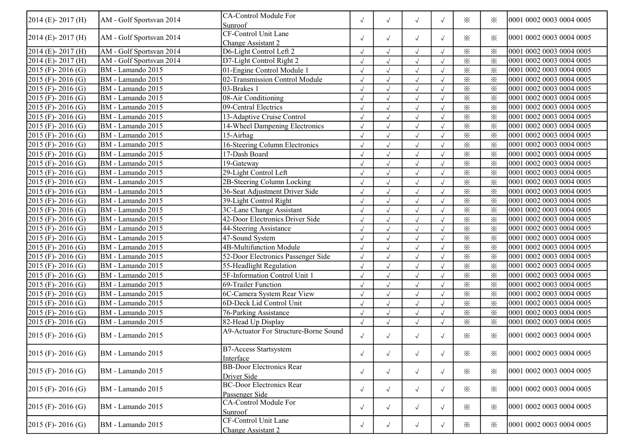| 2014 (E)-2017 (H)      | AM - Golf Sportsvan 2014 | <b>CA-Control Module For</b><br>Sunroof           | $\sqrt{ }$ | $\sqrt{ }$           | $\sqrt{ }$ | $\sqrt{ }$ | $\times$               | $\times$               | 0001 0002 0003 0004 0005 |
|------------------------|--------------------------|---------------------------------------------------|------------|----------------------|------------|------------|------------------------|------------------------|--------------------------|
| 2014 (E)-2017 (H)      | AM - Golf Sportsvan 2014 | CF-Control Unit Lane<br>Change Assistant 2        | $\sqrt{ }$ | $\sqrt{ }$           | $\sqrt{ }$ | $\sqrt{ }$ | $\times$               | $\times$               | 0001 0002 0003 0004 0005 |
| $2014$ (E)- $2017$ (H) | AM - Golf Sportsvan 2014 | D6-Light Control Left 2                           | $\sqrt{ }$ | $\sqrt{ }$           | $\sqrt{ }$ | $\sqrt{ }$ | $\times$               | $\times$               | 0001 0002 0003 0004 0005 |
| 2014 (E)-2017 (H)      | AM - Golf Sportsvan 2014 | D7-Light Control Right 2                          | $\sqrt{ }$ | $\sqrt{ }$           | $\sqrt{ }$ | $\sqrt{ }$ | $\times$               | $\times$               | 0001 0002 0003 0004 0005 |
| 2015 (F) - 2016 (G)    | BM - Lamando 2015        | 01-Engine Control Module 1                        | $\sqrt{ }$ | $\sqrt{ }$           | $\sqrt{ }$ | $\sqrt{ }$ | $\times$               | $\times$               | 0001 0002 0003 0004 0005 |
| 2015 (F) - 2016 (G)    | BM - Lamando 2015        | 02-Transmission Control Module                    | $\sqrt{ }$ | $\sqrt{\phantom{a}}$ | $\sqrt{}$  | $\sqrt{ }$ | $\times$               | $\times$               | 0001 0002 0003 0004 0005 |
| 2015 (F)-2016 (G)      | BM - Lamando 2015        | 03-Brakes 1                                       | $\sqrt{ }$ | $\sqrt{ }$           | $\sqrt{ }$ | $\sqrt{ }$ | $\times$               | $\times$               | 0001 0002 0003 0004 0005 |
| 2015 (F)-2016 (G)      | BM - Lamando 2015        | 08-Air Conditioning                               |            |                      | $\sqrt{ }$ |            | $\times$               | $\times$               | 0001 0002 0003 0004 0005 |
| 2015 (F)-2016 (G)      | BM - Lamando 2015        | 09-Central Electrics                              | $\sqrt{ }$ |                      | $\sqrt{ }$ |            | $\times$               | $\times$               | 0001 0002 0003 0004 0005 |
| 2015 (F) - 2016 (G)    | BM - Lamando 2015        | 13-Adaptive Cruise Control                        | $\sqrt{}$  | $\sqrt{ }$           | $\sqrt{ }$ | $\sqrt{ }$ | $\times$               | $\times$               | 0001 0002 0003 0004 0005 |
| 2015 (F) - 2016 (G)    | BM - Lamando 2015        | 14-Wheel Dampening Electronics                    | $\sqrt{ }$ | $\sqrt{ }$           | $\sqrt{}$  | $\sqrt{ }$ | $\times$               | $\times$               | 0001 0002 0003 0004 0005 |
| 2015 (F)-2016 (G)      | BM - Lamando 2015        | 15-Airbag                                         | $\sqrt{2}$ | $\sqrt{ }$           | $\sqrt{}$  | $\sqrt{ }$ | $\times$               | $\times$               | 0001 0002 0003 0004 0005 |
| 2015 (F)-2016 (G)      | BM - Lamando 2015        | 16-Steering Column Electronics                    | $\sqrt{2}$ | $\sqrt{ }$           | $\sqrt{ }$ | $\sqrt{ }$ | $\overline{\varkappa}$ | $\overline{\varkappa}$ | 0001 0002 0003 0004 0005 |
| 2015 (F) - 2016 (G)    | BM - Lamando 2015        | 17-Dash Board                                     | $\sqrt{2}$ | $\sqrt{}$            | $\sqrt{}$  |            | $\times$               | $\times$               | 0001 0002 0003 0004 0005 |
| 2015 (F) - 2016 (G)    | BM - Lamando 2015        | 19-Gateway                                        | $\sqrt{ }$ |                      | $\sqrt{ }$ |            | $\times$               | $\times$               | 0001 0002 0003 0004 0005 |
| 2015 (F) - 2016 (G)    | BM - Lamando 2015        | 29-Light Control Left                             | $\sqrt{}$  | $\sqrt{ }$           | $\sqrt{ }$ | $\sqrt{ }$ | $\times$               | $\times$               | 0001 0002 0003 0004 0005 |
| 2015 (F) - 2016 (G)    | BM - Lamando 2015        | 2B-Steering Column Locking                        | $\sqrt{ }$ | $\sqrt{ }$           | $\sqrt{ }$ | $\sqrt{ }$ | $\times$               | $\times$               | 0001 0002 0003 0004 0005 |
| 2015 (F)-2016 (G)      | BM - Lamando 2015        | 36-Seat Adjustment Driver Side                    | $\sqrt{ }$ | $\sqrt{\phantom{a}}$ | $\sqrt{ }$ | $\sqrt{ }$ | $\times$               | $\times$               | 0001 0002 0003 0004 0005 |
| 2015 (F)-2016 (G)      | BM - Lamando 2015        | 39-Light Control Right                            | $\sqrt{2}$ | $\checkmark$         | $\sqrt{ }$ | $\sqrt{ }$ | $\times$               | $\times$               | 0001 0002 0003 0004 0005 |
| 2015 (F)-2016 (G)      | BM - Lamando 2015        | 3C-Lane Change Assistant                          | $\sqrt{}$  | $\sqrt{}$            | $\sqrt{ }$ | $\sqrt{ }$ | $\times$               | $\times$               | 0001 0002 0003 0004 0005 |
| 2015 (F) - 2016 (G)    | BM - Lamando 2015        | 42-Door Electronics Driver Side                   | $\sqrt{ }$ |                      | $\sqrt{ }$ |            | $\times$               | $\times$               | 0001 0002 0003 0004 0005 |
| 2015 (F) - 2016 (G)    | BM - Lamando 2015        | 44-Steering Assistance                            | $\sqrt{}$  | $\sqrt{ }$           | $\sqrt{ }$ | $\sqrt{ }$ | $\times$               | $\times$               | 0001 0002 0003 0004 0005 |
| $2015$ (F) - 2016 (G)  | BM - Lamando 2015        | 47-Sound System                                   | $\sqrt{ }$ | $\sqrt{ }$           | $\sqrt{}$  | $\sqrt{ }$ | $\times$               | $\times$               | 0001 0002 0003 0004 0005 |
| 2015 (F)-2016 (G)      | BM - Lamando 2015        | 4B-Multifunction Module                           | $\sqrt{ }$ | $\sqrt{ }$           | $\sqrt{ }$ | $\sqrt{ }$ | $\times$               | $\times$               | 0001 0002 0003 0004 0005 |
| 2015 (F)-2016 (G)      | BM - Lamando 2015        | 52-Door Electronics Passenger Side                | $\sqrt{2}$ | $\sqrt{ }$           | $\sqrt{ }$ | $\sqrt{ }$ | $\times$               | $\times$               | 0001 0002 0003 0004 0005 |
| 2015 (F)-2016 (G)      | BM - Lamando 2015        | 55-Headlight Regulation                           | $\sqrt{}$  | $\sqrt{}$            | $\sqrt{}$  | $\sqrt{ }$ | $\times$               | $\times$               | 0001 0002 0003 0004 0005 |
| 2015 (F) - 2016 (G)    | BM - Lamando 2015        | 5F-Information Control Unit 1                     | $\sqrt{}$  |                      | $\sqrt{ }$ | $\sqrt{ }$ | $\times$               | $\times$               | 0001 0002 0003 0004 0005 |
| 2015 (F) - 2016 (G)    | BM - Lamando 2015        | 69-Trailer Function                               | $\sqrt{}$  | $\sqrt{ }$           | $\sqrt{ }$ | $\sqrt{ }$ | $\times$               | $\times$               | 0001 0002 0003 0004 0005 |
| 2015 (F) - 2016 (G)    | BM - Lamando 2015        | 6C-Camera System Rear View                        | $\sqrt{}$  | $\sqrt{ }$           | $\sqrt{ }$ | $\sqrt{ }$ | $\times$               | $\times$               | 0001 0002 0003 0004 0005 |
| 2015 (F) - 2016 (G)    | BM - Lamando 2015        | 6D-Deck Lid Control Unit                          | $\sqrt{}$  | $\sqrt{ }$           | $\sqrt{ }$ | $\sqrt{ }$ | $\times$               | $\times$               | 0001 0002 0003 0004 0005 |
| 2015 (F) - 2016 (G)    | BM - Lamando 2015        | 76-Parking Assistance                             | $\sqrt{2}$ | $\sqrt{}$            | $\sqrt{}$  | $\sqrt{ }$ | $\times$               | $\times$               | 0001 0002 0003 0004 0005 |
| 2015 (F)-2016 (G)      | BM - Lamando 2015        | 82-Head Up Display                                | $\sqrt{2}$ | $\sqrt{}$            | $\sqrt{ }$ |            | $\times$               | $\times$               | 0001 0002 0003 0004 0005 |
| $2015$ (F) - 2016 (G)  | BM - Lamando 2015        | A9-Actuator For Structure-Borne Sound             | $\sqrt{ }$ | $\sqrt{ }$           | $\sqrt{ }$ | $\sqrt{ }$ | $\times$               | $\times$               | 0001 0002 0003 0004 0005 |
| $2015$ (F) - 2016 (G)  | BM - Lamando 2015        | <b>B7-Access Startsystem</b><br>Interface         | $\sqrt{ }$ | $\sqrt{ }$           | $\sqrt{ }$ | $\sqrt{ }$ | $\times$               | ⋇                      | 0001 0002 0003 0004 0005 |
| $2015$ (F) - 2016 (G)  | BM - Lamando 2015        | <b>BB-Door Electronics Rear</b><br>Driver Side    | $\sqrt{ }$ | $\sqrt{ }$           | $\sqrt{ }$ | $\sqrt{ }$ | $\times$               | $\times$               | 0001 0002 0003 0004 0005 |
| 2015 (F) - 2016 (G)    | BM - Lamando 2015        | <b>BC-Door Electronics Rear</b><br>Passenger Side | $\sqrt{ }$ | $\sqrt{ }$           | $\sqrt{ }$ | $\sqrt{ }$ | $\times$               | $\times$               | 0001 0002 0003 0004 0005 |
| $2015$ (F) - 2016 (G)  | BM - Lamando 2015        | <b>CA-Control Module For</b><br>Sunroof           | $\sqrt{ }$ | $\sqrt{ }$           | $\sqrt{ }$ | $\sqrt{ }$ | $\times$               | $\times$               | 0001 0002 0003 0004 0005 |
| $2015$ (F) - 2016 (G)  | BM - Lamando 2015        | CF-Control Unit Lane<br>Change Assistant 2        | $\sqrt{ }$ | $\sqrt{ }$           | $\sqrt{ }$ | $\sqrt{ }$ | $\times$               | $\times$               | 0001 0002 0003 0004 0005 |